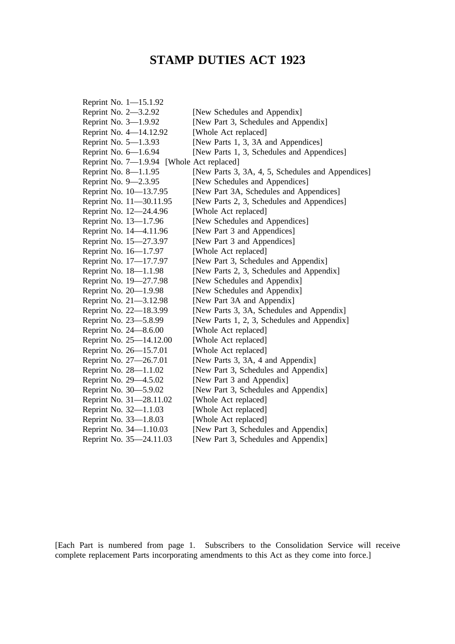# **STAMP DUTIES ACT 1923**

| Reprint No. 1-15.1.92   |                                                   |
|-------------------------|---------------------------------------------------|
| Reprint No. 2-3.2.92    | [New Schedules and Appendix]                      |
| Reprint No. 3-1.9.92    | [New Part 3, Schedules and Appendix]              |
| Reprint No. 4-14.12.92  | [Whole Act replaced]                              |
| Reprint No. 5-1.3.93    | [New Parts 1, 3, 3A and Appendices]               |
| Reprint No. 6-1.6.94    | [New Parts 1, 3, Schedules and Appendices]        |
| Reprint No. 7-1.9.94    | [Whole Act replaced]                              |
| Reprint No. 8-1.1.95    | [New Parts 3, 3A, 4, 5, Schedules and Appendices] |
| Reprint No. 9-2.3.95    | [New Schedules and Appendices]                    |
| Reprint No. 10-13.7.95  | [New Part 3A, Schedules and Appendices]           |
| Reprint No. 11–30.11.95 | [New Parts 2, 3, Schedules and Appendices]        |
| Reprint No. 12-24.4.96  | [Whole Act replaced]                              |
| Reprint No. 13-1.7.96   | [New Schedules and Appendices]                    |
| Reprint No. 14-4.11.96  | [New Part 3 and Appendices]                       |
| Reprint No. 15-27.3.97  | [New Part 3 and Appendices]                       |
| Reprint No. 16-1.7.97   | [Whole Act replaced]                              |
| Reprint No. 17-17.7.97  | [New Part 3, Schedules and Appendix]              |
| Reprint No. 18-1.1.98   | [New Parts 2, 3, Schedules and Appendix]          |
| Reprint No. 19-27.7.98  | [New Schedules and Appendix]                      |
| Reprint No. 20-1.9.98   | [New Schedules and Appendix]                      |
| Reprint No. 21-3.12.98  | [New Part 3A and Appendix]                        |
| Reprint No. 22-18.3.99  | [New Parts 3, 3A, Schedules and Appendix]         |
| Reprint No. 23–5.8.99   | [New Parts 1, 2, 3, Schedules and Appendix]       |
| Reprint No. 24-8.6.00   | [Whole Act replaced]                              |
| Reprint No. 25–14.12.00 | [Whole Act replaced]                              |
| Reprint No. 26-15.7.01  | [Whole Act replaced]                              |
| Reprint No. 27-26.7.01  | [New Parts 3, 3A, 4 and Appendix]                 |
| Reprint No. 28-1.1.02   | [New Part 3, Schedules and Appendix]              |
| Reprint No. 29-4.5.02   | [New Part 3 and Appendix]                         |
| Reprint No. 30-5.9.02   | [New Part 3, Schedules and Appendix]              |
| Reprint No. 31-28.11.02 | [Whole Act replaced]                              |
| Reprint No. 32-1.1.03   | [Whole Act replaced]                              |
| Reprint No. 33-1.8.03   | [Whole Act replaced]                              |
| Reprint No. 34-1.10.03  | [New Part 3, Schedules and Appendix]              |
| Reprint No. 35-24.11.03 | [New Part 3, Schedules and Appendix]              |

[Each Part is numbered from page 1. Subscribers to the Consolidation Service will receive complete replacement Parts incorporating amendments to this Act as they come into force.]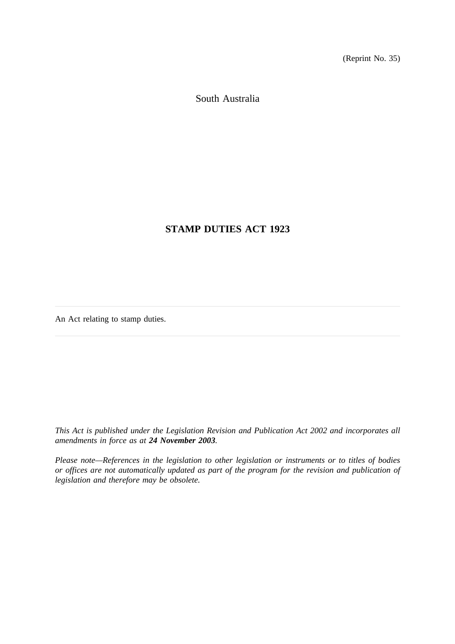(Reprint No. 35)

South Australia

# **STAMP DUTIES ACT 1923**

An Act relating to stamp duties.

*This Act is published under the Legislation Revision and Publication Act 2002 and incorporates all amendments in force as at 24 November 2003.*

*Please note—References in the legislation to other legislation or instruments or to titles of bodies or offices are not automatically updated as part of the program for the revision and publication of legislation and therefore may be obsolete.*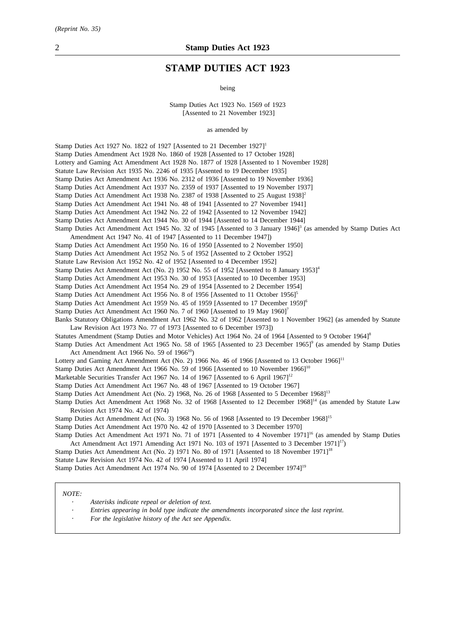## **STAMP DUTIES ACT 1923**

being

Stamp Duties Act 1923 No. 1569 of 1923 [Assented to 21 November 1923]

as amended by

Stamp Duties Act 1927 No. 1822 of 1927 [Assented to 21 December 1927]<sup>1</sup> Stamp Duties Amendment Act 1928 No. 1860 of 1928 [Assented to 17 October 1928] Lottery and Gaming Act Amendment Act 1928 No. 1877 of 1928 [Assented to 1 November 1928] Statute Law Revision Act 1935 No. 2246 of 1935 [Assented to 19 December 1935] Stamp Duties Act Amendment Act 1936 No. 2312 of 1936 [Assented to 19 November 1936] Stamp Duties Act Amendment Act 1937 No. 2359 of 1937 [Assented to 19 November 1937] Stamp Duties Act Amendment Act 1938 No. 2387 of 1938 [Assented to 25 August 1938]<sup>2</sup> Stamp Duties Act Amendment Act 1941 No. 48 of 1941 [Assented to 27 November 1941] Stamp Duties Act Amendment Act 1942 No. 22 of 1942 [Assented to 12 November 1942] Stamp Duties Act Amendment Act 1944 No. 30 of 1944 [Assented to 14 December 1944] Stamp Duties Act Amendment Act 1945 No. 32 of 1945 [Assented to 3 January 1946]<sup>3</sup> (as amended by Stamp Duties Act Amendment Act 1947 No. 41 of 1947 [Assented to 11 December 1947]) Stamp Duties Act Amendment Act 1950 No. 16 of 1950 [Assented to 2 November 1950] Stamp Duties Act Amendment Act 1952 No. 5 of 1952 [Assented to 2 October 1952] Statute Law Revision Act 1952 No. 42 of 1952 [Assented to 4 December 1952] Stamp Duties Act Amendment Act (No. 2) 1952 No. 55 of 1952 [Assented to 8 January 1953]<sup>4</sup> Stamp Duties Act Amendment Act 1953 No. 30 of 1953 [Assented to 10 December 1953] Stamp Duties Act Amendment Act 1954 No. 29 of 1954 [Assented to 2 December 1954] Stamp Duties Act Amendment Act 1956 No. 8 of 1956 [Assented to 11 October 1956]<sup>5</sup> Stamp Duties Act Amendment Act 1959 No. 45 of 1959 [Assented to 17 December 1959]6 Stamp Duties Act Amendment Act 1960 No. 7 of 1960 [Assented to 19 May 1960]<sup>7</sup> Banks Statutory Obligations Amendment Act 1962 No. 32 of 1962 [Assented to 1 November 1962] (as amended by Statute Law Revision Act 1973 No. 77 of 1973 [Assented to 6 December 1973]) Statutes Amendment (Stamp Duties and Motor Vehicles) Act 1964 No. 24 of 1964 [Assented to 9 October 1964]<sup>8</sup> Stamp Duties Act Amendment Act 1965 No. 58 of 1965 [Assented to 23 December 1965]<sup>9</sup> (as amended by Stamp Duties Act Amendment Act 1966 No. 59 of  $1966^{10}$ ) Lottery and Gaming Act Amendment Act (No. 2) 1966 No. 46 of 1966 [Assented to 13 October 1966]<sup>11</sup> Stamp Duties Act Amendment Act 1966 No. 59 of 1966 [Assented to 10 November 1966]<sup>10</sup> Marketable Securities Transfer Act 1967 No. 14 of 1967 [Assented to 6 April 1967]<sup>12</sup> Stamp Duties Act Amendment Act 1967 No. 48 of 1967 [Assented to 19 October 1967] Stamp Duties Act Amendment Act (No. 2) 1968, No. 26 of 1968 [Assented to 5 December 1968]<sup>13</sup> Stamp Duties Act Amendment Act 1968 No. 32 of 1968 [Assented to 12 December 1968]<sup>14</sup> (as amended by Statute Law Revision Act 1974 No. 42 of 1974) Stamp Duties Act Amendment Act (No. 3) 1968 No. 56 of 1968 [Assented to 19 December 1968]<sup>15</sup> Stamp Duties Act Amendment Act 1970 No. 42 of 1970 [Assented to 3 December 1970] Stamp Duties Act Amendment Act 1971 No. 71 of 1971 [Assented to 4 November 1971]<sup>16</sup> (as amended by Stamp Duties Act Amendment Act 1971 Amending Act 1971 No. 103 of 1971 [Assented to 3 December 1971]<sup>17</sup>) Stamp Duties Act Amendment Act (No. 2) 1971 No. 80 of 1971 [Assented to 18 November 1971]<sup>18</sup> Statute Law Revision Act 1974 No. 42 of 1974 [Assented to 11 April 1974] Stamp Duties Act Amendment Act 1974 No. 90 of 1974 [Assented to 2 December 1974]<sup>19</sup>

#### *NOTE:*

- *Asterisks indicate repeal or deletion of text.*
- *Entries appearing in bold type indicate the amendments incorporated since the last reprint.*
- *For the legislative history of the Act see Appendix.*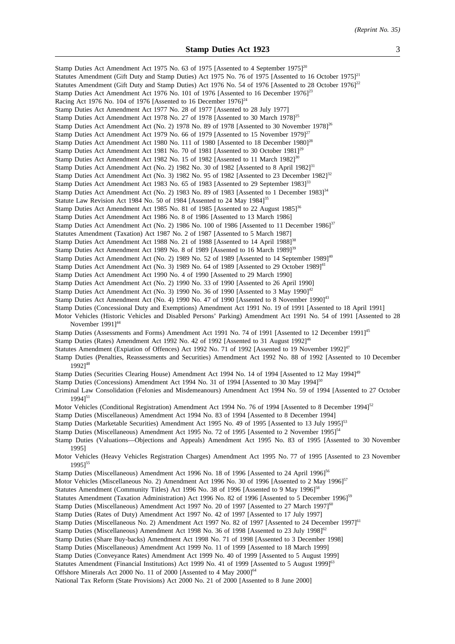Stamp Duties Act Amendment Act 1975 No. 63 of 1975 [Assented to 4 September 1975]<sup>20</sup> Statutes Amendment (Gift Duty and Stamp Duties) Act 1975 No. 76 of 1975 [Assented to 16 October 1975]<sup>21</sup> Statutes Amendment (Gift Duty and Stamp Duties) Act 1976 No. 54 of 1976 [Assented to 28 October 1976]<sup>22</sup> Stamp Duties Act Amendment Act 1976 No. 101 of 1976 [Assented to 16 December 1976]<sup>23</sup> Racing Act 1976 No. 104 of 1976 [Assented to 16 December  $1976$ ]<sup>24</sup> Stamp Duties Act Amendment Act 1977 No. 28 of 1977 [Assented to 28 July 1977] Stamp Duties Act Amendment Act 1978 No. 27 of 1978 [Assented to 30 March 1978]<sup>25</sup> Stamp Duties Act Amendment Act (No. 2) 1978 No. 89 of 1978 [Assented to 30 November 1978]<sup>26</sup> Stamp Duties Act Amendment Act 1979 No. 66 of 1979 [Assented to 15 November 1979]<sup>27</sup> Stamp Duties Act Amendment Act 1980 No. 111 of 1980 [Assented to 18 December 1980]<sup>28</sup> Stamp Duties Act Amendment Act 1981 No. 70 of 1981 [Assented to 30 October 1981]<sup>2</sup> Stamp Duties Act Amendment Act 1982 No. 15 of 1982 [Assented to 11 March 1982]<sup>30</sup> Stamp Duties Act Amendment Act (No. 2) 1982 No. 30 of 1982 [Assented to 8 April 1982] $^{31}$ Stamp Duties Act Amendment Act (No. 3) 1982 No. 95 of 1982 [Assented to 23 December 1982] $^{32}$ Stamp Duties Act Amendment Act 1983 No. 65 of 1983 [Assented to 29 September 1983]<sup>33</sup> Stamp Duties Act Amendment Act (No. 2) 1983 No. 89 of 1983 [Assented to 1 December 1983]<sup>34</sup> Statute Law Revision Act 1984 No. 50 of 1984 [Assented to 24 May 1984]<sup>35</sup> Stamp Duties Act Amendment Act 1985 No. 81 of 1985 [Assented to 22 August 1985]<sup>36</sup> Stamp Duties Act Amendment Act 1986 No. 8 of 1986 [Assented to 13 March 1986] Stamp Duties Act Amendment Act (No. 2) 1986 No. 100 of 1986 [Assented to 11 December 1986]<sup>37</sup> Statutes Amendment (Taxation) Act 1987 No. 2 of 1987 [Assented to 5 March 1987] Stamp Duties Act Amendment Act 1988 No. 21 of 1988 [Assented to 14 April 1988]<sup>38</sup> Stamp Duties Act Amendment Act 1989 No. 8 of 1989 [Assented to 16 March 1989]<sup>39</sup> Stamp Duties Act Amendment Act (No. 2) 1989 No. 52 of 1989 [Assented to 14 September 1989]<sup>40</sup> Stamp Duties Act Amendment Act (No. 3) 1989 No. 64 of 1989 [Assented to 29 October 1989]<sup>41</sup> Stamp Duties Act Amendment Act 1990 No. 4 of 1990 [Assented to 29 March 1990] Stamp Duties Act Amendment Act (No. 2) 1990 No. 33 of 1990 [Assented to 26 April 1990] Stamp Duties Act Amendment Act (No. 3) 1990 No. 36 of 1990 [Assented to 3 May 1990]<sup>42</sup> Stamp Duties Act Amendment Act (No. 4) 1990 No. 47 of 1990 [Assented to 8 November 1990]<sup>43</sup> Stamp Duties (Concessional Duty and Exemptions) Amendment Act 1991 No. 19 of 1991 [Assented to 18 April 1991] Motor Vehicles (Historic Vehicles and Disabled Persons' Parking) Amendment Act 1991 No. 54 of 1991 [Assented to 28 November 1991]<sup>44</sup> Stamp Duties (Assessments and Forms) Amendment Act 1991 No. 74 of 1991 [Assented to 12 December 1991]<sup>45</sup> Stamp Duties (Rates) Amendment Act 1992 No. 42 of 1992 [Assented to 31 August 1992]<sup>46</sup> Statutes Amendment (Expiation of Offences) Act 1992 No. 71 of 1992 [Assented to 19 November 1992]<sup>47</sup> Stamp Duties (Penalties, Reassessments and Securities) Amendment Act 1992 No. 88 of 1992 [Assented to 10 December  $[1992]^{48}$ Stamp Duties (Securities Clearing House) Amendment Act 1994 No. 14 of 1994 [Assented to 12 May 1994]<sup>49</sup> Stamp Duties (Concessions) Amendment Act 1994 No. 31 of 1994 [Assented to 30 May 1994]<sup>50</sup> Criminal Law Consolidation (Felonies and Misdemeanours) Amendment Act 1994 No. 59 of 1994 [Assented to 27 October  $1994$ <sup>51</sup> Motor Vehicles (Conditional Registration) Amendment Act 1994 No. 76 of 1994 [Assented to 8 December 1994]<sup>52</sup> Stamp Duties (Miscellaneous) Amendment Act 1994 No. 83 of 1994 [Assented to 8 December 1994] Stamp Duties (Marketable Securities) Amendment Act 1995 No. 49 of 1995 [Assented to 13 July 1995]<sup>53</sup> Stamp Duties (Miscellaneous) Amendment Act 1995 No. 72 of 1995 [Assented to 2 November 1995]<sup>54</sup> Stamp Duties (Valuations—Objections and Appeals) Amendment Act 1995 No. 83 of 1995 [Assented to 30 November 1995] Motor Vehicles (Heavy Vehicles Registration Charges) Amendment Act 1995 No. 77 of 1995 [Assented to 23 November 1995<sup>155</sup> Stamp Duties (Miscellaneous) Amendment Act 1996 No. 18 of 1996 [Assented to 24 April 1996]<sup>56</sup> Motor Vehicles (Miscellaneous No. 2) Amendment Act 1996 No. 30 of 1996 [Assented to 2 May 1996]<sup>57</sup> Statutes Amendment (Community Titles) Act 1996 No. 38 of 1996 [Assented to 9 May 1996]<sup>58</sup> Statutes Amendment (Taxation Administration) Act 1996 No. 82 of 1996 [Assented to 5 December 1996]<sup>59</sup> Stamp Duties (Miscellaneous) Amendment Act 1997 No. 20 of 1997 [Assented to 27 March 1997]<sup>60</sup> Stamp Duties (Rates of Duty) Amendment Act 1997 No. 42 of 1997 [Assented to 17 July 1997] Stamp Duties (Miscellaneous No. 2) Amendment Act 1997 No. 82 of 1997 [Assented to 24 December 1997]<sup>61</sup> Stamp Duties (Miscellaneous) Amendment Act 1998 No. 36 of 1998 [Assented to 23 July 1998]<sup>62</sup> Stamp Duties (Share Buy-backs) Amendment Act 1998 No. 71 of 1998 [Assented to 3 December 1998] Stamp Duties (Miscellaneous) Amendment Act 1999 No. 11 of 1999 [Assented to 18 March 1999] Stamp Duties (Conveyance Rates) Amendment Act 1999 No. 40 of 1999 [Assented to 5 August 1999] Statutes Amendment (Financial Institutions) Act 1999 No. 41 of 1999 [Assented to 5 August 1999]<sup>63</sup> Offshore Minerals Act 2000 No. 11 of 2000 [Assented to 4 May 2000] $<sup>64</sup>$ </sup> National Tax Reform (State Provisions) Act 2000 No. 21 of 2000 [Assented to 8 June 2000]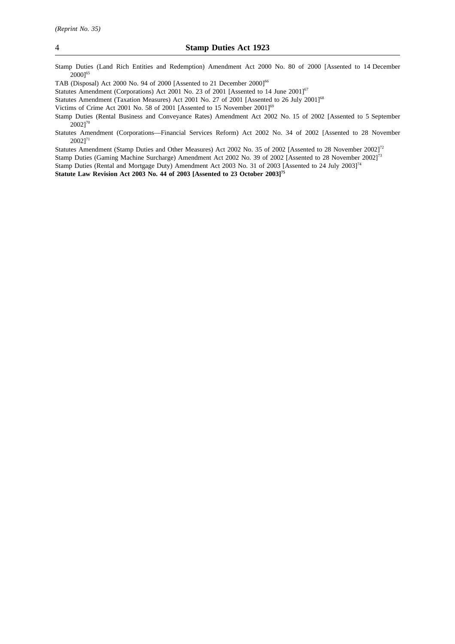Stamp Duties (Land Rich Entities and Redemption) Amendment Act 2000 No. 80 of 2000 [Assented to 14 December 2000]65

TAB (Disposal) Act 2000 No. 94 of 2000 [Assented to 21 December 2000]<sup>66</sup>

Statutes Amendment (Corporations) Act 2001 No. 23 of 2001 [Assented to 14 June 2001]<sup>67</sup>

Statutes Amendment (Taxation Measures) Act 2001 No. 27 of 2001 [Assented to 26 July 2001]<sup>68</sup>

Victims of Crime Act 2001 No. 58 of 2001 [Assented to 15 November 2001]<sup>69</sup>

Stamp Duties (Rental Business and Conveyance Rates) Amendment Act 2002 No. 15 of 2002 [Assented to 5 September 2002]70

Statutes Amendment (Corporations—Financial Services Reform) Act 2002 No. 34 of 2002 [Assented to 28 November  $2002$ ]<sup>71</sup>

Statutes Amendment (Stamp Duties and Other Measures) Act 2002 No. 35 of 2002 [Assented to 28 November 2002]<sup>72</sup>

- Stamp Duties (Gaming Machine Surcharge) Amendment Act 2002 No. 39 of 2002 [Assented to 28 November 2002]<sup>73</sup>
- Stamp Duties (Rental and Mortgage Duty) Amendment Act 2003 No. 31 of 2003 [Assented to 24 July 2003]74

**Statute Law Revision Act 2003 No. 44 of 2003 [Assented to 23 October 2003]75**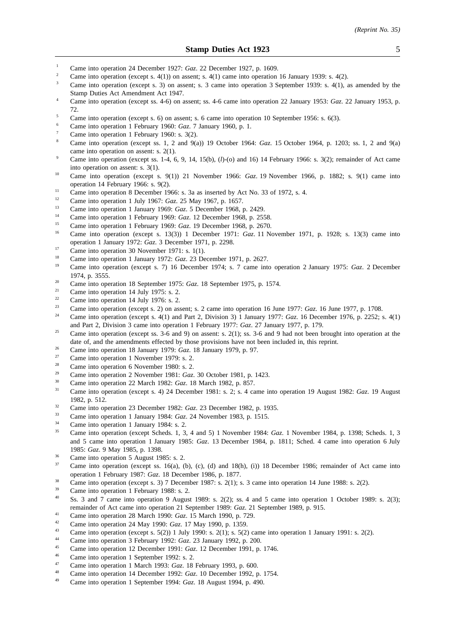- <sup>1</sup> Came into operation 24 December 1927: *Gaz*. 22 December 1927, p. 1609.
- <sup>2</sup> Came into operation (except s. 4(1)) on assent; s. 4(1) came into operation 16 January 1939: s. 4(2).
- <sup>3</sup> Came into operation (except s. 3) on assent; s. 3 came into operation 3 September 1939: s. 4(1), as amended by the Stamp Duties Act Amendment Act 1947.
- <sup>4</sup> Came into operation (except ss. 4-6) on assent; ss. 4-6 came into operation 22 January 1953: *Gaz*. 22 January 1953, p. 72.
- <sup>5</sup> Came into operation (except s. 6) on assent; s. 6 came into operation 10 September 1956: s. 6(3).
- <sup>6</sup> Came into operation 1 February 1960: *Gaz*. 7 January 1960, p. 1.
- Came into operation 1 February 1960: s. 3(2).
- <sup>8</sup> Came into operation (except ss. 1, 2 and 9(a)) 19 October 1964: *Gaz*. 15 October 1964, p. 1203; ss. 1, 2 and 9(a) came into operation on assent: s. 2(1).
- Came into operation (except ss. 1-4, 6, 9, 14, 15(b), (*l*)-(o) and 16) 14 February 1966: s. 3(2); remainder of Act came into operation on assent: s. 3(1).
- <sup>10</sup> Came into operation (except s. 9(1)) 21 November 1966: *Gaz*. 19 November 1966, p. 1882; s. 9(1) came into operation 14 February 1966: s. 9(2).
- <sup>11</sup> Came into operation 8 December 1966: s. 3a as inserted by Act No. 33 of 1972, s. 4.
- <sup>12</sup> Came into operation 1 July 1967: *Gaz*. 25 May 1967, p. 1657.
- <sup>13</sup> Came into operation 1 January 1969: *Gaz*. 5 December 1968, p. 2429.
- <sup>14</sup> Came into operation 1 February 1969: *Gaz.* 12 December 1968, p. 2558.
- <sup>15</sup> Came into operation 1 February 1969: *Gaz*. 19 December 1968, p. 2670.
- <sup>16</sup> Came into operation (except s. 13(3)) 1 December 1971: *Gaz*. 11 November 1971, p. 1928; s. 13(3) came into operation 1 January 1972: *Gaz*. 3 December 1971, p. 2298.
- <sup>17</sup> Came into operation 30 November 1971: s. 1(1).<br><sup>18</sup> Came into operation 1 January 1972: Car 23 De
- <sup>18</sup> Came into operation 1 January 1972: *Gaz.* 23 December 1971, p. 2627.
- <sup>19</sup> Came into operation (except s. 7) 16 December 1974; s. 7 came into operation 2 January 1975: *Gaz*. 2 December 1974, p. 3555.
- <sup>20</sup> Came into operation 18 September 1975: *Gaz*. 18 September 1975, p. 1574.
- <sup>21</sup> Came into operation 14 July 1975: s. 2.<br>
Come into operation 14 July 1976: s. 2.
- <sup>22</sup> Came into operation 14 July 1976: s. 2.<br><sup>23</sup> Came into aparation (quant a 2) an age
- <sup>23</sup> Came into operation (except s. 2) on assent; s. 2 came into operation 16 June 1977: *Gaz*. 16 June 1977, p. 1708.<br><sup>24</sup> Came into operation (except s. 4(1) and Part 2. Division 3) 1 January 1977: *Gaz*. 16 December 19
- <sup>24</sup> Came into operation (except s. 4(1) and Part 2, Division 3) 1 January 1977: *Gaz*. 16 December 1976, p. 2252; s. 4(1) and Part 2, Division 3 came into operation 1 February 1977: *Gaz*. 27 January 1977, p. 179.
- <sup>25</sup> Came into operation (except ss. 3-6 and 9) on assent: s. 2(1); ss. 3-6 and 9 had not been brought into operation at the date of, and the amendments effected by those provisions have not been included in, this reprint.
- <sup>26</sup> Came into operation 18 January 1979:  $Gaz$ . 18 January 1979, p. 97.
- <sup>27</sup> Came into operation 1 November 1979: s. 2.<br><sup>28</sup> Came into a particular 6 Nevember 1999:  $\epsilon$  2.
- <sup>28</sup> Came into operation 6 November 1980: s. 2.<br><sup>29</sup> Came into operation 2 November 1981: Car
- <sup>29</sup> Came into operation 2 November 1981: *Gaz*. 30 October 1981, p. 1423.
- <sup>30</sup> Came into operation 22 March 1982: *Gaz*. 18 March 1982, p. 857.
- <sup>31</sup> Came into operation (except s. 4) 24 December 1981: s. 2; s. 4 came into operation 19 August 1982: *Gaz*. 19 August 1982, p. 512.
- <sup>32</sup> Came into operation 23 December 1982: *Gaz.* 23 December 1982, p. 1935.<br> *Came into operation 1 January 1984: Caz.* 24 November 1982, p. 1515.
- <sup>33</sup> Came into operation 1 January 1984: *Gaz*. 24 November 1983, p. 1515.<br> *Come into operation* 1 January 1984: *c*, 2
- $^{34}$  Came into operation 1 January 1984: s. 2.<br> $^{35}$  Came into operation (execut Sebeds 1, 3)
- <sup>35</sup> Came into operation (except Scheds. 1, 3, 4 and 5) 1 November 1984: *Gaz*. 1 November 1984, p. 1398; Scheds. 1, 3 and 5 came into operation 1 January 1985: *Gaz*. 13 December 1984, p. 1811; Sched. 4 came into operation 6 July 1985: *Gaz*. 9 May 1985, p. 1398.
- $\frac{36}{37}$  Came into operation 5 August 1985: s. 2.
- <sup>37</sup> Came into operation (except ss. 16(a), (b), (c), (d) and 18(h), (i)) 18 December 1986; remainder of Act came into operation 1 February 1987: *Gaz*. 18 December 1986, p. 1877.
- <sup>38</sup> Came into operation (except s. 3) 7 December 1987: s. 2(1); s. 3 came into operation 14 June 1988: s. 2(2).
- $^{39}$  Came into operation 1 February 1988: s. 2.<br> $^{40}$  Se 3 and 7 came into operation 0 August
- <sup>40</sup> Ss. 3 and 7 came into operation 9 August 1989: s. 2(2); ss. 4 and 5 came into operation 1 October 1989: s. 2(3); remainder of Act came into operation 21 September 1989: *Gaz*. 21 September 1989, p. 915.
- <sup>41</sup> Came into operation 28 March 1990: *Gaz*. 15 March 1990, p. 729.
- <sup>42</sup> Came into operation 24 May 1990: *Gaz*. 17 May 1990, p. 1359.
- <sup>43</sup> Came into operation (except s. 5(2)) 1 July 1990: s. 2(1); s. 5(2) came into operation 1 January 1991: s. 2(2).
- <sup>44</sup> Came into operation 3 February 1992: *Gaz*. 23 January 1992, p. 200.
- <sup>45</sup> Came into operation 12 December 1991: *Gaz*. 12 December 1991, p. 1746.
- <sup>46</sup> Came into operation 1 September 1992: s. 2.
- <sup>47</sup> Came into operation 1 March 1993: *Gaz*. 18 February 1993, p. 600.
- <sup>48</sup> Came into operation 14 December 1992: *Gaz*. 10 December 1992, p. 1754.
- <sup>49</sup> Came into operation 1 September 1994: *Gaz*. 18 August 1994, p. 490.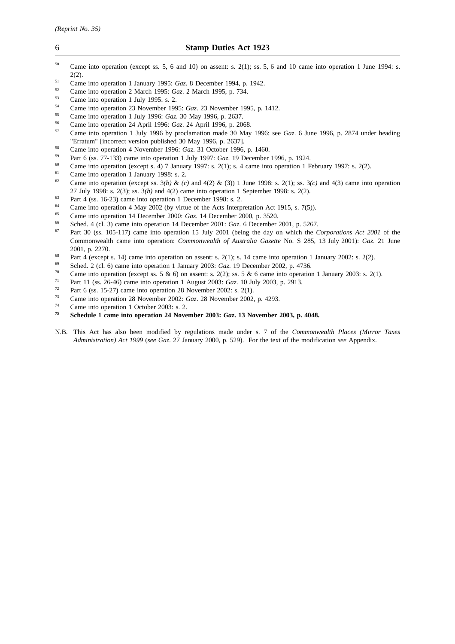- <sup>50</sup> Came into operation (except ss. 5, 6 and 10) on assent: s. 2(1); ss. 5, 6 and 10 came into operation 1 June 1994: s. 2(2).
- <sup>51</sup> Came into operation 1 January 1995: *Gaz*. 8 December 1994, p. 1942.<br> *S*<sup>2</sup> Came into operation 2 Marsh 1995: *Gaz*. 2 Marsh 1995, p. 724
- <sup>52</sup> Came into operation 2 March 1995: *Gaz*. 2 March 1995, p. 734.
- $53$  Came into operation 1 July 1995: s. 2.
- <sup>54</sup> Came into operation 23 November 1995: *Gaz.* 23 November 1995, p. 1412.
- <sup>55</sup> Came into operation 1 July 1996: *Gaz*. 30 May 1996, p. 2637.
- <sup>56</sup> Came into operation 24 April 1996: *Gaz*. 24 April 1996, p. 2068.
- <sup>57</sup> Came into operation 1 July 1996 by proclamation made 30 May 1996: see *Gaz*. 6 June 1996, p. 2874 under heading "Erratum" [incorrect version published 30 May 1996, p. 2637].
- <sup>58</sup> Came into operation 4 November 1996: *Gaz*. 31 October 1996, p. 1460.
- <sup>59</sup> Part 6 (ss. 77-133) came into operation 1 July 1997: *Gaz*. 19 December 1996, p. 1924.
- <sup>60</sup> Came into operation (except s. 4) 7 January 1997: s. 2(1); s. 4 came into operation 1 February 1997: s. 2(2).
- <sup>61</sup> Came into operation 1 January 1998: s. 2.
- Came into operation (except ss.  $3(b)$  &  $(c)$  and  $4(2)$  &  $(3)$ ) 1 June 1998: s.  $2(1)$ ; ss.  $3(c)$  and  $4(3)$  came into operation 27 July 1998: s. 2(3); ss. 3*(b)* and 4(2) came into operation 1 September 1998: s. 2(2).
- <sup>63</sup> Part 4 (ss. 16-23) came into operation 1 December 1998: s. 2.<br><sup>64</sup> Came into apprecian 4 May 2002 (by virtue of the Asta Interna-
- <sup>64</sup> Came into operation 4 May 2002 (by virtue of the Acts Interpretation Act 1915, s. 7(5)).<br>
Came into operation 14 December 2000:  $C_{75}$  14 December 2000, p. 2520.
- <sup>65</sup> Came into operation 14 December 2000: *Gaz*. 14 December 2000, p. 3520.
- <sup>66</sup> Sched. 4 (cl. 3) came into operation 14 December 2001: *Gaz*. 6 December 2001, p. 5267.
- <sup>67</sup> Part 30 (ss. 105-117) came into operation 15 July 2001 (being the day on which the *Corporations Act 2001* of the Commonwealth came into operation: *Commonwealth of Australia Gazette* No. S 285, 13 July 2001): *Gaz*. 21 June 2001, p. 2270.
- <sup>68</sup> Part 4 (except s. 14) came into operation on assent: s. 2(1); s. 14 came into operation 1 January 2002: s. 2(2).
- <sup>69</sup> Sched. 2 (cl. 6) came into operation 1 January 2003: *Gaz*. 19 December 2002, p. 4736.
- <sup>70</sup> Came into operation (except ss. 5 & 6) on assent: s. 2(2); ss. 5 & 6 came into operation 1 January 2003: s. 2(1).
- <sup>71</sup> Part 11 (ss. 26-46) came into operation 1 August 2003: *Gaz*. 10 July 2003, p. 2913.
- <sup>72</sup> Part 6 (ss. 15-27) came into operation 28 November 2002: s. 2(1).<br>
<sup>73</sup> Came into operation <sup>28</sup> November 2002: Can <sup>28</sup> November 2002.
- <sup>73</sup> Came into operation 28 November 2002: *Gaz.* 28 November 2002, p. 4293.
- <sup>74</sup> Came into operation 1 October 2003: s. 2.<br> $\frac{75}{2}$  Schodule 1 came into appearing 24 November
- **<sup>75</sup> Schedule 1 came into operation 24 November 2003:** *Gaz***. 13 November 2003, p. 4048.**
- N.B. This Act has also been modified by regulations made under s. 7 of the *Commonwealth Places (Mirror Taxes Administration) Act 1999* (*see Gaz*. 27 January 2000, p. 529). For the text of the modification *see* Appendix.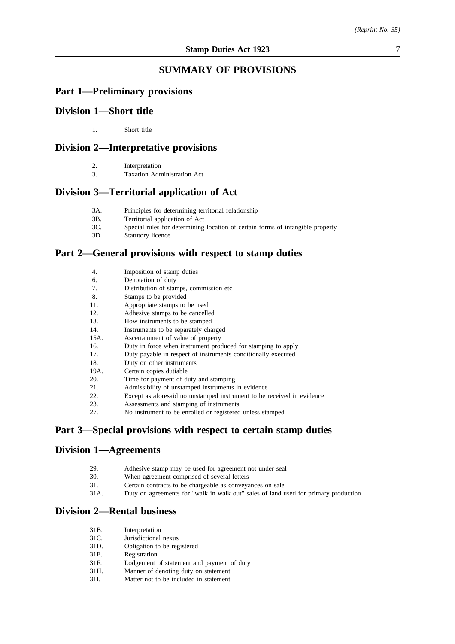## **SUMMARY OF PROVISIONS**

## **Part 1—Preliminary provisions**

## **Division 1—Short title**

1. Short title

## **Division 2—Interpretative provisions**

| ⌒<br>Ζ. | Interpretation |
|---------|----------------|
|---------|----------------|

3. Taxation Administration Act

## **Division 3—Territorial application of Act**

- 3A. Principles for determining territorial relationship
- 3B. Territorial application of Act
- 3C. Special rules for determining location of certain forms of intangible property
- 3D. Statutory licence

## **Part 2—General provisions with respect to stamp duties**

- 4. Imposition of stamp duties
- 6. Denotation of duty<br>7. Distribution of star
- Distribution of stamps, commission etc
- 8. Stamps to be provided
- 11. Appropriate stamps to be used
- 12. Adhesive stamps to be cancelled
- 13. How instruments to be stamped
- 14. Instruments to be separately charged
- 15A. Ascertainment of value of property<br>16. Duty in force when instrument proc
- 16. Duty in force when instrument produced for stamping to apply
- 17. Duty payable in respect of instruments conditionally executed
- 18. Duty on other instruments
- 19A. Certain copies dutiable
- 20. Time for payment of duty and stamping
- 21. Admissibility of unstamped instruments in evidence
- 22. Except as aforesaid no unstamped instrument to be received in evidence
- 23. Assessments and stamping of instruments
- 27. No instrument to be enrolled or registered unless stamped

## **Part 3—Special provisions with respect to certain stamp duties**

## **Division 1—Agreements**

- 29. Adhesive stamp may be used for agreement not under seal
- 30. When agreement comprised of several letters
- 31. Certain contracts to be chargeable as conveyances on sale
- 31A. Duty on agreements for "walk in walk out" sales of land used for primary production

## **Division 2—Rental business**

- 31B. Interpretation
- 31C. Jurisdictional nexus
- 31D. Obligation to be registered
- 31E. Registration
- 31F. Lodgement of statement and payment of duty
- 31H. Manner of denoting duty on statement
- 31I. Matter not to be included in statement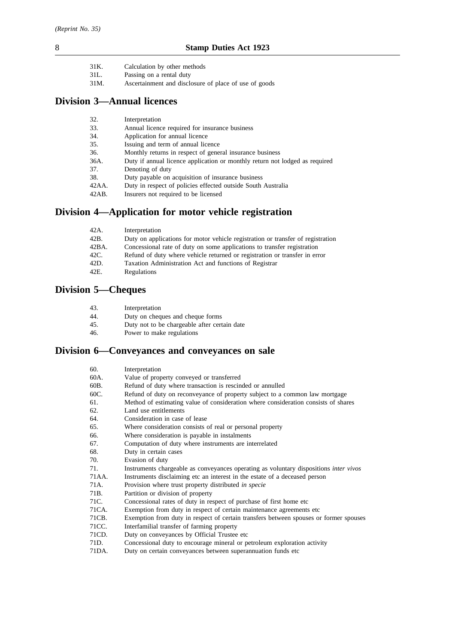| 31K. | Calculation by other methods                          |
|------|-------------------------------------------------------|
| 31L. | Passing on a rental duty                              |
| 31M. | Ascertainment and disclosure of place of use of goods |

# **Division 3—Annual licences**

| 32.      | Interpretation                                                              |
|----------|-----------------------------------------------------------------------------|
| 33.      | Annual licence required for insurance business                              |
| 34.      | Application for annual licence                                              |
| 35.      | Issuing and term of annual licence                                          |
| 36.      | Monthly returns in respect of general insurance business                    |
| 36A.     | Duty if annual licence application or monthly return not lodged as required |
| 37.      | Denoting of duty                                                            |
| 38.      | Duty payable on acquisition of insurance business                           |
| $42AA$ . | Duty in respect of policies effected outside South Australia                |
| $42AB$ . | Insurers not required to be licensed                                        |
|          |                                                                             |

# **Division 4—Application for motor vehicle registration**

| 42A.  | Interpretation                                                                  |
|-------|---------------------------------------------------------------------------------|
| 42B.  | Duty on applications for motor vehicle registration or transfer of registration |
| 42BA. | Concessional rate of duty on some applications to transfer registration         |
| 42C.  | Refund of duty where vehicle returned or registration or transfer in error      |
| 42D.  | Taxation Administration Act and functions of Registrar                          |
| 42E.  | Regulations                                                                     |

# **Division 5—Cheques**

- 44. Duty on cheques and cheque forms<br>45. Duty not to be chargeable after certain
- 45. Duty not to be chargeable after certain date<br>46. Power to make regulations
- Power to make regulations

# **Division 6—Conveyances and conveyances on sale**

| 60.   | Interpretation                                                                               |
|-------|----------------------------------------------------------------------------------------------|
| 60A.  | Value of property conveyed or transferred                                                    |
| 60B.  | Refund of duty where transaction is rescinded or annulled                                    |
| 60C.  | Refund of duty on reconveyance of property subject to a common law mortgage                  |
| 61.   | Method of estimating value of consideration where consideration consists of shares           |
| 62.   | Land use entitlements                                                                        |
| 64.   | Consideration in case of lease                                                               |
| 65.   | Where consideration consists of real or personal property                                    |
| 66.   | Where consideration is payable in instalments                                                |
| 67.   | Computation of duty where instruments are interrelated                                       |
| 68.   | Duty in certain cases                                                                        |
| 70.   | Evasion of duty                                                                              |
| 71.   | Instruments chargeable as conveyances operating as voluntary dispositions <i>inter vivos</i> |
| 71AA. | Instruments disclaiming etc an interest in the estate of a deceased person                   |
| 71A.  | Provision where trust property distributed in specie                                         |
| 71B.  | Partition or division of property                                                            |
| 71C.  | Concessional rates of duty in respect of purchase of first home etc                          |
| 71CA. | Exemption from duty in respect of certain maintenance agreements etc.                        |
| 71CB. | Exemption from duty in respect of certain transfers between spouses or former spouses        |
| 71CC. | Interfamilial transfer of farming property                                                   |
| 71CD. | Duty on conveyances by Official Trustee etc.                                                 |
| 71D.  | Concessional duty to encourage mineral or petroleum exploration activity                     |
| 71DA. | Duty on certain conveyances between superannuation funds etc.                                |
|       |                                                                                              |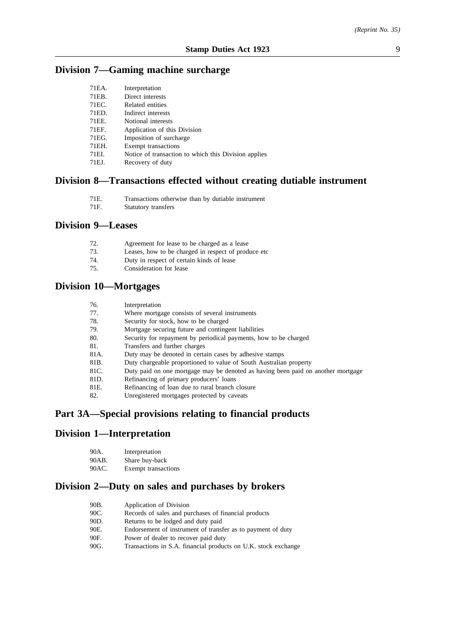## **Division 7—Gaming machine surcharge**

| 71 EA.             | Interpretation                                       |
|--------------------|------------------------------------------------------|
| 71EB.              | Direct interests                                     |
| 71 <sub>EC</sub> . | Related entities                                     |
| 71ED.              | Indirect interests                                   |
| 71EE.              | Notional interests                                   |
| 71EF.              | Application of this Division                         |
| 71EG.              | Imposition of surcharge.                             |
| 71EH.              | <b>Exempt transactions</b>                           |
| 71EI.              | Notice of transaction to which this Division applies |
| 71EJ.              | Recovery of duty                                     |

## **Division 8—Transactions effected without creating dutiable instrument**

| 71E.<br>Transactions otherwise than by dutiable instrument |  |
|------------------------------------------------------------|--|
|------------------------------------------------------------|--|

71F. Statutory transfers

## **Division 9—Leases**

| 72.<br>Agreement for lease to be charged as a lease |  |
|-----------------------------------------------------|--|
|-----------------------------------------------------|--|

- 73. Leases, how to be charged in respect of produce etc
- 74. Duty in respect of certain kinds of lease
- 75. Consideration for lease

## **Division 10—Mortgages**

| 76.  | Interpretation                                                                   |
|------|----------------------------------------------------------------------------------|
| 77.  | Where mortgage consists of several instruments                                   |
| 78.  | Security for stock, how to be charged                                            |
| 79.  | Mortgage securing future and contingent liabilities                              |
| 80.  | Security for repayment by periodical payments, how to be charged                 |
| 81.  | Transfers and further charges                                                    |
| 81A. | Duty may be denoted in certain cases by adhesive stamps                          |
| 81B. | Duty chargeable proportioned to value of South Australian property               |
| 81C. | Duty paid on one mortgage may be denoted as having been paid on another mortgage |
| 81D. | Refinancing of primary producers' loans                                          |
| 81E. | Refinancing of loan due to rural branch closure                                  |
| 82.  | Unregistered mortgages protected by caveats                                      |
|      |                                                                                  |

## **Part 3A—Special provisions relating to financial products**

## **Division 1—Interpretation**

| 90A.  | Interpretation      |
|-------|---------------------|
| 90AB. | Share buy-back      |
| 90AC. | Exempt transactions |

# **Division 2—Duty on sales and purchases by brokers**

| 90B. | Application of Division                                        |
|------|----------------------------------------------------------------|
| 90C. | Records of sales and purchases of financial products           |
| 90D. | Returns to be lodged and duty paid                             |
| 90E. | Endorsement of instrument of transfer as to payment of duty    |
| 90F. | Power of dealer to recover paid duty                           |
| 90G. | Transactions in S.A. financial products on U.K. stock exchange |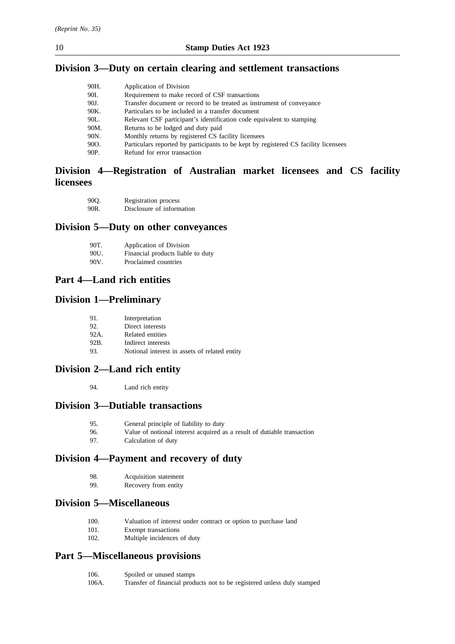## **Division 3—Duty on certain clearing and settlement transactions**

| 90H. | Application of Division                                                             |
|------|-------------------------------------------------------------------------------------|
| 90I. | Requirement to make record of CSF transactions                                      |
| 90J. | Transfer document or record to be treated as instrument of conveyance               |
| 90K. | Particulars to be included in a transfer document                                   |
| 90L. | Relevant CSF participant's identification code equivalent to stamping               |
| 90M. | Returns to be lodged and duty paid                                                  |
| 90N. | Monthly returns by registered CS facility licensees                                 |
| 90O. | Particulars reported by participants to be kept by registered CS facility licensees |
| 90P. | Refund for error transaction                                                        |

## **Division 4—Registration of Australian market licensees and CS facility licensees**

| 90O. | Registration process      |
|------|---------------------------|
| 90R. | Disclosure of information |

## **Division 5—Duty on other conveyances**

- 90U. Financial products liable to duty
- 90V. Proclaimed countries

## **Part 4—Land rich entities**

## **Division 1—Preliminary**

| 91.  | Interpretation                                |
|------|-----------------------------------------------|
| 92.  | Direct interests                              |
| 92A. | Related entities                              |
| 92B. | Indirect interests                            |
| 93.  | Notional interest in assets of related entity |

## **Division 2—Land rich entity**

94. Land rich entity

## **Division 3—Dutiable transactions**

- 95. General principle of liability to duty
- 96. Value of notional interest acquired as a result of dutiable transaction 97. Calculation of duty
- Calculation of duty

## **Division 4—Payment and recovery of duty**

| 98.<br>Acquisition statement |  |
|------------------------------|--|
|------------------------------|--|

99. Recovery from entity

## **Division 5—Miscellaneous**

- 100. Valuation of interest under contract or option to purchase land
- 101. Exempt transactions

102. Multiple incidences of duty

## **Part 5—Miscellaneous provisions**

| 106.  | Spoiled or unused stamps                                                |
|-------|-------------------------------------------------------------------------|
| 106A. | Transfer of financial products not to be registered unless duly stamped |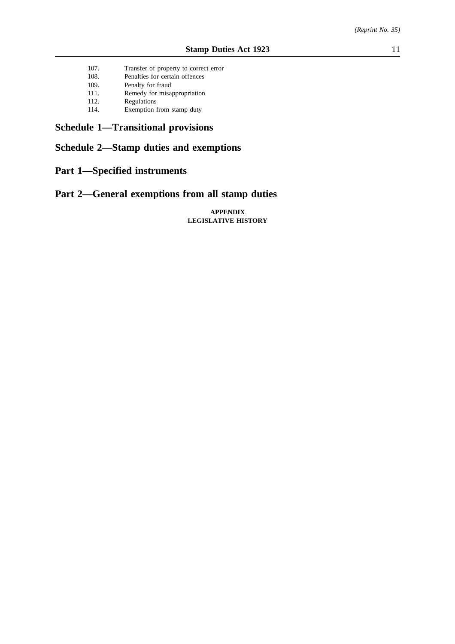- 107. Transfer of property to correct error
- 108. Penalties for certain offences<br>109. Penalty for fraud
- Penalty for fraud
- 111. Remedy for misappropriation<br>112. Regulations
- Regulations
- 114. Exemption from stamp duty

# **Schedule 1—Transitional provisions**

# **Schedule 2—Stamp duties and exemptions**

**Part 1—Specified instruments**

# **Part 2—General exemptions from all stamp duties**

### **APPENDIX LEGISLATIVE HISTORY**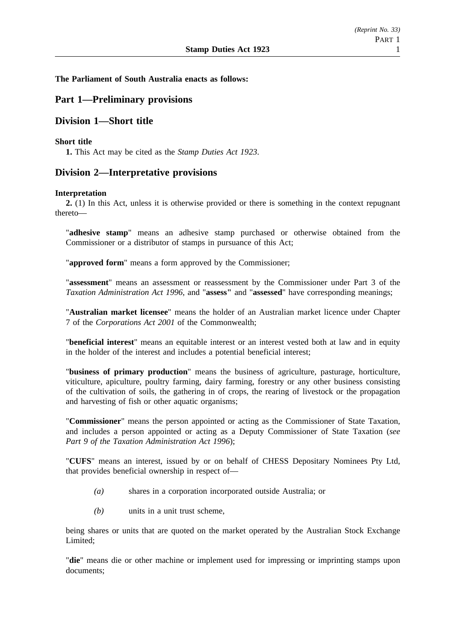## **The Parliament of South Australia enacts as follows:**

## **Part 1—Preliminary provisions**

## **Division 1—Short title**

### **Short title**

**1.** This Act may be cited as the *Stamp Duties Act 1923*.

## **Division 2—Interpretative provisions**

### **Interpretation**

**2.** (1) In this Act, unless it is otherwise provided or there is something in the context repugnant thereto—

"**adhesive stamp**" means an adhesive stamp purchased or otherwise obtained from the Commissioner or a distributor of stamps in pursuance of this Act;

"**approved form**" means a form approved by the Commissioner;

"**assessment**" means an assessment or reassessment by the Commissioner under Part 3 of the *Taxation Administration Act 1996*, and "**assess"** and "**assessed**" have corresponding meanings;

"**Australian market licensee**" means the holder of an Australian market licence under Chapter 7 of the *Corporations Act 2001* of the Commonwealth;

"**beneficial interest**" means an equitable interest or an interest vested both at law and in equity in the holder of the interest and includes a potential beneficial interest;

"**business of primary production**" means the business of agriculture, pasturage, horticulture, viticulture, apiculture, poultry farming, dairy farming, forestry or any other business consisting of the cultivation of soils, the gathering in of crops, the rearing of livestock or the propagation and harvesting of fish or other aquatic organisms;

"**Commissioner**" means the person appointed or acting as the Commissioner of State Taxation, and includes a person appointed or acting as a Deputy Commissioner of State Taxation (*see Part 9 of the Taxation Administration Act 1996*);

"**CUFS**" means an interest, issued by or on behalf of CHESS Depositary Nominees Pty Ltd, that provides beneficial ownership in respect of—

- *(a)* shares in a corporation incorporated outside Australia; or
- *(b)* units in a unit trust scheme,

being shares or units that are quoted on the market operated by the Australian Stock Exchange Limited;

"**die**" means die or other machine or implement used for impressing or imprinting stamps upon documents;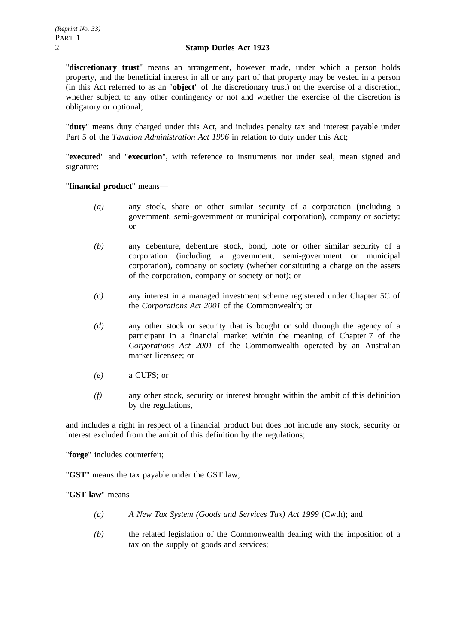"**discretionary trust**" means an arrangement, however made, under which a person holds property, and the beneficial interest in all or any part of that property may be vested in a person (in this Act referred to as an "**object**" of the discretionary trust) on the exercise of a discretion, whether subject to any other contingency or not and whether the exercise of the discretion is obligatory or optional;

"**duty**" means duty charged under this Act, and includes penalty tax and interest payable under Part 5 of the *Taxation Administration Act 1996* in relation to duty under this Act;

"**executed**" and "**execution**", with reference to instruments not under seal, mean signed and signature;

"**financial product**" means—

- *(a)* any stock, share or other similar security of a corporation (including a government, semi-government or municipal corporation), company or society; or
- *(b)* any debenture, debenture stock, bond, note or other similar security of a corporation (including a government, semi-government or municipal corporation), company or society (whether constituting a charge on the assets of the corporation, company or society or not); or
- *(c)* any interest in a managed investment scheme registered under Chapter 5C of the *Corporations Act 2001* of the Commonwealth; or
- *(d)* any other stock or security that is bought or sold through the agency of a participant in a financial market within the meaning of Chapter 7 of the *Corporations Act 2001* of the Commonwealth operated by an Australian market licensee; or
- *(e)* a CUFS; or
- *(f)* any other stock, security or interest brought within the ambit of this definition by the regulations,

and includes a right in respect of a financial product but does not include any stock, security or interest excluded from the ambit of this definition by the regulations;

"**forge**" includes counterfeit;

"**GST**" means the tax payable under the GST law;

"**GST law**" means—

- *(a) A New Tax System (Goods and Services Tax) Act 1999* (Cwth); and
- *(b)* the related legislation of the Commonwealth dealing with the imposition of a tax on the supply of goods and services;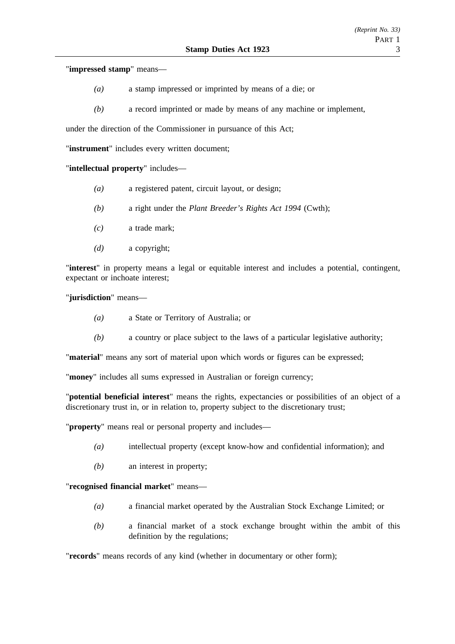"**impressed stamp**" means—

- *(a)* a stamp impressed or imprinted by means of a die; or
- *(b)* a record imprinted or made by means of any machine or implement,

under the direction of the Commissioner in pursuance of this Act;

"**instrument**" includes every written document;

## "**intellectual property**" includes—

- *(a)* a registered patent, circuit layout, or design;
- *(b)* a right under the *Plant Breeder's Rights Act 1994* (Cwth);
- *(c)* a trade mark;
- *(d)* a copyright;

"**interest**" in property means a legal or equitable interest and includes a potential, contingent, expectant or inchoate interest;

"**jurisdiction**" means—

- *(a)* a State or Territory of Australia; or
- *(b)* a country or place subject to the laws of a particular legislative authority;

"**material**" means any sort of material upon which words or figures can be expressed;

"**money**" includes all sums expressed in Australian or foreign currency;

"**potential beneficial interest**" means the rights, expectancies or possibilities of an object of a discretionary trust in, or in relation to, property subject to the discretionary trust;

"**property**" means real or personal property and includes—

- *(a)* intellectual property (except know-how and confidential information); and
- *(b)* an interest in property;

"**recognised financial market**" means—

- *(a)* a financial market operated by the Australian Stock Exchange Limited; or
- *(b)* a financial market of a stock exchange brought within the ambit of this definition by the regulations;

"**records**" means records of any kind (whether in documentary or other form);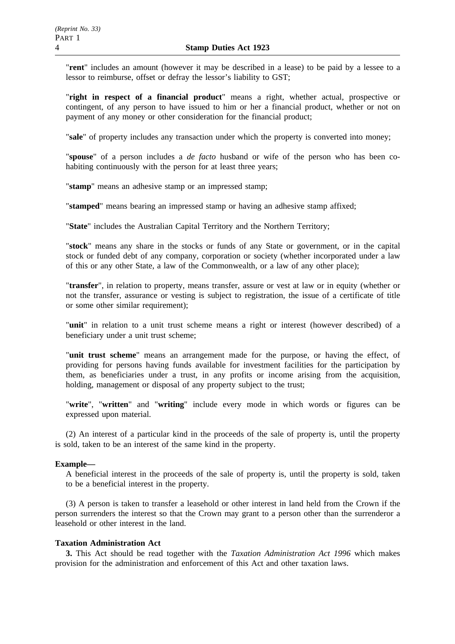"**rent**" includes an amount (however it may be described in a lease) to be paid by a lessee to a lessor to reimburse, offset or defray the lessor's liability to GST;

"**right in respect of a financial product**" means a right, whether actual, prospective or contingent, of any person to have issued to him or her a financial product, whether or not on payment of any money or other consideration for the financial product;

"**sale**" of property includes any transaction under which the property is converted into money;

"**spouse**" of a person includes a *de facto* husband or wife of the person who has been cohabiting continuously with the person for at least three years;

"**stamp**" means an adhesive stamp or an impressed stamp;

"**stamped**" means bearing an impressed stamp or having an adhesive stamp affixed;

"**State**" includes the Australian Capital Territory and the Northern Territory;

"**stock**" means any share in the stocks or funds of any State or government, or in the capital stock or funded debt of any company, corporation or society (whether incorporated under a law of this or any other State, a law of the Commonwealth, or a law of any other place);

"**transfer**", in relation to property, means transfer, assure or vest at law or in equity (whether or not the transfer, assurance or vesting is subject to registration, the issue of a certificate of title or some other similar requirement);

"**unit**" in relation to a unit trust scheme means a right or interest (however described) of a beneficiary under a unit trust scheme;

"**unit trust scheme**" means an arrangement made for the purpose, or having the effect, of providing for persons having funds available for investment facilities for the participation by them, as beneficiaries under a trust, in any profits or income arising from the acquisition, holding, management or disposal of any property subject to the trust;

"**write**", "**written**" and "**writing**" include every mode in which words or figures can be expressed upon material.

(2) An interest of a particular kind in the proceeds of the sale of property is, until the property is sold, taken to be an interest of the same kind in the property.

## **Example—**

A beneficial interest in the proceeds of the sale of property is, until the property is sold, taken to be a beneficial interest in the property.

(3) A person is taken to transfer a leasehold or other interest in land held from the Crown if the person surrenders the interest so that the Crown may grant to a person other than the surrenderor a leasehold or other interest in the land.

### **Taxation Administration Act**

**3.** This Act should be read together with the *Taxation Administration Act 1996* which makes provision for the administration and enforcement of this Act and other taxation laws.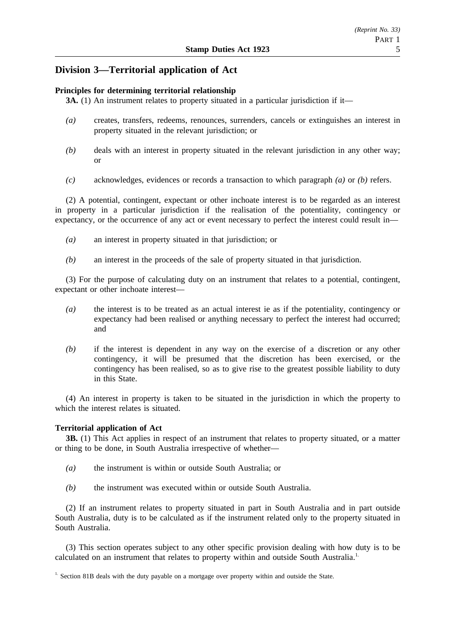## **Division 3—Territorial application of Act**

## **Principles for determining territorial relationship**

**3A.** (1) An instrument relates to property situated in a particular jurisdiction if it—

- *(a)* creates, transfers, redeems, renounces, surrenders, cancels or extinguishes an interest in property situated in the relevant jurisdiction; or
- *(b)* deals with an interest in property situated in the relevant jurisdiction in any other way; or
- *(c)* acknowledges, evidences or records a transaction to which paragraph *(a)* or *(b)* refers.

(2) A potential, contingent, expectant or other inchoate interest is to be regarded as an interest in property in a particular jurisdiction if the realisation of the potentiality, contingency or expectancy, or the occurrence of any act or event necessary to perfect the interest could result in—

- *(a)* an interest in property situated in that jurisdiction; or
- *(b)* an interest in the proceeds of the sale of property situated in that jurisdiction.

(3) For the purpose of calculating duty on an instrument that relates to a potential, contingent, expectant or other inchoate interest—

- *(a)* the interest is to be treated as an actual interest ie as if the potentiality, contingency or expectancy had been realised or anything necessary to perfect the interest had occurred; and
- *(b)* if the interest is dependent in any way on the exercise of a discretion or any other contingency, it will be presumed that the discretion has been exercised, or the contingency has been realised, so as to give rise to the greatest possible liability to duty in this State.

(4) An interest in property is taken to be situated in the jurisdiction in which the property to which the interest relates is situated.

### **Territorial application of Act**

**3B.** (1) This Act applies in respect of an instrument that relates to property situated, or a matter or thing to be done, in South Australia irrespective of whether—

- *(a)* the instrument is within or outside South Australia; or
- *(b)* the instrument was executed within or outside South Australia.

(2) If an instrument relates to property situated in part in South Australia and in part outside South Australia, duty is to be calculated as if the instrument related only to the property situated in South Australia.

(3) This section operates subject to any other specific provision dealing with how duty is to be calculated on an instrument that relates to property within and outside South Australia.<sup>1.</sup>

<sup>&</sup>lt;sup>1.</sup> Section 81B deals with the duty payable on a mortgage over property within and outside the State.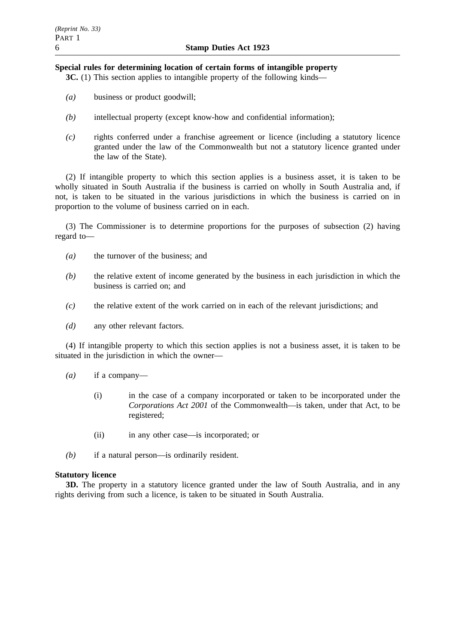## **Special rules for determining location of certain forms of intangible property**

**3C.** (1) This section applies to intangible property of the following kinds—

- *(a)* business or product goodwill;
- *(b)* intellectual property (except know-how and confidential information);
- *(c)* rights conferred under a franchise agreement or licence (including a statutory licence granted under the law of the Commonwealth but not a statutory licence granted under the law of the State).

(2) If intangible property to which this section applies is a business asset, it is taken to be wholly situated in South Australia if the business is carried on wholly in South Australia and, if not, is taken to be situated in the various jurisdictions in which the business is carried on in proportion to the volume of business carried on in each.

(3) The Commissioner is to determine proportions for the purposes of subsection (2) having regard to—

- *(a)* the turnover of the business; and
- *(b)* the relative extent of income generated by the business in each jurisdiction in which the business is carried on; and
- *(c)* the relative extent of the work carried on in each of the relevant jurisdictions; and
- *(d)* any other relevant factors.

(4) If intangible property to which this section applies is not a business asset, it is taken to be situated in the jurisdiction in which the owner—

- *(a)* if a company—
	- (i) in the case of a company incorporated or taken to be incorporated under the *Corporations Act 2001* of the Commonwealth—is taken, under that Act, to be registered;
	- (ii) in any other case—is incorporated; or
- *(b)* if a natural person—is ordinarily resident.

### **Statutory licence**

**3D.** The property in a statutory licence granted under the law of South Australia, and in any rights deriving from such a licence, is taken to be situated in South Australia.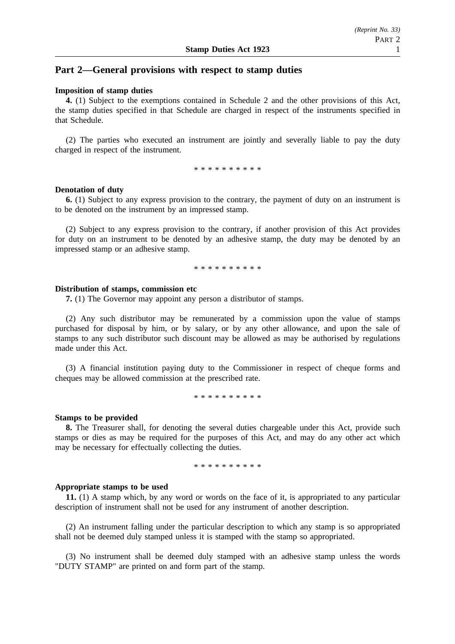## **Part 2—General provisions with respect to stamp duties**

#### **Imposition of stamp duties**

**4.** (1) Subject to the exemptions contained in Schedule 2 and the other provisions of this Act, the stamp duties specified in that Schedule are charged in respect of the instruments specified in that Schedule.

(2) The parties who executed an instrument are jointly and severally liable to pay the duty charged in respect of the instrument.

\*\*\*\*\*\*\*\*\*\*

### **Denotation of duty**

**6.** (1) Subject to any express provision to the contrary, the payment of duty on an instrument is to be denoted on the instrument by an impressed stamp.

(2) Subject to any express provision to the contrary, if another provision of this Act provides for duty on an instrument to be denoted by an adhesive stamp, the duty may be denoted by an impressed stamp or an adhesive stamp.

\*\*\*\*\*\*\*\*\*\*

### **Distribution of stamps, commission etc**

**7.** (1) The Governor may appoint any person a distributor of stamps.

(2) Any such distributor may be remunerated by a commission upon the value of stamps purchased for disposal by him, or by salary, or by any other allowance, and upon the sale of stamps to any such distributor such discount may be allowed as may be authorised by regulations made under this Act.

(3) A financial institution paying duty to the Commissioner in respect of cheque forms and cheques may be allowed commission at the prescribed rate.

\*\*\*\*\*\*\*\*\*\*

#### **Stamps to be provided**

**8.** The Treasurer shall, for denoting the several duties chargeable under this Act, provide such stamps or dies as may be required for the purposes of this Act, and may do any other act which may be necessary for effectually collecting the duties.

\*\*\*\*\*\*\*\*\*\*

#### **Appropriate stamps to be used**

**11.** (1) A stamp which, by any word or words on the face of it, is appropriated to any particular description of instrument shall not be used for any instrument of another description.

(2) An instrument falling under the particular description to which any stamp is so appropriated shall not be deemed duly stamped unless it is stamped with the stamp so appropriated.

(3) No instrument shall be deemed duly stamped with an adhesive stamp unless the words "DUTY STAMP" are printed on and form part of the stamp.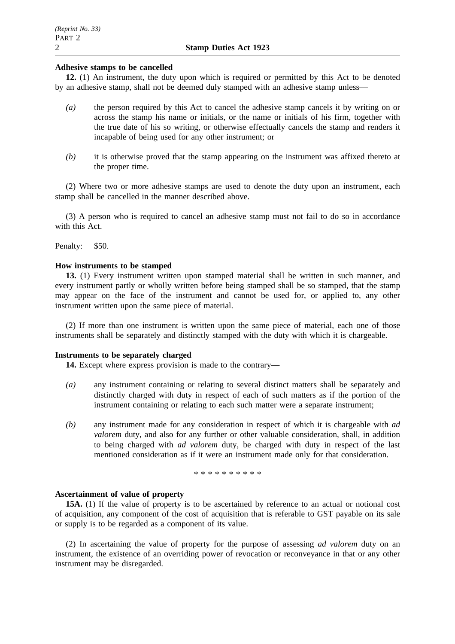### **Adhesive stamps to be cancelled**

**12.** (1) An instrument, the duty upon which is required or permitted by this Act to be denoted by an adhesive stamp, shall not be deemed duly stamped with an adhesive stamp unless—

- *(a)* the person required by this Act to cancel the adhesive stamp cancels it by writing on or across the stamp his name or initials, or the name or initials of his firm, together with the true date of his so writing, or otherwise effectually cancels the stamp and renders it incapable of being used for any other instrument; or
- *(b)* it is otherwise proved that the stamp appearing on the instrument was affixed thereto at the proper time.

(2) Where two or more adhesive stamps are used to denote the duty upon an instrument, each stamp shall be cancelled in the manner described above.

(3) A person who is required to cancel an adhesive stamp must not fail to do so in accordance with this Act.

Penalty: \$50.

### **How instruments to be stamped**

**13.** (1) Every instrument written upon stamped material shall be written in such manner, and every instrument partly or wholly written before being stamped shall be so stamped, that the stamp may appear on the face of the instrument and cannot be used for, or applied to, any other instrument written upon the same piece of material.

(2) If more than one instrument is written upon the same piece of material, each one of those instruments shall be separately and distinctly stamped with the duty with which it is chargeable.

## **Instruments to be separately charged**

**14.** Except where express provision is made to the contrary—

- *(a)* any instrument containing or relating to several distinct matters shall be separately and distinctly charged with duty in respect of each of such matters as if the portion of the instrument containing or relating to each such matter were a separate instrument;
- *(b)* any instrument made for any consideration in respect of which it is chargeable with *ad valorem* duty, and also for any further or other valuable consideration, shall, in addition to being charged with *ad valorem* duty, be charged with duty in respect of the last mentioned consideration as if it were an instrument made only for that consideration.

\*\*\*\*\*\*\*\*\*\*

### **Ascertainment of value of property**

**15A.** (1) If the value of property is to be ascertained by reference to an actual or notional cost of acquisition, any component of the cost of acquisition that is referable to GST payable on its sale or supply is to be regarded as a component of its value.

(2) In ascertaining the value of property for the purpose of assessing *ad valorem* duty on an instrument, the existence of an overriding power of revocation or reconveyance in that or any other instrument may be disregarded.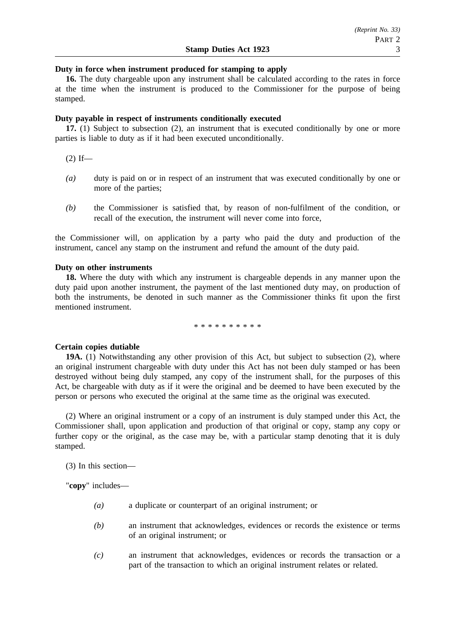### **Duty in force when instrument produced for stamping to apply**

**16.** The duty chargeable upon any instrument shall be calculated according to the rates in force at the time when the instrument is produced to the Commissioner for the purpose of being stamped.

## **Duty payable in respect of instruments conditionally executed**

**17.** (1) Subject to subsection (2), an instrument that is executed conditionally by one or more parties is liable to duty as if it had been executed unconditionally.

 $(2)$  If—

- *(a)* duty is paid on or in respect of an instrument that was executed conditionally by one or more of the parties;
- *(b)* the Commissioner is satisfied that, by reason of non-fulfilment of the condition, or recall of the execution, the instrument will never come into force,

the Commissioner will, on application by a party who paid the duty and production of the instrument, cancel any stamp on the instrument and refund the amount of the duty paid.

### **Duty on other instruments**

**18.** Where the duty with which any instrument is chargeable depends in any manner upon the duty paid upon another instrument, the payment of the last mentioned duty may, on production of both the instruments, be denoted in such manner as the Commissioner thinks fit upon the first mentioned instrument.

\*\*\*\*\*\*\*\*\*\*

### **Certain copies dutiable**

**19A.** (1) Notwithstanding any other provision of this Act, but subject to subsection (2), where an original instrument chargeable with duty under this Act has not been duly stamped or has been destroyed without being duly stamped, any copy of the instrument shall, for the purposes of this Act, be chargeable with duty as if it were the original and be deemed to have been executed by the person or persons who executed the original at the same time as the original was executed.

(2) Where an original instrument or a copy of an instrument is duly stamped under this Act, the Commissioner shall, upon application and production of that original or copy, stamp any copy or further copy or the original, as the case may be, with a particular stamp denoting that it is duly stamped.

(3) In this section—

"**copy**" includes—

- *(a)* a duplicate or counterpart of an original instrument; or
- *(b)* an instrument that acknowledges, evidences or records the existence or terms of an original instrument; or
- *(c)* an instrument that acknowledges, evidences or records the transaction or a part of the transaction to which an original instrument relates or related.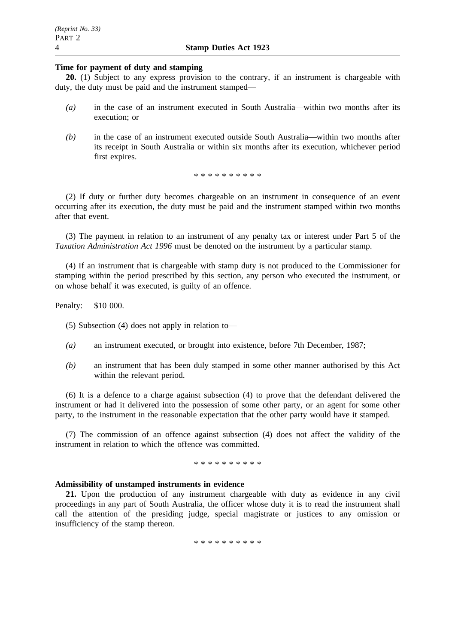### **Time for payment of duty and stamping**

**20.** (1) Subject to any express provision to the contrary, if an instrument is chargeable with duty, the duty must be paid and the instrument stamped—

- *(a)* in the case of an instrument executed in South Australia—within two months after its execution; or
- *(b)* in the case of an instrument executed outside South Australia—within two months after its receipt in South Australia or within six months after its execution, whichever period first expires.

\*\*\*\*\*\*\*\*\*\*

(2) If duty or further duty becomes chargeable on an instrument in consequence of an event occurring after its execution, the duty must be paid and the instrument stamped within two months after that event.

(3) The payment in relation to an instrument of any penalty tax or interest under Part 5 of the *Taxation Administration Act 1996* must be denoted on the instrument by a particular stamp.

(4) If an instrument that is chargeable with stamp duty is not produced to the Commissioner for stamping within the period prescribed by this section, any person who executed the instrument, or on whose behalf it was executed, is guilty of an offence.

Penalty: \$10 000.

(5) Subsection (4) does not apply in relation to—

- *(a)* an instrument executed, or brought into existence, before 7th December, 1987;
- *(b)* an instrument that has been duly stamped in some other manner authorised by this Act within the relevant period.

(6) It is a defence to a charge against subsection (4) to prove that the defendant delivered the instrument or had it delivered into the possession of some other party, or an agent for some other party, to the instrument in the reasonable expectation that the other party would have it stamped.

(7) The commission of an offence against subsection (4) does not affect the validity of the instrument in relation to which the offence was committed.

\*\*\*\*\*\*\*\*\*\*

## **Admissibility of unstamped instruments in evidence**

**21.** Upon the production of any instrument chargeable with duty as evidence in any civil proceedings in any part of South Australia, the officer whose duty it is to read the instrument shall call the attention of the presiding judge, special magistrate or justices to any omission or insufficiency of the stamp thereon.

\*\*\*\*\*\*\*\*\*\*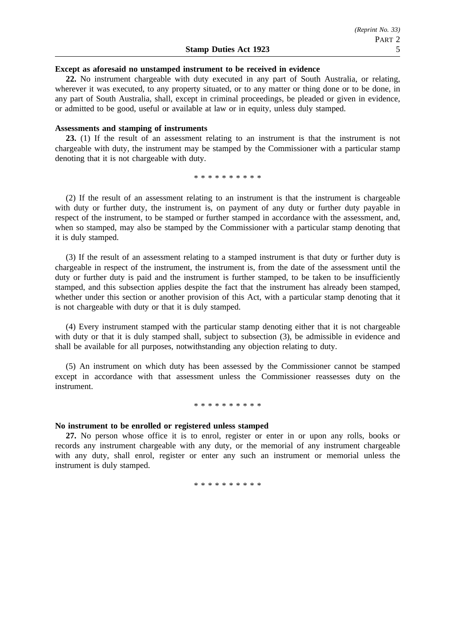### **Except as aforesaid no unstamped instrument to be received in evidence**

**22.** No instrument chargeable with duty executed in any part of South Australia, or relating, wherever it was executed, to any property situated, or to any matter or thing done or to be done, in any part of South Australia, shall, except in criminal proceedings, be pleaded or given in evidence, or admitted to be good, useful or available at law or in equity, unless duly stamped.

### **Assessments and stamping of instruments**

**23.** (1) If the result of an assessment relating to an instrument is that the instrument is not chargeable with duty, the instrument may be stamped by the Commissioner with a particular stamp denoting that it is not chargeable with duty.

\*\*\*\*\*\*\*\*\*\*

(2) If the result of an assessment relating to an instrument is that the instrument is chargeable with duty or further duty, the instrument is, on payment of any duty or further duty payable in respect of the instrument, to be stamped or further stamped in accordance with the assessment, and, when so stamped, may also be stamped by the Commissioner with a particular stamp denoting that it is duly stamped.

(3) If the result of an assessment relating to a stamped instrument is that duty or further duty is chargeable in respect of the instrument, the instrument is, from the date of the assessment until the duty or further duty is paid and the instrument is further stamped, to be taken to be insufficiently stamped, and this subsection applies despite the fact that the instrument has already been stamped, whether under this section or another provision of this Act, with a particular stamp denoting that it is not chargeable with duty or that it is duly stamped.

(4) Every instrument stamped with the particular stamp denoting either that it is not chargeable with duty or that it is duly stamped shall, subject to subsection (3), be admissible in evidence and shall be available for all purposes, notwithstanding any objection relating to duty.

(5) An instrument on which duty has been assessed by the Commissioner cannot be stamped except in accordance with that assessment unless the Commissioner reassesses duty on the instrument.

\*\*\*\*\*\*\*\*\*\*

#### **No instrument to be enrolled or registered unless stamped**

**27.** No person whose office it is to enrol, register or enter in or upon any rolls, books or records any instrument chargeable with any duty, or the memorial of any instrument chargeable with any duty, shall enrol, register or enter any such an instrument or memorial unless the instrument is duly stamped.

\*\*\*\*\*\*\*\*\*\*\*\*\*\*\*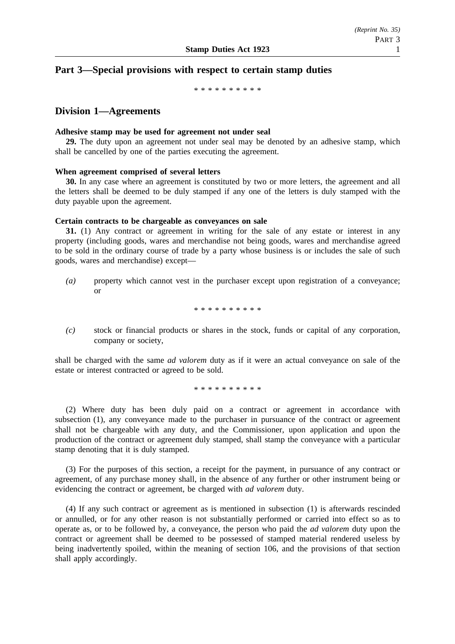## **Part 3—Special provisions with respect to certain stamp duties**

\*\*\*\*\*\*\*\*\*\*

## **Division 1—Agreements**

### **Adhesive stamp may be used for agreement not under seal**

**29.** The duty upon an agreement not under seal may be denoted by an adhesive stamp, which shall be cancelled by one of the parties executing the agreement.

#### **When agreement comprised of several letters**

**30.** In any case where an agreement is constituted by two or more letters, the agreement and all the letters shall be deemed to be duly stamped if any one of the letters is duly stamped with the duty payable upon the agreement.

#### **Certain contracts to be chargeable as conveyances on sale**

**31.** (1) Any contract or agreement in writing for the sale of any estate or interest in any property (including goods, wares and merchandise not being goods, wares and merchandise agreed to be sold in the ordinary course of trade by a party whose business is or includes the sale of such goods, wares and merchandise) except—

*(a)* property which cannot vest in the purchaser except upon registration of a conveyance; or

\*\*\*\*\*\*\*\*\*\*

*(c)* stock or financial products or shares in the stock, funds or capital of any corporation, company or society,

shall be charged with the same *ad valorem* duty as if it were an actual conveyance on sale of the estate or interest contracted or agreed to be sold.

\*\*\*\*\*\*\*\*\*\*

(2) Where duty has been duly paid on a contract or agreement in accordance with subsection (1), any conveyance made to the purchaser in pursuance of the contract or agreement shall not be chargeable with any duty, and the Commissioner, upon application and upon the production of the contract or agreement duly stamped, shall stamp the conveyance with a particular stamp denoting that it is duly stamped.

(3) For the purposes of this section, a receipt for the payment, in pursuance of any contract or agreement, of any purchase money shall, in the absence of any further or other instrument being or evidencing the contract or agreement, be charged with *ad valorem* duty.

(4) If any such contract or agreement as is mentioned in subsection (1) is afterwards rescinded or annulled, or for any other reason is not substantially performed or carried into effect so as to operate as, or to be followed by, a conveyance, the person who paid the *ad valorem* duty upon the contract or agreement shall be deemed to be possessed of stamped material rendered useless by being inadvertently spoiled, within the meaning of section 106, and the provisions of that section shall apply accordingly.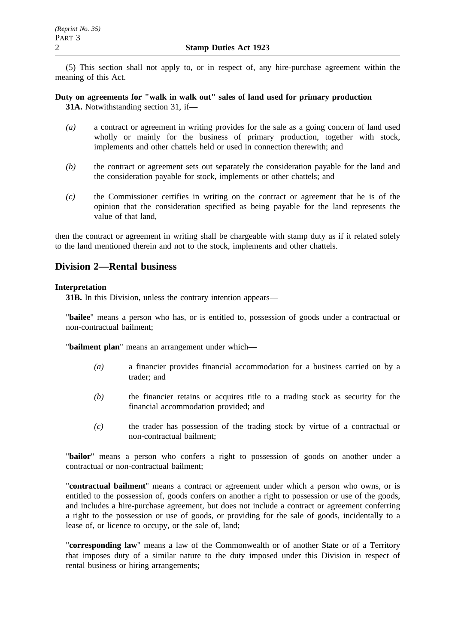(5) This section shall not apply to, or in respect of, any hire-purchase agreement within the meaning of this Act.

## **Duty on agreements for "walk in walk out" sales of land used for primary production**

**31A.** Notwithstanding section 31, if—

- *(a)* a contract or agreement in writing provides for the sale as a going concern of land used wholly or mainly for the business of primary production, together with stock, implements and other chattels held or used in connection therewith; and
- *(b)* the contract or agreement sets out separately the consideration payable for the land and the consideration payable for stock, implements or other chattels; and
- *(c)* the Commissioner certifies in writing on the contract or agreement that he is of the opinion that the consideration specified as being payable for the land represents the value of that land,

then the contract or agreement in writing shall be chargeable with stamp duty as if it related solely to the land mentioned therein and not to the stock, implements and other chattels.

## **Division 2—Rental business**

## **Interpretation**

**31B.** In this Division, unless the contrary intention appears—

"**bailee**" means a person who has, or is entitled to, possession of goods under a contractual or non-contractual bailment;

"**bailment plan**" means an arrangement under which—

- *(a)* a financier provides financial accommodation for a business carried on by a trader; and
- *(b)* the financier retains or acquires title to a trading stock as security for the financial accommodation provided; and
- *(c)* the trader has possession of the trading stock by virtue of a contractual or non-contractual bailment;

"**bailor**" means a person who confers a right to possession of goods on another under a contractual or non-contractual bailment;

"**contractual bailment**" means a contract or agreement under which a person who owns, or is entitled to the possession of, goods confers on another a right to possession or use of the goods, and includes a hire-purchase agreement, but does not include a contract or agreement conferring a right to the possession or use of goods, or providing for the sale of goods, incidentally to a lease of, or licence to occupy, or the sale of, land;

"**corresponding law**" means a law of the Commonwealth or of another State or of a Territory that imposes duty of a similar nature to the duty imposed under this Division in respect of rental business or hiring arrangements;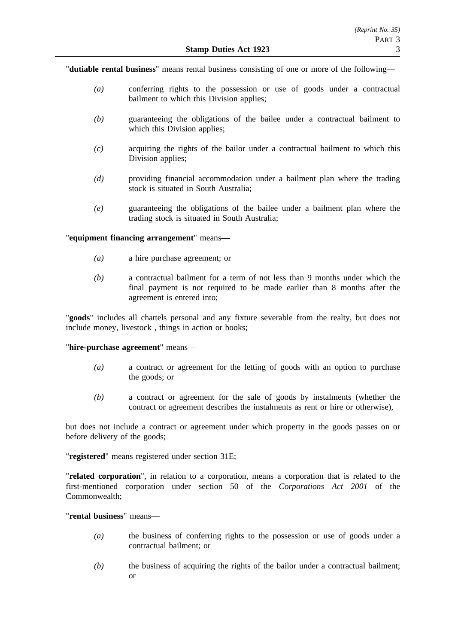"**dutiable rental business**" means rental business consisting of one or more of the following—

- *(a)* conferring rights to the possession or use of goods under a contractual bailment to which this Division applies;
- *(b)* guaranteeing the obligations of the bailee under a contractual bailment to which this Division applies:
- *(c)* acquiring the rights of the bailor under a contractual bailment to which this Division applies:
- *(d)* providing financial accommodation under a bailment plan where the trading stock is situated in South Australia;
- *(e)* guaranteeing the obligations of the bailee under a bailment plan where the trading stock is situated in South Australia;

## "**equipment financing arrangement**" means—

- *(a)* a hire purchase agreement; or
- *(b)* a contractual bailment for a term of not less than 9 months under which the final payment is not required to be made earlier than 8 months after the agreement is entered into;

"**goods**" includes all chattels personal and any fixture severable from the realty, but does not include money, livestock , things in action or books;

## "**hire-purchase agreement**" means—

- *(a)* a contract or agreement for the letting of goods with an option to purchase the goods; or
- *(b)* a contract or agreement for the sale of goods by instalments (whether the contract or agreement describes the instalments as rent or hire or otherwise),

but does not include a contract or agreement under which property in the goods passes on or before delivery of the goods;

"**registered**" means registered under section 31E;

"**related corporation**", in relation to a corporation, means a corporation that is related to the first-mentioned corporation under section 50 of the *Corporations Act 2001* of the Commonwealth;

"**rental business**" means—

- *(a)* the business of conferring rights to the possession or use of goods under a contractual bailment; or
- *(b)* the business of acquiring the rights of the bailor under a contractual bailment; or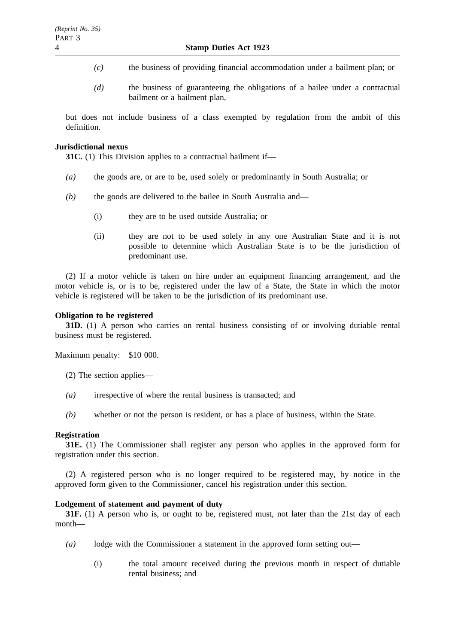- *(c)* the business of providing financial accommodation under a bailment plan; or
- *(d)* the business of guaranteeing the obligations of a bailee under a contractual bailment or a bailment plan,

but does not include business of a class exempted by regulation from the ambit of this definition.

### **Jurisdictional nexus**

**31C.** (1) This Division applies to a contractual bailment if—

- *(a)* the goods are, or are to be, used solely or predominantly in South Australia; or
- *(b)* the goods are delivered to the bailee in South Australia and—
	- (i) they are to be used outside Australia; or
	- (ii) they are not to be used solely in any one Australian State and it is not possible to determine which Australian State is to be the jurisdiction of predominant use.

(2) If a motor vehicle is taken on hire under an equipment financing arrangement, and the motor vehicle is, or is to be, registered under the law of a State, the State in which the motor vehicle is registered will be taken to be the jurisdiction of its predominant use.

## **Obligation to be registered**

**31D.** (1) A person who carries on rental business consisting of or involving dutiable rental business must be registered.

Maximum penalty: \$10 000.

- (2) The section applies—
- *(a)* irrespective of where the rental business is transacted; and
- *(b)* whether or not the person is resident, or has a place of business, within the State.

### **Registration**

**31E.** (1) The Commissioner shall register any person who applies in the approved form for registration under this section.

(2) A registered person who is no longer required to be registered may, by notice in the approved form given to the Commissioner, cancel his registration under this section.

### **Lodgement of statement and payment of duty**

**31F.** (1) A person who is, or ought to be, registered must, not later than the 21st day of each month—

- *(a)* lodge with the Commissioner a statement in the approved form setting out—
	- (i) the total amount received during the previous month in respect of dutiable rental business; and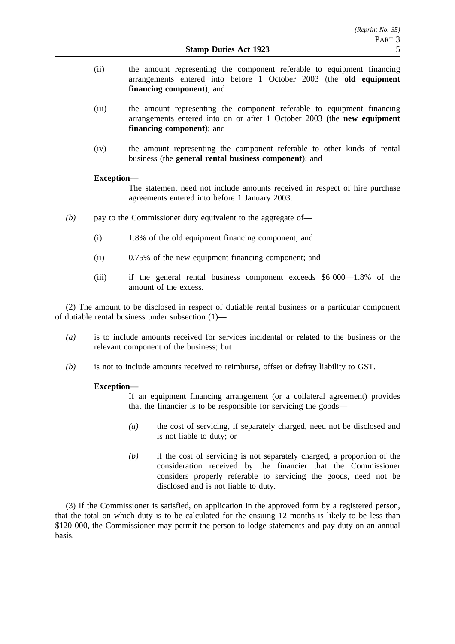- (ii) the amount representing the component referable to equipment financing arrangements entered into before 1 October 2003 (the **old equipment financing component**); and
- (iii) the amount representing the component referable to equipment financing arrangements entered into on or after 1 October 2003 (the **new equipment financing component**); and
- (iv) the amount representing the component referable to other kinds of rental business (the **general rental business component**); and

## **Exception—**

The statement need not include amounts received in respect of hire purchase agreements entered into before 1 January 2003.

- *(b)* pay to the Commissioner duty equivalent to the aggregate of—
	- (i) 1.8% of the old equipment financing component; and
	- (ii) 0.75% of the new equipment financing component; and
	- (iii) if the general rental business component exceeds \$6 000—1.8% of the amount of the excess.

(2) The amount to be disclosed in respect of dutiable rental business or a particular component of dutiable rental business under subsection (1)—

- *(a)* is to include amounts received for services incidental or related to the business or the relevant component of the business; but
- *(b)* is not to include amounts received to reimburse, offset or defray liability to GST.

## **Exception—**

If an equipment financing arrangement (or a collateral agreement) provides that the financier is to be responsible for servicing the goods—

- *(a)* the cost of servicing, if separately charged, need not be disclosed and is not liable to duty; or
- *(b)* if the cost of servicing is not separately charged, a proportion of the consideration received by the financier that the Commissioner considers properly referable to servicing the goods, need not be disclosed and is not liable to duty.

(3) If the Commissioner is satisfied, on application in the approved form by a registered person, that the total on which duty is to be calculated for the ensuing 12 months is likely to be less than \$120 000, the Commissioner may permit the person to lodge statements and pay duty on an annual basis.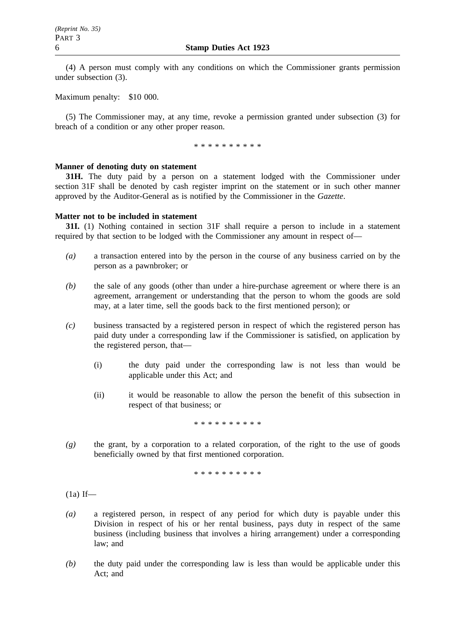(4) A person must comply with any conditions on which the Commissioner grants permission under subsection (3).

Maximum penalty: \$10 000.

(5) The Commissioner may, at any time, revoke a permission granted under subsection (3) for breach of a condition or any other proper reason.

\*\*\*\*\*\*\*\*\*\*

## **Manner of denoting duty on statement**

**31H.** The duty paid by a person on a statement lodged with the Commissioner under section 31F shall be denoted by cash register imprint on the statement or in such other manner approved by the Auditor-General as is notified by the Commissioner in the *Gazette*.

## **Matter not to be included in statement**

**31I.** (1) Nothing contained in section 31F shall require a person to include in a statement required by that section to be lodged with the Commissioner any amount in respect of—

- *(a)* a transaction entered into by the person in the course of any business carried on by the person as a pawnbroker; or
- *(b)* the sale of any goods (other than under a hire-purchase agreement or where there is an agreement, arrangement or understanding that the person to whom the goods are sold may, at a later time, sell the goods back to the first mentioned person); or
- *(c)* business transacted by a registered person in respect of which the registered person has paid duty under a corresponding law if the Commissioner is satisfied, on application by the registered person, that—
	- (i) the duty paid under the corresponding law is not less than would be applicable under this Act; and
	- (ii) it would be reasonable to allow the person the benefit of this subsection in respect of that business; or

\*\*\*\*\*\*\*\*\*\*

*(g)* the grant, by a corporation to a related corporation, of the right to the use of goods beneficially owned by that first mentioned corporation.

\*\*\*\*\*\*\*\*\*\*

 $(1a)$  If—

- *(a)* a registered person, in respect of any period for which duty is payable under this Division in respect of his or her rental business, pays duty in respect of the same business (including business that involves a hiring arrangement) under a corresponding law; and
- *(b)* the duty paid under the corresponding law is less than would be applicable under this Act; and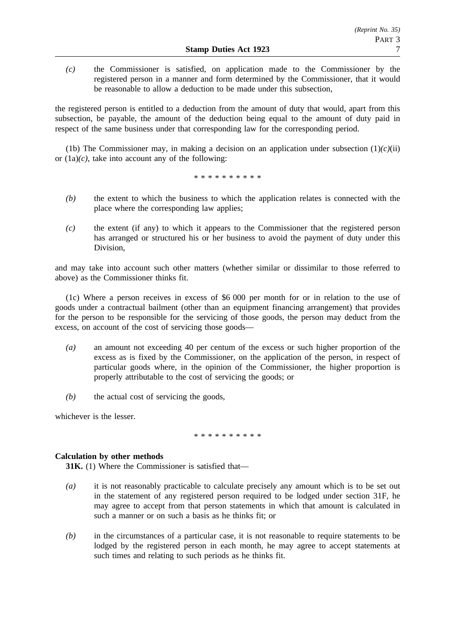*(c)* the Commissioner is satisfied, on application made to the Commissioner by the registered person in a manner and form determined by the Commissioner, that it would be reasonable to allow a deduction to be made under this subsection,

the registered person is entitled to a deduction from the amount of duty that would, apart from this subsection, be payable, the amount of the deduction being equal to the amount of duty paid in respect of the same business under that corresponding law for the corresponding period.

(1b) The Commissioner may, in making a decision on an application under subsection  $(1)(c)(ii)$ or  $(1a)(c)$ , take into account any of the following:

\* \* \* \* \* \* \* \*

- *(b)* the extent to which the business to which the application relates is connected with the place where the corresponding law applies;
- *(c)* the extent (if any) to which it appears to the Commissioner that the registered person has arranged or structured his or her business to avoid the payment of duty under this Division,

and may take into account such other matters (whether similar or dissimilar to those referred to above) as the Commissioner thinks fit.

(1c) Where a person receives in excess of \$6 000 per month for or in relation to the use of goods under a contractual bailment (other than an equipment financing arrangement) that provides for the person to be responsible for the servicing of those goods, the person may deduct from the excess, on account of the cost of servicing those goods—

- *(a)* an amount not exceeding 40 per centum of the excess or such higher proportion of the excess as is fixed by the Commissioner, on the application of the person, in respect of particular goods where, in the opinion of the Commissioner, the higher proportion is properly attributable to the cost of servicing the goods; or
- *(b)* the actual cost of servicing the goods,

whichever is the lesser.

\*\*\*\*\*\*\*\*\*\*

## **Calculation by other methods**

**31K.** (1) Where the Commissioner is satisfied that—

- *(a)* it is not reasonably practicable to calculate precisely any amount which is to be set out in the statement of any registered person required to be lodged under section 31F, he may agree to accept from that person statements in which that amount is calculated in such a manner or on such a basis as he thinks fit; or
- *(b)* in the circumstances of a particular case, it is not reasonable to require statements to be lodged by the registered person in each month, he may agree to accept statements at such times and relating to such periods as he thinks fit.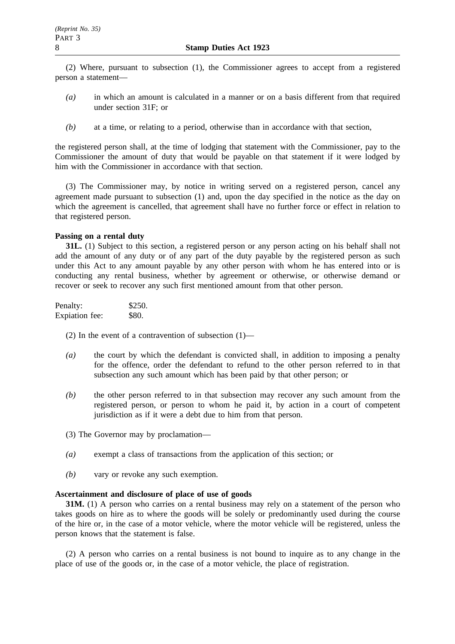(2) Where, pursuant to subsection (1), the Commissioner agrees to accept from a registered person a statement—

- *(a)* in which an amount is calculated in a manner or on a basis different from that required under section 31F; or
- *(b)* at a time, or relating to a period, otherwise than in accordance with that section,

the registered person shall, at the time of lodging that statement with the Commissioner, pay to the Commissioner the amount of duty that would be payable on that statement if it were lodged by him with the Commissioner in accordance with that section.

(3) The Commissioner may, by notice in writing served on a registered person, cancel any agreement made pursuant to subsection (1) and, upon the day specified in the notice as the day on which the agreement is cancelled, that agreement shall have no further force or effect in relation to that registered person.

## **Passing on a rental duty**

**31L.** (1) Subject to this section, a registered person or any person acting on his behalf shall not add the amount of any duty or of any part of the duty payable by the registered person as such under this Act to any amount payable by any other person with whom he has entered into or is conducting any rental business, whether by agreement or otherwise, or otherwise demand or recover or seek to recover any such first mentioned amount from that other person.

| Penalty:       | \$250. |
|----------------|--------|
| Expiation fee: | \$80.  |

(2) In the event of a contravention of subsection  $(1)$ —

- *(a)* the court by which the defendant is convicted shall, in addition to imposing a penalty for the offence, order the defendant to refund to the other person referred to in that subsection any such amount which has been paid by that other person; or
- *(b)* the other person referred to in that subsection may recover any such amount from the registered person, or person to whom he paid it, by action in a court of competent jurisdiction as if it were a debt due to him from that person.

(3) The Governor may by proclamation—

- *(a)* exempt a class of transactions from the application of this section; or
- *(b)* vary or revoke any such exemption.

## **Ascertainment and disclosure of place of use of goods**

**31M.** (1) A person who carries on a rental business may rely on a statement of the person who takes goods on hire as to where the goods will be solely or predominantly used during the course of the hire or, in the case of a motor vehicle, where the motor vehicle will be registered, unless the person knows that the statement is false.

(2) A person who carries on a rental business is not bound to inquire as to any change in the place of use of the goods or, in the case of a motor vehicle, the place of registration.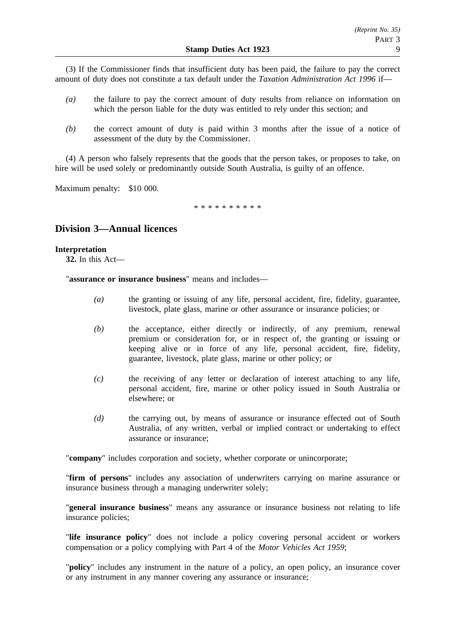(3) If the Commissioner finds that insufficient duty has been paid, the failure to pay the correct amount of duty does not constitute a tax default under the *Taxation Administration Act 1996* if—

- *(a)* the failure to pay the correct amount of duty results from reliance on information on which the person liable for the duty was entitled to rely under this section; and
- *(b)* the correct amount of duty is paid within 3 months after the issue of a notice of assessment of the duty by the Commissioner.

(4) A person who falsely represents that the goods that the person takes, or proposes to take, on hire will be used solely or predominantly outside South Australia, is guilty of an offence.

Maximum penalty: \$10 000.

\*\*\*\*\*\*\*\*\*\*

## **Division 3—Annual licences**

## **Interpretation**

**32.** In this Act—

"**assurance or insurance business**" means and includes—

- *(a)* the granting or issuing of any life, personal accident, fire, fidelity, guarantee, livestock, plate glass, marine or other assurance or insurance policies; or
- *(b)* the acceptance, either directly or indirectly, of any premium, renewal premium or consideration for, or in respect of, the granting or issuing or keeping alive or in force of any life, personal accident, fire, fidelity, guarantee, livestock, plate glass, marine or other policy; or
- *(c)* the receiving of any letter or declaration of interest attaching to any life, personal accident, fire, marine or other policy issued in South Australia or elsewhere; or
- *(d)* the carrying out, by means of assurance or insurance effected out of South Australia, of any written, verbal or implied contract or undertaking to effect assurance or insurance;

"**company**" includes corporation and society, whether corporate or unincorporate;

"**firm of persons**" includes any association of underwriters carrying on marine assurance or insurance business through a managing underwriter solely;

"**general insurance business**" means any assurance or insurance business not relating to life insurance policies;

"**life insurance policy**" does not include a policy covering personal accident or workers compensation or a policy complying with Part 4 of the *Motor Vehicles Act 1959*;

"**policy**" includes any instrument in the nature of a policy, an open policy, an insurance cover or any instrument in any manner covering any assurance or insurance;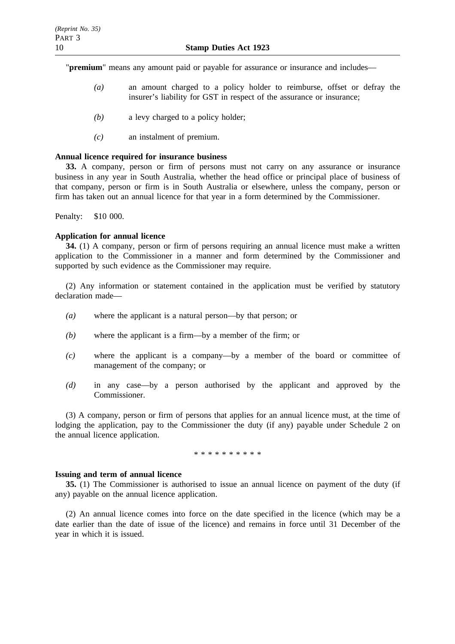"**premium**" means any amount paid or payable for assurance or insurance and includes—

- *(a)* an amount charged to a policy holder to reimburse, offset or defray the insurer's liability for GST in respect of the assurance or insurance;
- *(b)* a levy charged to a policy holder;
- *(c)* an instalment of premium.

### **Annual licence required for insurance business**

**33.** A company, person or firm of persons must not carry on any assurance or insurance business in any year in South Australia, whether the head office or principal place of business of that company, person or firm is in South Australia or elsewhere, unless the company, person or firm has taken out an annual licence for that year in a form determined by the Commissioner.

Penalty: \$10 000.

### **Application for annual licence**

**34.** (1) A company, person or firm of persons requiring an annual licence must make a written application to the Commissioner in a manner and form determined by the Commissioner and supported by such evidence as the Commissioner may require.

(2) Any information or statement contained in the application must be verified by statutory declaration made—

- *(a)* where the applicant is a natural person—by that person; or
- *(b)* where the applicant is a firm—by a member of the firm; or
- *(c)* where the applicant is a company—by a member of the board or committee of management of the company; or
- *(d)* in any case—by a person authorised by the applicant and approved by the Commissioner.

(3) A company, person or firm of persons that applies for an annual licence must, at the time of lodging the application, pay to the Commissioner the duty (if any) payable under Schedule 2 on the annual licence application.

\*\*\*\*\*\*\*\*\*\*

#### **Issuing and term of annual licence**

**35.** (1) The Commissioner is authorised to issue an annual licence on payment of the duty (if any) payable on the annual licence application.

(2) An annual licence comes into force on the date specified in the licence (which may be a date earlier than the date of issue of the licence) and remains in force until 31 December of the year in which it is issued.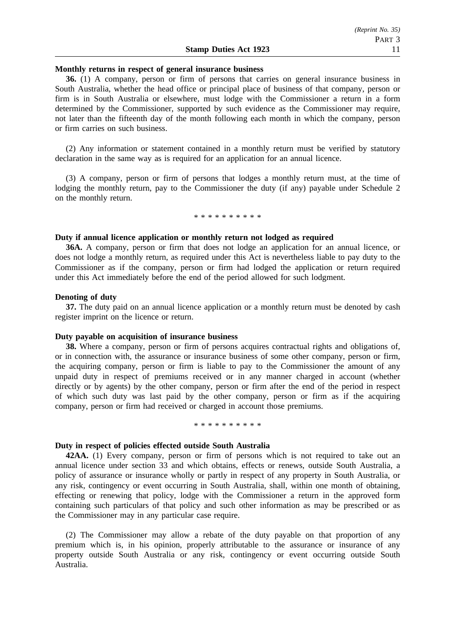### **Monthly returns in respect of general insurance business**

**36.** (1) A company, person or firm of persons that carries on general insurance business in South Australia, whether the head office or principal place of business of that company, person or firm is in South Australia or elsewhere, must lodge with the Commissioner a return in a form determined by the Commissioner, supported by such evidence as the Commissioner may require, not later than the fifteenth day of the month following each month in which the company, person or firm carries on such business.

(2) Any information or statement contained in a monthly return must be verified by statutory declaration in the same way as is required for an application for an annual licence.

(3) A company, person or firm of persons that lodges a monthly return must, at the time of lodging the monthly return, pay to the Commissioner the duty (if any) payable under Schedule 2 on the monthly return.

\*\*\*\*\*\*\*\*\*\*

## **Duty if annual licence application or monthly return not lodged as required**

**36A.** A company, person or firm that does not lodge an application for an annual licence, or does not lodge a monthly return, as required under this Act is nevertheless liable to pay duty to the Commissioner as if the company, person or firm had lodged the application or return required under this Act immediately before the end of the period allowed for such lodgment.

## **Denoting of duty**

**37.** The duty paid on an annual licence application or a monthly return must be denoted by cash register imprint on the licence or return.

#### **Duty payable on acquisition of insurance business**

**38.** Where a company, person or firm of persons acquires contractual rights and obligations of, or in connection with, the assurance or insurance business of some other company, person or firm, the acquiring company, person or firm is liable to pay to the Commissioner the amount of any unpaid duty in respect of premiums received or in any manner charged in account (whether directly or by agents) by the other company, person or firm after the end of the period in respect of which such duty was last paid by the other company, person or firm as if the acquiring company, person or firm had received or charged in account those premiums.

\*\*\*\*\*\*\*\*\*\*

### **Duty in respect of policies effected outside South Australia**

**42AA.** (1) Every company, person or firm of persons which is not required to take out an annual licence under section 33 and which obtains, effects or renews, outside South Australia, a policy of assurance or insurance wholly or partly in respect of any property in South Australia, or any risk, contingency or event occurring in South Australia, shall, within one month of obtaining, effecting or renewing that policy, lodge with the Commissioner a return in the approved form containing such particulars of that policy and such other information as may be prescribed or as the Commissioner may in any particular case require.

(2) The Commissioner may allow a rebate of the duty payable on that proportion of any premium which is, in his opinion, properly attributable to the assurance or insurance of any property outside South Australia or any risk, contingency or event occurring outside South Australia.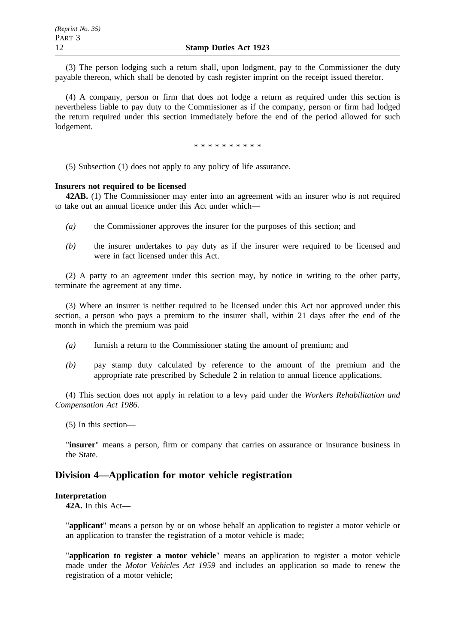(3) The person lodging such a return shall, upon lodgment, pay to the Commissioner the duty payable thereon, which shall be denoted by cash register imprint on the receipt issued therefor.

(4) A company, person or firm that does not lodge a return as required under this section is nevertheless liable to pay duty to the Commissioner as if the company, person or firm had lodged the return required under this section immediately before the end of the period allowed for such lodgement.

\*\*\*\*\*\*\*\*\*\*

(5) Subsection (1) does not apply to any policy of life assurance.

### **Insurers not required to be licensed**

**42AB.** (1) The Commissioner may enter into an agreement with an insurer who is not required to take out an annual licence under this Act under which—

- *(a)* the Commissioner approves the insurer for the purposes of this section; and
- *(b)* the insurer undertakes to pay duty as if the insurer were required to be licensed and were in fact licensed under this Act.

(2) A party to an agreement under this section may, by notice in writing to the other party, terminate the agreement at any time.

(3) Where an insurer is neither required to be licensed under this Act nor approved under this section, a person who pays a premium to the insurer shall, within 21 days after the end of the month in which the premium was paid—

- *(a)* furnish a return to the Commissioner stating the amount of premium; and
- *(b)* pay stamp duty calculated by reference to the amount of the premium and the appropriate rate prescribed by Schedule 2 in relation to annual licence applications.

(4) This section does not apply in relation to a levy paid under the *Workers Rehabilitation and Compensation Act 1986*.

(5) In this section—

"**insurer**" means a person, firm or company that carries on assurance or insurance business in the State.

## **Division 4—Application for motor vehicle registration**

### **Interpretation**

**42A.** In this Act—

"**applicant**" means a person by or on whose behalf an application to register a motor vehicle or an application to transfer the registration of a motor vehicle is made;

"**application to register a motor vehicle**" means an application to register a motor vehicle made under the *Motor Vehicles Act 1959* and includes an application so made to renew the registration of a motor vehicle;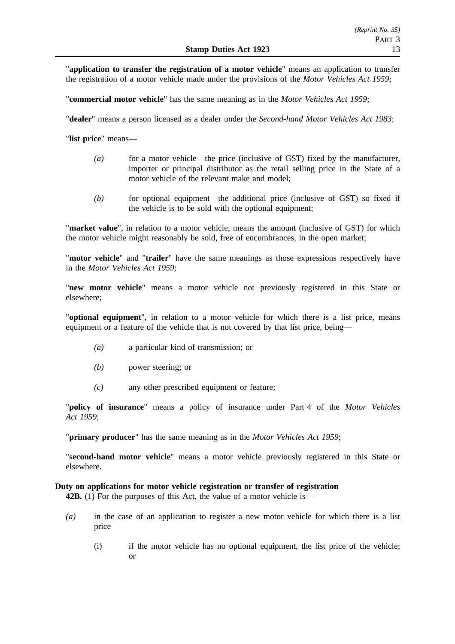"**application to transfer the registration of a motor vehicle**" means an application to transfer the registration of a motor vehicle made under the provisions of the *Motor Vehicles Act 1959*;

"**commercial motor vehicle**" has the same meaning as in the *Motor Vehicles Act 1959*;

"**dealer**" means a person licensed as a dealer under the *Second-hand Motor Vehicles Act 1983*;

"**list price**" means—

- *(a)* for a motor vehicle—the price (inclusive of GST) fixed by the manufacturer, importer or principal distributor as the retail selling price in the State of a motor vehicle of the relevant make and model;
- *(b)* for optional equipment—the additional price (inclusive of GST) so fixed if the vehicle is to be sold with the optional equipment;

"**market value**", in relation to a motor vehicle, means the amount (inclusive of GST) for which the motor vehicle might reasonably be sold, free of encumbrances, in the open market;

"**motor vehicle**" and "**trailer**" have the same meanings as those expressions respectively have in the *Motor Vehicles Act 1959*;

"**new motor vehicle**" means a motor vehicle not previously registered in this State or elsewhere;

"**optional equipment**", in relation to a motor vehicle for which there is a list price, means equipment or a feature of the vehicle that is not covered by that list price, being—

- *(a)* a particular kind of transmission; or
- *(b)* power steering; or
- *(c)* any other prescribed equipment or feature;

"**policy of insurance**" means a policy of insurance under Part 4 of the *Motor Vehicles Act 1959*;

"**primary producer**" has the same meaning as in the *Motor Vehicles Act 1959*;

"**second-hand motor vehicle**" means a motor vehicle previously registered in this State or elsewhere.

# **Duty on applications for motor vehicle registration or transfer of registration**

**42B.** (1) For the purposes of this Act, the value of a motor vehicle is—

- *(a)* in the case of an application to register a new motor vehicle for which there is a list price—
	- (i) if the motor vehicle has no optional equipment, the list price of the vehicle; or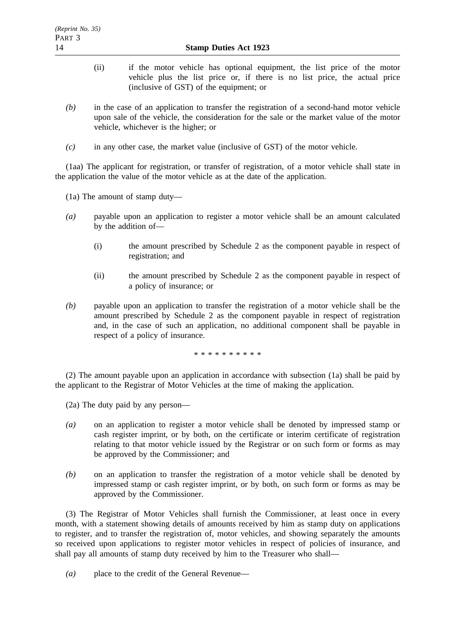- (ii) if the motor vehicle has optional equipment, the list price of the motor vehicle plus the list price or, if there is no list price, the actual price (inclusive of GST) of the equipment; or
- *(b)* in the case of an application to transfer the registration of a second-hand motor vehicle upon sale of the vehicle, the consideration for the sale or the market value of the motor vehicle, whichever is the higher; or
- *(c)* in any other case, the market value (inclusive of GST) of the motor vehicle.

(1aa) The applicant for registration, or transfer of registration, of a motor vehicle shall state in the application the value of the motor vehicle as at the date of the application.

(1a) The amount of stamp duty—

- *(a)* payable upon an application to register a motor vehicle shall be an amount calculated by the addition of—
	- (i) the amount prescribed by Schedule 2 as the component payable in respect of registration; and
	- (ii) the amount prescribed by Schedule 2 as the component payable in respect of a policy of insurance; or
- *(b)* payable upon an application to transfer the registration of a motor vehicle shall be the amount prescribed by Schedule 2 as the component payable in respect of registration and, in the case of such an application, no additional component shall be payable in respect of a policy of insurance.

\*\*\*\*\*\*\*\*\*\*

(2) The amount payable upon an application in accordance with subsection (1a) shall be paid by the applicant to the Registrar of Motor Vehicles at the time of making the application.

(2a) The duty paid by any person—

- *(a)* on an application to register a motor vehicle shall be denoted by impressed stamp or cash register imprint, or by both, on the certificate or interim certificate of registration relating to that motor vehicle issued by the Registrar or on such form or forms as may be approved by the Commissioner; and
- *(b)* on an application to transfer the registration of a motor vehicle shall be denoted by impressed stamp or cash register imprint, or by both, on such form or forms as may be approved by the Commissioner.

(3) The Registrar of Motor Vehicles shall furnish the Commissioner, at least once in every month, with a statement showing details of amounts received by him as stamp duty on applications to register, and to transfer the registration of, motor vehicles, and showing separately the amounts so received upon applications to register motor vehicles in respect of policies of insurance, and shall pay all amounts of stamp duty received by him to the Treasurer who shall—

*(a)* place to the credit of the General Revenue—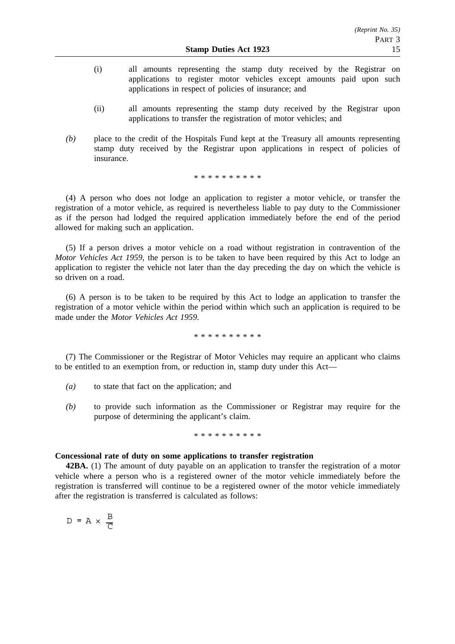- (i) all amounts representing the stamp duty received by the Registrar on applications to register motor vehicles except amounts paid upon such applications in respect of policies of insurance; and
- (ii) all amounts representing the stamp duty received by the Registrar upon applications to transfer the registration of motor vehicles; and
- *(b)* place to the credit of the Hospitals Fund kept at the Treasury all amounts representing stamp duty received by the Registrar upon applications in respect of policies of insurance.

\*\*\*\*\*\*\*\*\*\*

(4) A person who does not lodge an application to register a motor vehicle, or transfer the registration of a motor vehicle, as required is nevertheless liable to pay duty to the Commissioner as if the person had lodged the required application immediately before the end of the period allowed for making such an application.

(5) If a person drives a motor vehicle on a road without registration in contravention of the *Motor Vehicles Act 1959*, the person is to be taken to have been required by this Act to lodge an application to register the vehicle not later than the day preceding the day on which the vehicle is so driven on a road.

(6) A person is to be taken to be required by this Act to lodge an application to transfer the registration of a motor vehicle within the period within which such an application is required to be made under the *Motor Vehicles Act 1959*.

\*\*\*\*\*\*\*\*\*\*

(7) The Commissioner or the Registrar of Motor Vehicles may require an applicant who claims to be entitled to an exemption from, or reduction in, stamp duty under this Act—

- *(a)* to state that fact on the application; and
- *(b)* to provide such information as the Commissioner or Registrar may require for the purpose of determining the applicant's claim.

\* \* \* \* \* \* \* \* \*

#### **Concessional rate of duty on some applications to transfer registration**

**42BA.** (1) The amount of duty payable on an application to transfer the registration of a motor vehicle where a person who is a registered owner of the motor vehicle immediately before the registration is transferred will continue to be a registered owner of the motor vehicle immediately after the registration is transferred is calculated as follows:

 $D = A \times \frac{B}{C}$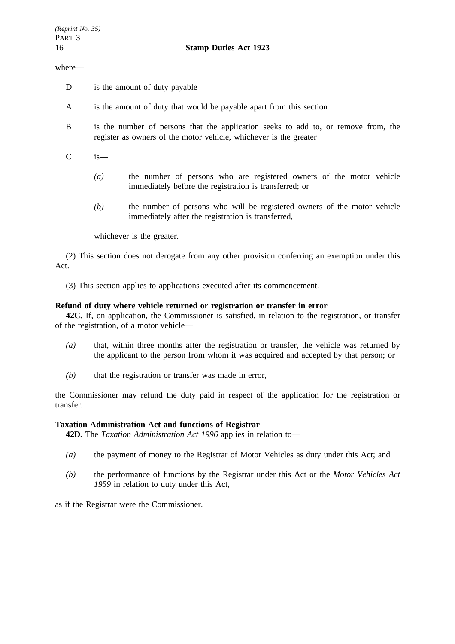where—

- D is the amount of duty payable
- A is the amount of duty that would be payable apart from this section
- B is the number of persons that the application seeks to add to, or remove from, the register as owners of the motor vehicle, whichever is the greater
- $C$  is—
	- *(a)* the number of persons who are registered owners of the motor vehicle immediately before the registration is transferred; or
	- *(b)* the number of persons who will be registered owners of the motor vehicle immediately after the registration is transferred,

whichever is the greater.

(2) This section does not derogate from any other provision conferring an exemption under this Act.

(3) This section applies to applications executed after its commencement.

#### **Refund of duty where vehicle returned or registration or transfer in error**

**42C.** If, on application, the Commissioner is satisfied, in relation to the registration, or transfer of the registration, of a motor vehicle—

- *(a)* that, within three months after the registration or transfer, the vehicle was returned by the applicant to the person from whom it was acquired and accepted by that person; or
- *(b)* that the registration or transfer was made in error,

the Commissioner may refund the duty paid in respect of the application for the registration or transfer.

# **Taxation Administration Act and functions of Registrar**

**42D.** The *Taxation Administration Act 1996* applies in relation to—

- *(a)* the payment of money to the Registrar of Motor Vehicles as duty under this Act; and
- *(b)* the performance of functions by the Registrar under this Act or the *Motor Vehicles Act 1959* in relation to duty under this Act,

as if the Registrar were the Commissioner.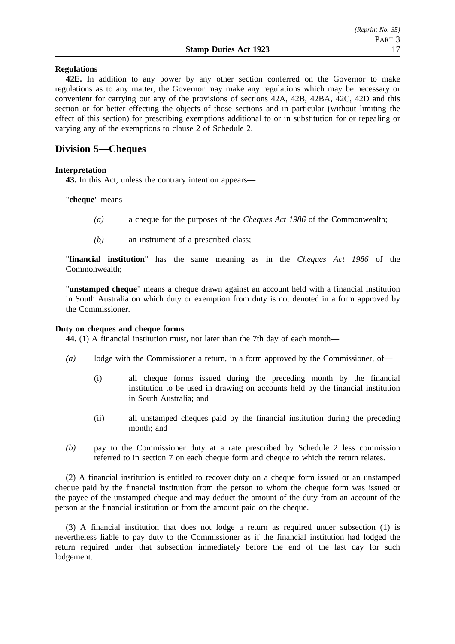# **Regulations**

**42E.** In addition to any power by any other section conferred on the Governor to make regulations as to any matter, the Governor may make any regulations which may be necessary or convenient for carrying out any of the provisions of sections 42A, 42B, 42BA, 42C, 42D and this section or for better effecting the objects of those sections and in particular (without limiting the effect of this section) for prescribing exemptions additional to or in substitution for or repealing or varying any of the exemptions to clause 2 of Schedule 2.

# **Division 5—Cheques**

# **Interpretation**

**43.** In this Act, unless the contrary intention appears—

"**cheque**" means—

- *(a)* a cheque for the purposes of the *Cheques Act 1986* of the Commonwealth;
- *(b)* an instrument of a prescribed class;

"**financial institution**" has the same meaning as in the *Cheques Act 1986* of the Commonwealth;

"**unstamped cheque**" means a cheque drawn against an account held with a financial institution in South Australia on which duty or exemption from duty is not denoted in a form approved by the Commissioner.

#### **Duty on cheques and cheque forms**

**44.** (1) A financial institution must, not later than the 7th day of each month—

- *(a)* lodge with the Commissioner a return, in a form approved by the Commissioner, of—
	- (i) all cheque forms issued during the preceding month by the financial institution to be used in drawing on accounts held by the financial institution in South Australia; and
	- (ii) all unstamped cheques paid by the financial institution during the preceding month; and
- *(b)* pay to the Commissioner duty at a rate prescribed by Schedule 2 less commission referred to in section 7 on each cheque form and cheque to which the return relates.

(2) A financial institution is entitled to recover duty on a cheque form issued or an unstamped cheque paid by the financial institution from the person to whom the cheque form was issued or the payee of the unstamped cheque and may deduct the amount of the duty from an account of the person at the financial institution or from the amount paid on the cheque.

(3) A financial institution that does not lodge a return as required under subsection (1) is nevertheless liable to pay duty to the Commissioner as if the financial institution had lodged the return required under that subsection immediately before the end of the last day for such lodgement.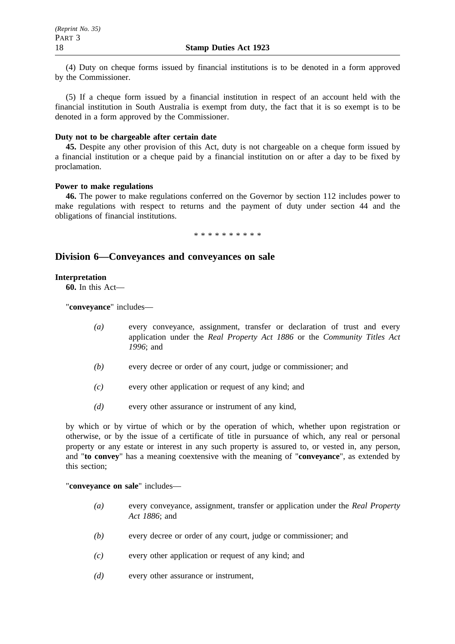(4) Duty on cheque forms issued by financial institutions is to be denoted in a form approved by the Commissioner.

(5) If a cheque form issued by a financial institution in respect of an account held with the financial institution in South Australia is exempt from duty, the fact that it is so exempt is to be denoted in a form approved by the Commissioner.

# **Duty not to be chargeable after certain date**

**45.** Despite any other provision of this Act, duty is not chargeable on a cheque form issued by a financial institution or a cheque paid by a financial institution on or after a day to be fixed by proclamation.

# **Power to make regulations**

**46.** The power to make regulations conferred on the Governor by section 112 includes power to make regulations with respect to returns and the payment of duty under section 44 and the obligations of financial institutions.

\*\*\*\*\*\*\*\*\*\*

# **Division 6—Conveyances and conveyances on sale**

# **Interpretation**

**60.** In this Act—

"**conveyance**" includes—

- *(a)* every conveyance, assignment, transfer or declaration of trust and every application under the *Real Property Act 1886* or the *Community Titles Act 1996*; and
- *(b)* every decree or order of any court, judge or commissioner; and
- *(c)* every other application or request of any kind; and
- *(d)* every other assurance or instrument of any kind,

by which or by virtue of which or by the operation of which, whether upon registration or otherwise, or by the issue of a certificate of title in pursuance of which, any real or personal property or any estate or interest in any such property is assured to, or vested in, any person, and "**to convey**" has a meaning coextensive with the meaning of "**conveyance**", as extended by this section;

"**conveyance on sale**" includes—

- *(a)* every conveyance, assignment, transfer or application under the *Real Property Act 1886*; and
- *(b)* every decree or order of any court, judge or commissioner; and
- *(c)* every other application or request of any kind; and
- *(d)* every other assurance or instrument,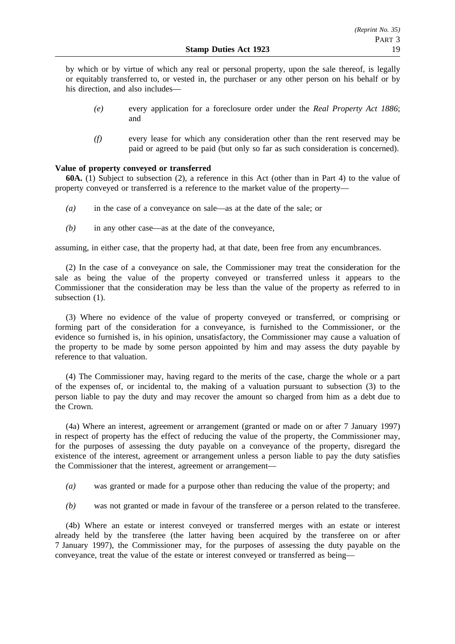by which or by virtue of which any real or personal property, upon the sale thereof, is legally or equitably transferred to, or vested in, the purchaser or any other person on his behalf or by his direction, and also includes—

- *(e)* every application for a foreclosure order under the *Real Property Act 1886*; and
- *(f)* every lease for which any consideration other than the rent reserved may be paid or agreed to be paid (but only so far as such consideration is concerned).

# **Value of property conveyed or transferred**

**60A.** (1) Subject to subsection (2), a reference in this Act (other than in Part 4) to the value of property conveyed or transferred is a reference to the market value of the property—

- *(a)* in the case of a conveyance on sale—as at the date of the sale; or
- *(b)* in any other case—as at the date of the conveyance,

assuming, in either case, that the property had, at that date, been free from any encumbrances.

(2) In the case of a conveyance on sale, the Commissioner may treat the consideration for the sale as being the value of the property conveyed or transferred unless it appears to the Commissioner that the consideration may be less than the value of the property as referred to in subsection  $(1)$ .

(3) Where no evidence of the value of property conveyed or transferred, or comprising or forming part of the consideration for a conveyance, is furnished to the Commissioner, or the evidence so furnished is, in his opinion, unsatisfactory, the Commissioner may cause a valuation of the property to be made by some person appointed by him and may assess the duty payable by reference to that valuation.

(4) The Commissioner may, having regard to the merits of the case, charge the whole or a part of the expenses of, or incidental to, the making of a valuation pursuant to subsection (3) to the person liable to pay the duty and may recover the amount so charged from him as a debt due to the Crown.

(4a) Where an interest, agreement or arrangement (granted or made on or after 7 January 1997) in respect of property has the effect of reducing the value of the property, the Commissioner may, for the purposes of assessing the duty payable on a conveyance of the property, disregard the existence of the interest, agreement or arrangement unless a person liable to pay the duty satisfies the Commissioner that the interest, agreement or arrangement—

- *(a)* was granted or made for a purpose other than reducing the value of the property; and
- *(b)* was not granted or made in favour of the transferee or a person related to the transferee.

(4b) Where an estate or interest conveyed or transferred merges with an estate or interest already held by the transferee (the latter having been acquired by the transferee on or after 7 January 1997), the Commissioner may, for the purposes of assessing the duty payable on the conveyance, treat the value of the estate or interest conveyed or transferred as being—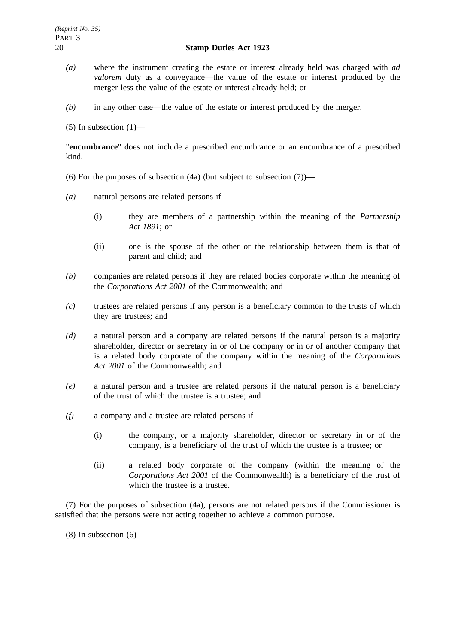- *(a)* where the instrument creating the estate or interest already held was charged with *ad valorem* duty as a conveyance—the value of the estate or interest produced by the merger less the value of the estate or interest already held; or
- *(b)* in any other case—the value of the estate or interest produced by the merger.

 $(5)$  In subsection  $(1)$ —

"**encumbrance**" does not include a prescribed encumbrance or an encumbrance of a prescribed kind.

- (6) For the purposes of subsection (4a) (but subject to subsection  $(7)$ )—
- *(a)* natural persons are related persons if—
	- (i) they are members of a partnership within the meaning of the *Partnership Act 1891*; or
	- (ii) one is the spouse of the other or the relationship between them is that of parent and child; and
- *(b)* companies are related persons if they are related bodies corporate within the meaning of the *Corporations Act 2001* of the Commonwealth; and
- *(c)* trustees are related persons if any person is a beneficiary common to the trusts of which they are trustees; and
- *(d)* a natural person and a company are related persons if the natural person is a majority shareholder, director or secretary in or of the company or in or of another company that is a related body corporate of the company within the meaning of the *Corporations Act 2001* of the Commonwealth; and
- *(e)* a natural person and a trustee are related persons if the natural person is a beneficiary of the trust of which the trustee is a trustee; and
- *(f)* a company and a trustee are related persons if—
	- (i) the company, or a majority shareholder, director or secretary in or of the company, is a beneficiary of the trust of which the trustee is a trustee; or
	- (ii) a related body corporate of the company (within the meaning of the *Corporations Act 2001* of the Commonwealth) is a beneficiary of the trust of which the trustee is a trustee.

(7) For the purposes of subsection (4a), persons are not related persons if the Commissioner is satisfied that the persons were not acting together to achieve a common purpose.

(8) In subsection (6)—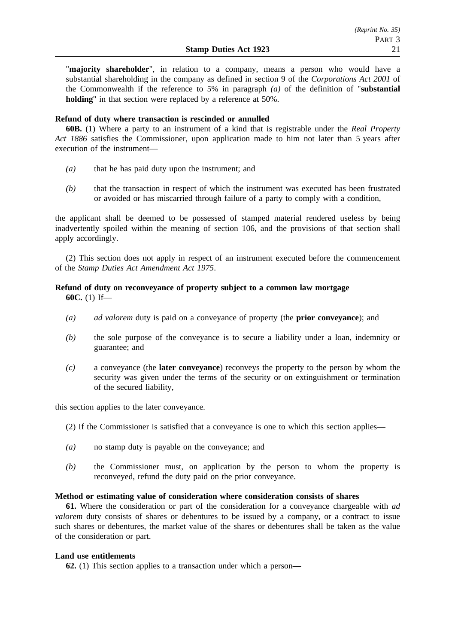"**majority shareholder**", in relation to a company, means a person who would have a substantial shareholding in the company as defined in section 9 of the *Corporations Act 2001* of the Commonwealth if the reference to 5% in paragraph *(a)* of the definition of "**substantial holding**" in that section were replaced by a reference at 50%.

# **Refund of duty where transaction is rescinded or annulled**

**60B.** (1) Where a party to an instrument of a kind that is registrable under the *Real Property Act 1886* satisfies the Commissioner, upon application made to him not later than 5 years after execution of the instrument—

- *(a)* that he has paid duty upon the instrument; and
- *(b)* that the transaction in respect of which the instrument was executed has been frustrated or avoided or has miscarried through failure of a party to comply with a condition,

the applicant shall be deemed to be possessed of stamped material rendered useless by being inadvertently spoiled within the meaning of section 106, and the provisions of that section shall apply accordingly.

(2) This section does not apply in respect of an instrument executed before the commencement of the *Stamp Duties Act Amendment Act 1975*.

# **Refund of duty on reconveyance of property subject to a common law mortgage 60C.** (1) If—

- *(a) ad valorem* duty is paid on a conveyance of property (the **prior conveyance**); and
- *(b)* the sole purpose of the conveyance is to secure a liability under a loan, indemnity or guarantee; and
- *(c)* a conveyance (the **later conveyance**) reconveys the property to the person by whom the security was given under the terms of the security or on extinguishment or termination of the secured liability,

this section applies to the later conveyance.

- (2) If the Commissioner is satisfied that a conveyance is one to which this section applies—
- *(a)* no stamp duty is payable on the conveyance; and
- *(b)* the Commissioner must, on application by the person to whom the property is reconveyed, refund the duty paid on the prior conveyance.

#### **Method or estimating value of consideration where consideration consists of shares**

**61.** Where the consideration or part of the consideration for a conveyance chargeable with *ad valorem* duty consists of shares or debentures to be issued by a company, or a contract to issue such shares or debentures, the market value of the shares or debentures shall be taken as the value of the consideration or part.

#### **Land use entitlements**

**62.** (1) This section applies to a transaction under which a person—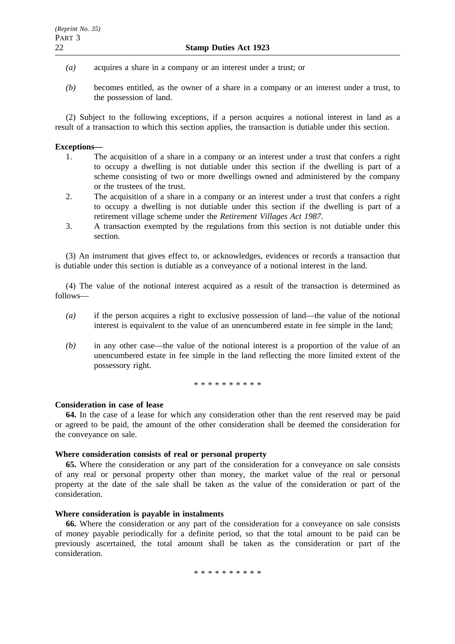- *(a)* acquires a share in a company or an interest under a trust; or
- *(b)* becomes entitled, as the owner of a share in a company or an interest under a trust, to the possession of land.

(2) Subject to the following exceptions, if a person acquires a notional interest in land as a result of a transaction to which this section applies, the transaction is dutiable under this section.

### **Exceptions—**

- 1. The acquisition of a share in a company or an interest under a trust that confers a right to occupy a dwelling is not dutiable under this section if the dwelling is part of a scheme consisting of two or more dwellings owned and administered by the company or the trustees of the trust.
- 2. The acquisition of a share in a company or an interest under a trust that confers a right to occupy a dwelling is not dutiable under this section if the dwelling is part of a retirement village scheme under the *Retirement Villages Act 1987*.
- 3. A transaction exempted by the regulations from this section is not dutiable under this section.

(3) An instrument that gives effect to, or acknowledges, evidences or records a transaction that is dutiable under this section is dutiable as a conveyance of a notional interest in the land.

(4) The value of the notional interest acquired as a result of the transaction is determined as follows—

- *(a)* if the person acquires a right to exclusive possession of land—the value of the notional interest is equivalent to the value of an unencumbered estate in fee simple in the land;
- *(b)* in any other case—the value of the notional interest is a proportion of the value of an unencumbered estate in fee simple in the land reflecting the more limited extent of the possessory right.

\*\*\*\*\*\*\*\*\*\*

#### **Consideration in case of lease**

**64.** In the case of a lease for which any consideration other than the rent reserved may be paid or agreed to be paid, the amount of the other consideration shall be deemed the consideration for the conveyance on sale.

#### **Where consideration consists of real or personal property**

**65.** Where the consideration or any part of the consideration for a conveyance on sale consists of any real or personal property other than money, the market value of the real or personal property at the date of the sale shall be taken as the value of the consideration or part of the consideration.

### **Where consideration is payable in instalments**

**66.** Where the consideration or any part of the consideration for a conveyance on sale consists of money payable periodically for a definite period, so that the total amount to be paid can be previously ascertained, the total amount shall be taken as the consideration or part of the consideration.

\*\*\*\*\*\*\*\*\*\*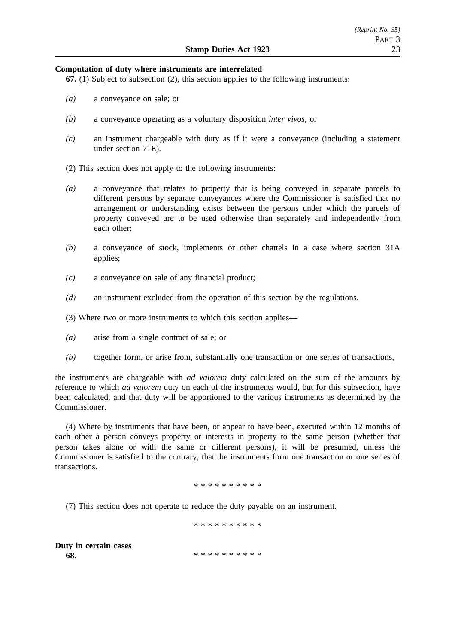### **Computation of duty where instruments are interrelated**

**67.** (1) Subject to subsection (2), this section applies to the following instruments:

- *(a)* a conveyance on sale; or
- *(b)* a conveyance operating as a voluntary disposition *inter vivos*; or
- *(c)* an instrument chargeable with duty as if it were a conveyance (including a statement under section 71E).
- (2) This section does not apply to the following instruments:
- *(a)* a conveyance that relates to property that is being conveyed in separate parcels to different persons by separate conveyances where the Commissioner is satisfied that no arrangement or understanding exists between the persons under which the parcels of property conveyed are to be used otherwise than separately and independently from each other;
- *(b)* a conveyance of stock, implements or other chattels in a case where section 31A applies;
- *(c)* a conveyance on sale of any financial product;
- *(d)* an instrument excluded from the operation of this section by the regulations.
- (3) Where two or more instruments to which this section applies—
- *(a)* arise from a single contract of sale; or
- *(b)* together form, or arise from, substantially one transaction or one series of transactions,

the instruments are chargeable with *ad valorem* duty calculated on the sum of the amounts by reference to which *ad valorem* duty on each of the instruments would, but for this subsection, have been calculated, and that duty will be apportioned to the various instruments as determined by the Commissioner.

(4) Where by instruments that have been, or appear to have been, executed within 12 months of each other a person conveys property or interests in property to the same person (whether that person takes alone or with the same or different persons), it will be presumed, unless the Commissioner is satisfied to the contrary, that the instruments form one transaction or one series of transactions.

\*\*\*\*\*\*\*\*\*\*

(7) This section does not operate to reduce the duty payable on an instrument.

\*\*\*\*\*\*\*\*\*\*

| Duty in certain cases |  |  |  |  |                     |  |
|-----------------------|--|--|--|--|---------------------|--|
| 68.                   |  |  |  |  | * * * * * * * * * * |  |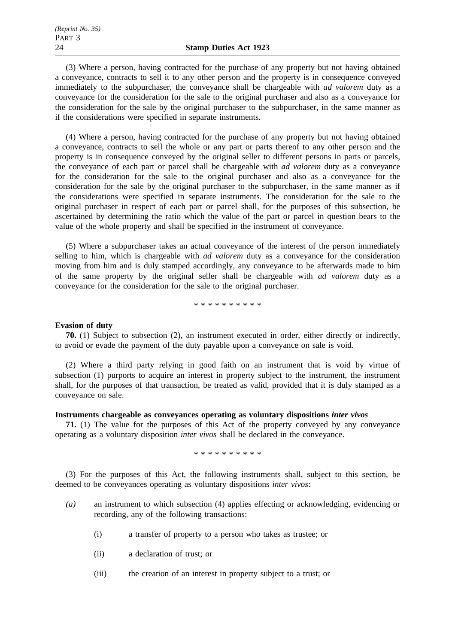(3) Where a person, having contracted for the purchase of any property but not having obtained a conveyance, contracts to sell it to any other person and the property is in consequence conveyed immediately to the subpurchaser, the conveyance shall be chargeable with *ad valorem* duty as a conveyance for the consideration for the sale to the original purchaser and also as a conveyance for the consideration for the sale by the original purchaser to the subpurchaser, in the same manner as if the considerations were specified in separate instruments.

(4) Where a person, having contracted for the purchase of any property but not having obtained a conveyance, contracts to sell the whole or any part or parts thereof to any other person and the property is in consequence conveyed by the original seller to different persons in parts or parcels, the conveyance of each part or parcel shall be chargeable with *ad valorem* duty as a conveyance for the consideration for the sale to the original purchaser and also as a conveyance for the consideration for the sale by the original purchaser to the subpurchaser, in the same manner as if the considerations were specified in separate instruments. The consideration for the sale to the original purchaser in respect of each part or parcel shall, for the purposes of this subsection, be ascertained by determining the ratio which the value of the part or parcel in question bears to the value of the whole property and shall be specified in the instrument of conveyance.

(5) Where a subpurchaser takes an actual conveyance of the interest of the person immediately selling to him, which is chargeable with *ad valorem* duty as a conveyance for the consideration moving from him and is duly stamped accordingly, any conveyance to be afterwards made to him of the same property by the original seller shall be chargeable with *ad valorem* duty as a conveyance for the consideration for the sale to the original purchaser.

\*\*\*\*\*\*\*\*\*\*

#### **Evasion of duty**

**70.** (1) Subject to subsection (2), an instrument executed in order, either directly or indirectly, to avoid or evade the payment of the duty payable upon a conveyance on sale is void.

(2) Where a third party relying in good faith on an instrument that is void by virtue of subsection (1) purports to acquire an interest in property subject to the instrument, the instrument shall, for the purposes of that transaction, be treated as valid, provided that it is duly stamped as a conveyance on sale.

# **Instruments chargeable as conveyances operating as voluntary dispositions** *inter vivos*

**71.** (1) The value for the purposes of this Act of the property conveyed by any conveyance operating as a voluntary disposition *inter vivos* shall be declared in the conveyance.

\*\*\*\*\*\*\*\*\*\*

(3) For the purposes of this Act, the following instruments shall, subject to this section, be deemed to be conveyances operating as voluntary dispositions *inter vivos*:

- *(a)* an instrument to which subsection (4) applies effecting or acknowledging, evidencing or recording, any of the following transactions:
	- (i) a transfer of property to a person who takes as trustee; or
	- (ii) a declaration of trust; or
	- (iii) the creation of an interest in property subject to a trust; or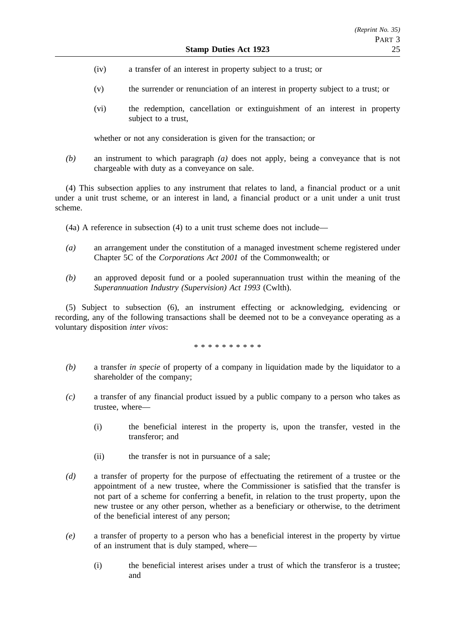- (iv) a transfer of an interest in property subject to a trust; or
- (v) the surrender or renunciation of an interest in property subject to a trust; or
- (vi) the redemption, cancellation or extinguishment of an interest in property subject to a trust,

whether or not any consideration is given for the transaction; or

*(b)* an instrument to which paragraph *(a)* does not apply, being a conveyance that is not chargeable with duty as a conveyance on sale.

(4) This subsection applies to any instrument that relates to land, a financial product or a unit under a unit trust scheme, or an interest in land, a financial product or a unit under a unit trust scheme.

(4a) A reference in subsection (4) to a unit trust scheme does not include—

- *(a)* an arrangement under the constitution of a managed investment scheme registered under Chapter 5C of the *Corporations Act 2001* of the Commonwealth; or
- *(b)* an approved deposit fund or a pooled superannuation trust within the meaning of the *Superannuation Industry (Supervision) Act 1993* (Cwlth).

(5) Subject to subsection (6), an instrument effecting or acknowledging, evidencing or recording, any of the following transactions shall be deemed not to be a conveyance operating as a voluntary disposition *inter vivos*:

\*\*\*\*\*\*\*\*\*\*

- *(b)* a transfer *in specie* of property of a company in liquidation made by the liquidator to a shareholder of the company;
- *(c)* a transfer of any financial product issued by a public company to a person who takes as trustee, where—
	- (i) the beneficial interest in the property is, upon the transfer, vested in the transferor; and
	- (ii) the transfer is not in pursuance of a sale;
- *(d)* a transfer of property for the purpose of effectuating the retirement of a trustee or the appointment of a new trustee, where the Commissioner is satisfied that the transfer is not part of a scheme for conferring a benefit, in relation to the trust property, upon the new trustee or any other person, whether as a beneficiary or otherwise, to the detriment of the beneficial interest of any person;
- *(e)* a transfer of property to a person who has a beneficial interest in the property by virtue of an instrument that is duly stamped, where—
	- (i) the beneficial interest arises under a trust of which the transferor is a trustee; and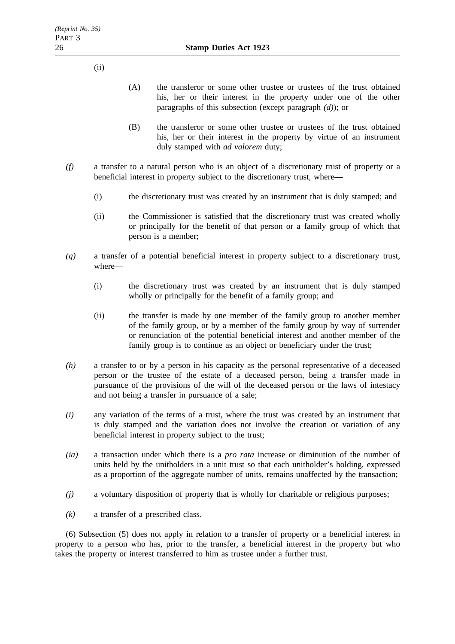$(ii)$ 

- (A) the transferor or some other trustee or trustees of the trust obtained his, her or their interest in the property under one of the other paragraphs of this subsection (except paragraph *(d)*); or
- (B) the transferor or some other trustee or trustees of the trust obtained his, her or their interest in the property by virtue of an instrument duly stamped with *ad valorem* duty;
- *(f)* a transfer to a natural person who is an object of a discretionary trust of property or a beneficial interest in property subject to the discretionary trust, where—
	- (i) the discretionary trust was created by an instrument that is duly stamped; and
	- (ii) the Commissioner is satisfied that the discretionary trust was created wholly or principally for the benefit of that person or a family group of which that person is a member;
- *(g)* a transfer of a potential beneficial interest in property subject to a discretionary trust, where—
	- (i) the discretionary trust was created by an instrument that is duly stamped wholly or principally for the benefit of a family group; and
	- (ii) the transfer is made by one member of the family group to another member of the family group, or by a member of the family group by way of surrender or renunciation of the potential beneficial interest and another member of the family group is to continue as an object or beneficiary under the trust;
- *(h)* a transfer to or by a person in his capacity as the personal representative of a deceased person or the trustee of the estate of a deceased person, being a transfer made in pursuance of the provisions of the will of the deceased person or the laws of intestacy and not being a transfer in pursuance of a sale;
- *(i)* any variation of the terms of a trust, where the trust was created by an instrument that is duly stamped and the variation does not involve the creation or variation of any beneficial interest in property subject to the trust;
- *(ia)* a transaction under which there is a *pro rata* increase or diminution of the number of units held by the unitholders in a unit trust so that each unitholder's holding, expressed as a proportion of the aggregate number of units, remains unaffected by the transaction;
- *(j)* a voluntary disposition of property that is wholly for charitable or religious purposes;
- *(k)* a transfer of a prescribed class.

(6) Subsection (5) does not apply in relation to a transfer of property or a beneficial interest in property to a person who has, prior to the transfer, a beneficial interest in the property but who takes the property or interest transferred to him as trustee under a further trust.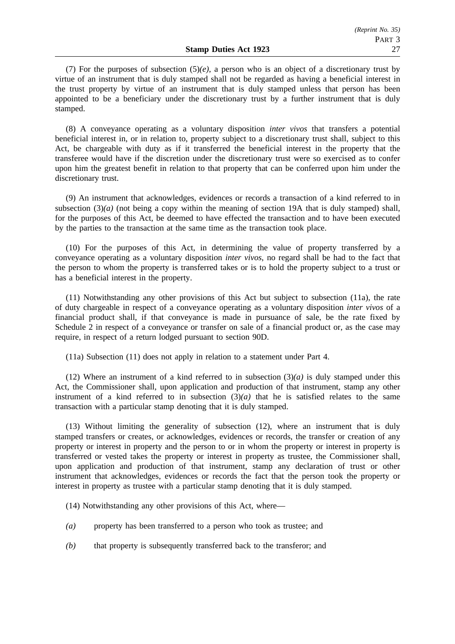(7) For the purposes of subsection  $(5)(e)$ , a person who is an object of a discretionary trust by virtue of an instrument that is duly stamped shall not be regarded as having a beneficial interest in the trust property by virtue of an instrument that is duly stamped unless that person has been appointed to be a beneficiary under the discretionary trust by a further instrument that is duly stamped.

(8) A conveyance operating as a voluntary disposition *inter vivos* that transfers a potential beneficial interest in, or in relation to, property subject to a discretionary trust shall, subject to this Act, be chargeable with duty as if it transferred the beneficial interest in the property that the transferee would have if the discretion under the discretionary trust were so exercised as to confer upon him the greatest benefit in relation to that property that can be conferred upon him under the discretionary trust.

(9) An instrument that acknowledges, evidences or records a transaction of a kind referred to in subsection  $(3)(a)$  (not being a copy within the meaning of section 19A that is duly stamped) shall, for the purposes of this Act, be deemed to have effected the transaction and to have been executed by the parties to the transaction at the same time as the transaction took place.

(10) For the purposes of this Act, in determining the value of property transferred by a conveyance operating as a voluntary disposition *inter vivos*, no regard shall be had to the fact that the person to whom the property is transferred takes or is to hold the property subject to a trust or has a beneficial interest in the property.

(11) Notwithstanding any other provisions of this Act but subject to subsection (11a), the rate of duty chargeable in respect of a conveyance operating as a voluntary disposition *inter vivos* of a financial product shall, if that conveyance is made in pursuance of sale, be the rate fixed by Schedule 2 in respect of a conveyance or transfer on sale of a financial product or, as the case may require, in respect of a return lodged pursuant to section 90D.

(11a) Subsection (11) does not apply in relation to a statement under Part 4.

(12) Where an instrument of a kind referred to in subsection  $(3)(a)$  is duly stamped under this Act, the Commissioner shall, upon application and production of that instrument, stamp any other instrument of a kind referred to in subsection  $(3)(a)$  that he is satisfied relates to the same transaction with a particular stamp denoting that it is duly stamped.

(13) Without limiting the generality of subsection (12), where an instrument that is duly stamped transfers or creates, or acknowledges, evidences or records, the transfer or creation of any property or interest in property and the person to or in whom the property or interest in property is transferred or vested takes the property or interest in property as trustee, the Commissioner shall, upon application and production of that instrument, stamp any declaration of trust or other instrument that acknowledges, evidences or records the fact that the person took the property or interest in property as trustee with a particular stamp denoting that it is duly stamped.

(14) Notwithstanding any other provisions of this Act, where—

- *(a)* property has been transferred to a person who took as trustee; and
- *(b)* that property is subsequently transferred back to the transferor; and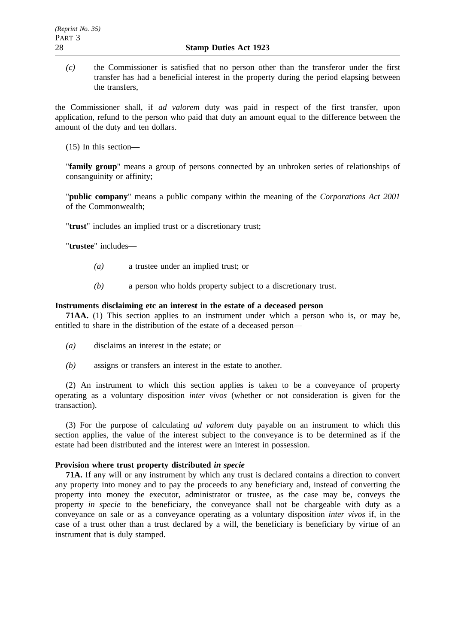*(c)* the Commissioner is satisfied that no person other than the transferor under the first transfer has had a beneficial interest in the property during the period elapsing between the transfers,

the Commissioner shall, if *ad valorem* duty was paid in respect of the first transfer, upon application, refund to the person who paid that duty an amount equal to the difference between the amount of the duty and ten dollars.

(15) In this section—

"**family group**" means a group of persons connected by an unbroken series of relationships of consanguinity or affinity;

"**public company**" means a public company within the meaning of the *Corporations Act 2001* of the Commonwealth;

"**trust**" includes an implied trust or a discretionary trust;

"**trustee**" includes—

- *(a)* a trustee under an implied trust; or
- *(b)* a person who holds property subject to a discretionary trust.

### **Instruments disclaiming etc an interest in the estate of a deceased person**

**71AA.** (1) This section applies to an instrument under which a person who is, or may be, entitled to share in the distribution of the estate of a deceased person—

- *(a)* disclaims an interest in the estate; or
- *(b)* assigns or transfers an interest in the estate to another.

(2) An instrument to which this section applies is taken to be a conveyance of property operating as a voluntary disposition *inter vivos* (whether or not consideration is given for the transaction).

(3) For the purpose of calculating *ad valorem* duty payable on an instrument to which this section applies, the value of the interest subject to the conveyance is to be determined as if the estate had been distributed and the interest were an interest in possession.

# **Provision where trust property distributed** *in specie*

**71A.** If any will or any instrument by which any trust is declared contains a direction to convert any property into money and to pay the proceeds to any beneficiary and, instead of converting the property into money the executor, administrator or trustee, as the case may be, conveys the property *in specie* to the beneficiary, the conveyance shall not be chargeable with duty as a conveyance on sale or as a conveyance operating as a voluntary disposition *inter vivos* if, in the case of a trust other than a trust declared by a will, the beneficiary is beneficiary by virtue of an instrument that is duly stamped.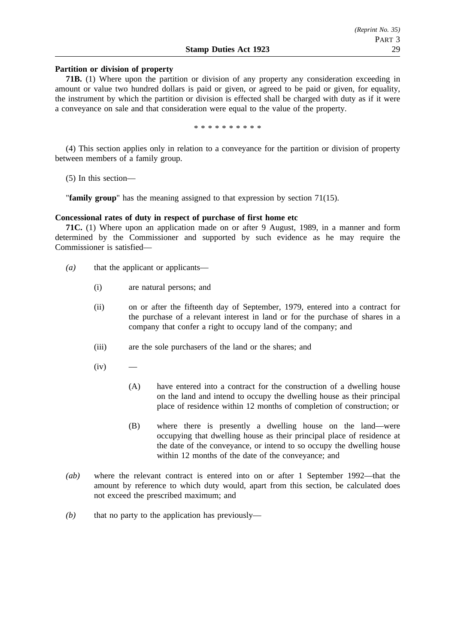#### **Partition or division of property**

**71B.** (1) Where upon the partition or division of any property any consideration exceeding in amount or value two hundred dollars is paid or given, or agreed to be paid or given, for equality, the instrument by which the partition or division is effected shall be charged with duty as if it were a conveyance on sale and that consideration were equal to the value of the property.

\*\*\*\*\*\*\*\*\*\*

(4) This section applies only in relation to a conveyance for the partition or division of property between members of a family group.

(5) In this section—

"**family group**" has the meaning assigned to that expression by section 71(15).

#### **Concessional rates of duty in respect of purchase of first home etc**

**71C.** (1) Where upon an application made on or after 9 August, 1989, in a manner and form determined by the Commissioner and supported by such evidence as he may require the Commissioner is satisfied—

- *(a)* that the applicant or applicants—
	- (i) are natural persons; and
	- (ii) on or after the fifteenth day of September, 1979, entered into a contract for the purchase of a relevant interest in land or for the purchase of shares in a company that confer a right to occupy land of the company; and
	- (iii) are the sole purchasers of the land or the shares; and
	- $(iv)$ 
		- (A) have entered into a contract for the construction of a dwelling house on the land and intend to occupy the dwelling house as their principal place of residence within 12 months of completion of construction; or
		- (B) where there is presently a dwelling house on the land—were occupying that dwelling house as their principal place of residence at the date of the conveyance, or intend to so occupy the dwelling house within 12 months of the date of the conveyance; and
- *(ab)* where the relevant contract is entered into on or after 1 September 1992—that the amount by reference to which duty would, apart from this section, be calculated does not exceed the prescribed maximum; and
- *(b)* that no party to the application has previously—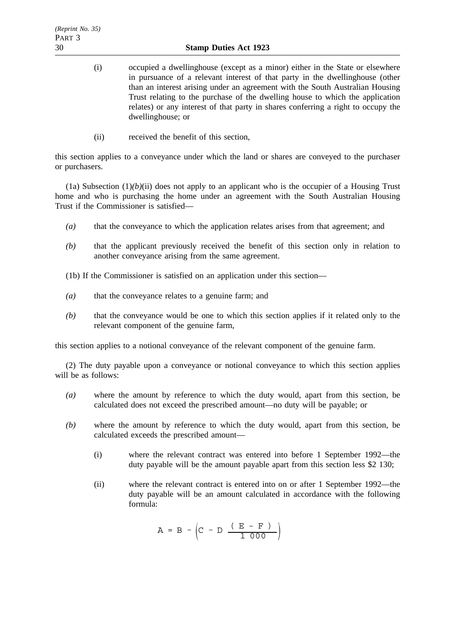- (i) occupied a dwellinghouse (except as a minor) either in the State or elsewhere in pursuance of a relevant interest of that party in the dwellinghouse (other than an interest arising under an agreement with the South Australian Housing Trust relating to the purchase of the dwelling house to which the application relates) or any interest of that party in shares conferring a right to occupy the dwellinghouse; or
- (ii) received the benefit of this section,

this section applies to a conveyance under which the land or shares are conveyed to the purchaser or purchasers.

(1a) Subsection  $(1)(b)(ii)$  does not apply to an applicant who is the occupier of a Housing Trust home and who is purchasing the home under an agreement with the South Australian Housing Trust if the Commissioner is satisfied—

- *(a)* that the conveyance to which the application relates arises from that agreement; and
- *(b)* that the applicant previously received the benefit of this section only in relation to another conveyance arising from the same agreement.
- (1b) If the Commissioner is satisfied on an application under this section—
- *(a)* that the conveyance relates to a genuine farm; and
- *(b)* that the conveyance would be one to which this section applies if it related only to the relevant component of the genuine farm,

this section applies to a notional conveyance of the relevant component of the genuine farm.

(2) The duty payable upon a conveyance or notional conveyance to which this section applies will be as follows:

- *(a)* where the amount by reference to which the duty would, apart from this section, be calculated does not exceed the prescribed amount—no duty will be payable; or
- *(b)* where the amount by reference to which the duty would, apart from this section, be calculated exceeds the prescribed amount—
	- (i) where the relevant contract was entered into before 1 September 1992—the duty payable will be the amount payable apart from this section less \$2 130;
	- (ii) where the relevant contract is entered into on or after 1 September 1992—the duty payable will be an amount calculated in accordance with the following formula:

$$
A = B - (C - D \frac{(E - F)}{1000})
$$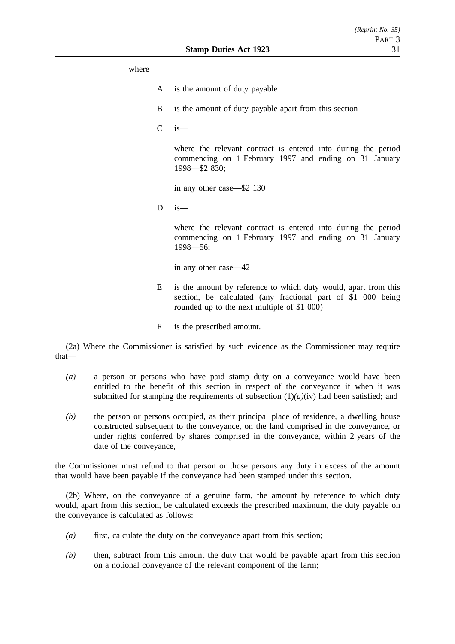where

- A is the amount of duty payable
- B is the amount of duty payable apart from this section
- $C$  is —

where the relevant contract is entered into during the period commencing on 1 February 1997 and ending on 31 January 1998—\$2 830;

in any other case—\$2 130

 $D$  is —

where the relevant contract is entered into during the period commencing on 1 February 1997 and ending on 31 January 1998—56;

in any other case—42

- E is the amount by reference to which duty would, apart from this section, be calculated (any fractional part of \$1 000 being rounded up to the next multiple of \$1 000)
- F is the prescribed amount.

(2a) Where the Commissioner is satisfied by such evidence as the Commissioner may require that—

- *(a)* a person or persons who have paid stamp duty on a conveyance would have been entitled to the benefit of this section in respect of the conveyance if when it was submitted for stamping the requirements of subsection  $(1)(a)(iv)$  had been satisfied; and
- *(b)* the person or persons occupied, as their principal place of residence, a dwelling house constructed subsequent to the conveyance, on the land comprised in the conveyance, or under rights conferred by shares comprised in the conveyance, within 2 years of the date of the conveyance,

the Commissioner must refund to that person or those persons any duty in excess of the amount that would have been payable if the conveyance had been stamped under this section.

(2b) Where, on the conveyance of a genuine farm, the amount by reference to which duty would, apart from this section, be calculated exceeds the prescribed maximum, the duty payable on the conveyance is calculated as follows:

- *(a)* first, calculate the duty on the conveyance apart from this section;
- *(b)* then, subtract from this amount the duty that would be payable apart from this section on a notional conveyance of the relevant component of the farm;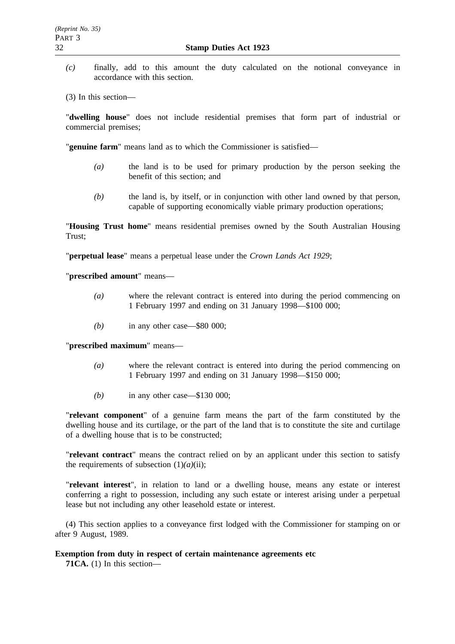*(c)* finally, add to this amount the duty calculated on the notional conveyance in accordance with this section.

(3) In this section—

"**dwelling house**" does not include residential premises that form part of industrial or commercial premises;

"**genuine farm**" means land as to which the Commissioner is satisfied—

- *(a)* the land is to be used for primary production by the person seeking the benefit of this section; and
- *(b)* the land is, by itself, or in conjunction with other land owned by that person, capable of supporting economically viable primary production operations;

"**Housing Trust home**" means residential premises owned by the South Australian Housing Trust;

"**perpetual lease**" means a perpetual lease under the *Crown Lands Act 1929*;

"**prescribed amount**" means—

- *(a)* where the relevant contract is entered into during the period commencing on 1 February 1997 and ending on 31 January 1998—\$100 000;
- *(b)* in any other case—\$80 000;

"**prescribed maximum**" means—

- *(a)* where the relevant contract is entered into during the period commencing on 1 February 1997 and ending on 31 January 1998—\$150 000;
- *(b)* in any other case—\$130 000;

"**relevant component**" of a genuine farm means the part of the farm constituted by the dwelling house and its curtilage, or the part of the land that is to constitute the site and curtilage of a dwelling house that is to be constructed;

"**relevant contract**" means the contract relied on by an applicant under this section to satisfy the requirements of subsection  $(1)(a)(ii)$ ;

"**relevant interest**", in relation to land or a dwelling house, means any estate or interest conferring a right to possession, including any such estate or interest arising under a perpetual lease but not including any other leasehold estate or interest.

(4) This section applies to a conveyance first lodged with the Commissioner for stamping on or after 9 August, 1989.

#### **Exemption from duty in respect of certain maintenance agreements etc**

71CA. (1) In this section—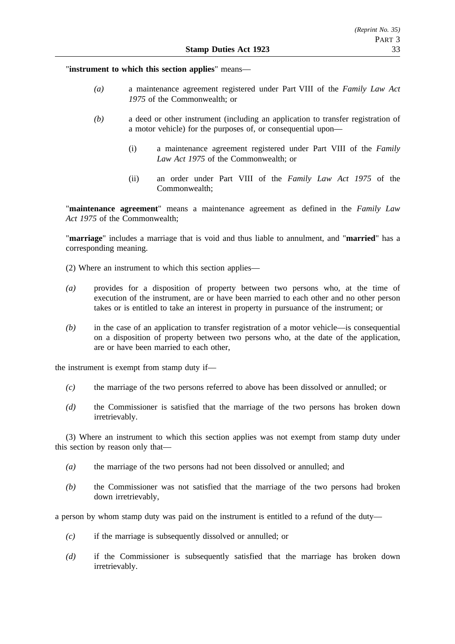"**instrument to which this section applies**" means—

- *(a)* a maintenance agreement registered under Part VIII of the *Family Law Act 1975* of the Commonwealth; or
- *(b)* a deed or other instrument (including an application to transfer registration of a motor vehicle) for the purposes of, or consequential upon—
	- (i) a maintenance agreement registered under Part VIII of the *Family Law Act 1975* of the Commonwealth; or
	- (ii) an order under Part VIII of the *Family Law Act 1975* of the Commonwealth;

"**maintenance agreement**" means a maintenance agreement as defined in the *Family Law Act 1975* of the Commonwealth;

"**marriage**" includes a marriage that is void and thus liable to annulment, and "**married**" has a corresponding meaning.

- (2) Where an instrument to which this section applies—
- *(a)* provides for a disposition of property between two persons who, at the time of execution of the instrument, are or have been married to each other and no other person takes or is entitled to take an interest in property in pursuance of the instrument; or
- *(b)* in the case of an application to transfer registration of a motor vehicle—is consequential on a disposition of property between two persons who, at the date of the application, are or have been married to each other,

the instrument is exempt from stamp duty if—

- *(c)* the marriage of the two persons referred to above has been dissolved or annulled; or
- *(d)* the Commissioner is satisfied that the marriage of the two persons has broken down irretrievably.

(3) Where an instrument to which this section applies was not exempt from stamp duty under this section by reason only that—

- *(a)* the marriage of the two persons had not been dissolved or annulled; and
- *(b)* the Commissioner was not satisfied that the marriage of the two persons had broken down irretrievably,

a person by whom stamp duty was paid on the instrument is entitled to a refund of the duty—

- *(c)* if the marriage is subsequently dissolved or annulled; or
- *(d)* if the Commissioner is subsequently satisfied that the marriage has broken down irretrievably.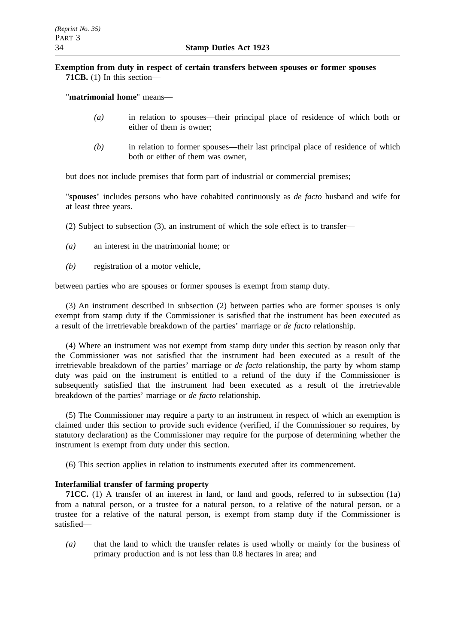# **Exemption from duty in respect of certain transfers between spouses or former spouses 71CB.** (1) In this section—

"**matrimonial home**" means—

- *(a)* in relation to spouses—their principal place of residence of which both or either of them is owner;
- *(b)* in relation to former spouses—their last principal place of residence of which both or either of them was owner,

but does not include premises that form part of industrial or commercial premises;

"**spouses**" includes persons who have cohabited continuously as *de facto* husband and wife for at least three years.

(2) Subject to subsection (3), an instrument of which the sole effect is to transfer—

- *(a)* an interest in the matrimonial home; or
- *(b)* registration of a motor vehicle,

between parties who are spouses or former spouses is exempt from stamp duty.

(3) An instrument described in subsection (2) between parties who are former spouses is only exempt from stamp duty if the Commissioner is satisfied that the instrument has been executed as a result of the irretrievable breakdown of the parties' marriage or *de facto* relationship.

(4) Where an instrument was not exempt from stamp duty under this section by reason only that the Commissioner was not satisfied that the instrument had been executed as a result of the irretrievable breakdown of the parties' marriage or *de facto* relationship, the party by whom stamp duty was paid on the instrument is entitled to a refund of the duty if the Commissioner is subsequently satisfied that the instrument had been executed as a result of the irretrievable breakdown of the parties' marriage or *de facto* relationship.

(5) The Commissioner may require a party to an instrument in respect of which an exemption is claimed under this section to provide such evidence (verified, if the Commissioner so requires, by statutory declaration) as the Commissioner may require for the purpose of determining whether the instrument is exempt from duty under this section.

(6) This section applies in relation to instruments executed after its commencement.

#### **Interfamilial transfer of farming property**

**71CC.** (1) A transfer of an interest in land, or land and goods, referred to in subsection (1a) from a natural person, or a trustee for a natural person, to a relative of the natural person, or a trustee for a relative of the natural person, is exempt from stamp duty if the Commissioner is satisfied—

*(a)* that the land to which the transfer relates is used wholly or mainly for the business of primary production and is not less than 0.8 hectares in area; and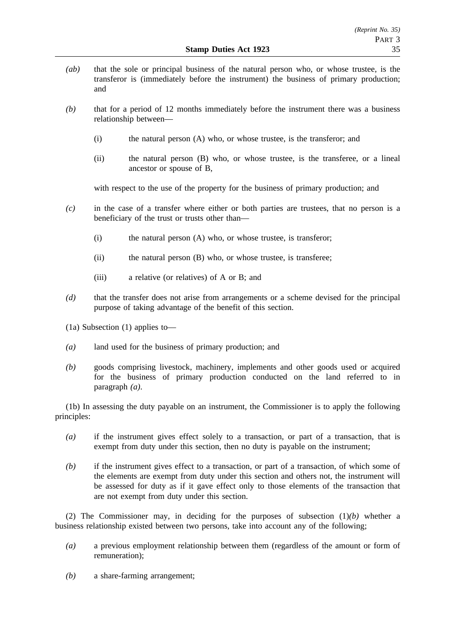- *(ab)* that the sole or principal business of the natural person who, or whose trustee, is the transferor is (immediately before the instrument) the business of primary production; and
- *(b)* that for a period of 12 months immediately before the instrument there was a business relationship between—
	- (i) the natural person (A) who, or whose trustee, is the transferor; and
	- (ii) the natural person (B) who, or whose trustee, is the transferee, or a lineal ancestor or spouse of B,

with respect to the use of the property for the business of primary production; and

- *(c)* in the case of a transfer where either or both parties are trustees, that no person is a beneficiary of the trust or trusts other than—
	- (i) the natural person (A) who, or whose trustee, is transferor;
	- (ii) the natural person (B) who, or whose trustee, is transferee;
	- (iii) a relative (or relatives) of A or B; and
- *(d)* that the transfer does not arise from arrangements or a scheme devised for the principal purpose of taking advantage of the benefit of this section.

(1a) Subsection (1) applies to—

- *(a)* land used for the business of primary production; and
- *(b)* goods comprising livestock, machinery, implements and other goods used or acquired for the business of primary production conducted on the land referred to in paragraph *(a)*.

(1b) In assessing the duty payable on an instrument, the Commissioner is to apply the following principles:

- *(a)* if the instrument gives effect solely to a transaction, or part of a transaction, that is exempt from duty under this section, then no duty is payable on the instrument;
- *(b)* if the instrument gives effect to a transaction, or part of a transaction, of which some of the elements are exempt from duty under this section and others not, the instrument will be assessed for duty as if it gave effect only to those elements of the transaction that are not exempt from duty under this section.

(2) The Commissioner may, in deciding for the purposes of subsection (1)*(b)* whether a business relationship existed between two persons, take into account any of the following;

- *(a)* a previous employment relationship between them (regardless of the amount or form of remuneration);
- *(b)* a share-farming arrangement;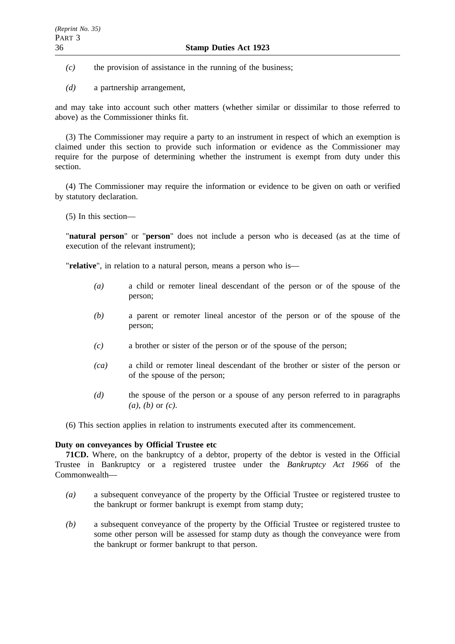- *(c)* the provision of assistance in the running of the business;
- *(d)* a partnership arrangement,

and may take into account such other matters (whether similar or dissimilar to those referred to above) as the Commissioner thinks fit.

(3) The Commissioner may require a party to an instrument in respect of which an exemption is claimed under this section to provide such information or evidence as the Commissioner may require for the purpose of determining whether the instrument is exempt from duty under this section.

(4) The Commissioner may require the information or evidence to be given on oath or verified by statutory declaration.

(5) In this section—

"**natural person**" or "**person**" does not include a person who is deceased (as at the time of execution of the relevant instrument);

"**relative**", in relation to a natural person, means a person who is—

- *(a)* a child or remoter lineal descendant of the person or of the spouse of the person;
- *(b)* a parent or remoter lineal ancestor of the person or of the spouse of the person;
- *(c)* a brother or sister of the person or of the spouse of the person;
- *(ca)* a child or remoter lineal descendant of the brother or sister of the person or of the spouse of the person;
- *(d)* the spouse of the person or a spouse of any person referred to in paragraphs *(a)*, *(b)* or *(c)*.

(6) This section applies in relation to instruments executed after its commencement.

#### **Duty on conveyances by Official Trustee etc**

**71CD.** Where, on the bankruptcy of a debtor, property of the debtor is vested in the Official Trustee in Bankruptcy or a registered trustee under the *Bankruptcy Act 1966* of the Commonwealth—

- *(a)* a subsequent conveyance of the property by the Official Trustee or registered trustee to the bankrupt or former bankrupt is exempt from stamp duty;
- *(b)* a subsequent conveyance of the property by the Official Trustee or registered trustee to some other person will be assessed for stamp duty as though the conveyance were from the bankrupt or former bankrupt to that person.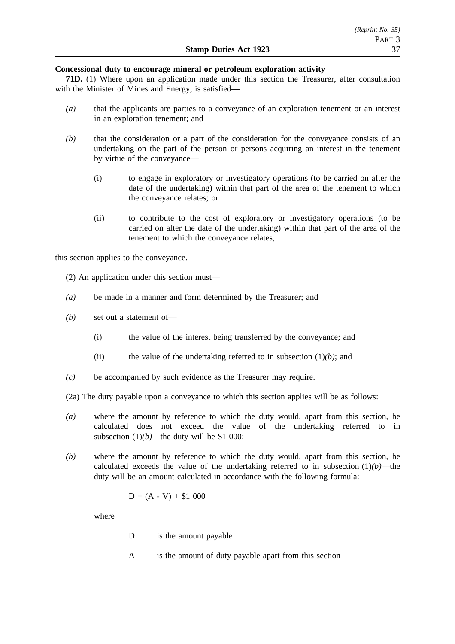### **Concessional duty to encourage mineral or petroleum exploration activity**

**71D.** (1) Where upon an application made under this section the Treasurer, after consultation with the Minister of Mines and Energy, is satisfied—

- *(a)* that the applicants are parties to a conveyance of an exploration tenement or an interest in an exploration tenement; and
- *(b)* that the consideration or a part of the consideration for the conveyance consists of an undertaking on the part of the person or persons acquiring an interest in the tenement by virtue of the conveyance—
	- (i) to engage in exploratory or investigatory operations (to be carried on after the date of the undertaking) within that part of the area of the tenement to which the conveyance relates; or
	- (ii) to contribute to the cost of exploratory or investigatory operations (to be carried on after the date of the undertaking) within that part of the area of the tenement to which the conveyance relates,

this section applies to the conveyance.

- (2) An application under this section must—
- *(a)* be made in a manner and form determined by the Treasurer; and
- *(b)* set out a statement of—
	- (i) the value of the interest being transferred by the conveyance; and
	- (ii) the value of the undertaking referred to in subsection  $(1)(b)$ ; and
- *(c)* be accompanied by such evidence as the Treasurer may require.

(2a) The duty payable upon a conveyance to which this section applies will be as follows:

- *(a)* where the amount by reference to which the duty would, apart from this section, be calculated does not exceed the value of the undertaking referred to in subsection  $(1)(b)$ —the duty will be \$1 000;
- *(b)* where the amount by reference to which the duty would, apart from this section, be calculated exceeds the value of the undertaking referred to in subsection  $(1)(b)$ —the duty will be an amount calculated in accordance with the following formula:

$$
D = (A - V) + $1\ 000
$$

where

- D is the amount payable
- A is the amount of duty payable apart from this section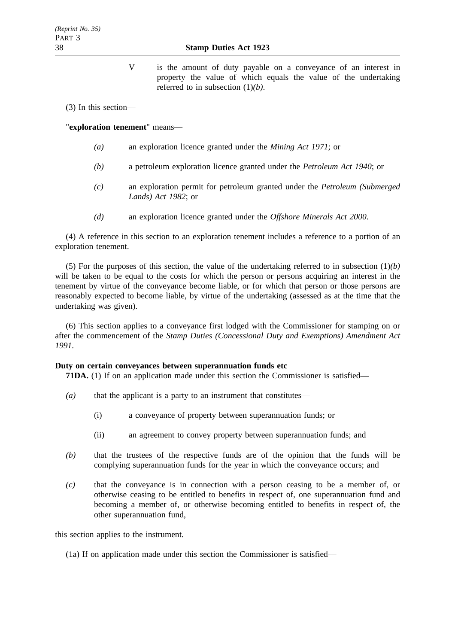V is the amount of duty payable on a conveyance of an interest in property the value of which equals the value of the undertaking referred to in subsection (1)*(b)*.

(3) In this section—

# "**exploration tenement**" means—

- *(a)* an exploration licence granted under the *Mining Act 1971*; or
- *(b)* a petroleum exploration licence granted under the *Petroleum Act 1940*; or
- *(c)* an exploration permit for petroleum granted under the *Petroleum (Submerged Lands) Act 1982*; or
- *(d)* an exploration licence granted under the *Offshore Minerals Act 2000*.

(4) A reference in this section to an exploration tenement includes a reference to a portion of an exploration tenement.

(5) For the purposes of this section, the value of the undertaking referred to in subsection (1)*(b)* will be taken to be equal to the costs for which the person or persons acquiring an interest in the tenement by virtue of the conveyance become liable, or for which that person or those persons are reasonably expected to become liable, by virtue of the undertaking (assessed as at the time that the undertaking was given).

(6) This section applies to a conveyance first lodged with the Commissioner for stamping on or after the commencement of the *Stamp Duties (Concessional Duty and Exemptions) Amendment Act 1991*.

# **Duty on certain conveyances between superannuation funds etc**

**71DA.** (1) If on an application made under this section the Commissioner is satisfied—

- *(a)* that the applicant is a party to an instrument that constitutes—
	- (i) a conveyance of property between superannuation funds; or
	- (ii) an agreement to convey property between superannuation funds; and
- *(b)* that the trustees of the respective funds are of the opinion that the funds will be complying superannuation funds for the year in which the conveyance occurs; and
- *(c)* that the conveyance is in connection with a person ceasing to be a member of, or otherwise ceasing to be entitled to benefits in respect of, one superannuation fund and becoming a member of, or otherwise becoming entitled to benefits in respect of, the other superannuation fund,

this section applies to the instrument.

<sup>(1</sup>a) If on application made under this section the Commissioner is satisfied—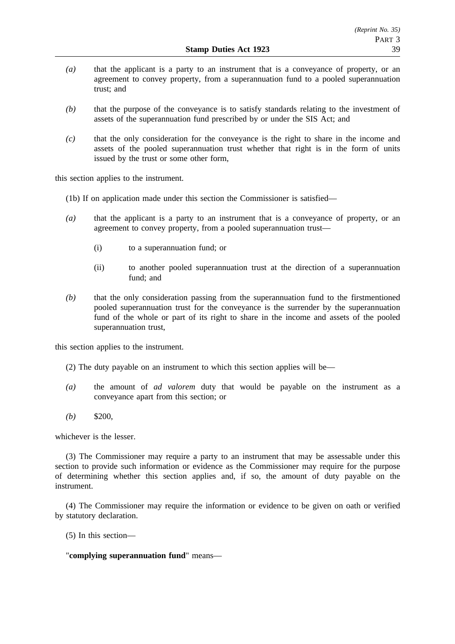- *(a)* that the applicant is a party to an instrument that is a conveyance of property, or an agreement to convey property, from a superannuation fund to a pooled superannuation trust; and
- *(b)* that the purpose of the conveyance is to satisfy standards relating to the investment of assets of the superannuation fund prescribed by or under the SIS Act; and
- *(c)* that the only consideration for the conveyance is the right to share in the income and assets of the pooled superannuation trust whether that right is in the form of units issued by the trust or some other form,

this section applies to the instrument.

- (1b) If on application made under this section the Commissioner is satisfied—
- *(a)* that the applicant is a party to an instrument that is a conveyance of property, or an agreement to convey property, from a pooled superannuation trust—
	- (i) to a superannuation fund; or
	- (ii) to another pooled superannuation trust at the direction of a superannuation fund; and
- *(b)* that the only consideration passing from the superannuation fund to the firstmentioned pooled superannuation trust for the conveyance is the surrender by the superannuation fund of the whole or part of its right to share in the income and assets of the pooled superannuation trust,

this section applies to the instrument.

- (2) The duty payable on an instrument to which this section applies will be—
- *(a)* the amount of *ad valorem* duty that would be payable on the instrument as a conveyance apart from this section; or
- $(b)$  \$200.

whichever is the lesser.

(3) The Commissioner may require a party to an instrument that may be assessable under this section to provide such information or evidence as the Commissioner may require for the purpose of determining whether this section applies and, if so, the amount of duty payable on the instrument.

(4) The Commissioner may require the information or evidence to be given on oath or verified by statutory declaration.

(5) In this section—

# "**complying superannuation fund**" means—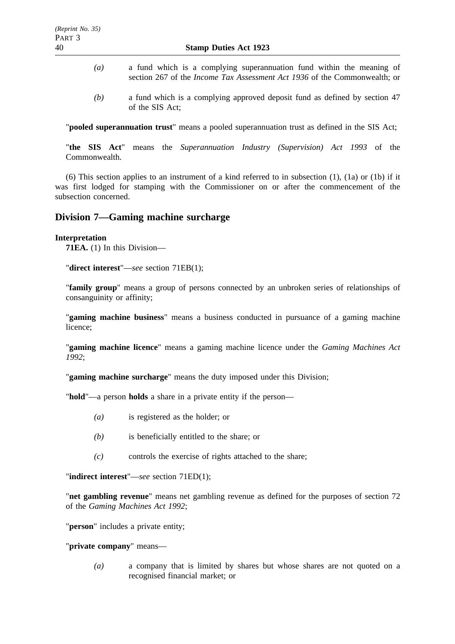- *(a)* a fund which is a complying superannuation fund within the meaning of section 267 of the *Income Tax Assessment Act 1936* of the Commonwealth; or
- *(b)* a fund which is a complying approved deposit fund as defined by section 47 of the SIS Act;

"**pooled superannuation trust**" means a pooled superannuation trust as defined in the SIS Act;

"**the SIS Act**" means the *Superannuation Industry (Supervision) Act 1993* of the Commonwealth.

(6) This section applies to an instrument of a kind referred to in subsection (1), (1a) or (1b) if it was first lodged for stamping with the Commissioner on or after the commencement of the subsection concerned.

# **Division 7—Gaming machine surcharge**

#### **Interpretation**

**71EA.** (1) In this Division—

"**direct interest**"—*see* section 71EB(1);

"**family group**" means a group of persons connected by an unbroken series of relationships of consanguinity or affinity;

"**gaming machine business**" means a business conducted in pursuance of a gaming machine licence;

"**gaming machine licence**" means a gaming machine licence under the *Gaming Machines Act 1992*;

"**gaming machine surcharge**" means the duty imposed under this Division;

"**hold**"—a person **holds** a share in a private entity if the person—

- *(a)* is registered as the holder; or
- *(b)* is beneficially entitled to the share; or
- *(c)* controls the exercise of rights attached to the share;

"**indirect interest**"—*see* section 71ED(1);

"**net gambling revenue**" means net gambling revenue as defined for the purposes of section 72 of the *Gaming Machines Act 1992*;

"**person**" includes a private entity;

#### "**private company**" means—

*(a)* a company that is limited by shares but whose shares are not quoted on a recognised financial market; or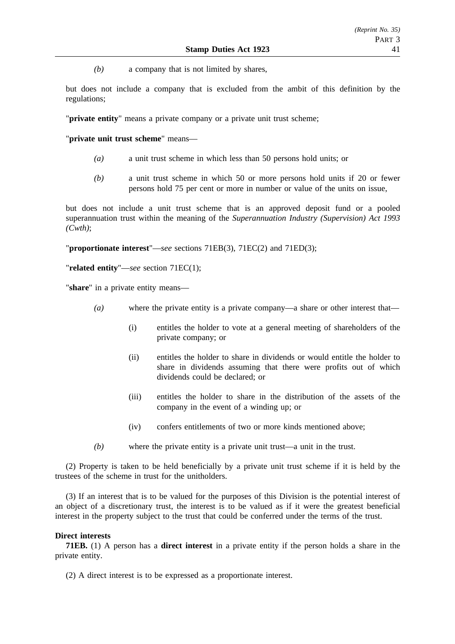*(b)* a company that is not limited by shares,

but does not include a company that is excluded from the ambit of this definition by the regulations;

"**private entity**" means a private company or a private unit trust scheme;

"**private unit trust scheme**" means—

- *(a)* a unit trust scheme in which less than 50 persons hold units; or
- *(b)* a unit trust scheme in which 50 or more persons hold units if 20 or fewer persons hold 75 per cent or more in number or value of the units on issue,

but does not include a unit trust scheme that is an approved deposit fund or a pooled superannuation trust within the meaning of the *Superannuation Industry (Supervision) Act 1993 (Cwth)*;

"**proportionate interest**"—*see* sections 71EB(3), 71EC(2) and 71ED(3);

"**related entity**"—*see* section 71EC(1);

"**share**" in a private entity means—

- *(a)* where the private entity is a private company—a share or other interest that—
	- (i) entitles the holder to vote at a general meeting of shareholders of the private company; or
	- (ii) entitles the holder to share in dividends or would entitle the holder to share in dividends assuming that there were profits out of which dividends could be declared; or
	- (iii) entitles the holder to share in the distribution of the assets of the company in the event of a winding up; or
	- (iv) confers entitlements of two or more kinds mentioned above;
- *(b)* where the private entity is a private unit trust—a unit in the trust.

(2) Property is taken to be held beneficially by a private unit trust scheme if it is held by the trustees of the scheme in trust for the unitholders.

(3) If an interest that is to be valued for the purposes of this Division is the potential interest of an object of a discretionary trust, the interest is to be valued as if it were the greatest beneficial interest in the property subject to the trust that could be conferred under the terms of the trust.

#### **Direct interests**

**71EB.** (1) A person has a **direct interest** in a private entity if the person holds a share in the private entity.

(2) A direct interest is to be expressed as a proportionate interest.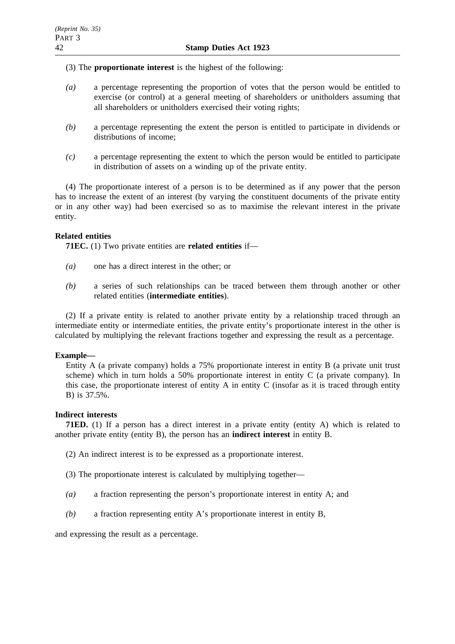- (3) The **proportionate interest** is the highest of the following:
- *(a)* a percentage representing the proportion of votes that the person would be entitled to exercise (or control) at a general meeting of shareholders or unitholders assuming that all shareholders or unitholders exercised their voting rights;
- *(b)* a percentage representing the extent the person is entitled to participate in dividends or distributions of income;
- *(c)* a percentage representing the extent to which the person would be entitled to participate in distribution of assets on a winding up of the private entity.

(4) The proportionate interest of a person is to be determined as if any power that the person has to increase the extent of an interest (by varying the constituent documents of the private entity or in any other way) had been exercised so as to maximise the relevant interest in the private entity.

# **Related entities**

**71EC.** (1) Two private entities are **related entities** if—

- *(a)* one has a direct interest in the other; or
- *(b)* a series of such relationships can be traced between them through another or other related entities (**intermediate entities**).

(2) If a private entity is related to another private entity by a relationship traced through an intermediate entity or intermediate entities, the private entity's proportionate interest in the other is calculated by multiplying the relevant fractions together and expressing the result as a percentage.

# **Example—**

Entity A (a private company) holds a 75% proportionate interest in entity B (a private unit trust scheme) which in turn holds a 50% proportionate interest in entity C (a private company). In this case, the proportionate interest of entity A in entity C (insofar as it is traced through entity B) is 37.5%.

# **Indirect interests**

**71ED.** (1) If a person has a direct interest in a private entity (entity A) which is related to another private entity (entity B), the person has an **indirect interest** in entity B.

- (2) An indirect interest is to be expressed as a proportionate interest.
- (3) The proportionate interest is calculated by multiplying together—
- *(a)* a fraction representing the person's proportionate interest in entity A; and
- *(b)* a fraction representing entity A's proportionate interest in entity B,

and expressing the result as a percentage.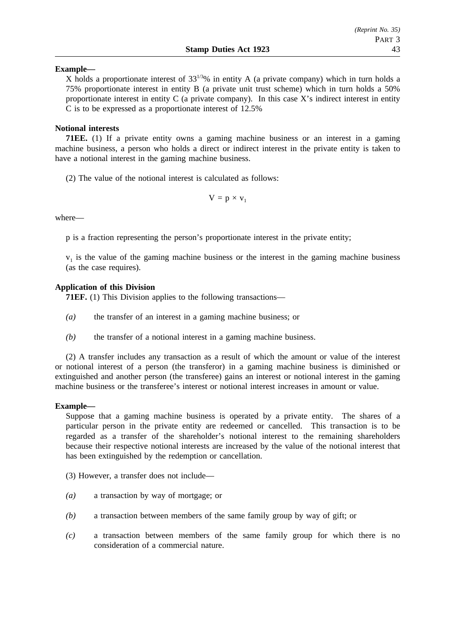# **Example—**

X holds a proportionate interest of  $33^{1/3}\%$  in entity A (a private company) which in turn holds a 75% proportionate interest in entity B (a private unit trust scheme) which in turn holds a 50% proportionate interest in entity C (a private company). In this case X's indirect interest in entity C is to be expressed as a proportionate interest of 12.5%

# **Notional interests**

**71EE.** (1) If a private entity owns a gaming machine business or an interest in a gaming machine business, a person who holds a direct or indirect interest in the private entity is taken to have a notional interest in the gaming machine business.

(2) The value of the notional interest is calculated as follows:

$$
V = p \times v_1
$$

where—

p is a fraction representing the person's proportionate interest in the private entity;

 $v_1$  is the value of the gaming machine business or the interest in the gaming machine business (as the case requires).

# **Application of this Division**

**71EF.** (1) This Division applies to the following transactions—

- *(a)* the transfer of an interest in a gaming machine business; or
- *(b)* the transfer of a notional interest in a gaming machine business.

(2) A transfer includes any transaction as a result of which the amount or value of the interest or notional interest of a person (the transferor) in a gaming machine business is diminished or extinguished and another person (the transferee) gains an interest or notional interest in the gaming machine business or the transferee's interest or notional interest increases in amount or value.

# **Example—**

Suppose that a gaming machine business is operated by a private entity. The shares of a particular person in the private entity are redeemed or cancelled. This transaction is to be regarded as a transfer of the shareholder's notional interest to the remaining shareholders because their respective notional interests are increased by the value of the notional interest that has been extinguished by the redemption or cancellation.

- (3) However, a transfer does not include—
- *(a)* a transaction by way of mortgage; or
- *(b)* a transaction between members of the same family group by way of gift; or
- *(c)* a transaction between members of the same family group for which there is no consideration of a commercial nature.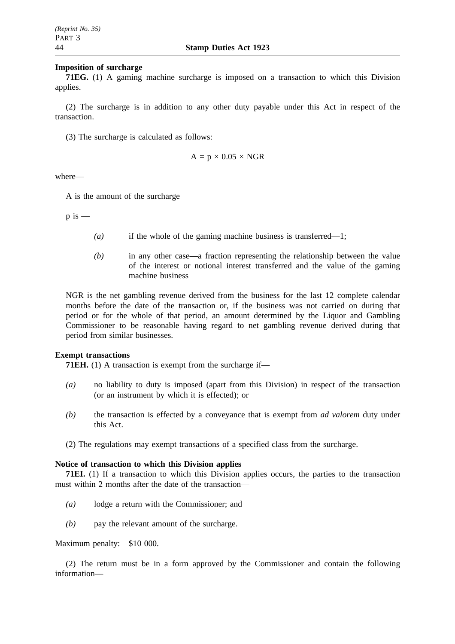## **Imposition of surcharge**

**71EG.** (1) A gaming machine surcharge is imposed on a transaction to which this Division applies.

(2) The surcharge is in addition to any other duty payable under this Act in respect of the transaction.

(3) The surcharge is calculated as follows:

$$
A = p \times 0.05 \times NGR
$$

where—

A is the amount of the surcharge

 $p$  is  $-$ 

- *(a)* if the whole of the gaming machine business is transferred—1;
- *(b)* in any other case—a fraction representing the relationship between the value of the interest or notional interest transferred and the value of the gaming machine business

NGR is the net gambling revenue derived from the business for the last 12 complete calendar months before the date of the transaction or, if the business was not carried on during that period or for the whole of that period, an amount determined by the Liquor and Gambling Commissioner to be reasonable having regard to net gambling revenue derived during that period from similar businesses.

#### **Exempt transactions**

**71EH.** (1) A transaction is exempt from the surcharge if—

- *(a)* no liability to duty is imposed (apart from this Division) in respect of the transaction (or an instrument by which it is effected); or
- *(b)* the transaction is effected by a conveyance that is exempt from *ad valorem* duty under this Act.
- (2) The regulations may exempt transactions of a specified class from the surcharge.

# **Notice of transaction to which this Division applies**

**71EI.** (1) If a transaction to which this Division applies occurs, the parties to the transaction must within 2 months after the date of the transaction—

- *(a)* lodge a return with the Commissioner; and
- *(b)* pay the relevant amount of the surcharge.

Maximum penalty: \$10 000.

(2) The return must be in a form approved by the Commissioner and contain the following information—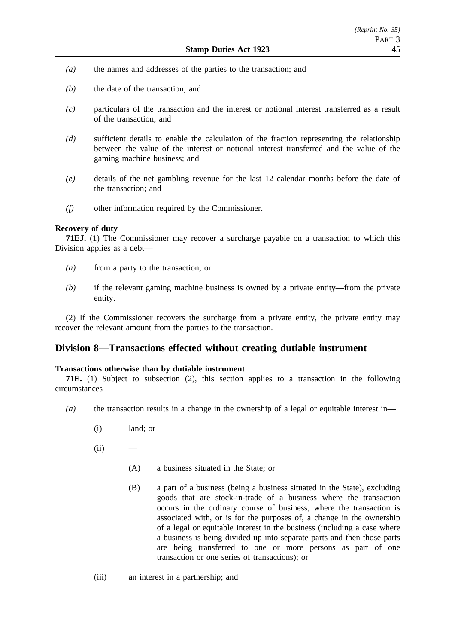- *(a)* the names and addresses of the parties to the transaction; and
- *(b)* the date of the transaction; and
- *(c)* particulars of the transaction and the interest or notional interest transferred as a result of the transaction; and
- *(d)* sufficient details to enable the calculation of the fraction representing the relationship between the value of the interest or notional interest transferred and the value of the gaming machine business; and
- *(e)* details of the net gambling revenue for the last 12 calendar months before the date of the transaction; and
- *(f)* other information required by the Commissioner.

# **Recovery of duty**

**71EJ.** (1) The Commissioner may recover a surcharge payable on a transaction to which this Division applies as a debt—

- *(a)* from a party to the transaction; or
- *(b)* if the relevant gaming machine business is owned by a private entity—from the private entity.

(2) If the Commissioner recovers the surcharge from a private entity, the private entity may recover the relevant amount from the parties to the transaction.

# **Division 8—Transactions effected without creating dutiable instrument**

#### **Transactions otherwise than by dutiable instrument**

**71E.** (1) Subject to subsection (2), this section applies to a transaction in the following circumstances—

- $(a)$  the transaction results in a change in the ownership of a legal or equitable interest in—
	- (i) land; or
	- $(ii)$ 
		- (A) a business situated in the State; or
		- (B) a part of a business (being a business situated in the State), excluding goods that are stock-in-trade of a business where the transaction occurs in the ordinary course of business, where the transaction is associated with, or is for the purposes of, a change in the ownership of a legal or equitable interest in the business (including a case where a business is being divided up into separate parts and then those parts are being transferred to one or more persons as part of one transaction or one series of transactions); or
	- (iii) an interest in a partnership; and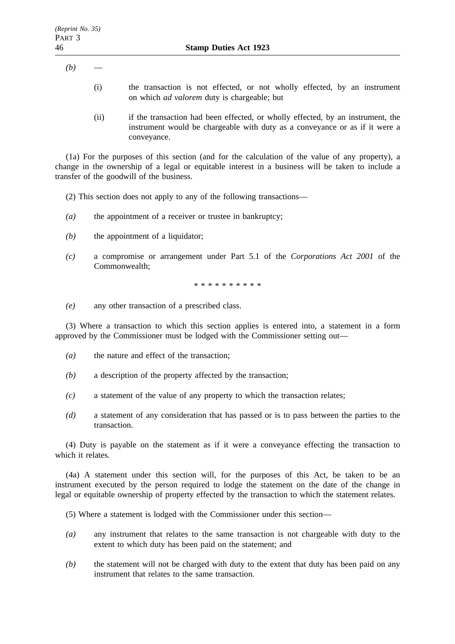- $(b)$ 
	- (i) the transaction is not effected, or not wholly effected, by an instrument on which *ad valorem* duty is chargeable; but
	- (ii) if the transaction had been effected, or wholly effected, by an instrument, the instrument would be chargeable with duty as a conveyance or as if it were a conveyance.

(1a) For the purposes of this section (and for the calculation of the value of any property), a change in the ownership of a legal or equitable interest in a business will be taken to include a transfer of the goodwill of the business.

(2) This section does not apply to any of the following transactions—

- *(a)* the appointment of a receiver or trustee in bankruptcy;
- *(b)* the appointment of a liquidator;
- *(c)* a compromise or arrangement under Part 5.1 of the *Corporations Act 2001* of the Commonwealth;

\*\*\*\*\*\*\*\*\*\*

*(e)* any other transaction of a prescribed class.

(3) Where a transaction to which this section applies is entered into, a statement in a form approved by the Commissioner must be lodged with the Commissioner setting out—

- *(a)* the nature and effect of the transaction;
- *(b)* a description of the property affected by the transaction;
- *(c)* a statement of the value of any property to which the transaction relates;
- *(d)* a statement of any consideration that has passed or is to pass between the parties to the transaction.

(4) Duty is payable on the statement as if it were a conveyance effecting the transaction to which it relates.

(4a) A statement under this section will, for the purposes of this Act, be taken to be an instrument executed by the person required to lodge the statement on the date of the change in legal or equitable ownership of property effected by the transaction to which the statement relates.

(5) Where a statement is lodged with the Commissioner under this section—

- *(a)* any instrument that relates to the same transaction is not chargeable with duty to the extent to which duty has been paid on the statement; and
- *(b)* the statement will not be charged with duty to the extent that duty has been paid on any instrument that relates to the same transaction.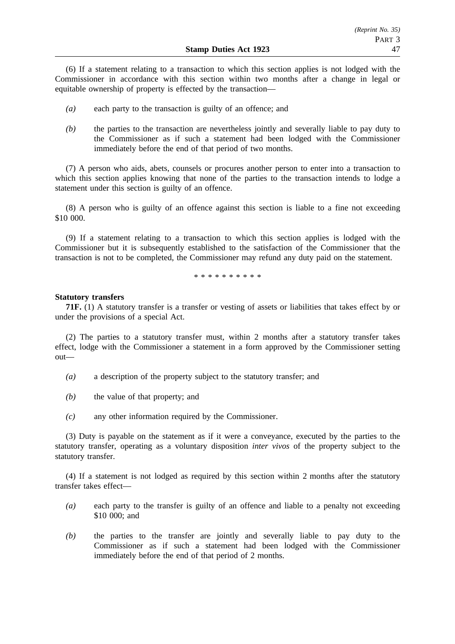(6) If a statement relating to a transaction to which this section applies is not lodged with the Commissioner in accordance with this section within two months after a change in legal or equitable ownership of property is effected by the transaction—

- *(a)* each party to the transaction is guilty of an offence; and
- *(b)* the parties to the transaction are nevertheless jointly and severally liable to pay duty to the Commissioner as if such a statement had been lodged with the Commissioner immediately before the end of that period of two months.

(7) A person who aids, abets, counsels or procures another person to enter into a transaction to which this section applies knowing that none of the parties to the transaction intends to lodge a statement under this section is guilty of an offence.

(8) A person who is guilty of an offence against this section is liable to a fine not exceeding \$10 000.

(9) If a statement relating to a transaction to which this section applies is lodged with the Commissioner but it is subsequently established to the satisfaction of the Commissioner that the transaction is not to be completed, the Commissioner may refund any duty paid on the statement.

\*\*\*\*\*\*\*\*\*\*

#### **Statutory transfers**

**71F.** (1) A statutory transfer is a transfer or vesting of assets or liabilities that takes effect by or under the provisions of a special Act.

(2) The parties to a statutory transfer must, within 2 months after a statutory transfer takes effect, lodge with the Commissioner a statement in a form approved by the Commissioner setting out—

- *(a)* a description of the property subject to the statutory transfer; and
- *(b)* the value of that property; and
- *(c)* any other information required by the Commissioner.

(3) Duty is payable on the statement as if it were a conveyance, executed by the parties to the statutory transfer, operating as a voluntary disposition *inter vivos* of the property subject to the statutory transfer.

(4) If a statement is not lodged as required by this section within 2 months after the statutory transfer takes effect—

- *(a)* each party to the transfer is guilty of an offence and liable to a penalty not exceeding \$10 000; and
- *(b)* the parties to the transfer are jointly and severally liable to pay duty to the Commissioner as if such a statement had been lodged with the Commissioner immediately before the end of that period of 2 months.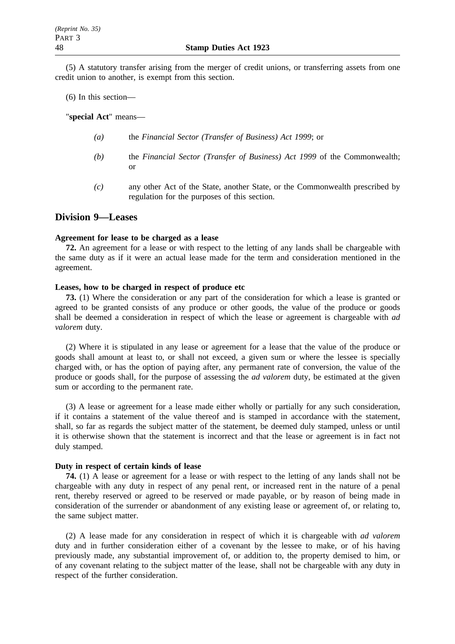(5) A statutory transfer arising from the merger of credit unions, or transferring assets from one credit union to another, is exempt from this section.

(6) In this section—

"**special Act**" means—

- *(a)* the *Financial Sector (Transfer of Business) Act 1999*; or
- *(b)* the *Financial Sector (Transfer of Business) Act 1999* of the Commonwealth; or
- *(c)* any other Act of the State, another State, or the Commonwealth prescribed by regulation for the purposes of this section.

# **Division 9—Leases**

#### **Agreement for lease to be charged as a lease**

**72.** An agreement for a lease or with respect to the letting of any lands shall be chargeable with the same duty as if it were an actual lease made for the term and consideration mentioned in the agreement.

#### **Leases, how to be charged in respect of produce etc**

**73.** (1) Where the consideration or any part of the consideration for which a lease is granted or agreed to be granted consists of any produce or other goods, the value of the produce or goods shall be deemed a consideration in respect of which the lease or agreement is chargeable with *ad valorem* duty.

(2) Where it is stipulated in any lease or agreement for a lease that the value of the produce or goods shall amount at least to, or shall not exceed, a given sum or where the lessee is specially charged with, or has the option of paying after, any permanent rate of conversion, the value of the produce or goods shall, for the purpose of assessing the *ad valorem* duty, be estimated at the given sum or according to the permanent rate.

(3) A lease or agreement for a lease made either wholly or partially for any such consideration, if it contains a statement of the value thereof and is stamped in accordance with the statement, shall, so far as regards the subject matter of the statement, be deemed duly stamped, unless or until it is otherwise shown that the statement is incorrect and that the lease or agreement is in fact not duly stamped.

#### **Duty in respect of certain kinds of lease**

**74.** (1) A lease or agreement for a lease or with respect to the letting of any lands shall not be chargeable with any duty in respect of any penal rent, or increased rent in the nature of a penal rent, thereby reserved or agreed to be reserved or made payable, or by reason of being made in consideration of the surrender or abandonment of any existing lease or agreement of, or relating to, the same subject matter.

(2) A lease made for any consideration in respect of which it is chargeable with *ad valorem* duty and in further consideration either of a covenant by the lessee to make, or of his having previously made, any substantial improvement of, or addition to, the property demised to him, or of any covenant relating to the subject matter of the lease, shall not be chargeable with any duty in respect of the further consideration.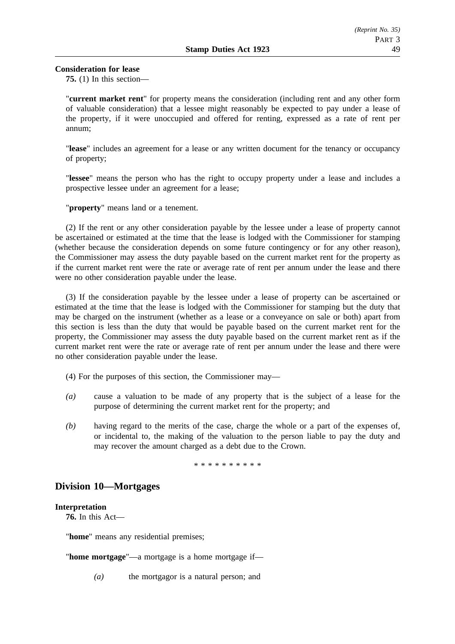### **Consideration for lease**

**75.** (1) In this section—

"**current market rent**" for property means the consideration (including rent and any other form of valuable consideration) that a lessee might reasonably be expected to pay under a lease of the property, if it were unoccupied and offered for renting, expressed as a rate of rent per annum;

"**lease**" includes an agreement for a lease or any written document for the tenancy or occupancy of property;

"**lessee**" means the person who has the right to occupy property under a lease and includes a prospective lessee under an agreement for a lease;

"**property**" means land or a tenement.

(2) If the rent or any other consideration payable by the lessee under a lease of property cannot be ascertained or estimated at the time that the lease is lodged with the Commissioner for stamping (whether because the consideration depends on some future contingency or for any other reason), the Commissioner may assess the duty payable based on the current market rent for the property as if the current market rent were the rate or average rate of rent per annum under the lease and there were no other consideration payable under the lease.

(3) If the consideration payable by the lessee under a lease of property can be ascertained or estimated at the time that the lease is lodged with the Commissioner for stamping but the duty that may be charged on the instrument (whether as a lease or a conveyance on sale or both) apart from this section is less than the duty that would be payable based on the current market rent for the property, the Commissioner may assess the duty payable based on the current market rent as if the current market rent were the rate or average rate of rent per annum under the lease and there were no other consideration payable under the lease.

(4) For the purposes of this section, the Commissioner may—

- *(a)* cause a valuation to be made of any property that is the subject of a lease for the purpose of determining the current market rent for the property; and
- *(b)* having regard to the merits of the case, charge the whole or a part of the expenses of, or incidental to, the making of the valuation to the person liable to pay the duty and may recover the amount charged as a debt due to the Crown.

\*\*\*\*\*\*\*\*\*\*

# **Division 10—Mortgages**

### **Interpretation**

**76.** In this Act—

"**home**" means any residential premises;

"**home mortgage**"—a mortgage is a home mortgage if—

*(a)* the mortgagor is a natural person; and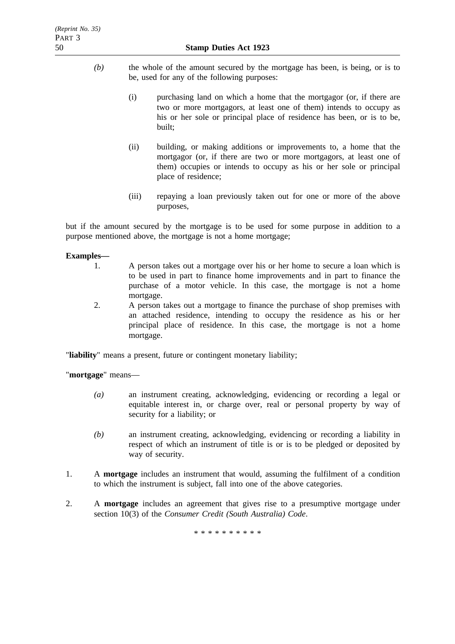- *(b)* the whole of the amount secured by the mortgage has been, is being, or is to be, used for any of the following purposes:
	- (i) purchasing land on which a home that the mortgagor (or, if there are two or more mortgagors, at least one of them) intends to occupy as his or her sole or principal place of residence has been, or is to be, built;
	- (ii) building, or making additions or improvements to, a home that the mortgagor (or, if there are two or more mortgagors, at least one of them) occupies or intends to occupy as his or her sole or principal place of residence;
	- (iii) repaying a loan previously taken out for one or more of the above purposes,

but if the amount secured by the mortgage is to be used for some purpose in addition to a purpose mentioned above, the mortgage is not a home mortgage;

# **Examples—**

- 1. A person takes out a mortgage over his or her home to secure a loan which is to be used in part to finance home improvements and in part to finance the purchase of a motor vehicle. In this case, the mortgage is not a home mortgage.
	- 2. A person takes out a mortgage to finance the purchase of shop premises with an attached residence, intending to occupy the residence as his or her principal place of residence. In this case, the mortgage is not a home mortgage.

"**liability**" means a present, future or contingent monetary liability;

"**mortgage**" means—

- *(a)* an instrument creating, acknowledging, evidencing or recording a legal or equitable interest in, or charge over, real or personal property by way of security for a liability; or
- *(b)* an instrument creating, acknowledging, evidencing or recording a liability in respect of which an instrument of title is or is to be pledged or deposited by way of security.
- 1. A **mortgage** includes an instrument that would, assuming the fulfilment of a condition to which the instrument is subject, fall into one of the above categories.
- 2. A **mortgage** includes an agreement that gives rise to a presumptive mortgage under section 10(3) of the *Consumer Credit (South Australia) Code*.

\*\*\*\*\*\*\*\*\*\*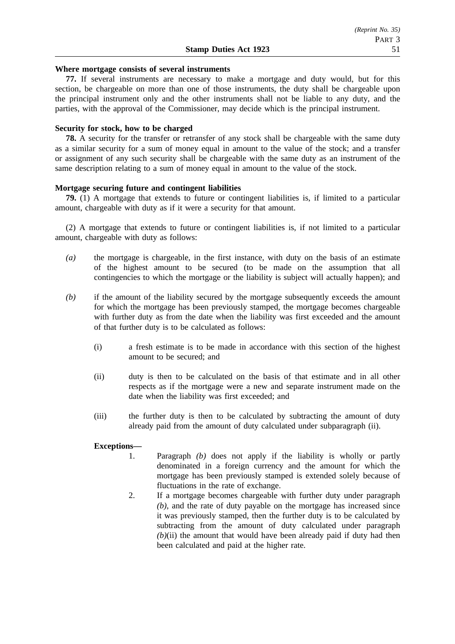#### **Where mortgage consists of several instruments**

**77.** If several instruments are necessary to make a mortgage and duty would, but for this section, be chargeable on more than one of those instruments, the duty shall be chargeable upon the principal instrument only and the other instruments shall not be liable to any duty, and the parties, with the approval of the Commissioner, may decide which is the principal instrument.

### **Security for stock, how to be charged**

**78.** A security for the transfer or retransfer of any stock shall be chargeable with the same duty as a similar security for a sum of money equal in amount to the value of the stock; and a transfer or assignment of any such security shall be chargeable with the same duty as an instrument of the same description relating to a sum of money equal in amount to the value of the stock.

### **Mortgage securing future and contingent liabilities**

**79.** (1) A mortgage that extends to future or contingent liabilities is, if limited to a particular amount, chargeable with duty as if it were a security for that amount.

(2) A mortgage that extends to future or contingent liabilities is, if not limited to a particular amount, chargeable with duty as follows:

- *(a)* the mortgage is chargeable, in the first instance, with duty on the basis of an estimate of the highest amount to be secured (to be made on the assumption that all contingencies to which the mortgage or the liability is subject will actually happen); and
- *(b)* if the amount of the liability secured by the mortgage subsequently exceeds the amount for which the mortgage has been previously stamped, the mortgage becomes chargeable with further duty as from the date when the liability was first exceeded and the amount of that further duty is to be calculated as follows:
	- (i) a fresh estimate is to be made in accordance with this section of the highest amount to be secured; and
	- (ii) duty is then to be calculated on the basis of that estimate and in all other respects as if the mortgage were a new and separate instrument made on the date when the liability was first exceeded; and
	- (iii) the further duty is then to be calculated by subtracting the amount of duty already paid from the amount of duty calculated under subparagraph (ii).

# **Exceptions—**

- 1. Paragraph *(b)* does not apply if the liability is wholly or partly denominated in a foreign currency and the amount for which the mortgage has been previously stamped is extended solely because of fluctuations in the rate of exchange.
- 2. If a mortgage becomes chargeable with further duty under paragraph *(b)*, and the rate of duty payable on the mortgage has increased since it was previously stamped, then the further duty is to be calculated by subtracting from the amount of duty calculated under paragraph  $(b)(ii)$  the amount that would have been already paid if duty had then been calculated and paid at the higher rate.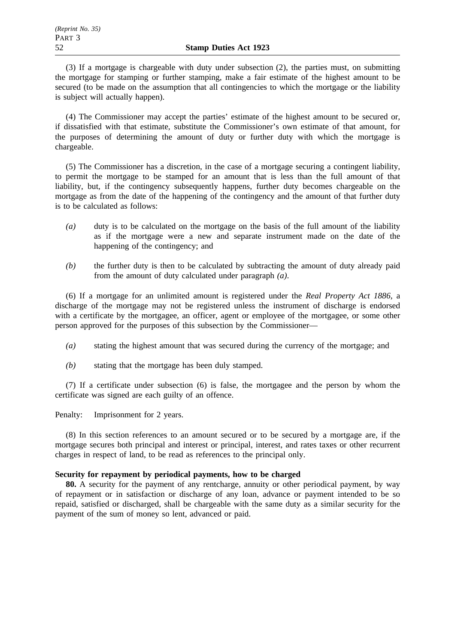(3) If a mortgage is chargeable with duty under subsection (2), the parties must, on submitting the mortgage for stamping or further stamping, make a fair estimate of the highest amount to be secured (to be made on the assumption that all contingencies to which the mortgage or the liability is subject will actually happen).

(4) The Commissioner may accept the parties' estimate of the highest amount to be secured or, if dissatisfied with that estimate, substitute the Commissioner's own estimate of that amount, for the purposes of determining the amount of duty or further duty with which the mortgage is chargeable.

(5) The Commissioner has a discretion, in the case of a mortgage securing a contingent liability, to permit the mortgage to be stamped for an amount that is less than the full amount of that liability, but, if the contingency subsequently happens, further duty becomes chargeable on the mortgage as from the date of the happening of the contingency and the amount of that further duty is to be calculated as follows:

- *(a)* duty is to be calculated on the mortgage on the basis of the full amount of the liability as if the mortgage were a new and separate instrument made on the date of the happening of the contingency; and
- *(b)* the further duty is then to be calculated by subtracting the amount of duty already paid from the amount of duty calculated under paragraph *(a)*.

(6) If a mortgage for an unlimited amount is registered under the *Real Property Act 1886*, a discharge of the mortgage may not be registered unless the instrument of discharge is endorsed with a certificate by the mortgagee, an officer, agent or employee of the mortgagee, or some other person approved for the purposes of this subsection by the Commissioner—

- *(a)* stating the highest amount that was secured during the currency of the mortgage; and
- *(b)* stating that the mortgage has been duly stamped.

(7) If a certificate under subsection (6) is false, the mortgagee and the person by whom the certificate was signed are each guilty of an offence.

Penalty: Imprisonment for 2 years.

(8) In this section references to an amount secured or to be secured by a mortgage are, if the mortgage secures both principal and interest or principal, interest, and rates taxes or other recurrent charges in respect of land, to be read as references to the principal only.

### **Security for repayment by periodical payments, how to be charged**

**80.** A security for the payment of any rentcharge, annuity or other periodical payment, by way of repayment or in satisfaction or discharge of any loan, advance or payment intended to be so repaid, satisfied or discharged, shall be chargeable with the same duty as a similar security for the payment of the sum of money so lent, advanced or paid.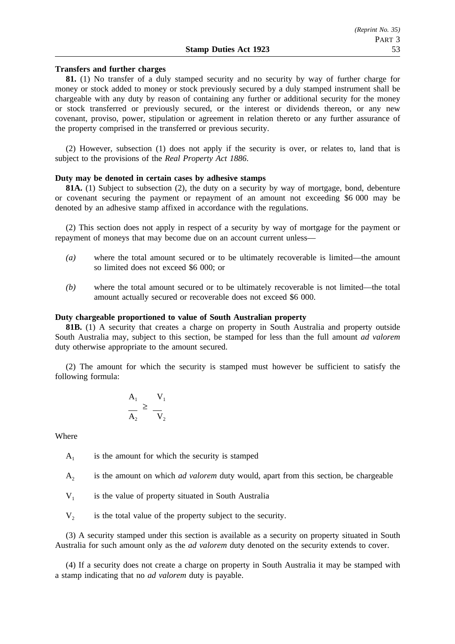### **Transfers and further charges**

**81.** (1) No transfer of a duly stamped security and no security by way of further charge for money or stock added to money or stock previously secured by a duly stamped instrument shall be chargeable with any duty by reason of containing any further or additional security for the money or stock transferred or previously secured, or the interest or dividends thereon, or any new covenant, proviso, power, stipulation or agreement in relation thereto or any further assurance of the property comprised in the transferred or previous security.

(2) However, subsection (1) does not apply if the security is over, or relates to, land that is subject to the provisions of the *Real Property Act 1886*.

#### **Duty may be denoted in certain cases by adhesive stamps**

**81A.** (1) Subject to subsection (2), the duty on a security by way of mortgage, bond, debenture or covenant securing the payment or repayment of an amount not exceeding \$6 000 may be denoted by an adhesive stamp affixed in accordance with the regulations.

(2) This section does not apply in respect of a security by way of mortgage for the payment or repayment of moneys that may become due on an account current unless—

- *(a)* where the total amount secured or to be ultimately recoverable is limited—the amount so limited does not exceed \$6 000; or
- *(b)* where the total amount secured or to be ultimately recoverable is not limited—the total amount actually secured or recoverable does not exceed \$6 000.

#### **Duty chargeable proportioned to value of South Australian property**

**81B.** (1) A security that creates a charge on property in South Australia and property outside South Australia may, subject to this section, be stamped for less than the full amount *ad valorem* duty otherwise appropriate to the amount secured.

(2) The amount for which the security is stamped must however be sufficient to satisfy the following formula:

$$
\frac{A_1}{A_2} \ge \frac{V_1}{V_2}
$$

Where

 $A<sub>1</sub>$  is the amount for which the security is stamped

A2 is the amount on which *ad valorem* duty would, apart from this section, be chargeable

 $V_1$  is the value of property situated in South Australia

 $V<sub>2</sub>$  is the total value of the property subject to the security.

(3) A security stamped under this section is available as a security on property situated in South Australia for such amount only as the *ad valorem* duty denoted on the security extends to cover.

(4) If a security does not create a charge on property in South Australia it may be stamped with a stamp indicating that no *ad valorem* duty is payable.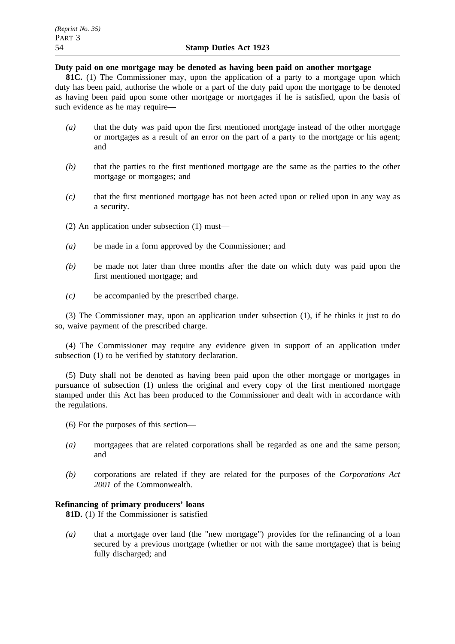# **Duty paid on one mortgage may be denoted as having been paid on another mortgage**

**81C.** (1) The Commissioner may, upon the application of a party to a mortgage upon which duty has been paid, authorise the whole or a part of the duty paid upon the mortgage to be denoted as having been paid upon some other mortgage or mortgages if he is satisfied, upon the basis of such evidence as he may require—

- *(a)* that the duty was paid upon the first mentioned mortgage instead of the other mortgage or mortgages as a result of an error on the part of a party to the mortgage or his agent; and
- *(b)* that the parties to the first mentioned mortgage are the same as the parties to the other mortgage or mortgages; and
- *(c)* that the first mentioned mortgage has not been acted upon or relied upon in any way as a security.
- (2) An application under subsection (1) must—
- *(a)* be made in a form approved by the Commissioner; and
- *(b)* be made not later than three months after the date on which duty was paid upon the first mentioned mortgage; and
- *(c)* be accompanied by the prescribed charge.

(3) The Commissioner may, upon an application under subsection (1), if he thinks it just to do so, waive payment of the prescribed charge.

(4) The Commissioner may require any evidence given in support of an application under subsection (1) to be verified by statutory declaration.

(5) Duty shall not be denoted as having been paid upon the other mortgage or mortgages in pursuance of subsection (1) unless the original and every copy of the first mentioned mortgage stamped under this Act has been produced to the Commissioner and dealt with in accordance with the regulations.

- (6) For the purposes of this section—
- *(a)* mortgagees that are related corporations shall be regarded as one and the same person; and
- *(b)* corporations are related if they are related for the purposes of the *Corporations Act 2001* of the Commonwealth.

# **Refinancing of primary producers' loans**

**81D.** (1) If the Commissioner is satisfied—

*(a)* that a mortgage over land (the "new mortgage") provides for the refinancing of a loan secured by a previous mortgage (whether or not with the same mortgagee) that is being fully discharged; and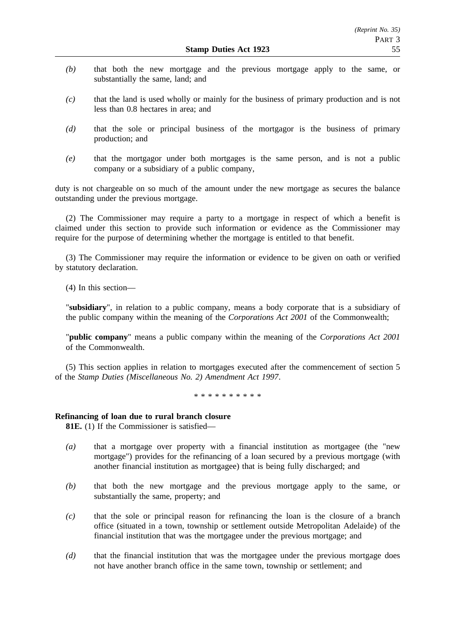- *(b)* that both the new mortgage and the previous mortgage apply to the same, or substantially the same, land; and
- *(c)* that the land is used wholly or mainly for the business of primary production and is not less than 0.8 hectares in area; and
- *(d)* that the sole or principal business of the mortgagor is the business of primary production; and
- *(e)* that the mortgagor under both mortgages is the same person, and is not a public company or a subsidiary of a public company,

duty is not chargeable on so much of the amount under the new mortgage as secures the balance outstanding under the previous mortgage.

(2) The Commissioner may require a party to a mortgage in respect of which a benefit is claimed under this section to provide such information or evidence as the Commissioner may require for the purpose of determining whether the mortgage is entitled to that benefit.

(3) The Commissioner may require the information or evidence to be given on oath or verified by statutory declaration.

(4) In this section—

"**subsidiary**", in relation to a public company, means a body corporate that is a subsidiary of the public company within the meaning of the *Corporations Act 2001* of the Commonwealth;

"**public company**" means a public company within the meaning of the *Corporations Act 2001* of the Commonwealth.

(5) This section applies in relation to mortgages executed after the commencement of section 5 of the *Stamp Duties (Miscellaneous No. 2) Amendment Act 1997*.

\*\*\*\*\*\*\*\*\*\*

### **Refinancing of loan due to rural branch closure**

**81E.** (1) If the Commissioner is satisfied—

- *(a)* that a mortgage over property with a financial institution as mortgagee (the "new mortgage") provides for the refinancing of a loan secured by a previous mortgage (with another financial institution as mortgagee) that is being fully discharged; and
- *(b)* that both the new mortgage and the previous mortgage apply to the same, or substantially the same, property; and
- *(c)* that the sole or principal reason for refinancing the loan is the closure of a branch office (situated in a town, township or settlement outside Metropolitan Adelaide) of the financial institution that was the mortgagee under the previous mortgage; and
- *(d)* that the financial institution that was the mortgagee under the previous mortgage does not have another branch office in the same town, township or settlement; and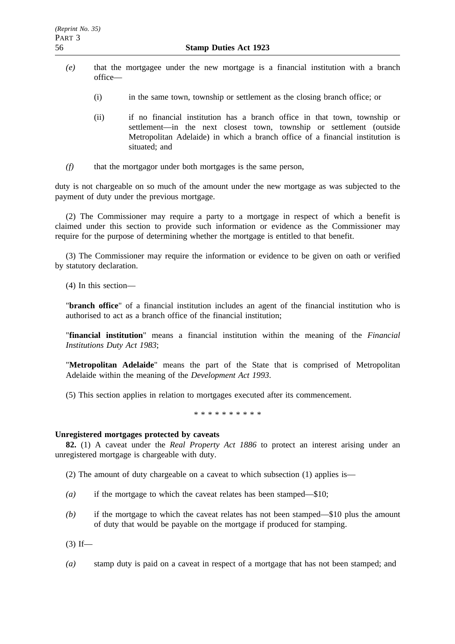- *(e)* that the mortgagee under the new mortgage is a financial institution with a branch office—
	- (i) in the same town, township or settlement as the closing branch office; or
	- (ii) if no financial institution has a branch office in that town, township or settlement—in the next closest town, township or settlement (outside Metropolitan Adelaide) in which a branch office of a financial institution is situated; and
- *(f)* that the mortgagor under both mortgages is the same person,

duty is not chargeable on so much of the amount under the new mortgage as was subjected to the payment of duty under the previous mortgage.

(2) The Commissioner may require a party to a mortgage in respect of which a benefit is claimed under this section to provide such information or evidence as the Commissioner may require for the purpose of determining whether the mortgage is entitled to that benefit.

(3) The Commissioner may require the information or evidence to be given on oath or verified by statutory declaration.

(4) In this section—

"**branch office**" of a financial institution includes an agent of the financial institution who is authorised to act as a branch office of the financial institution;

"**financial institution**" means a financial institution within the meaning of the *Financial Institutions Duty Act 1983*;

"**Metropolitan Adelaide**" means the part of the State that is comprised of Metropolitan Adelaide within the meaning of the *Development Act 1993*.

(5) This section applies in relation to mortgages executed after its commencement.

\*\*\*\*\*\*\*\*\*\*

# **Unregistered mortgages protected by caveats**

**82.** (1) A caveat under the *Real Property Act 1886* to protect an interest arising under an unregistered mortgage is chargeable with duty.

(2) The amount of duty chargeable on a caveat to which subsection (1) applies is—

- *(a)* if the mortgage to which the caveat relates has been stamped—\$10;
- *(b)* if the mortgage to which the caveat relates has not been stamped—\$10 plus the amount of duty that would be payable on the mortgage if produced for stamping.
- $(3)$  If—
- *(a)* stamp duty is paid on a caveat in respect of a mortgage that has not been stamped; and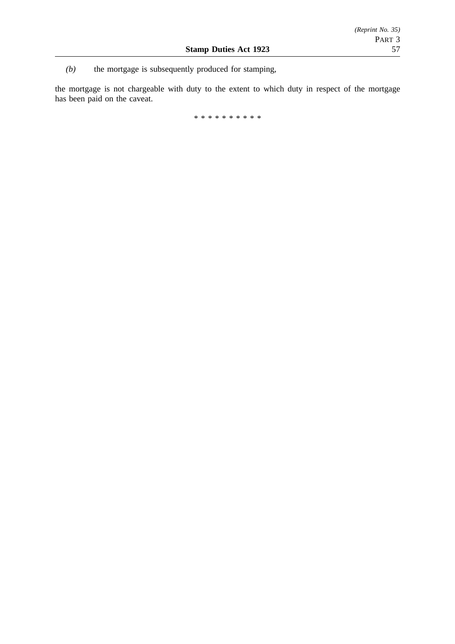*(b)* the mortgage is subsequently produced for stamping,

the mortgage is not chargeable with duty to the extent to which duty in respect of the mortgage has been paid on the caveat.

\*\*\*\*\*\*\*\*\*\*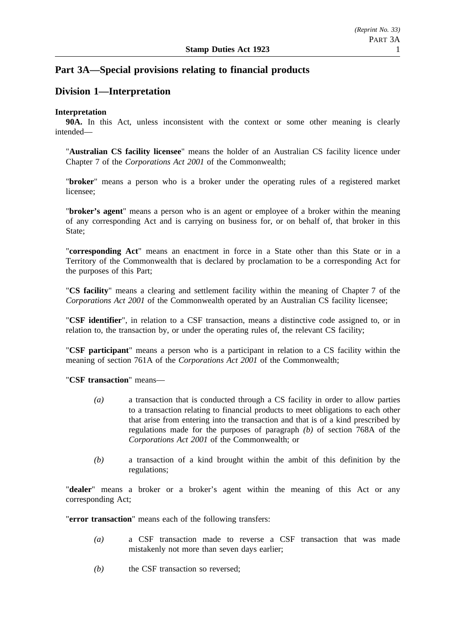# **Part 3A—Special provisions relating to financial products**

# **Division 1—Interpretation**

# **Interpretation**

**90A.** In this Act, unless inconsistent with the context or some other meaning is clearly intended—

"**Australian CS facility licensee**" means the holder of an Australian CS facility licence under Chapter 7 of the *Corporations Act 2001* of the Commonwealth;

"**broker**" means a person who is a broker under the operating rules of a registered market licensee;

"**broker's agent**" means a person who is an agent or employee of a broker within the meaning of any corresponding Act and is carrying on business for, or on behalf of, that broker in this State:

"**corresponding Act**" means an enactment in force in a State other than this State or in a Territory of the Commonwealth that is declared by proclamation to be a corresponding Act for the purposes of this Part;

"**CS facility**" means a clearing and settlement facility within the meaning of Chapter 7 of the *Corporations Act 2001* of the Commonwealth operated by an Australian CS facility licensee;

"**CSF identifier**", in relation to a CSF transaction, means a distinctive code assigned to, or in relation to, the transaction by, or under the operating rules of, the relevant CS facility;

"**CSF participant**" means a person who is a participant in relation to a CS facility within the meaning of section 761A of the *Corporations Act 2001* of the Commonwealth;

"**CSF transaction**" means—

- *(a)* a transaction that is conducted through a CS facility in order to allow parties to a transaction relating to financial products to meet obligations to each other that arise from entering into the transaction and that is of a kind prescribed by regulations made for the purposes of paragraph *(b)* of section 768A of the *Corporations Act 2001* of the Commonwealth; or
- *(b)* a transaction of a kind brought within the ambit of this definition by the regulations;

"**dealer**" means a broker or a broker's agent within the meaning of this Act or any corresponding Act;

"**error transaction**" means each of the following transfers:

- *(a)* a CSF transaction made to reverse a CSF transaction that was made mistakenly not more than seven days earlier;
- *(b)* the CSF transaction so reversed;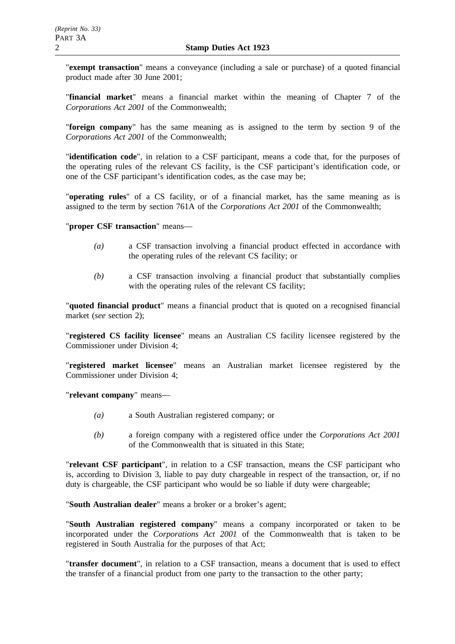"**exempt transaction**" means a conveyance (including a sale or purchase) of a quoted financial product made after 30 June 2001;

"**financial market**" means a financial market within the meaning of Chapter 7 of the *Corporations Act 2001* of the Commonwealth;

"**foreign company**" has the same meaning as is assigned to the term by section 9 of the *Corporations Act 2001* of the Commonwealth;

"**identification code**", in relation to a CSF participant, means a code that, for the purposes of the operating rules of the relevant CS facility, is the CSF participant's identification code, or one of the CSF participant's identification codes, as the case may be;

"**operating rules**" of a CS facility, or of a financial market, has the same meaning as is assigned to the term by section 761A of the *Corporations Act 2001* of the Commonwealth;

"**proper CSF transaction**" means—

- *(a)* a CSF transaction involving a financial product effected in accordance with the operating rules of the relevant CS facility; or
- *(b)* a CSF transaction involving a financial product that substantially complies with the operating rules of the relevant CS facility;

"**quoted financial product**" means a financial product that is quoted on a recognised financial market (*see* section 2);

"**registered CS facility licensee**" means an Australian CS facility licensee registered by the Commissioner under Division 4;

"**registered market licensee**" means an Australian market licensee registered by the Commissioner under Division 4;

"**relevant company**" means—

- *(a)* a South Australian registered company; or
- *(b)* a foreign company with a registered office under the *Corporations Act 2001* of the Commonwealth that is situated in this State;

"**relevant CSF participant**", in relation to a CSF transaction, means the CSF participant who is, according to Division 3, liable to pay duty chargeable in respect of the transaction, or, if no duty is chargeable, the CSF participant who would be so liable if duty were chargeable;

"**South Australian dealer**" means a broker or a broker's agent;

"**South Australian registered company**" means a company incorporated or taken to be incorporated under the *Corporations Act 2001* of the Commonwealth that is taken to be registered in South Australia for the purposes of that Act;

"**transfer document**", in relation to a CSF transaction, means a document that is used to effect the transfer of a financial product from one party to the transaction to the other party;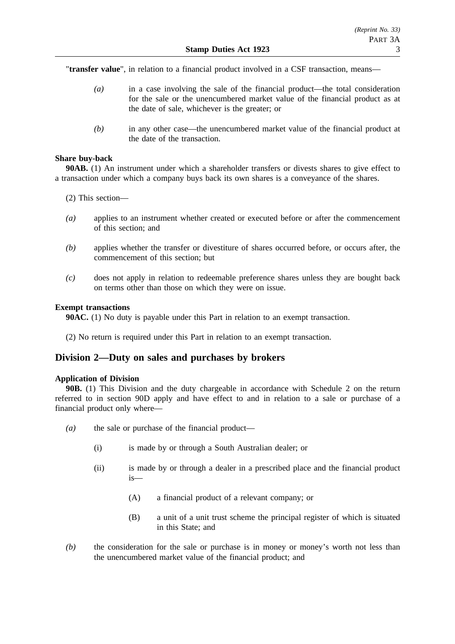"**transfer value**", in relation to a financial product involved in a CSF transaction, means—

- *(a)* in a case involving the sale of the financial product—the total consideration for the sale or the unencumbered market value of the financial product as at the date of sale, whichever is the greater; or
- *(b)* in any other case—the unencumbered market value of the financial product at the date of the transaction.

# **Share buy-back**

**90AB.** (1) An instrument under which a shareholder transfers or divests shares to give effect to a transaction under which a company buys back its own shares is a conveyance of the shares.

(2) This section—

- *(a)* applies to an instrument whether created or executed before or after the commencement of this section; and
- *(b)* applies whether the transfer or divestiture of shares occurred before, or occurs after, the commencement of this section; but
- *(c)* does not apply in relation to redeemable preference shares unless they are bought back on terms other than those on which they were on issue.

### **Exempt transactions**

**90AC.** (1) No duty is payable under this Part in relation to an exempt transaction.

(2) No return is required under this Part in relation to an exempt transaction.

# **Division 2—Duty on sales and purchases by brokers**

### **Application of Division**

**90B.** (1) This Division and the duty chargeable in accordance with Schedule 2 on the return referred to in section 90D apply and have effect to and in relation to a sale or purchase of a financial product only where—

- *(a)* the sale or purchase of the financial product—
	- (i) is made by or through a South Australian dealer; or
	- (ii) is made by or through a dealer in a prescribed place and the financial product is—
		- (A) a financial product of a relevant company; or
		- (B) a unit of a unit trust scheme the principal register of which is situated in this State; and
- *(b)* the consideration for the sale or purchase is in money or money's worth not less than the unencumbered market value of the financial product; and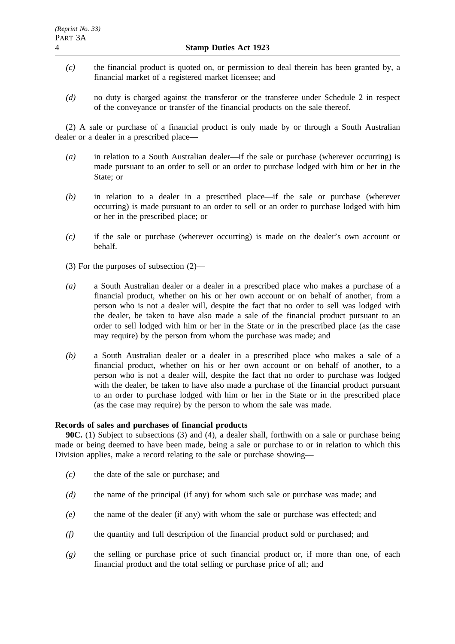- *(c)* the financial product is quoted on, or permission to deal therein has been granted by, a financial market of a registered market licensee; and
- *(d)* no duty is charged against the transferor or the transferee under Schedule 2 in respect of the conveyance or transfer of the financial products on the sale thereof.

(2) A sale or purchase of a financial product is only made by or through a South Australian dealer or a dealer in a prescribed place—

- *(a)* in relation to a South Australian dealer—if the sale or purchase (wherever occurring) is made pursuant to an order to sell or an order to purchase lodged with him or her in the State; or
- *(b)* in relation to a dealer in a prescribed place—if the sale or purchase (wherever occurring) is made pursuant to an order to sell or an order to purchase lodged with him or her in the prescribed place; or
- *(c)* if the sale or purchase (wherever occurring) is made on the dealer's own account or behalf.
- (3) For the purposes of subsection (2)—
- *(a)* a South Australian dealer or a dealer in a prescribed place who makes a purchase of a financial product, whether on his or her own account or on behalf of another, from a person who is not a dealer will, despite the fact that no order to sell was lodged with the dealer, be taken to have also made a sale of the financial product pursuant to an order to sell lodged with him or her in the State or in the prescribed place (as the case may require) by the person from whom the purchase was made; and
- *(b)* a South Australian dealer or a dealer in a prescribed place who makes a sale of a financial product, whether on his or her own account or on behalf of another, to a person who is not a dealer will, despite the fact that no order to purchase was lodged with the dealer, be taken to have also made a purchase of the financial product pursuant to an order to purchase lodged with him or her in the State or in the prescribed place (as the case may require) by the person to whom the sale was made.

# **Records of sales and purchases of financial products**

**90C.** (1) Subject to subsections (3) and (4), a dealer shall, forthwith on a sale or purchase being made or being deemed to have been made, being a sale or purchase to or in relation to which this Division applies, make a record relating to the sale or purchase showing—

- *(c)* the date of the sale or purchase; and
- *(d)* the name of the principal (if any) for whom such sale or purchase was made; and
- *(e)* the name of the dealer (if any) with whom the sale or purchase was effected; and
- *(f)* the quantity and full description of the financial product sold or purchased; and
- *(g)* the selling or purchase price of such financial product or, if more than one, of each financial product and the total selling or purchase price of all; and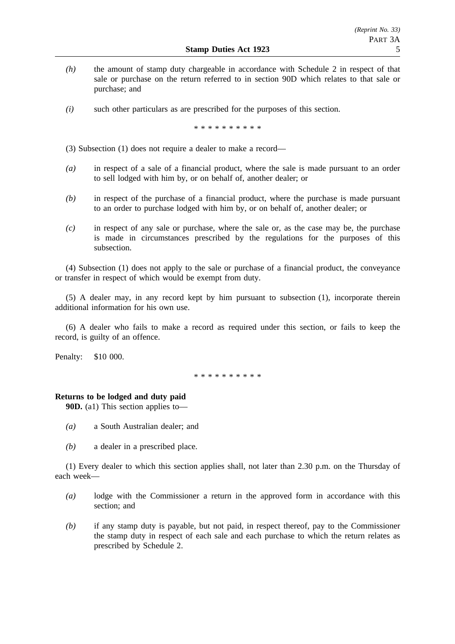- *(h)* the amount of stamp duty chargeable in accordance with Schedule 2 in respect of that sale or purchase on the return referred to in section 90D which relates to that sale or purchase; and
- *(i)* such other particulars as are prescribed for the purposes of this section.

\*\*\*\*\*\*\*\*\*\*

(3) Subsection (1) does not require a dealer to make a record—

- *(a)* in respect of a sale of a financial product, where the sale is made pursuant to an order to sell lodged with him by, or on behalf of, another dealer; or
- *(b)* in respect of the purchase of a financial product, where the purchase is made pursuant to an order to purchase lodged with him by, or on behalf of, another dealer; or
- *(c)* in respect of any sale or purchase, where the sale or, as the case may be, the purchase is made in circumstances prescribed by the regulations for the purposes of this subsection.

(4) Subsection (1) does not apply to the sale or purchase of a financial product, the conveyance or transfer in respect of which would be exempt from duty.

(5) A dealer may, in any record kept by him pursuant to subsection (1), incorporate therein additional information for his own use.

(6) A dealer who fails to make a record as required under this section, or fails to keep the record, is guilty of an offence.

Penalty: \$10 000.

\*\*\*\*\*\*\*\*\*\*

# **Returns to be lodged and duty paid**

**90D.** (a1) This section applies to—

- *(a)* a South Australian dealer; and
- *(b)* a dealer in a prescribed place.

(1) Every dealer to which this section applies shall, not later than 2.30 p.m. on the Thursday of each week—

- *(a)* lodge with the Commissioner a return in the approved form in accordance with this section; and
- *(b)* if any stamp duty is payable, but not paid, in respect thereof, pay to the Commissioner the stamp duty in respect of each sale and each purchase to which the return relates as prescribed by Schedule 2.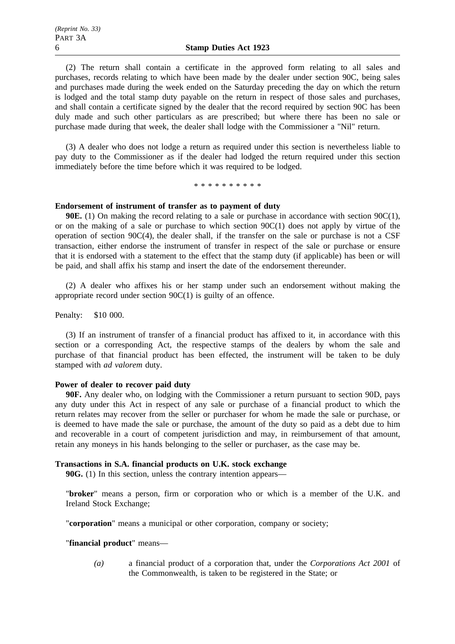(2) The return shall contain a certificate in the approved form relating to all sales and purchases, records relating to which have been made by the dealer under section 90C, being sales and purchases made during the week ended on the Saturday preceding the day on which the return is lodged and the total stamp duty payable on the return in respect of those sales and purchases, and shall contain a certificate signed by the dealer that the record required by section 90C has been duly made and such other particulars as are prescribed; but where there has been no sale or purchase made during that week, the dealer shall lodge with the Commissioner a "Nil" return.

(3) A dealer who does not lodge a return as required under this section is nevertheless liable to pay duty to the Commissioner as if the dealer had lodged the return required under this section immediately before the time before which it was required to be lodged.

\*\*\*\*\*\*\*\*\*\*

### **Endorsement of instrument of transfer as to payment of duty**

**90E.** (1) On making the record relating to a sale or purchase in accordance with section 90C(1), or on the making of a sale or purchase to which section 90C(1) does not apply by virtue of the operation of section 90C(4), the dealer shall, if the transfer on the sale or purchase is not a CSF transaction, either endorse the instrument of transfer in respect of the sale or purchase or ensure that it is endorsed with a statement to the effect that the stamp duty (if applicable) has been or will be paid, and shall affix his stamp and insert the date of the endorsement thereunder.

(2) A dealer who affixes his or her stamp under such an endorsement without making the appropriate record under section 90C(1) is guilty of an offence.

Penalty: \$10 000.

(3) If an instrument of transfer of a financial product has affixed to it, in accordance with this section or a corresponding Act, the respective stamps of the dealers by whom the sale and purchase of that financial product has been effected, the instrument will be taken to be duly stamped with *ad valorem* duty.

# **Power of dealer to recover paid duty**

**90F.** Any dealer who, on lodging with the Commissioner a return pursuant to section 90D, pays any duty under this Act in respect of any sale or purchase of a financial product to which the return relates may recover from the seller or purchaser for whom he made the sale or purchase, or is deemed to have made the sale or purchase, the amount of the duty so paid as a debt due to him and recoverable in a court of competent jurisdiction and may, in reimbursement of that amount, retain any moneys in his hands belonging to the seller or purchaser, as the case may be.

### **Transactions in S.A. financial products on U.K. stock exchange**

**90G.** (1) In this section, unless the contrary intention appears—

"**broker**" means a person, firm or corporation who or which is a member of the U.K. and Ireland Stock Exchange;

"**corporation**" means a municipal or other corporation, company or society;

#### "**financial product**" means—

*(a)* a financial product of a corporation that, under the *Corporations Act 2001* of the Commonwealth, is taken to be registered in the State; or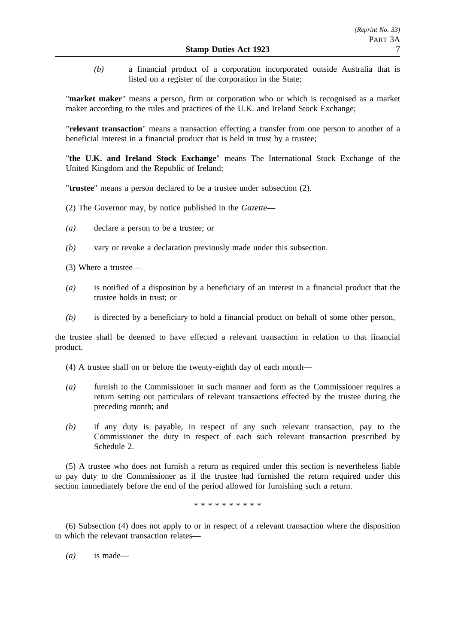*(b)* a financial product of a corporation incorporated outside Australia that is listed on a register of the corporation in the State;

"**market maker**" means a person, firm or corporation who or which is recognised as a market maker according to the rules and practices of the U.K. and Ireland Stock Exchange;

"**relevant transaction**" means a transaction effecting a transfer from one person to another of a beneficial interest in a financial product that is held in trust by a trustee;

"**the U.K. and Ireland Stock Exchange**" means The International Stock Exchange of the United Kingdom and the Republic of Ireland;

"**trustee**" means a person declared to be a trustee under subsection (2).

- (2) The Governor may, by notice published in the *Gazette*—
- *(a)* declare a person to be a trustee; or
- *(b)* vary or revoke a declaration previously made under this subsection.

(3) Where a trustee—

- *(a)* is notified of a disposition by a beneficiary of an interest in a financial product that the trustee holds in trust; or
- *(b)* is directed by a beneficiary to hold a financial product on behalf of some other person,

the trustee shall be deemed to have effected a relevant transaction in relation to that financial product.

- (4) A trustee shall on or before the twenty-eighth day of each month—
- *(a)* furnish to the Commissioner in such manner and form as the Commissioner requires a return setting out particulars of relevant transactions effected by the trustee during the preceding month; and
- *(b)* if any duty is payable, in respect of any such relevant transaction, pay to the Commissioner the duty in respect of each such relevant transaction prescribed by Schedule 2.

(5) A trustee who does not furnish a return as required under this section is nevertheless liable to pay duty to the Commissioner as if the trustee had furnished the return required under this section immediately before the end of the period allowed for furnishing such a return.

\*\*\*\*\*\*\*\*\*\*

(6) Subsection (4) does not apply to or in respect of a relevant transaction where the disposition to which the relevant transaction relates—

*(a)* is made—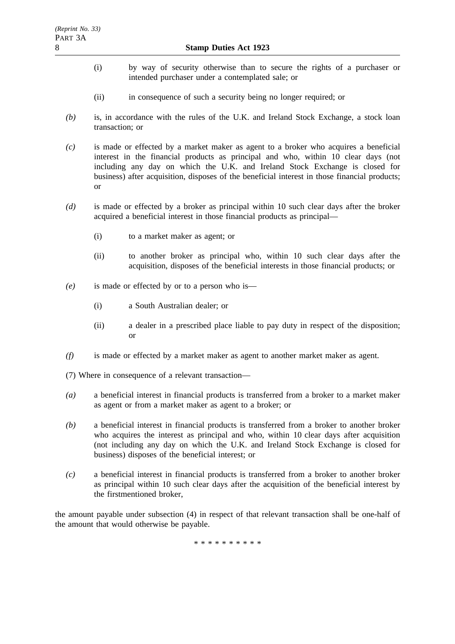- (i) by way of security otherwise than to secure the rights of a purchaser or intended purchaser under a contemplated sale; or
- (ii) in consequence of such a security being no longer required; or
- *(b)* is, in accordance with the rules of the U.K. and Ireland Stock Exchange, a stock loan transaction; or
- *(c)* is made or effected by a market maker as agent to a broker who acquires a beneficial interest in the financial products as principal and who, within 10 clear days (not including any day on which the U.K. and Ireland Stock Exchange is closed for business) after acquisition, disposes of the beneficial interest in those financial products; or
- *(d)* is made or effected by a broker as principal within 10 such clear days after the broker acquired a beneficial interest in those financial products as principal—
	- (i) to a market maker as agent; or
	- (ii) to another broker as principal who, within 10 such clear days after the acquisition, disposes of the beneficial interests in those financial products; or
- *(e)* is made or effected by or to a person who is—
	- (i) a South Australian dealer; or
	- (ii) a dealer in a prescribed place liable to pay duty in respect of the disposition; or
- *(f)* is made or effected by a market maker as agent to another market maker as agent.
- (7) Where in consequence of a relevant transaction—
- *(a)* a beneficial interest in financial products is transferred from a broker to a market maker as agent or from a market maker as agent to a broker; or
- *(b)* a beneficial interest in financial products is transferred from a broker to another broker who acquires the interest as principal and who, within 10 clear days after acquisition (not including any day on which the U.K. and Ireland Stock Exchange is closed for business) disposes of the beneficial interest; or
- *(c)* a beneficial interest in financial products is transferred from a broker to another broker as principal within 10 such clear days after the acquisition of the beneficial interest by the firstmentioned broker,

the amount payable under subsection (4) in respect of that relevant transaction shall be one-half of the amount that would otherwise be payable.

\*\*\*\*\*\*\*\*\*\*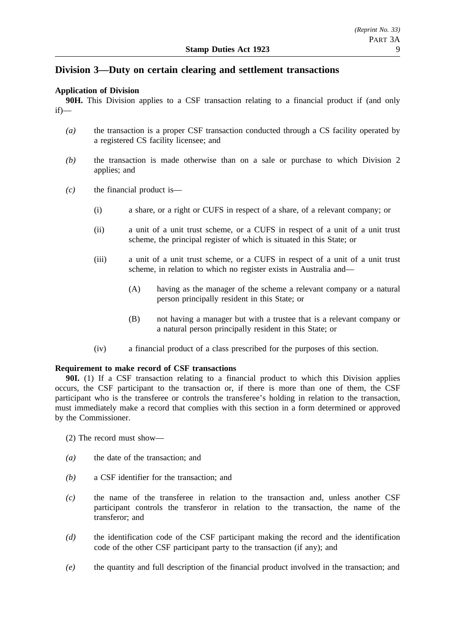# **Division 3—Duty on certain clearing and settlement transactions**

# **Application of Division**

**90H.** This Division applies to a CSF transaction relating to a financial product if (and only  $if)$ —

- *(a)* the transaction is a proper CSF transaction conducted through a CS facility operated by a registered CS facility licensee; and
- *(b)* the transaction is made otherwise than on a sale or purchase to which Division 2 applies; and
- *(c)* the financial product is—
	- (i) a share, or a right or CUFS in respect of a share, of a relevant company; or
	- (ii) a unit of a unit trust scheme, or a CUFS in respect of a unit of a unit trust scheme, the principal register of which is situated in this State; or
	- (iii) a unit of a unit trust scheme, or a CUFS in respect of a unit of a unit trust scheme, in relation to which no register exists in Australia and—
		- (A) having as the manager of the scheme a relevant company or a natural person principally resident in this State; or
		- (B) not having a manager but with a trustee that is a relevant company or a natural person principally resident in this State; or
	- (iv) a financial product of a class prescribed for the purposes of this section.

# **Requirement to make record of CSF transactions**

**90I.** (1) If a CSF transaction relating to a financial product to which this Division applies occurs, the CSF participant to the transaction or, if there is more than one of them, the CSF participant who is the transferee or controls the transferee's holding in relation to the transaction, must immediately make a record that complies with this section in a form determined or approved by the Commissioner.

- (2) The record must show—
- *(a)* the date of the transaction; and
- *(b)* a CSF identifier for the transaction; and
- *(c)* the name of the transferee in relation to the transaction and, unless another CSF participant controls the transferor in relation to the transaction, the name of the transferor; and
- *(d)* the identification code of the CSF participant making the record and the identification code of the other CSF participant party to the transaction (if any); and
- *(e)* the quantity and full description of the financial product involved in the transaction; and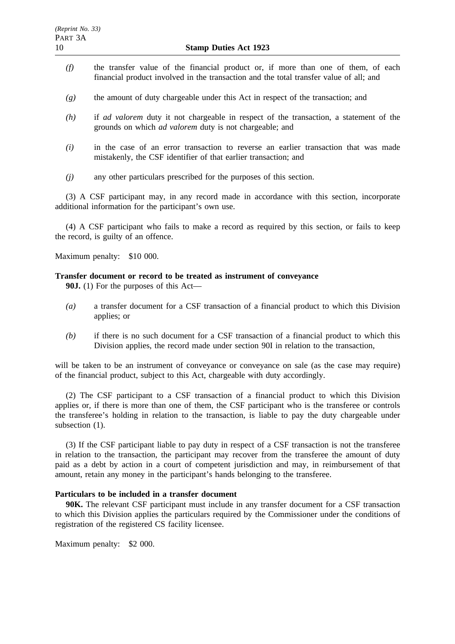- *(f)* the transfer value of the financial product or, if more than one of them, of each financial product involved in the transaction and the total transfer value of all; and
- *(g)* the amount of duty chargeable under this Act in respect of the transaction; and
- *(h)* if *ad valorem* duty it not chargeable in respect of the transaction, a statement of the grounds on which *ad valorem* duty is not chargeable; and
- *(i)* in the case of an error transaction to reverse an earlier transaction that was made mistakenly, the CSF identifier of that earlier transaction; and
- *(j)* any other particulars prescribed for the purposes of this section.

(3) A CSF participant may, in any record made in accordance with this section, incorporate additional information for the participant's own use.

(4) A CSF participant who fails to make a record as required by this section, or fails to keep the record, is guilty of an offence.

Maximum penalty: \$10 000.

# **Transfer document or record to be treated as instrument of conveyance**

**90J.** (1) For the purposes of this Act—

- *(a)* a transfer document for a CSF transaction of a financial product to which this Division applies; or
- *(b)* if there is no such document for a CSF transaction of a financial product to which this Division applies, the record made under section 90I in relation to the transaction,

will be taken to be an instrument of conveyance or conveyance on sale (as the case may require) of the financial product, subject to this Act, chargeable with duty accordingly.

(2) The CSF participant to a CSF transaction of a financial product to which this Division applies or, if there is more than one of them, the CSF participant who is the transferee or controls the transferee's holding in relation to the transaction, is liable to pay the duty chargeable under subsection  $(1)$ .

(3) If the CSF participant liable to pay duty in respect of a CSF transaction is not the transferee in relation to the transaction, the participant may recover from the transferee the amount of duty paid as a debt by action in a court of competent jurisdiction and may, in reimbursement of that amount, retain any money in the participant's hands belonging to the transferee.

### **Particulars to be included in a transfer document**

**90K.** The relevant CSF participant must include in any transfer document for a CSF transaction to which this Division applies the particulars required by the Commissioner under the conditions of registration of the registered CS facility licensee.

Maximum penalty: \$2 000.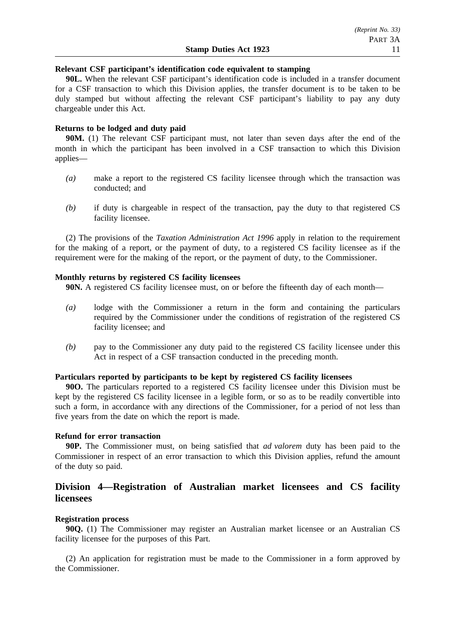# **Relevant CSF participant's identification code equivalent to stamping**

**90L.** When the relevant CSF participant's identification code is included in a transfer document for a CSF transaction to which this Division applies, the transfer document is to be taken to be duly stamped but without affecting the relevant CSF participant's liability to pay any duty chargeable under this Act.

# **Returns to be lodged and duty paid**

**90M.** (1) The relevant CSF participant must, not later than seven days after the end of the month in which the participant has been involved in a CSF transaction to which this Division applies—

- *(a)* make a report to the registered CS facility licensee through which the transaction was conducted; and
- *(b)* if duty is chargeable in respect of the transaction, pay the duty to that registered CS facility licensee.

(2) The provisions of the *Taxation Administration Act 1996* apply in relation to the requirement for the making of a report, or the payment of duty, to a registered CS facility licensee as if the requirement were for the making of the report, or the payment of duty, to the Commissioner.

# **Monthly returns by registered CS facility licensees**

**90N.** A registered CS facility licensee must, on or before the fifteenth day of each month—

- *(a)* lodge with the Commissioner a return in the form and containing the particulars required by the Commissioner under the conditions of registration of the registered CS facility licensee; and
- *(b)* pay to the Commissioner any duty paid to the registered CS facility licensee under this Act in respect of a CSF transaction conducted in the preceding month.

# **Particulars reported by participants to be kept by registered CS facility licensees**

**90O.** The particulars reported to a registered CS facility licensee under this Division must be kept by the registered CS facility licensee in a legible form, or so as to be readily convertible into such a form, in accordance with any directions of the Commissioner, for a period of not less than five years from the date on which the report is made.

### **Refund for error transaction**

**90P.** The Commissioner must, on being satisfied that *ad valorem* duty has been paid to the Commissioner in respect of an error transaction to which this Division applies, refund the amount of the duty so paid.

# **Division 4—Registration of Australian market licensees and CS facility licensees**

### **Registration process**

**90Q.** (1) The Commissioner may register an Australian market licensee or an Australian CS facility licensee for the purposes of this Part.

(2) An application for registration must be made to the Commissioner in a form approved by the Commissioner.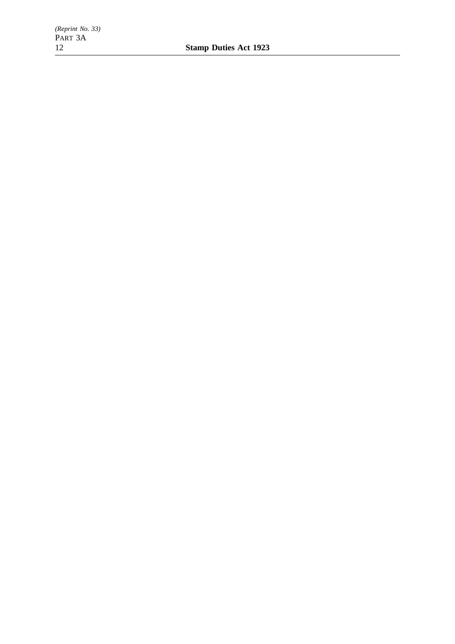*(Reprint No. 33)* PART 3A<br>12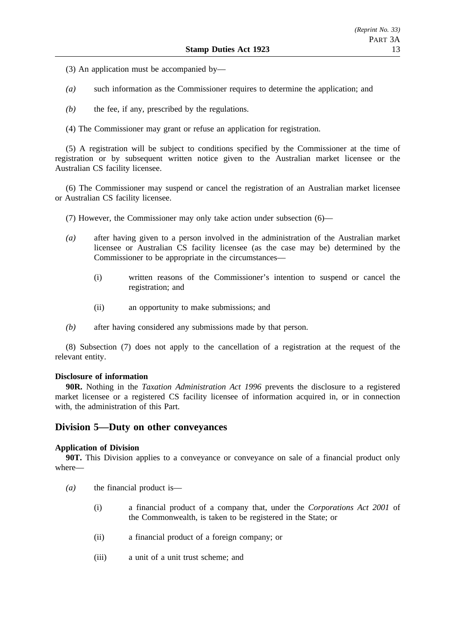- (3) An application must be accompanied by—
- *(a)* such information as the Commissioner requires to determine the application; and
- *(b)* the fee, if any, prescribed by the regulations.
- (4) The Commissioner may grant or refuse an application for registration.

(5) A registration will be subject to conditions specified by the Commissioner at the time of registration or by subsequent written notice given to the Australian market licensee or the Australian CS facility licensee.

(6) The Commissioner may suspend or cancel the registration of an Australian market licensee or Australian CS facility licensee.

- (7) However, the Commissioner may only take action under subsection (6)—
- *(a)* after having given to a person involved in the administration of the Australian market licensee or Australian CS facility licensee (as the case may be) determined by the Commissioner to be appropriate in the circumstances—
	- (i) written reasons of the Commissioner's intention to suspend or cancel the registration; and
	- (ii) an opportunity to make submissions; and
- *(b)* after having considered any submissions made by that person.

(8) Subsection (7) does not apply to the cancellation of a registration at the request of the relevant entity.

### **Disclosure of information**

**90R.** Nothing in the *Taxation Administration Act 1996* prevents the disclosure to a registered market licensee or a registered CS facility licensee of information acquired in, or in connection with, the administration of this Part.

# **Division 5—Duty on other conveyances**

#### **Application of Division**

**90T.** This Division applies to a conveyance or conveyance on sale of a financial product only where—

- *(a)* the financial product is—
	- (i) a financial product of a company that, under the *Corporations Act 2001* of the Commonwealth, is taken to be registered in the State; or
	- (ii) a financial product of a foreign company; or
	- (iii) a unit of a unit trust scheme; and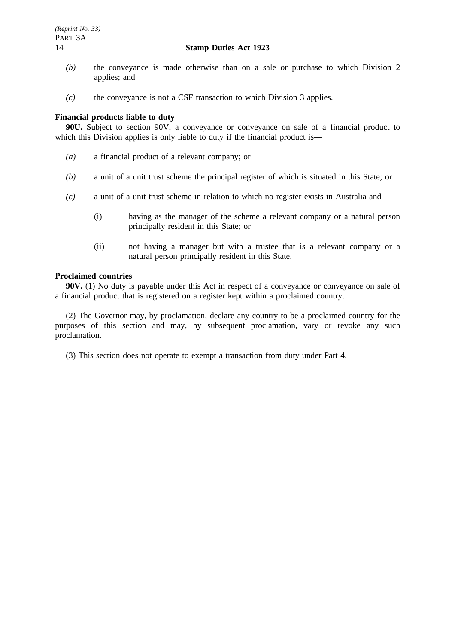- *(b)* the conveyance is made otherwise than on a sale or purchase to which Division 2 applies; and
- *(c)* the conveyance is not a CSF transaction to which Division 3 applies.

# **Financial products liable to duty**

**90U.** Subject to section 90V, a conveyance or conveyance on sale of a financial product to which this Division applies is only liable to duty if the financial product is—

- *(a)* a financial product of a relevant company; or
- *(b)* a unit of a unit trust scheme the principal register of which is situated in this State; or
- *(c)* a unit of a unit trust scheme in relation to which no register exists in Australia and—
	- (i) having as the manager of the scheme a relevant company or a natural person principally resident in this State; or
	- (ii) not having a manager but with a trustee that is a relevant company or a natural person principally resident in this State.

# **Proclaimed countries**

**90V.** (1) No duty is payable under this Act in respect of a conveyance or conveyance on sale of a financial product that is registered on a register kept within a proclaimed country.

(2) The Governor may, by proclamation, declare any country to be a proclaimed country for the purposes of this section and may, by subsequent proclamation, vary or revoke any such proclamation.

(3) This section does not operate to exempt a transaction from duty under Part 4.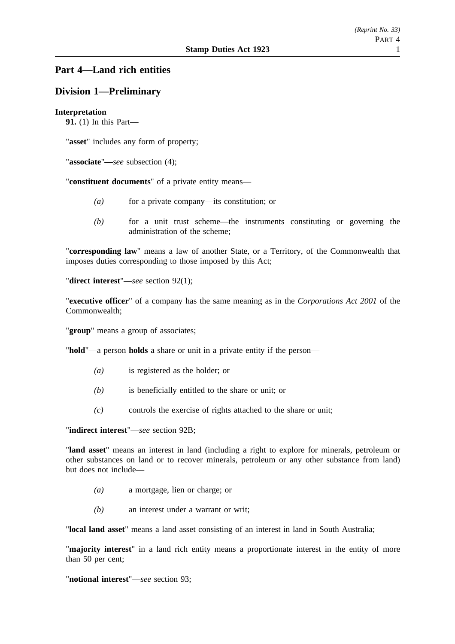# **Part 4—Land rich entities**

# **Division 1—Preliminary**

### **Interpretation**

**91.** (1) In this Part—

"**asset**" includes any form of property;

"**associate**"—*see* subsection (4);

"**constituent documents**" of a private entity means—

- *(a)* for a private company—its constitution; or
- *(b)* for a unit trust scheme—the instruments constituting or governing the administration of the scheme;

"**corresponding law**" means a law of another State, or a Territory, of the Commonwealth that imposes duties corresponding to those imposed by this Act;

"**direct interest**"—*see* section 92(1);

"**executive officer**" of a company has the same meaning as in the *Corporations Act 2001* of the Commonwealth;

"**group**" means a group of associates;

"**hold**"—a person **holds** a share or unit in a private entity if the person—

- *(a)* is registered as the holder; or
- *(b)* is beneficially entitled to the share or unit; or
- *(c)* controls the exercise of rights attached to the share or unit;

"**indirect interest**"—*see* section 92B;

"**land asset**" means an interest in land (including a right to explore for minerals, petroleum or other substances on land or to recover minerals, petroleum or any other substance from land) but does not include—

- *(a)* a mortgage, lien or charge; or
- *(b)* an interest under a warrant or writ;

"**local land asset**" means a land asset consisting of an interest in land in South Australia;

"**majority interest**" in a land rich entity means a proportionate interest in the entity of more than 50 per cent;

"**notional interest**"—*see* section 93;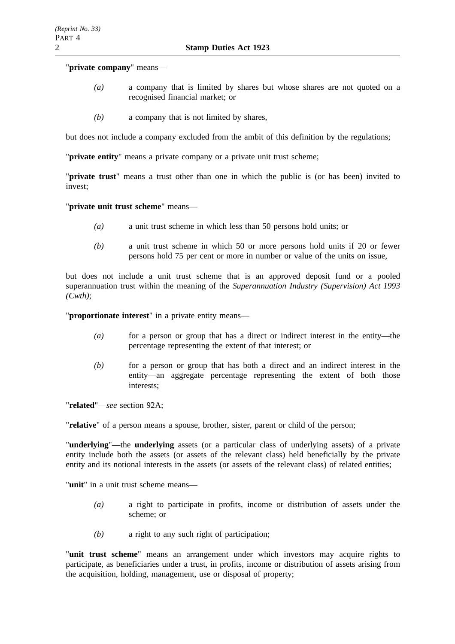"**private company**" means—

- *(a)* a company that is limited by shares but whose shares are not quoted on a recognised financial market; or
- *(b)* a company that is not limited by shares,

but does not include a company excluded from the ambit of this definition by the regulations;

"**private entity**" means a private company or a private unit trust scheme;

"**private trust**" means a trust other than one in which the public is (or has been) invited to invest;

"**private unit trust scheme**" means—

- *(a)* a unit trust scheme in which less than 50 persons hold units; or
- *(b)* a unit trust scheme in which 50 or more persons hold units if 20 or fewer persons hold 75 per cent or more in number or value of the units on issue,

but does not include a unit trust scheme that is an approved deposit fund or a pooled superannuation trust within the meaning of the *Superannuation Industry (Supervision) Act 1993 (Cwth)*;

"**proportionate interest**" in a private entity means—

- *(a)* for a person or group that has a direct or indirect interest in the entity—the percentage representing the extent of that interest; or
- *(b)* for a person or group that has both a direct and an indirect interest in the entity—an aggregate percentage representing the extent of both those interests;

"**related**"—*see* section 92A;

"**relative**" of a person means a spouse, brother, sister, parent or child of the person;

"**underlying**"—the **underlying** assets (or a particular class of underlying assets) of a private entity include both the assets (or assets of the relevant class) held beneficially by the private entity and its notional interests in the assets (or assets of the relevant class) of related entities;

"**unit**" in a unit trust scheme means—

- *(a)* a right to participate in profits, income or distribution of assets under the scheme; or
- *(b)* a right to any such right of participation;

"**unit trust scheme**" means an arrangement under which investors may acquire rights to participate, as beneficiaries under a trust, in profits, income or distribution of assets arising from the acquisition, holding, management, use or disposal of property;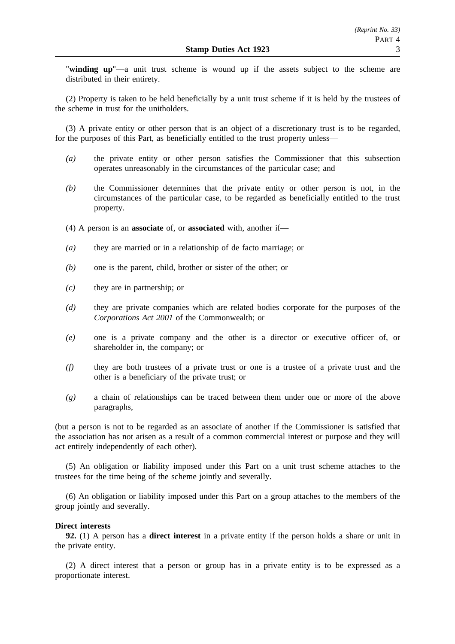"**winding up**"—a unit trust scheme is wound up if the assets subject to the scheme are distributed in their entirety.

(2) Property is taken to be held beneficially by a unit trust scheme if it is held by the trustees of the scheme in trust for the unitholders.

(3) A private entity or other person that is an object of a discretionary trust is to be regarded, for the purposes of this Part, as beneficially entitled to the trust property unless—

- *(a)* the private entity or other person satisfies the Commissioner that this subsection operates unreasonably in the circumstances of the particular case; and
- *(b)* the Commissioner determines that the private entity or other person is not, in the circumstances of the particular case, to be regarded as beneficially entitled to the trust property.

(4) A person is an **associate** of, or **associated** with, another if—

- *(a)* they are married or in a relationship of de facto marriage; or
- *(b)* one is the parent, child, brother or sister of the other; or
- *(c)* they are in partnership; or
- *(d)* they are private companies which are related bodies corporate for the purposes of the *Corporations Act 2001* of the Commonwealth; or
- *(e)* one is a private company and the other is a director or executive officer of, or shareholder in, the company; or
- *(f)* they are both trustees of a private trust or one is a trustee of a private trust and the other is a beneficiary of the private trust; or
- *(g)* a chain of relationships can be traced between them under one or more of the above paragraphs,

(but a person is not to be regarded as an associate of another if the Commissioner is satisfied that the association has not arisen as a result of a common commercial interest or purpose and they will act entirely independently of each other).

(5) An obligation or liability imposed under this Part on a unit trust scheme attaches to the trustees for the time being of the scheme jointly and severally.

(6) An obligation or liability imposed under this Part on a group attaches to the members of the group jointly and severally.

#### **Direct interests**

**92.** (1) A person has a **direct interest** in a private entity if the person holds a share or unit in the private entity.

(2) A direct interest that a person or group has in a private entity is to be expressed as a proportionate interest.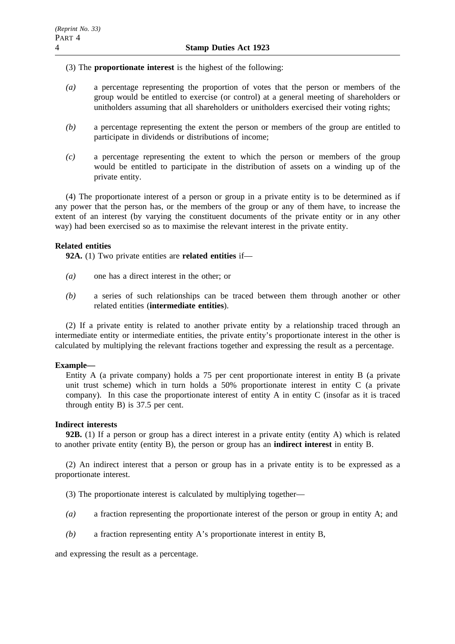- (3) The **proportionate interest** is the highest of the following:
- *(a)* a percentage representing the proportion of votes that the person or members of the group would be entitled to exercise (or control) at a general meeting of shareholders or unitholders assuming that all shareholders or unitholders exercised their voting rights;
- *(b)* a percentage representing the extent the person or members of the group are entitled to participate in dividends or distributions of income;
- *(c)* a percentage representing the extent to which the person or members of the group would be entitled to participate in the distribution of assets on a winding up of the private entity.

(4) The proportionate interest of a person or group in a private entity is to be determined as if any power that the person has, or the members of the group or any of them have, to increase the extent of an interest (by varying the constituent documents of the private entity or in any other way) had been exercised so as to maximise the relevant interest in the private entity.

# **Related entities**

**92A.** (1) Two private entities are **related entities** if—

- *(a)* one has a direct interest in the other; or
- *(b)* a series of such relationships can be traced between them through another or other related entities (**intermediate entities**).

(2) If a private entity is related to another private entity by a relationship traced through an intermediate entity or intermediate entities, the private entity's proportionate interest in the other is calculated by multiplying the relevant fractions together and expressing the result as a percentage.

# **Example—**

Entity A (a private company) holds a 75 per cent proportionate interest in entity B (a private unit trust scheme) which in turn holds a 50% proportionate interest in entity C (a private company). In this case the proportionate interest of entity A in entity C (insofar as it is traced through entity B) is 37.5 per cent.

### **Indirect interests**

**92B.** (1) If a person or group has a direct interest in a private entity (entity A) which is related to another private entity (entity B), the person or group has an **indirect interest** in entity B.

(2) An indirect interest that a person or group has in a private entity is to be expressed as a proportionate interest.

- (3) The proportionate interest is calculated by multiplying together—
- *(a)* a fraction representing the proportionate interest of the person or group in entity A; and
- *(b)* a fraction representing entity A's proportionate interest in entity B,

and expressing the result as a percentage.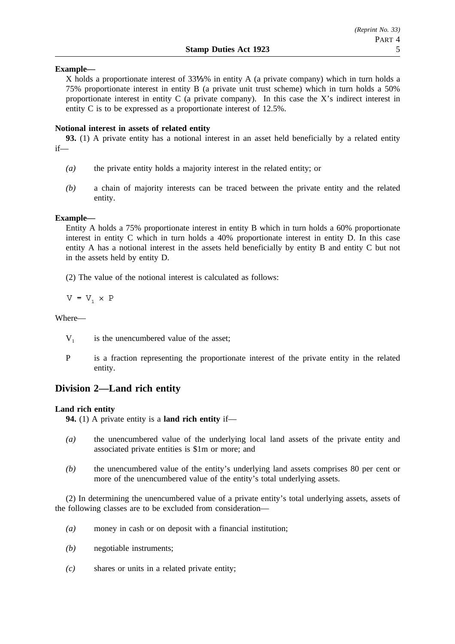# **Example—**

X holds a proportionate interest of 331/3% in entity A (a private company) which in turn holds a 75% proportionate interest in entity B (a private unit trust scheme) which in turn holds a 50% proportionate interest in entity C (a private company). In this case the X's indirect interest in entity C is to be expressed as a proportionate interest of 12.5%.

# **Notional interest in assets of related entity**

**93.** (1) A private entity has a notional interest in an asset held beneficially by a related entity if—

- *(a)* the private entity holds a majority interest in the related entity; or
- *(b)* a chain of majority interests can be traced between the private entity and the related entity.

# **Example—**

Entity A holds a 75% proportionate interest in entity B which in turn holds a 60% proportionate interest in entity C which in turn holds a 40% proportionate interest in entity D. In this case entity A has a notional interest in the assets held beneficially by entity B and entity C but not in the assets held by entity D.

(2) The value of the notional interest is calculated as follows:

$$
V = V_1 \times P
$$

# Where—

- $V_1$  is the unencumbered value of the asset;
- P is a fraction representing the proportionate interest of the private entity in the related entity.

# **Division 2—Land rich entity**

# **Land rich entity**

**94.** (1) A private entity is a **land rich entity** if—

- *(a)* the unencumbered value of the underlying local land assets of the private entity and associated private entities is \$1m or more; and
- *(b)* the unencumbered value of the entity's underlying land assets comprises 80 per cent or more of the unencumbered value of the entity's total underlying assets.

(2) In determining the unencumbered value of a private entity's total underlying assets, assets of the following classes are to be excluded from consideration—

- *(a)* money in cash or on deposit with a financial institution;
- *(b)* negotiable instruments;
- *(c)* shares or units in a related private entity;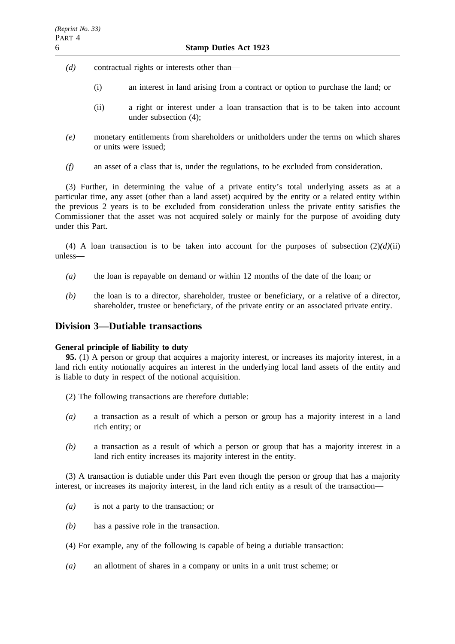- *(d)* contractual rights or interests other than—
	- (i) an interest in land arising from a contract or option to purchase the land; or
	- (ii) a right or interest under a loan transaction that is to be taken into account under subsection (4);
- *(e)* monetary entitlements from shareholders or unitholders under the terms on which shares or units were issued;
- *(f)* an asset of a class that is, under the regulations, to be excluded from consideration.

(3) Further, in determining the value of a private entity's total underlying assets as at a particular time, any asset (other than a land asset) acquired by the entity or a related entity within the previous 2 years is to be excluded from consideration unless the private entity satisfies the Commissioner that the asset was not acquired solely or mainly for the purpose of avoiding duty under this Part.

(4) A loan transaction is to be taken into account for the purposes of subsection  $(2)(d)(ii)$ unless—

- *(a)* the loan is repayable on demand or within 12 months of the date of the loan; or
- *(b)* the loan is to a director, shareholder, trustee or beneficiary, or a relative of a director, shareholder, trustee or beneficiary, of the private entity or an associated private entity.

# **Division 3—Dutiable transactions**

# **General principle of liability to duty**

**95.** (1) A person or group that acquires a majority interest, or increases its majority interest, in a land rich entity notionally acquires an interest in the underlying local land assets of the entity and is liable to duty in respect of the notional acquisition.

- (2) The following transactions are therefore dutiable:
- *(a)* a transaction as a result of which a person or group has a majority interest in a land rich entity; or
- *(b)* a transaction as a result of which a person or group that has a majority interest in a land rich entity increases its majority interest in the entity.

(3) A transaction is dutiable under this Part even though the person or group that has a majority interest, or increases its majority interest, in the land rich entity as a result of the transaction—

- *(a)* is not a party to the transaction; or
- *(b)* has a passive role in the transaction.
- (4) For example, any of the following is capable of being a dutiable transaction:
- *(a)* an allotment of shares in a company or units in a unit trust scheme; or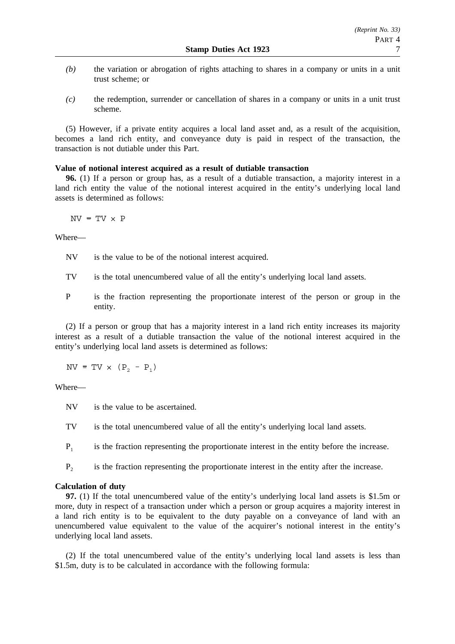- *(b)* the variation or abrogation of rights attaching to shares in a company or units in a unit trust scheme; or
- *(c)* the redemption, surrender or cancellation of shares in a company or units in a unit trust scheme.

(5) However, if a private entity acquires a local land asset and, as a result of the acquisition, becomes a land rich entity, and conveyance duty is paid in respect of the transaction, the transaction is not dutiable under this Part.

# **Value of notional interest acquired as a result of dutiable transaction**

**96.** (1) If a person or group has, as a result of a dutiable transaction, a majority interest in a land rich entity the value of the notional interest acquired in the entity's underlying local land assets is determined as follows:

 $NV = TV \times P$ 

Where—

- NV is the value to be of the notional interest acquired.
- TV is the total unencumbered value of all the entity's underlying local land assets.
- P is the fraction representing the proportionate interest of the person or group in the entity.

(2) If a person or group that has a majority interest in a land rich entity increases its majority interest as a result of a dutiable transaction the value of the notional interest acquired in the entity's underlying local land assets is determined as follows:

 $NV = TV \times (P_2 - P_1)$ 

Where—

- NV is the value to be ascertained.
- TV is the total unencumbered value of all the entity's underlying local land assets.
- $P_1$  is the fraction representing the proportionate interest in the entity before the increase.
- $P<sub>2</sub>$  is the fraction representing the proportionate interest in the entity after the increase.

# **Calculation of duty**

**97.** (1) If the total unencumbered value of the entity's underlying local land assets is \$1.5m or more, duty in respect of a transaction under which a person or group acquires a majority interest in a land rich entity is to be equivalent to the duty payable on a conveyance of land with an unencumbered value equivalent to the value of the acquirer's notional interest in the entity's underlying local land assets.

(2) If the total unencumbered value of the entity's underlying local land assets is less than \$1.5m, duty is to be calculated in accordance with the following formula: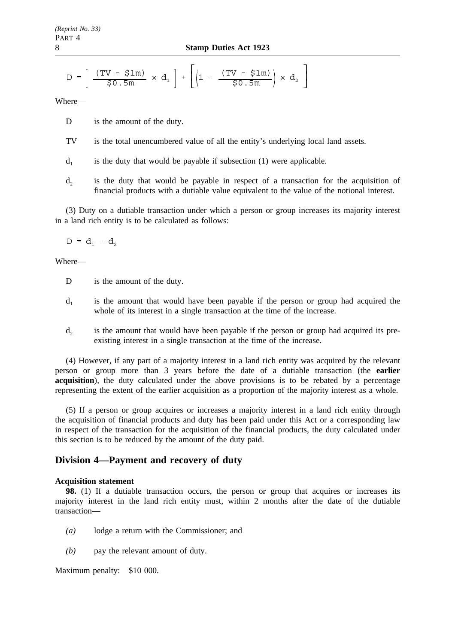D = 
$$
\left[ \frac{(\text{TV} - \text{$1m})}{\text{$0.5m$}} \times d_1 \right] + \left[ \left( 1 - \frac{(\text{TV} - \text{$1m})}{\text{$0.5m$}} \right) \times d_2 \right]
$$

Where—

D is the amount of the duty.

TV is the total unencumbered value of all the entity's underlying local land assets.

 $d_1$  is the duty that would be payable if subsection (1) were applicable.

d2 is the duty that would be payable in respect of a transaction for the acquisition of financial products with a dutiable value equivalent to the value of the notional interest.

(3) Duty on a dutiable transaction under which a person or group increases its majority interest in a land rich entity is to be calculated as follows:

 $D = d_1 - d_2$ 

Where—

- D is the amount of the duty.
- $d_1$  is the amount that would have been payable if the person or group had acquired the whole of its interest in a single transaction at the time of the increase.
- d<sub>2</sub> is the amount that would have been payable if the person or group had acquired its preexisting interest in a single transaction at the time of the increase.

(4) However, if any part of a majority interest in a land rich entity was acquired by the relevant person or group more than 3 years before the date of a dutiable transaction (the **earlier acquisition**), the duty calculated under the above provisions is to be rebated by a percentage representing the extent of the earlier acquisition as a proportion of the majority interest as a whole.

(5) If a person or group acquires or increases a majority interest in a land rich entity through the acquisition of financial products and duty has been paid under this Act or a corresponding law in respect of the transaction for the acquisition of the financial products, the duty calculated under this section is to be reduced by the amount of the duty paid.

# **Division 4—Payment and recovery of duty**

### **Acquisition statement**

**98.** (1) If a dutiable transaction occurs, the person or group that acquires or increases its majority interest in the land rich entity must, within 2 months after the date of the dutiable transaction—

- *(a)* lodge a return with the Commissioner; and
- *(b)* pay the relevant amount of duty.

Maximum penalty: \$10 000.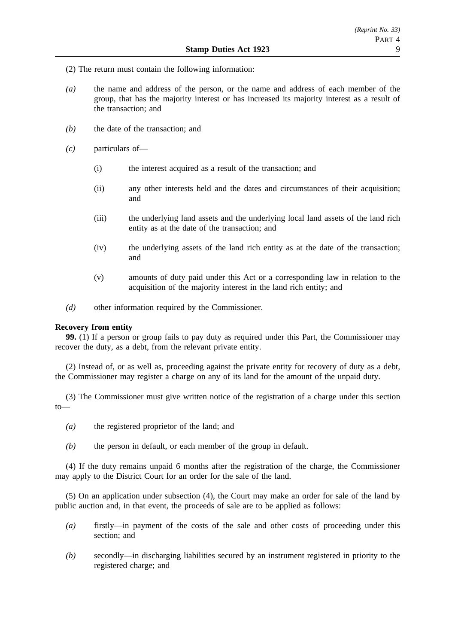- (2) The return must contain the following information:
- *(a)* the name and address of the person, or the name and address of each member of the group, that has the majority interest or has increased its majority interest as a result of the transaction; and
- *(b)* the date of the transaction; and
- *(c)* particulars of—
	- (i) the interest acquired as a result of the transaction; and
	- (ii) any other interests held and the dates and circumstances of their acquisition; and
	- (iii) the underlying land assets and the underlying local land assets of the land rich entity as at the date of the transaction; and
	- (iv) the underlying assets of the land rich entity as at the date of the transaction; and
	- (v) amounts of duty paid under this Act or a corresponding law in relation to the acquisition of the majority interest in the land rich entity; and
- *(d)* other information required by the Commissioner.

### **Recovery from entity**

**99.** (1) If a person or group fails to pay duty as required under this Part, the Commissioner may recover the duty, as a debt, from the relevant private entity.

(2) Instead of, or as well as, proceeding against the private entity for recovery of duty as a debt, the Commissioner may register a charge on any of its land for the amount of the unpaid duty.

(3) The Commissioner must give written notice of the registration of a charge under this section to—

- *(a)* the registered proprietor of the land; and
- *(b)* the person in default, or each member of the group in default.

(4) If the duty remains unpaid 6 months after the registration of the charge, the Commissioner may apply to the District Court for an order for the sale of the land.

(5) On an application under subsection (4), the Court may make an order for sale of the land by public auction and, in that event, the proceeds of sale are to be applied as follows:

- *(a)* firstly—in payment of the costs of the sale and other costs of proceeding under this section; and
- *(b)* secondly—in discharging liabilities secured by an instrument registered in priority to the registered charge; and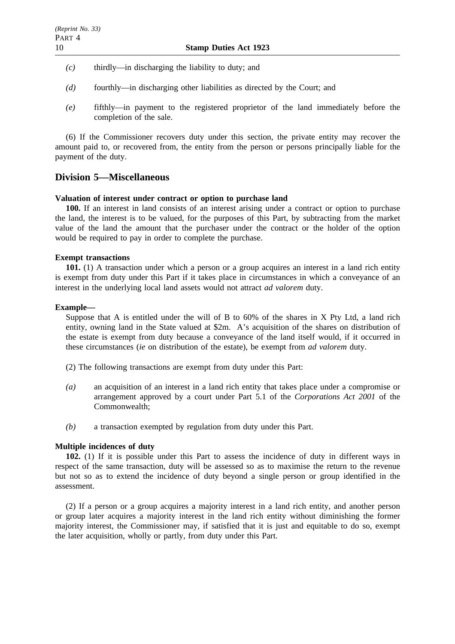- *(c)* thirdly—in discharging the liability to duty; and
- *(d)* fourthly—in discharging other liabilities as directed by the Court; and
- *(e)* fifthly—in payment to the registered proprietor of the land immediately before the completion of the sale.

(6) If the Commissioner recovers duty under this section, the private entity may recover the amount paid to, or recovered from, the entity from the person or persons principally liable for the payment of the duty.

# **Division 5—Miscellaneous**

# **Valuation of interest under contract or option to purchase land**

**100.** If an interest in land consists of an interest arising under a contract or option to purchase the land, the interest is to be valued, for the purposes of this Part, by subtracting from the market value of the land the amount that the purchaser under the contract or the holder of the option would be required to pay in order to complete the purchase.

# **Exempt transactions**

**101.** (1) A transaction under which a person or a group acquires an interest in a land rich entity is exempt from duty under this Part if it takes place in circumstances in which a conveyance of an interest in the underlying local land assets would not attract *ad valorem* duty.

# **Example—**

Suppose that A is entitled under the will of B to 60% of the shares in X Pty Ltd, a land rich entity, owning land in the State valued at \$2m. A's acquisition of the shares on distribution of the estate is exempt from duty because a conveyance of the land itself would, if it occurred in these circumstances (*ie* on distribution of the estate), be exempt from *ad valorem* duty.

(2) The following transactions are exempt from duty under this Part:

- *(a)* an acquisition of an interest in a land rich entity that takes place under a compromise or arrangement approved by a court under Part 5.1 of the *Corporations Act 2001* of the Commonwealth;
- *(b)* a transaction exempted by regulation from duty under this Part.

# **Multiple incidences of duty**

**102.** (1) If it is possible under this Part to assess the incidence of duty in different ways in respect of the same transaction, duty will be assessed so as to maximise the return to the revenue but not so as to extend the incidence of duty beyond a single person or group identified in the assessment.

(2) If a person or a group acquires a majority interest in a land rich entity, and another person or group later acquires a majority interest in the land rich entity without diminishing the former majority interest, the Commissioner may, if satisfied that it is just and equitable to do so, exempt the later acquisition, wholly or partly, from duty under this Part.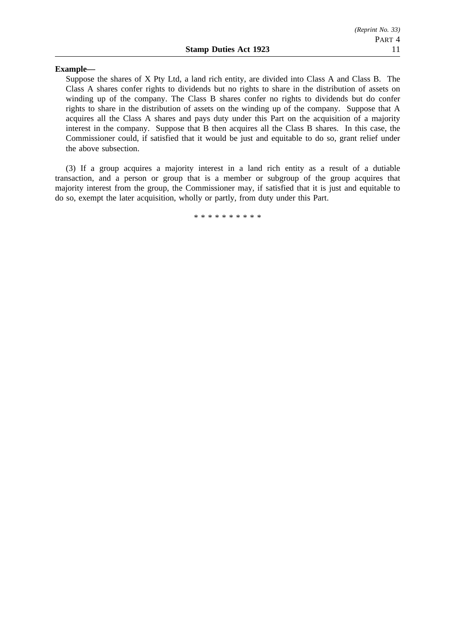# **Example—**

Suppose the shares of X Pty Ltd, a land rich entity, are divided into Class A and Class B. The Class A shares confer rights to dividends but no rights to share in the distribution of assets on winding up of the company. The Class B shares confer no rights to dividends but do confer rights to share in the distribution of assets on the winding up of the company. Suppose that A acquires all the Class A shares and pays duty under this Part on the acquisition of a majority interest in the company. Suppose that B then acquires all the Class B shares. In this case, the Commissioner could, if satisfied that it would be just and equitable to do so, grant relief under the above subsection.

(3) If a group acquires a majority interest in a land rich entity as a result of a dutiable transaction, and a person or group that is a member or subgroup of the group acquires that majority interest from the group, the Commissioner may, if satisfied that it is just and equitable to do so, exempt the later acquisition, wholly or partly, from duty under this Part.

\*\*\*\*\*\*\*\*\*\*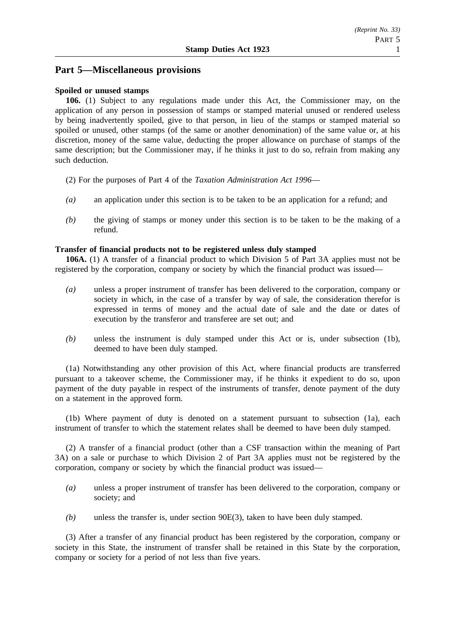# **Part 5—Miscellaneous provisions**

# **Spoiled or unused stamps**

**106.** (1) Subject to any regulations made under this Act, the Commissioner may, on the application of any person in possession of stamps or stamped material unused or rendered useless by being inadvertently spoiled, give to that person, in lieu of the stamps or stamped material so spoiled or unused, other stamps (of the same or another denomination) of the same value or, at his discretion, money of the same value, deducting the proper allowance on purchase of stamps of the same description; but the Commissioner may, if he thinks it just to do so, refrain from making any such deduction.

- (2) For the purposes of Part 4 of the *Taxation Administration Act 1996*—
- *(a)* an application under this section is to be taken to be an application for a refund; and
- *(b)* the giving of stamps or money under this section is to be taken to be the making of a refund.

# **Transfer of financial products not to be registered unless duly stamped**

**106A.** (1) A transfer of a financial product to which Division 5 of Part 3A applies must not be registered by the corporation, company or society by which the financial product was issued—

- *(a)* unless a proper instrument of transfer has been delivered to the corporation, company or society in which, in the case of a transfer by way of sale, the consideration therefor is expressed in terms of money and the actual date of sale and the date or dates of execution by the transferor and transferee are set out; and
- *(b)* unless the instrument is duly stamped under this Act or is, under subsection (1b), deemed to have been duly stamped.

(1a) Notwithstanding any other provision of this Act, where financial products are transferred pursuant to a takeover scheme, the Commissioner may, if he thinks it expedient to do so, upon payment of the duty payable in respect of the instruments of transfer, denote payment of the duty on a statement in the approved form.

(1b) Where payment of duty is denoted on a statement pursuant to subsection (1a), each instrument of transfer to which the statement relates shall be deemed to have been duly stamped.

(2) A transfer of a financial product (other than a CSF transaction within the meaning of Part 3A) on a sale or purchase to which Division 2 of Part 3A applies must not be registered by the corporation, company or society by which the financial product was issued—

- *(a)* unless a proper instrument of transfer has been delivered to the corporation, company or society; and
- *(b)* unless the transfer is, under section 90E(3), taken to have been duly stamped.

(3) After a transfer of any financial product has been registered by the corporation, company or society in this State, the instrument of transfer shall be retained in this State by the corporation, company or society for a period of not less than five years.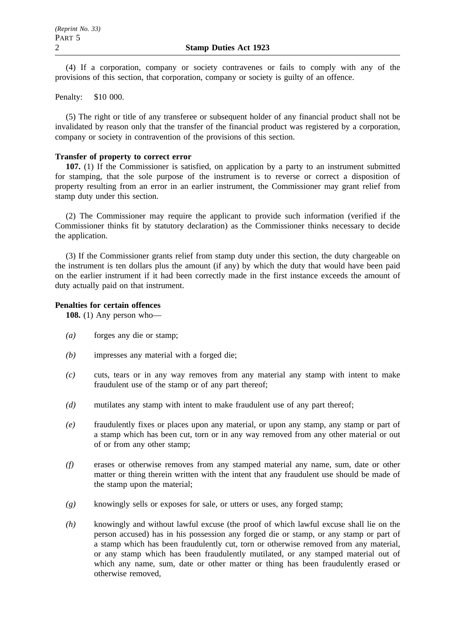(4) If a corporation, company or society contravenes or fails to comply with any of the provisions of this section, that corporation, company or society is guilty of an offence.

### Penalty: \$10 000.

(5) The right or title of any transferee or subsequent holder of any financial product shall not be invalidated by reason only that the transfer of the financial product was registered by a corporation, company or society in contravention of the provisions of this section.

#### **Transfer of property to correct error**

**107.** (1) If the Commissioner is satisfied, on application by a party to an instrument submitted for stamping, that the sole purpose of the instrument is to reverse or correct a disposition of property resulting from an error in an earlier instrument, the Commissioner may grant relief from stamp duty under this section.

(2) The Commissioner may require the applicant to provide such information (verified if the Commissioner thinks fit by statutory declaration) as the Commissioner thinks necessary to decide the application.

(3) If the Commissioner grants relief from stamp duty under this section, the duty chargeable on the instrument is ten dollars plus the amount (if any) by which the duty that would have been paid on the earlier instrument if it had been correctly made in the first instance exceeds the amount of duty actually paid on that instrument.

#### **Penalties for certain offences**

**108.** (1) Any person who—

- *(a)* forges any die or stamp;
- *(b)* impresses any material with a forged die;
- *(c)* cuts, tears or in any way removes from any material any stamp with intent to make fraudulent use of the stamp or of any part thereof;
- *(d)* mutilates any stamp with intent to make fraudulent use of any part thereof;
- *(e)* fraudulently fixes or places upon any material, or upon any stamp, any stamp or part of a stamp which has been cut, torn or in any way removed from any other material or out of or from any other stamp;
- *(f)* erases or otherwise removes from any stamped material any name, sum, date or other matter or thing therein written with the intent that any fraudulent use should be made of the stamp upon the material;
- *(g)* knowingly sells or exposes for sale, or utters or uses, any forged stamp;
- *(h)* knowingly and without lawful excuse (the proof of which lawful excuse shall lie on the person accused) has in his possession any forged die or stamp, or any stamp or part of a stamp which has been fraudulently cut, torn or otherwise removed from any material, or any stamp which has been fraudulently mutilated, or any stamped material out of which any name, sum, date or other matter or thing has been fraudulently erased or otherwise removed,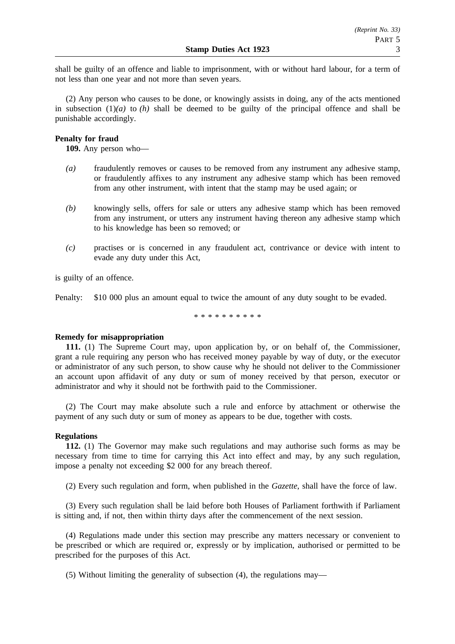shall be guilty of an offence and liable to imprisonment, with or without hard labour, for a term of not less than one year and not more than seven years.

(2) Any person who causes to be done, or knowingly assists in doing, any of the acts mentioned in subsection  $(1)(a)$  to  $(h)$  shall be deemed to be guilty of the principal offence and shall be punishable accordingly.

### **Penalty for fraud**

**109.** Any person who—

- *(a)* fraudulently removes or causes to be removed from any instrument any adhesive stamp, or fraudulently affixes to any instrument any adhesive stamp which has been removed from any other instrument, with intent that the stamp may be used again; or
- *(b)* knowingly sells, offers for sale or utters any adhesive stamp which has been removed from any instrument, or utters any instrument having thereon any adhesive stamp which to his knowledge has been so removed; or
- *(c)* practises or is concerned in any fraudulent act, contrivance or device with intent to evade any duty under this Act,

is guilty of an offence.

Penalty: \$10 000 plus an amount equal to twice the amount of any duty sought to be evaded.

\*\*\*\*\*\*\*\*\*\*

### **Remedy for misappropriation**

**111.** (1) The Supreme Court may, upon application by, or on behalf of, the Commissioner, grant a rule requiring any person who has received money payable by way of duty, or the executor or administrator of any such person, to show cause why he should not deliver to the Commissioner an account upon affidavit of any duty or sum of money received by that person, executor or administrator and why it should not be forthwith paid to the Commissioner.

(2) The Court may make absolute such a rule and enforce by attachment or otherwise the payment of any such duty or sum of money as appears to be due, together with costs.

### **Regulations**

**112.** (1) The Governor may make such regulations and may authorise such forms as may be necessary from time to time for carrying this Act into effect and may, by any such regulation, impose a penalty not exceeding \$2 000 for any breach thereof.

(2) Every such regulation and form, when published in the *Gazette*, shall have the force of law.

(3) Every such regulation shall be laid before both Houses of Parliament forthwith if Parliament is sitting and, if not, then within thirty days after the commencement of the next session.

(4) Regulations made under this section may prescribe any matters necessary or convenient to be prescribed or which are required or, expressly or by implication, authorised or permitted to be prescribed for the purposes of this Act.

(5) Without limiting the generality of subsection (4), the regulations may—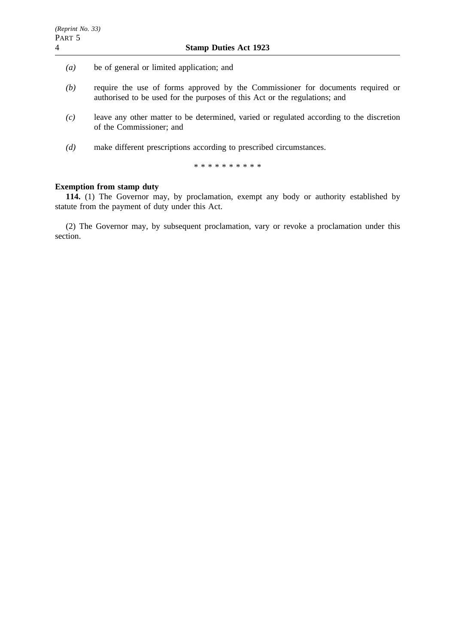- *(a)* be of general or limited application; and
- *(b)* require the use of forms approved by the Commissioner for documents required or authorised to be used for the purposes of this Act or the regulations; and
- *(c)* leave any other matter to be determined, varied or regulated according to the discretion of the Commissioner; and
- *(d)* make different prescriptions according to prescribed circumstances.

\*\*\*\*\*\*\*\*\*\*

### **Exemption from stamp duty**

**114.** (1) The Governor may, by proclamation, exempt any body or authority established by statute from the payment of duty under this Act.

(2) The Governor may, by subsequent proclamation, vary or revoke a proclamation under this section.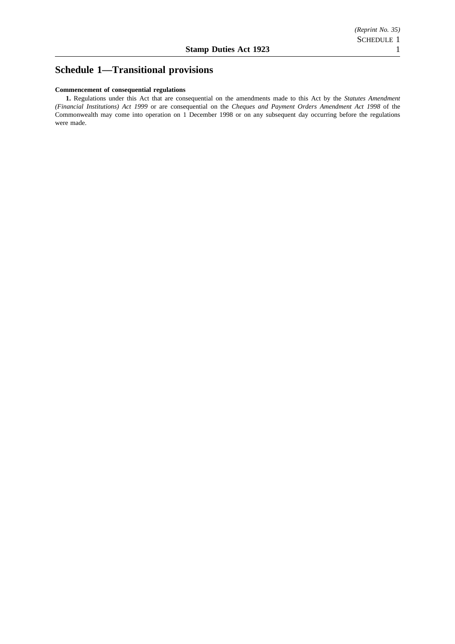# **Schedule 1—Transitional provisions**

#### **Commencement of consequential regulations**

**1.** Regulations under this Act that are consequential on the amendments made to this Act by the *Statutes Amendment (Financial Institutions) Act 1999* or are consequential on the *Cheques and Payment Orders Amendment Act 1998* of the Commonwealth may come into operation on 1 December 1998 or on any subsequent day occurring before the regulations were made.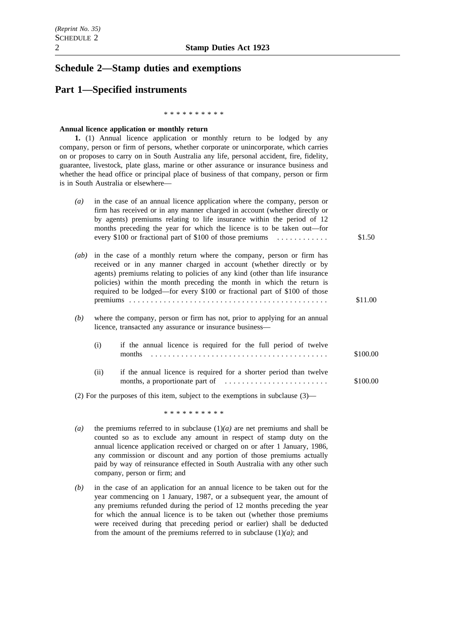# **Schedule 2—Stamp duties and exemptions**

### **Part 1—Specified instruments**

\*\*\*\*\*\*\*\*\*\*

#### **Annual licence application or monthly return**

**1.** (1) Annual licence application or monthly return to be lodged by any company, person or firm of persons, whether corporate or unincorporate, which carries on or proposes to carry on in South Australia any life, personal accident, fire, fidelity, guarantee, livestock, plate glass, marine or other assurance or insurance business and whether the head office or principal place of business of that company, person or firm is in South Australia or elsewhere—

| $\left(a\right)$ |                                                                                                                                        | in the case of an annual licence application where the company, person or<br>firm has received or in any manner charged in account (whether directly or<br>by agents) premiums relating to life insurance within the period of 12<br>months preceding the year for which the licence is to be taken out—for<br>every \$100 or fractional part of \$100 of those premiums $\dots \dots \dots$ | \$1.50   |
|------------------|----------------------------------------------------------------------------------------------------------------------------------------|----------------------------------------------------------------------------------------------------------------------------------------------------------------------------------------------------------------------------------------------------------------------------------------------------------------------------------------------------------------------------------------------|----------|
| (ab)             |                                                                                                                                        | in the case of a monthly return where the company, person or firm has<br>received or in any manner charged in account (whether directly or by<br>agents) premiums relating to policies of any kind (other than life insurance<br>policies) within the month preceding the month in which the return is<br>required to be lodged—for every \$100 or fractional part of \$100 of those         | \$11.00  |
| (b)              | where the company, person or firm has not, prior to applying for an annual<br>licence, transacted any assurance or insurance business- |                                                                                                                                                                                                                                                                                                                                                                                              |          |
|                  | (i)                                                                                                                                    | if the annual licence is required for the full period of twelve<br>months                                                                                                                                                                                                                                                                                                                    | \$100.00 |
|                  | (ii)                                                                                                                                   | if the annual licence is required for a shorter period than twelve                                                                                                                                                                                                                                                                                                                           | \$100.00 |
|                  |                                                                                                                                        | (2) For the purposes of this item, subject to the exemptions in subclause $(3)$ —                                                                                                                                                                                                                                                                                                            |          |

\*\*\*\*\*\*\*\*\*\*

- *(a)* the premiums referred to in subclause (1)*(a)* are net premiums and shall be counted so as to exclude any amount in respect of stamp duty on the annual licence application received or charged on or after 1 January, 1986, any commission or discount and any portion of those premiums actually paid by way of reinsurance effected in South Australia with any other such company, person or firm; and
- *(b)* in the case of an application for an annual licence to be taken out for the year commencing on 1 January, 1987, or a subsequent year, the amount of any premiums refunded during the period of 12 months preceding the year for which the annual licence is to be taken out (whether those premiums were received during that preceding period or earlier) shall be deducted from the amount of the premiums referred to in subclause  $(1)(a)$ ; and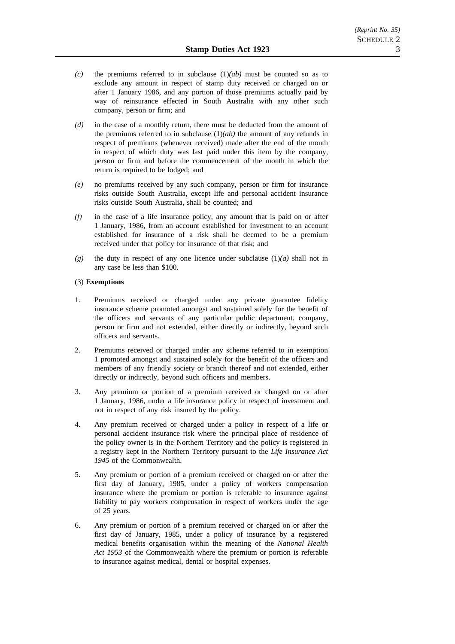- *(c)* the premiums referred to in subclause (1)*(ab)* must be counted so as to exclude any amount in respect of stamp duty received or charged on or after 1 January 1986, and any portion of those premiums actually paid by way of reinsurance effected in South Australia with any other such company, person or firm; and
- *(d)* in the case of a monthly return, there must be deducted from the amount of the premiums referred to in subclause  $(1)(ab)$  the amount of any refunds in respect of premiums (whenever received) made after the end of the month in respect of which duty was last paid under this item by the company, person or firm and before the commencement of the month in which the return is required to be lodged; and
- *(e)* no premiums received by any such company, person or firm for insurance risks outside South Australia, except life and personal accident insurance risks outside South Australia, shall be counted; and
- *(f)* in the case of a life insurance policy, any amount that is paid on or after 1 January, 1986, from an account established for investment to an account established for insurance of a risk shall be deemed to be a premium received under that policy for insurance of that risk; and
- *(g)* the duty in respect of any one licence under subclause (1)*(a)* shall not in any case be less than \$100.

#### (3) **Exemptions**

- 1. Premiums received or charged under any private guarantee fidelity insurance scheme promoted amongst and sustained solely for the benefit of the officers and servants of any particular public department, company, person or firm and not extended, either directly or indirectly, beyond such officers and servants.
- 2. Premiums received or charged under any scheme referred to in exemption 1 promoted amongst and sustained solely for the benefit of the officers and members of any friendly society or branch thereof and not extended, either directly or indirectly, beyond such officers and members.
- 3. Any premium or portion of a premium received or charged on or after 1 January, 1986, under a life insurance policy in respect of investment and not in respect of any risk insured by the policy.
- 4. Any premium received or charged under a policy in respect of a life or personal accident insurance risk where the principal place of residence of the policy owner is in the Northern Territory and the policy is registered in a registry kept in the Northern Territory pursuant to the *Life Insurance Act 1945* of the Commonwealth.
- 5. Any premium or portion of a premium received or charged on or after the first day of January, 1985, under a policy of workers compensation insurance where the premium or portion is referable to insurance against liability to pay workers compensation in respect of workers under the age of 25 years.
- 6. Any premium or portion of a premium received or charged on or after the first day of January, 1985, under a policy of insurance by a registered medical benefits organisation within the meaning of the *National Health Act 1953* of the Commonwealth where the premium or portion is referable to insurance against medical, dental or hospital expenses.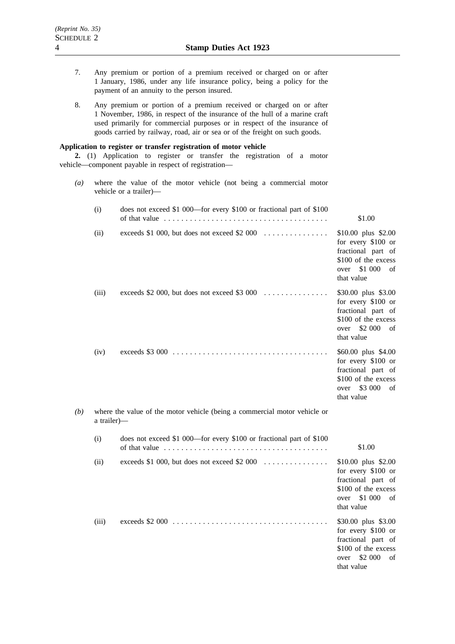7. Any premium or portion of a premium received or charged on or after 1 January, 1986, under any life insurance policy, being a policy for the payment of an annuity to the person insured. 8. Any premium or portion of a premium received or charged on or after 1 November, 1986, in respect of the insurance of the hull of a marine craft used primarily for commercial purposes or in respect of the insurance of goods carried by railway, road, air or sea or of the freight on such goods. **Application to register or transfer registration of motor vehicle 2.** (1) Application to register or transfer the registration of a motor vehicle—component payable in respect of registration— *(a)* where the value of the motor vehicle (not being a commercial motor vehicle or a trailer)— (i) does not exceed \$1 000—for every \$100 or fractional part of \$100 of that value ...................................... \$1.00 (ii) exceeds \$1 000, but does not exceed \$2 000 ............... \$10.00 plus \$2.00 for every \$100 or fractional part of \$100 of the excess over \$1 000 of that value (iii) exceeds \$2 000, but does not exceed \$3 000 ............... \$30.00 plus \$3.00 for every \$100 or fractional part of \$100 of the excess over \$2 000 of that value (iv) exceeds \$3 000 .................................... \$60.00 plus \$4.00 for every \$100 or fractional part of \$100 of the excess over \$3 000 of that value *(b)* where the value of the motor vehicle (being a commercial motor vehicle or a trailer)— (i) does not exceed \$1 000—for every \$100 or fractional part of \$100 of that value  $\dots \dots \dots \dots \dots \dots \dots \dots \dots \dots \dots$  \$1.00 (ii) exceeds \$1 000, but does not exceed \$2 000 ............... \$10.00 plus \$2.00 for every \$100 or fractional part of \$100 of the excess over \$1 000 of that value (iii) exceeds \$2 000 .................................... \$30.00 plus \$3.00 for every \$100 or fractional part of \$100 of the excess over \$2 000 of that value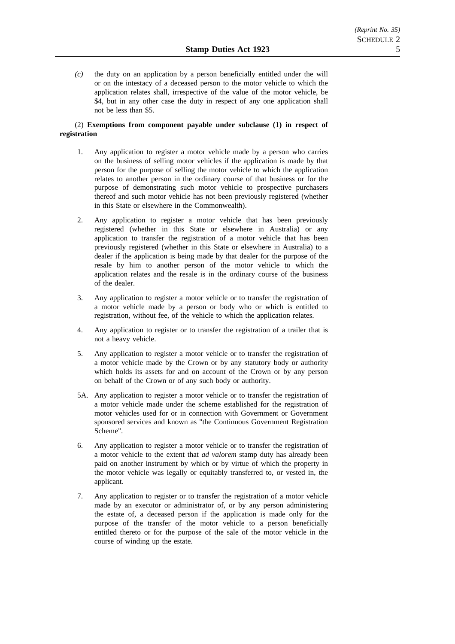*(c)* the duty on an application by a person beneficially entitled under the will or on the intestacy of a deceased person to the motor vehicle to which the application relates shall, irrespective of the value of the motor vehicle, be \$4, but in any other case the duty in respect of any one application shall not be less than \$5.

#### (2) **Exemptions from component payable under subclause (1) in respect of registration**

- 1. Any application to register a motor vehicle made by a person who carries on the business of selling motor vehicles if the application is made by that person for the purpose of selling the motor vehicle to which the application relates to another person in the ordinary course of that business or for the purpose of demonstrating such motor vehicle to prospective purchasers thereof and such motor vehicle has not been previously registered (whether in this State or elsewhere in the Commonwealth).
- 2. Any application to register a motor vehicle that has been previously registered (whether in this State or elsewhere in Australia) or any application to transfer the registration of a motor vehicle that has been previously registered (whether in this State or elsewhere in Australia) to a dealer if the application is being made by that dealer for the purpose of the resale by him to another person of the motor vehicle to which the application relates and the resale is in the ordinary course of the business of the dealer.
- 3. Any application to register a motor vehicle or to transfer the registration of a motor vehicle made by a person or body who or which is entitled to registration, without fee, of the vehicle to which the application relates.
- 4. Any application to register or to transfer the registration of a trailer that is not a heavy vehicle.
- 5. Any application to register a motor vehicle or to transfer the registration of a motor vehicle made by the Crown or by any statutory body or authority which holds its assets for and on account of the Crown or by any person on behalf of the Crown or of any such body or authority.
- 5A. Any application to register a motor vehicle or to transfer the registration of a motor vehicle made under the scheme established for the registration of motor vehicles used for or in connection with Government or Government sponsored services and known as "the Continuous Government Registration Scheme".
- 6. Any application to register a motor vehicle or to transfer the registration of a motor vehicle to the extent that *ad valorem* stamp duty has already been paid on another instrument by which or by virtue of which the property in the motor vehicle was legally or equitably transferred to, or vested in, the applicant.
- 7. Any application to register or to transfer the registration of a motor vehicle made by an executor or administrator of, or by any person administering the estate of, a deceased person if the application is made only for the purpose of the transfer of the motor vehicle to a person beneficially entitled thereto or for the purpose of the sale of the motor vehicle in the course of winding up the estate.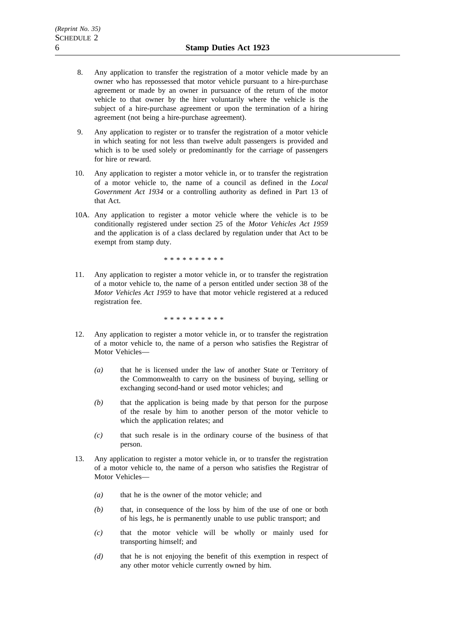- 8. Any application to transfer the registration of a motor vehicle made by an owner who has repossessed that motor vehicle pursuant to a hire-purchase agreement or made by an owner in pursuance of the return of the motor vehicle to that owner by the hirer voluntarily where the vehicle is the subject of a hire-purchase agreement or upon the termination of a hiring agreement (not being a hire-purchase agreement).
- 9. Any application to register or to transfer the registration of a motor vehicle in which seating for not less than twelve adult passengers is provided and which is to be used solely or predominantly for the carriage of passengers for hire or reward.
- 10. Any application to register a motor vehicle in, or to transfer the registration of a motor vehicle to, the name of a council as defined in the *Local Government Act 1934* or a controlling authority as defined in Part 13 of that Act.
- 10A. Any application to register a motor vehicle where the vehicle is to be conditionally registered under section 25 of the *Motor Vehicles Act 1959* and the application is of a class declared by regulation under that Act to be exempt from stamp duty.

\*\*\*\*\*\*\*\*\*\*

11. Any application to register a motor vehicle in, or to transfer the registration of a motor vehicle to, the name of a person entitled under section 38 of the *Motor Vehicles Act 1959* to have that motor vehicle registered at a reduced registration fee.

\*\*\*\*\*\*\*\*\*

- 12. Any application to register a motor vehicle in, or to transfer the registration of a motor vehicle to, the name of a person who satisfies the Registrar of Motor Vehicles—
	- *(a)* that he is licensed under the law of another State or Territory of the Commonwealth to carry on the business of buying, selling or exchanging second-hand or used motor vehicles; and
	- *(b)* that the application is being made by that person for the purpose of the resale by him to another person of the motor vehicle to which the application relates; and
	- *(c)* that such resale is in the ordinary course of the business of that person.
- 13. Any application to register a motor vehicle in, or to transfer the registration of a motor vehicle to, the name of a person who satisfies the Registrar of Motor Vehicles—
	- *(a)* that he is the owner of the motor vehicle; and
	- *(b)* that, in consequence of the loss by him of the use of one or both of his legs, he is permanently unable to use public transport; and
	- *(c)* that the motor vehicle will be wholly or mainly used for transporting himself; and
	- *(d)* that he is not enjoying the benefit of this exemption in respect of any other motor vehicle currently owned by him.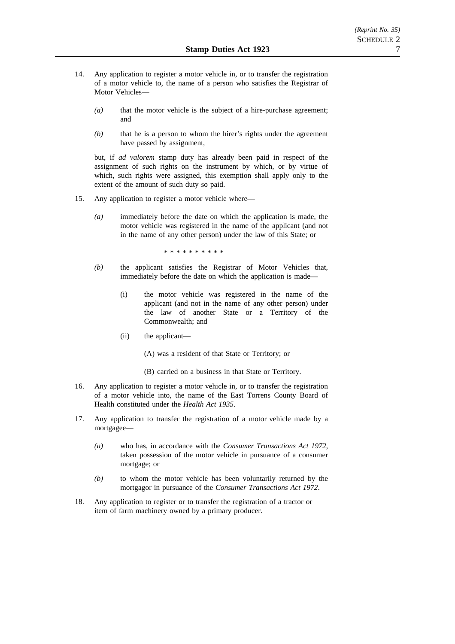- 14. Any application to register a motor vehicle in, or to transfer the registration of a motor vehicle to, the name of a person who satisfies the Registrar of Motor Vehicles—
	- *(a)* that the motor vehicle is the subject of a hire-purchase agreement; and
	- *(b)* that he is a person to whom the hirer's rights under the agreement have passed by assignment,

but, if *ad valorem* stamp duty has already been paid in respect of the assignment of such rights on the instrument by which, or by virtue of which, such rights were assigned, this exemption shall apply only to the extent of the amount of such duty so paid.

- 15. Any application to register a motor vehicle where—
	- *(a)* immediately before the date on which the application is made, the motor vehicle was registered in the name of the applicant (and not in the name of any other person) under the law of this State; or

\*\*\*\*\*\*\*\*\*\*

- *(b)* the applicant satisfies the Registrar of Motor Vehicles that, immediately before the date on which the application is made—
	- (i) the motor vehicle was registered in the name of the applicant (and not in the name of any other person) under the law of another State or a Territory of the Commonwealth; and
	- (ii) the applicant—
		- (A) was a resident of that State or Territory; or
		- (B) carried on a business in that State or Territory.
- 16. Any application to register a motor vehicle in, or to transfer the registration of a motor vehicle into, the name of the East Torrens County Board of Health constituted under the *Health Act 1935*.
- 17. Any application to transfer the registration of a motor vehicle made by a mortgagee—
	- *(a)* who has, in accordance with the *Consumer Transactions Act 1972*, taken possession of the motor vehicle in pursuance of a consumer mortgage; or
	- *(b)* to whom the motor vehicle has been voluntarily returned by the mortgagor in pursuance of the *Consumer Transactions Act 1972*.
- 18. Any application to register or to transfer the registration of a tractor or item of farm machinery owned by a primary producer.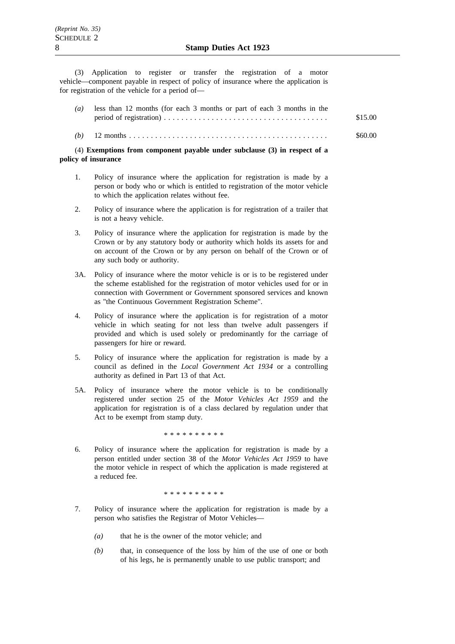(3) Application to register or transfer the registration of a motor vehicle—component payable in respect of policy of insurance where the application is for registration of the vehicle for a period of—

| $\left( a\right)$ | less than 12 months (for each 3 months or part of each 3 months in the | \$15.00 |
|-------------------|------------------------------------------------------------------------|---------|
|                   |                                                                        | \$60.00 |

#### (4) **Exemptions from component payable under subclause (3) in respect of a policy of insurance**

- 1. Policy of insurance where the application for registration is made by a person or body who or which is entitled to registration of the motor vehicle to which the application relates without fee.
- 2. Policy of insurance where the application is for registration of a trailer that is not a heavy vehicle.
- 3. Policy of insurance where the application for registration is made by the Crown or by any statutory body or authority which holds its assets for and on account of the Crown or by any person on behalf of the Crown or of any such body or authority.
- 3A. Policy of insurance where the motor vehicle is or is to be registered under the scheme established for the registration of motor vehicles used for or in connection with Government or Government sponsored services and known as "the Continuous Government Registration Scheme".
- 4. Policy of insurance where the application is for registration of a motor vehicle in which seating for not less than twelve adult passengers if provided and which is used solely or predominantly for the carriage of passengers for hire or reward.
- 5. Policy of insurance where the application for registration is made by a council as defined in the *Local Government Act 1934* or a controlling authority as defined in Part 13 of that Act.
- 5A. Policy of insurance where the motor vehicle is to be conditionally registered under section 25 of the *Motor Vehicles Act 1959* and the application for registration is of a class declared by regulation under that Act to be exempt from stamp duty.

\*\*\*\*\*\*\*\*\*\*

6. Policy of insurance where the application for registration is made by a person entitled under section 38 of the *Motor Vehicles Act 1959* to have the motor vehicle in respect of which the application is made registered at a reduced fee.

\*\*\*\*\*\*\*\*\*\*

- 7. Policy of insurance where the application for registration is made by a person who satisfies the Registrar of Motor Vehicles—
	- *(a)* that he is the owner of the motor vehicle; and
	- *(b)* that, in consequence of the loss by him of the use of one or both of his legs, he is permanently unable to use public transport; and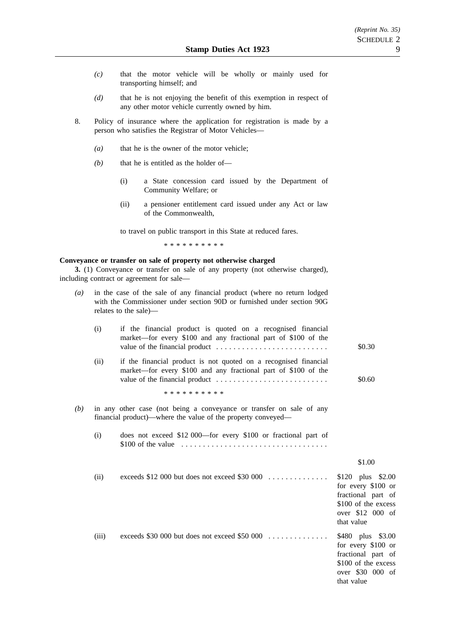that value

- *(c)* that the motor vehicle will be wholly or mainly used for transporting himself; and
- *(d)* that he is not enjoying the benefit of this exemption in respect of any other motor vehicle currently owned by him.
- 8. Policy of insurance where the application for registration is made by a person who satisfies the Registrar of Motor Vehicles—
	- *(a)* that he is the owner of the motor vehicle;
	- *(b)* that he is entitled as the holder of—
		- (i) a State concession card issued by the Department of Community Welfare; or
		- (ii) a pensioner entitlement card issued under any Act or law of the Commonwealth,

to travel on public transport in this State at reduced fares.

\*\*\*\*\*\*\*\*\*\*

#### **Conveyance or transfer on sale of property not otherwise charged**

**3.** (1) Conveyance or transfer on sale of any property (not otherwise charged), including contract or agreement for sale—

*(a)* in the case of the sale of any financial product (where no return lodged with the Commissioner under section 90D or furnished under section 90G relates to the sale)— (i) if the financial product is quoted on a recognised financial market—for every \$100 and any fractional part of \$100 of the value of the financial product .......................... \$0.30 (ii) if the financial product is not quoted on a recognised financial market—for every \$100 and any fractional part of \$100 of the value of the financial product .......................... \$0.60 \*\*\*\*\*\*\*\*\*\* *(b)* in any other case (not being a conveyance or transfer on sale of any financial product)—where the value of the property conveyed— (i) does not exceed \$12 000—for every \$100 or fractional part of \$100 of the value  $\dots \dots \dots \dots \dots \dots \dots \dots \dots \dots \dots \dots$ \$1.00 (ii) exceeds \$12 000 but does not exceed \$30 000 .............. \$120 plus \$2.00 for every \$100 or fractional part of \$100 of the excess over \$12 000 of that value (iii) exceeds \$30 000 but does not exceed \$50 000 .............. \$480 plus \$3.00 for every \$100 or fractional part of \$100 of the excess over \$30 000 of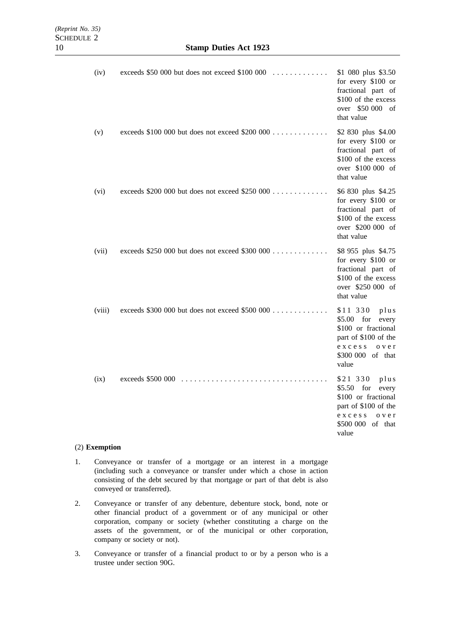| (iv)   | exceeds \$50 000 but does not exceed \$100 000  | \$1 080 plus \$3.50<br>for every \$100 or<br>fractional part of<br>\$100 of the excess<br>over \$50 000 of<br>that value                      |
|--------|-------------------------------------------------|-----------------------------------------------------------------------------------------------------------------------------------------------|
| (v)    | exceeds \$100 000 but does not exceed \$200 000 | \$2 830 plus \$4.00<br>for every \$100 or<br>fractional part of<br>\$100 of the excess<br>over \$100 000 of<br>that value                     |
| (vi)   | exceeds \$200 000 but does not exceed \$250 000 | \$6 830 plus \$4.25<br>for every \$100 or<br>fractional part of<br>\$100 of the excess<br>over \$200 000 of<br>that value                     |
| (vii)  | exceeds \$250 000 but does not exceed \$300 000 | \$8 955 plus \$4.75<br>for every \$100 or<br>fractional part of<br>\$100 of the excess<br>over \$250 000 of<br>that value                     |
| (viii) | exceeds \$300 000 but does not exceed \$500 000 | \$11 330<br>$p$ lus<br>\$5.00 for<br>every<br>\$100 or fractional<br>part of \$100 of the<br>excces<br>o v e r<br>\$300 000 of that<br>value  |
| (ix)   |                                                 | \$21 330<br>$p$ lus<br>$$5.50$ for<br>every<br>\$100 or fractional<br>part of \$100 of the<br>excces<br>o v e r<br>\$500 000 of that<br>value |

### (2) **Exemption**

- 1. Conveyance or transfer of a mortgage or an interest in a mortgage (including such a conveyance or transfer under which a chose in action consisting of the debt secured by that mortgage or part of that debt is also conveyed or transferred).
- 2. Conveyance or transfer of any debenture, debenture stock, bond, note or other financial product of a government or of any municipal or other corporation, company or society (whether constituting a charge on the assets of the government, or of the municipal or other corporation, company or society or not).
- 3. Conveyance or transfer of a financial product to or by a person who is a trustee under section 90G.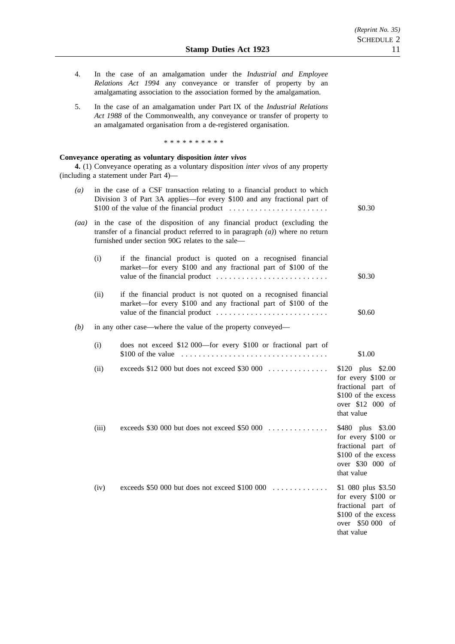- 4. In the case of an amalgamation under the *Industrial and Employee Relations Act 1994* any conveyance or transfer of property by an amalgamating association to the association formed by the amalgamation.
- 5. In the case of an amalgamation under Part IX of the *Industrial Relations Act 1988* of the Commonwealth, any conveyance or transfer of property to an amalgamated organisation from a de-registered organisation.

\*\*\*\*\*\*\*\*\*\*

#### **Conveyance operating as voluntary disposition** *inter vivos*

**4.** (1) Conveyance operating as a voluntary disposition *inter vivos* of any property (including a statement under Part 4)—

| (a)  |       | in the case of a CSF transaction relating to a financial product to which<br>Division 3 of Part 3A applies—for every \$100 and any fractional part of                                                          | \$0.30                                                                                                                   |
|------|-------|----------------------------------------------------------------------------------------------------------------------------------------------------------------------------------------------------------------|--------------------------------------------------------------------------------------------------------------------------|
| (aa) |       | in the case of the disposition of any financial product (excluding the<br>transfer of a financial product referred to in paragraph $(a)$ ) where no return<br>furnished under section 90G relates to the sale— |                                                                                                                          |
|      | (i)   | if the financial product is quoted on a recognised financial<br>market—for every \$100 and any fractional part of \$100 of the                                                                                 | \$0.30                                                                                                                   |
|      | (ii)  | if the financial product is not quoted on a recognised financial<br>market—for every \$100 and any fractional part of \$100 of the                                                                             | \$0.60                                                                                                                   |
| (b)  |       | in any other case—where the value of the property conveyed—                                                                                                                                                    |                                                                                                                          |
|      | (i)   | does not exceed \$12 000—for every \$100 or fractional part of<br>\$100 of the value $\dots \dots \dots \dots \dots \dots \dots \dots \dots \dots \dots \dots$                                                 | \$1.00                                                                                                                   |
|      | (ii)  | exceeds \$12 000 but does not exceed \$30 000                                                                                                                                                                  | \$120 plus \$2.00<br>for every \$100 or<br>fractional part of<br>\$100 of the excess<br>over \$12 000 of<br>that value   |
|      | (iii) | exceeds \$30 000 but does not exceed \$50 000                                                                                                                                                                  | \$480 plus \$3.00<br>for every \$100 or<br>fractional part of<br>\$100 of the excess<br>over \$30 000 of<br>that value   |
|      | (iv)  | exceeds $$50,000$ but does not exceed $$100,000$                                                                                                                                                               | \$1 080 plus \$3.50<br>for every \$100 or<br>fractional part of<br>\$100 of the excess<br>over \$50 000 of<br>that value |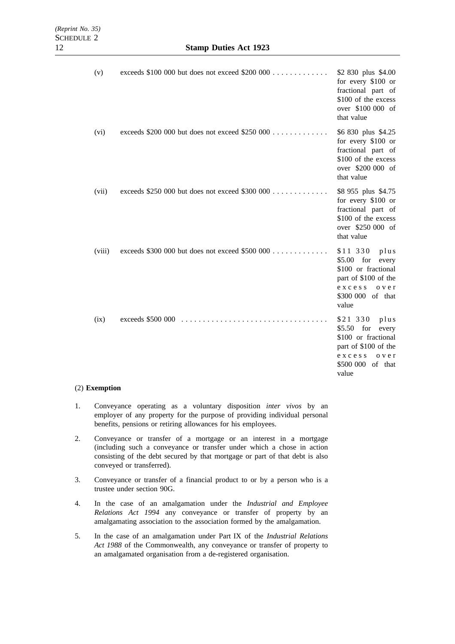| (v)    | exceeds $$100,000$ but does not exceed $$200,000$ | \$2 830 plus \$4.00<br>for every \$100 or<br>fractional part of<br>\$100 of the excess<br>over \$100 000 of<br>that value                       |
|--------|---------------------------------------------------|-------------------------------------------------------------------------------------------------------------------------------------------------|
| (vi)   |                                                   | \$6 830 plus \$4.25<br>for every $$100$ or<br>fractional part of<br>\$100 of the excess<br>over \$200 000 of<br>that value                      |
| (vii)  |                                                   | \$8 955 plus \$4.75<br>for every \$100 or<br>fractional part of<br>\$100 of the excess<br>over \$250 000 of<br>that value                       |
| (viii) | exceeds $$300,000$ but does not exceed $$500,000$ | \$11 330<br>plus<br>$$5.00$ for<br>every<br>\$100 or fractional<br>part of \$100 of the<br>excess<br>o v e r<br>\$300 000 of that<br>value      |
| (ix)   |                                                   | \$21 330<br>$p$ lus<br>\$5.50 for<br>every<br>\$100 or fractional<br>part of \$100 of the<br>excces<br>o v e r<br>\$500 000<br>of that<br>value |

### (2) **Exemption**

- 1. Conveyance operating as a voluntary disposition *inter vivos* by an employer of any property for the purpose of providing individual personal benefits, pensions or retiring allowances for his employees.
- 2. Conveyance or transfer of a mortgage or an interest in a mortgage (including such a conveyance or transfer under which a chose in action consisting of the debt secured by that mortgage or part of that debt is also conveyed or transferred).
- 3. Conveyance or transfer of a financial product to or by a person who is a trustee under section 90G.
- 4. In the case of an amalgamation under the *Industrial and Employee Relations Act 1994* any conveyance or transfer of property by an amalgamating association to the association formed by the amalgamation.
- 5. In the case of an amalgamation under Part IX of the *Industrial Relations Act 1988* of the Commonwealth, any conveyance or transfer of property to an amalgamated organisation from a de-registered organisation.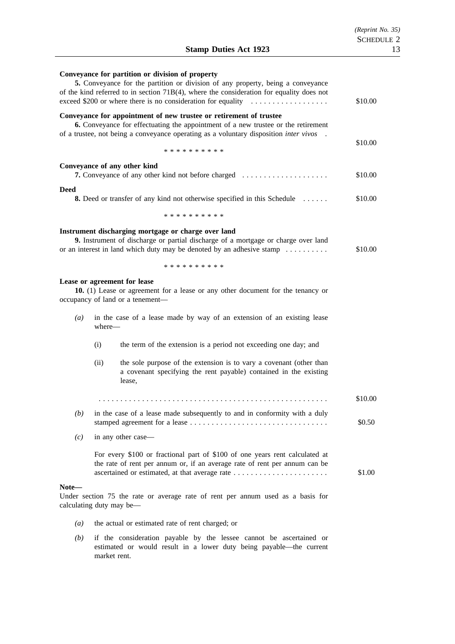| Conveyance for appointment of new trustee or retirement of trustee<br>6. Conveyance for effectuating the appointment of a new trustee or the retirement<br>of a trustee, not being a conveyance operating as a voluntary disposition inter vivos<br>\$10.00<br>* * * * * * * * * *<br>Conveyance of any other kind<br>7. Conveyance of any other kind not before charged<br>\$10.00<br><b>Deed</b><br>8. Deed or transfer of any kind not otherwise specified in this Schedule<br>\$10.00<br>* * * * * * * * * *<br>Instrument discharging mortgage or charge over land<br>9. Instrument of discharge or partial discharge of a mortgage or charge over land<br>or an interest in land which duty may be denoted by an adhesive stamp $\dots \dots \dots$<br>\$10.00<br>* * * * * * * * * *<br>Lease or agreement for lease<br>10. (1) Lease or agreement for a lease or any other document for the tenancy or<br>occupancy of land or a tenement-<br>in the case of a lease made by way of an extension of an existing lease<br>$\left(a\right)$<br>where-<br>the term of the extension is a period not exceeding one day; and<br>(i)<br>the sole purpose of the extension is to vary a covenant (other than<br>(ii)<br>a covenant specifying the rent payable) contained in the existing<br>lease,<br>\$10.00<br>$(b)$ in the case of a lease made subsequently to and in conformity with a duly<br>\$0.50<br>in any other case—<br>(c)<br>For every \$100 or fractional part of \$100 of one years rent calculated at<br>the rate of rent per annum or, if an average rate of rent per annum can be<br>\$1.00<br>Note-<br>Under section 75 the rate or average rate of rent per annum used as a basis for<br>calculating duty may be—<br>the actual or estimated rate of rent charged; or<br>$\left(a\right)$ | Conveyance for partition or division of property<br>5. Conveyance for the partition or division of any property, being a conveyance<br>of the kind referred to in section 71B(4), where the consideration for equality does not<br>exceed \$200 or where there is no consideration for equality | \$10.00 |
|------------------------------------------------------------------------------------------------------------------------------------------------------------------------------------------------------------------------------------------------------------------------------------------------------------------------------------------------------------------------------------------------------------------------------------------------------------------------------------------------------------------------------------------------------------------------------------------------------------------------------------------------------------------------------------------------------------------------------------------------------------------------------------------------------------------------------------------------------------------------------------------------------------------------------------------------------------------------------------------------------------------------------------------------------------------------------------------------------------------------------------------------------------------------------------------------------------------------------------------------------------------------------------------------------------------------------------------------------------------------------------------------------------------------------------------------------------------------------------------------------------------------------------------------------------------------------------------------------------------------------------------------------------------------------------------------------------------------------------------------------------------------------------------------------------------|-------------------------------------------------------------------------------------------------------------------------------------------------------------------------------------------------------------------------------------------------------------------------------------------------|---------|
|                                                                                                                                                                                                                                                                                                                                                                                                                                                                                                                                                                                                                                                                                                                                                                                                                                                                                                                                                                                                                                                                                                                                                                                                                                                                                                                                                                                                                                                                                                                                                                                                                                                                                                                                                                                                                  |                                                                                                                                                                                                                                                                                                 |         |
|                                                                                                                                                                                                                                                                                                                                                                                                                                                                                                                                                                                                                                                                                                                                                                                                                                                                                                                                                                                                                                                                                                                                                                                                                                                                                                                                                                                                                                                                                                                                                                                                                                                                                                                                                                                                                  |                                                                                                                                                                                                                                                                                                 |         |
|                                                                                                                                                                                                                                                                                                                                                                                                                                                                                                                                                                                                                                                                                                                                                                                                                                                                                                                                                                                                                                                                                                                                                                                                                                                                                                                                                                                                                                                                                                                                                                                                                                                                                                                                                                                                                  |                                                                                                                                                                                                                                                                                                 |         |
|                                                                                                                                                                                                                                                                                                                                                                                                                                                                                                                                                                                                                                                                                                                                                                                                                                                                                                                                                                                                                                                                                                                                                                                                                                                                                                                                                                                                                                                                                                                                                                                                                                                                                                                                                                                                                  |                                                                                                                                                                                                                                                                                                 |         |
|                                                                                                                                                                                                                                                                                                                                                                                                                                                                                                                                                                                                                                                                                                                                                                                                                                                                                                                                                                                                                                                                                                                                                                                                                                                                                                                                                                                                                                                                                                                                                                                                                                                                                                                                                                                                                  |                                                                                                                                                                                                                                                                                                 |         |
|                                                                                                                                                                                                                                                                                                                                                                                                                                                                                                                                                                                                                                                                                                                                                                                                                                                                                                                                                                                                                                                                                                                                                                                                                                                                                                                                                                                                                                                                                                                                                                                                                                                                                                                                                                                                                  |                                                                                                                                                                                                                                                                                                 |         |
|                                                                                                                                                                                                                                                                                                                                                                                                                                                                                                                                                                                                                                                                                                                                                                                                                                                                                                                                                                                                                                                                                                                                                                                                                                                                                                                                                                                                                                                                                                                                                                                                                                                                                                                                                                                                                  |                                                                                                                                                                                                                                                                                                 |         |
|                                                                                                                                                                                                                                                                                                                                                                                                                                                                                                                                                                                                                                                                                                                                                                                                                                                                                                                                                                                                                                                                                                                                                                                                                                                                                                                                                                                                                                                                                                                                                                                                                                                                                                                                                                                                                  |                                                                                                                                                                                                                                                                                                 |         |
|                                                                                                                                                                                                                                                                                                                                                                                                                                                                                                                                                                                                                                                                                                                                                                                                                                                                                                                                                                                                                                                                                                                                                                                                                                                                                                                                                                                                                                                                                                                                                                                                                                                                                                                                                                                                                  |                                                                                                                                                                                                                                                                                                 |         |
|                                                                                                                                                                                                                                                                                                                                                                                                                                                                                                                                                                                                                                                                                                                                                                                                                                                                                                                                                                                                                                                                                                                                                                                                                                                                                                                                                                                                                                                                                                                                                                                                                                                                                                                                                                                                                  |                                                                                                                                                                                                                                                                                                 |         |
|                                                                                                                                                                                                                                                                                                                                                                                                                                                                                                                                                                                                                                                                                                                                                                                                                                                                                                                                                                                                                                                                                                                                                                                                                                                                                                                                                                                                                                                                                                                                                                                                                                                                                                                                                                                                                  |                                                                                                                                                                                                                                                                                                 |         |
|                                                                                                                                                                                                                                                                                                                                                                                                                                                                                                                                                                                                                                                                                                                                                                                                                                                                                                                                                                                                                                                                                                                                                                                                                                                                                                                                                                                                                                                                                                                                                                                                                                                                                                                                                                                                                  |                                                                                                                                                                                                                                                                                                 |         |
|                                                                                                                                                                                                                                                                                                                                                                                                                                                                                                                                                                                                                                                                                                                                                                                                                                                                                                                                                                                                                                                                                                                                                                                                                                                                                                                                                                                                                                                                                                                                                                                                                                                                                                                                                                                                                  |                                                                                                                                                                                                                                                                                                 |         |
|                                                                                                                                                                                                                                                                                                                                                                                                                                                                                                                                                                                                                                                                                                                                                                                                                                                                                                                                                                                                                                                                                                                                                                                                                                                                                                                                                                                                                                                                                                                                                                                                                                                                                                                                                                                                                  |                                                                                                                                                                                                                                                                                                 |         |
|                                                                                                                                                                                                                                                                                                                                                                                                                                                                                                                                                                                                                                                                                                                                                                                                                                                                                                                                                                                                                                                                                                                                                                                                                                                                                                                                                                                                                                                                                                                                                                                                                                                                                                                                                                                                                  |                                                                                                                                                                                                                                                                                                 |         |
|                                                                                                                                                                                                                                                                                                                                                                                                                                                                                                                                                                                                                                                                                                                                                                                                                                                                                                                                                                                                                                                                                                                                                                                                                                                                                                                                                                                                                                                                                                                                                                                                                                                                                                                                                                                                                  |                                                                                                                                                                                                                                                                                                 |         |
|                                                                                                                                                                                                                                                                                                                                                                                                                                                                                                                                                                                                                                                                                                                                                                                                                                                                                                                                                                                                                                                                                                                                                                                                                                                                                                                                                                                                                                                                                                                                                                                                                                                                                                                                                                                                                  |                                                                                                                                                                                                                                                                                                 |         |
|                                                                                                                                                                                                                                                                                                                                                                                                                                                                                                                                                                                                                                                                                                                                                                                                                                                                                                                                                                                                                                                                                                                                                                                                                                                                                                                                                                                                                                                                                                                                                                                                                                                                                                                                                                                                                  |                                                                                                                                                                                                                                                                                                 |         |

*(b)* if the consideration payable by the lessee cannot be ascertained or estimated or would result in a lower duty being payable—the current market rent.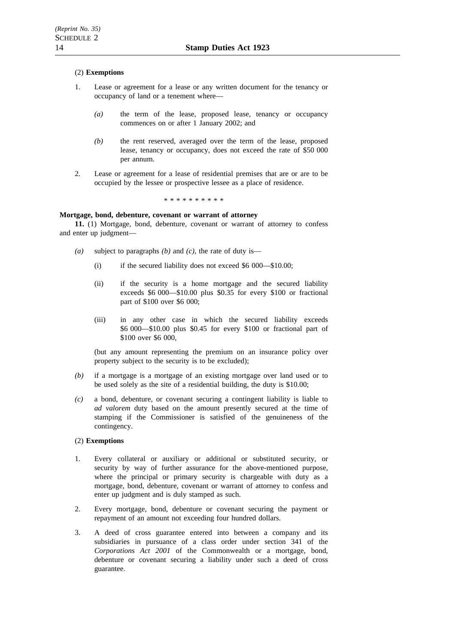#### (2) **Exemptions**

- 1. Lease or agreement for a lease or any written document for the tenancy or occupancy of land or a tenement where—
	- *(a)* the term of the lease, proposed lease, tenancy or occupancy commences on or after 1 January 2002; and
	- *(b)* the rent reserved, averaged over the term of the lease, proposed lease, tenancy or occupancy, does not exceed the rate of \$50 000 per annum.
- 2. Lease or agreement for a lease of residential premises that are or are to be occupied by the lessee or prospective lessee as a place of residence.

\*\*\*\*\*\*\*\*\*\*

#### **Mortgage, bond, debenture, covenant or warrant of attorney**

**11.** (1) Mortgage, bond, debenture, covenant or warrant of attorney to confess and enter up judgment—

- *(a)* subject to paragraphs *(b)* and *(c)*, the rate of duty is—
	- (i) if the secured liability does not exceed \$6 000—\$10.00;
	- (ii) if the security is a home mortgage and the secured liability exceeds \$6 000—\$10.00 plus \$0.35 for every \$100 or fractional part of \$100 over \$6 000;
	- (iii) in any other case in which the secured liability exceeds \$6 000—\$10.00 plus \$0.45 for every \$100 or fractional part of \$100 over \$6 000,

(but any amount representing the premium on an insurance policy over property subject to the security is to be excluded);

- *(b)* if a mortgage is a mortgage of an existing mortgage over land used or to be used solely as the site of a residential building, the duty is \$10.00;
- *(c)* a bond, debenture, or covenant securing a contingent liability is liable to *ad valorem* duty based on the amount presently secured at the time of stamping if the Commissioner is satisfied of the genuineness of the contingency.

### (2) **Exemptions**

- 1. Every collateral or auxiliary or additional or substituted security, or security by way of further assurance for the above-mentioned purpose, where the principal or primary security is chargeable with duty as a mortgage, bond, debenture, covenant or warrant of attorney to confess and enter up judgment and is duly stamped as such.
- 2. Every mortgage, bond, debenture or covenant securing the payment or repayment of an amount not exceeding four hundred dollars.
- 3. A deed of cross guarantee entered into between a company and its subsidiaries in pursuance of a class order under section 341 of the *Corporations Act 2001* of the Commonwealth or a mortgage, bond, debenture or covenant securing a liability under such a deed of cross guarantee.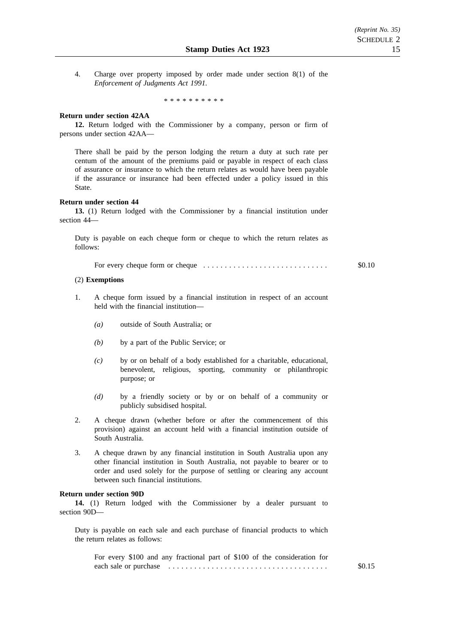4. Charge over property imposed by order made under section 8(1) of the *Enforcement of Judgments Act 1991.*

\*\*\*\*\*\*\*\*\*\*

#### **Return under section 42AA**

**12.** Return lodged with the Commissioner by a company, person or firm of persons under section 42AA—

There shall be paid by the person lodging the return a duty at such rate per centum of the amount of the premiums paid or payable in respect of each class of assurance or insurance to which the return relates as would have been payable if the assurance or insurance had been effected under a policy issued in this State.

#### **Return under section 44**

**13.** (1) Return lodged with the Commissioner by a financial institution under section 44—

Duty is payable on each cheque form or cheque to which the return relates as follows:

| For every cheque form or cheque $\dots \dots \dots \dots \dots \dots \dots \dots \dots \dots$ | \$0.10 |
|-----------------------------------------------------------------------------------------------|--------|
|                                                                                               |        |

#### (2) **Exemptions**

- 1. A cheque form issued by a financial institution in respect of an account held with the financial institution—
	- *(a)* outside of South Australia; or
	- *(b)* by a part of the Public Service; or
	- *(c)* by or on behalf of a body established for a charitable, educational, benevolent, religious, sporting, community or philanthropic purpose; or
	- *(d)* by a friendly society or by or on behalf of a community or publicly subsidised hospital.
- 2. A cheque drawn (whether before or after the commencement of this provision) against an account held with a financial institution outside of South Australia.
- 3. A cheque drawn by any financial institution in South Australia upon any other financial institution in South Australia, not payable to bearer or to order and used solely for the purpose of settling or clearing any account between such financial institutions.

#### **Return under section 90D**

**14.** (1) Return lodged with the Commissioner by a dealer pursuant to section 90D-

Duty is payable on each sale and each purchase of financial products to which the return relates as follows:

For every \$100 and any fractional part of \$100 of the consideration for each sale or purchase  $\ldots \ldots \ldots \ldots \ldots \ldots \ldots \ldots \ldots$  \$0.15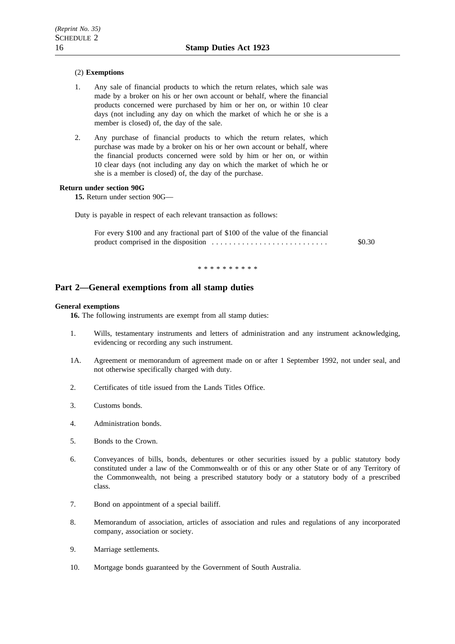#### (2) **Exemptions**

- 1. Any sale of financial products to which the return relates, which sale was made by a broker on his or her own account or behalf, where the financial products concerned were purchased by him or her on, or within 10 clear days (not including any day on which the market of which he or she is a member is closed) of, the day of the sale.
- 2. Any purchase of financial products to which the return relates, which purchase was made by a broker on his or her own account or behalf, where the financial products concerned were sold by him or her on, or within 10 clear days (not including any day on which the market of which he or she is a member is closed) of, the day of the purchase.

#### **Return under section 90G**

**15.** Return under section 90G—

Duty is payable in respect of each relevant transaction as follows:

| For every \$100 and any fractional part of \$100 of the value of the financial                 |        |
|------------------------------------------------------------------------------------------------|--------|
| product comprised in the disposition $\ldots \ldots \ldots \ldots \ldots \ldots \ldots \ldots$ | \$0.30 |

\*\*\*\*\*\*\*\*\*\*

### **Part 2—General exemptions from all stamp duties**

#### **General exemptions**

**16.** The following instruments are exempt from all stamp duties:

- 1. Wills, testamentary instruments and letters of administration and any instrument acknowledging, evidencing or recording any such instrument.
- 1A. Agreement or memorandum of agreement made on or after 1 September 1992, not under seal, and not otherwise specifically charged with duty.
- 2. Certificates of title issued from the Lands Titles Office.
- 3. Customs bonds.
- 4. Administration bonds.
- 5. Bonds to the Crown.
- 6. Conveyances of bills, bonds, debentures or other securities issued by a public statutory body constituted under a law of the Commonwealth or of this or any other State or of any Territory of the Commonwealth, not being a prescribed statutory body or a statutory body of a prescribed class.
- 7. Bond on appointment of a special bailiff.
- 8. Memorandum of association, articles of association and rules and regulations of any incorporated company, association or society.
- 9. Marriage settlements.
- 10. Mortgage bonds guaranteed by the Government of South Australia.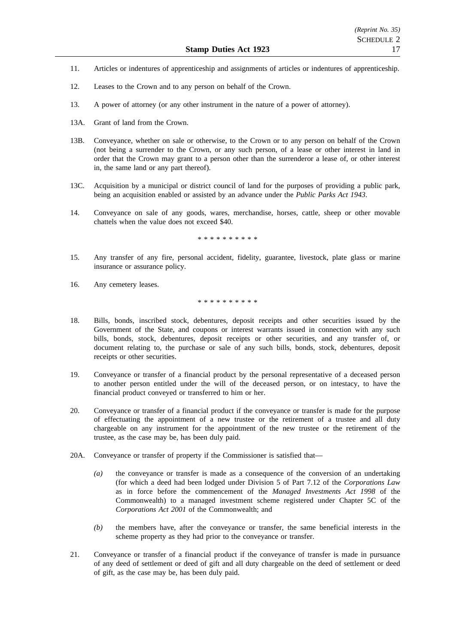- 11. Articles or indentures of apprenticeship and assignments of articles or indentures of apprenticeship.
- 12. Leases to the Crown and to any person on behalf of the Crown.
- 13. A power of attorney (or any other instrument in the nature of a power of attorney).
- 13A. Grant of land from the Crown.
- 13B. Conveyance, whether on sale or otherwise, to the Crown or to any person on behalf of the Crown (not being a surrender to the Crown, or any such person, of a lease or other interest in land in order that the Crown may grant to a person other than the surrenderor a lease of, or other interest in, the same land or any part thereof).
- 13C. Acquisition by a municipal or district council of land for the purposes of providing a public park, being an acquisition enabled or assisted by an advance under the *Public Parks Act 1943*.
- 14. Conveyance on sale of any goods, wares, merchandise, horses, cattle, sheep or other movable chattels when the value does not exceed \$40.

\*\*\*\*\*\*\*\*\*\*

- 15. Any transfer of any fire, personal accident, fidelity, guarantee, livestock, plate glass or marine insurance or assurance policy.
- 16. Any cemetery leases.

\*\*\*\*\*\*\*\*\*\*

- 18. Bills, bonds, inscribed stock, debentures, deposit receipts and other securities issued by the Government of the State, and coupons or interest warrants issued in connection with any such bills, bonds, stock, debentures, deposit receipts or other securities, and any transfer of, or document relating to, the purchase or sale of any such bills, bonds, stock, debentures, deposit receipts or other securities.
- 19. Conveyance or transfer of a financial product by the personal representative of a deceased person to another person entitled under the will of the deceased person, or on intestacy, to have the financial product conveyed or transferred to him or her.
- 20. Conveyance or transfer of a financial product if the conveyance or transfer is made for the purpose of effectuating the appointment of a new trustee or the retirement of a trustee and all duty chargeable on any instrument for the appointment of the new trustee or the retirement of the trustee, as the case may be, has been duly paid.
- 20A. Conveyance or transfer of property if the Commissioner is satisfied that—
	- *(a)* the conveyance or transfer is made as a consequence of the conversion of an undertaking (for which a deed had been lodged under Division 5 of Part 7.12 of the *Corporations Law* as in force before the commencement of the *Managed Investments Act 1998* of the Commonwealth) to a managed investment scheme registered under Chapter 5C of the *Corporations Act 2001* of the Commonwealth; and
	- *(b)* the members have, after the conveyance or transfer, the same beneficial interests in the scheme property as they had prior to the conveyance or transfer.
- 21. Conveyance or transfer of a financial product if the conveyance of transfer is made in pursuance of any deed of settlement or deed of gift and all duty chargeable on the deed of settlement or deed of gift, as the case may be, has been duly paid.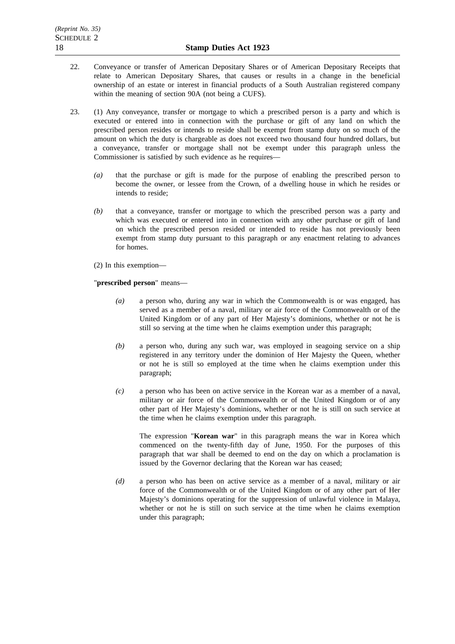- 22. Conveyance or transfer of American Depositary Shares or of American Depositary Receipts that relate to American Depositary Shares, that causes or results in a change in the beneficial ownership of an estate or interest in financial products of a South Australian registered company within the meaning of section 90A (not being a CUFS).
- 23. (1) Any conveyance, transfer or mortgage to which a prescribed person is a party and which is executed or entered into in connection with the purchase or gift of any land on which the prescribed person resides or intends to reside shall be exempt from stamp duty on so much of the amount on which the duty is chargeable as does not exceed two thousand four hundred dollars, but a conveyance, transfer or mortgage shall not be exempt under this paragraph unless the Commissioner is satisfied by such evidence as he requires—
	- *(a)* that the purchase or gift is made for the purpose of enabling the prescribed person to become the owner, or lessee from the Crown, of a dwelling house in which he resides or intends to reside;
	- *(b)* that a conveyance, transfer or mortgage to which the prescribed person was a party and which was executed or entered into in connection with any other purchase or gift of land on which the prescribed person resided or intended to reside has not previously been exempt from stamp duty pursuant to this paragraph or any enactment relating to advances for homes.
	- (2) In this exemption—

"**prescribed person**" means—

- *(a)* a person who, during any war in which the Commonwealth is or was engaged, has served as a member of a naval, military or air force of the Commonwealth or of the United Kingdom or of any part of Her Majesty's dominions, whether or not he is still so serving at the time when he claims exemption under this paragraph;
- *(b)* a person who, during any such war, was employed in seagoing service on a ship registered in any territory under the dominion of Her Majesty the Queen, whether or not he is still so employed at the time when he claims exemption under this paragraph;
- *(c)* a person who has been on active service in the Korean war as a member of a naval, military or air force of the Commonwealth or of the United Kingdom or of any other part of Her Majesty's dominions, whether or not he is still on such service at the time when he claims exemption under this paragraph.

The expression "**Korean war**" in this paragraph means the war in Korea which commenced on the twenty-fifth day of June, 1950. For the purposes of this paragraph that war shall be deemed to end on the day on which a proclamation is issued by the Governor declaring that the Korean war has ceased;

*(d)* a person who has been on active service as a member of a naval, military or air force of the Commonwealth or of the United Kingdom or of any other part of Her Majesty's dominions operating for the suppression of unlawful violence in Malaya, whether or not he is still on such service at the time when he claims exemption under this paragraph;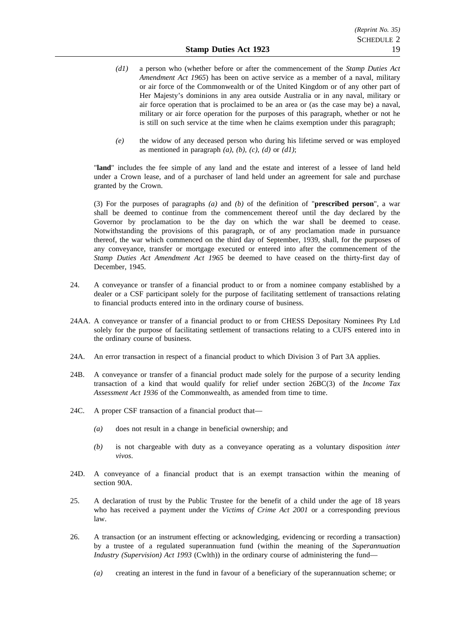- *(d1)* a person who (whether before or after the commencement of the *Stamp Duties Act Amendment Act 1965*) has been on active service as a member of a naval, military or air force of the Commonwealth or of the United Kingdom or of any other part of Her Majesty's dominions in any area outside Australia or in any naval, military or air force operation that is proclaimed to be an area or (as the case may be) a naval, military or air force operation for the purposes of this paragraph, whether or not he is still on such service at the time when he claims exemption under this paragraph;
- *(e)* the widow of any deceased person who during his lifetime served or was employed as mentioned in paragraph *(a)*, *(b)*, *(c)*, *(d)* or *(d1)*;

"**land**" includes the fee simple of any land and the estate and interest of a lessee of land held under a Crown lease, and of a purchaser of land held under an agreement for sale and purchase granted by the Crown.

(3) For the purposes of paragraphs *(a)* and *(b)* of the definition of "**prescribed person**", a war shall be deemed to continue from the commencement thereof until the day declared by the Governor by proclamation to be the day on which the war shall be deemed to cease. Notwithstanding the provisions of this paragraph, or of any proclamation made in pursuance thereof, the war which commenced on the third day of September, 1939, shall, for the purposes of any conveyance, transfer or mortgage executed or entered into after the commencement of the *Stamp Duties Act Amendment Act 1965* be deemed to have ceased on the thirty-first day of December, 1945.

- 24. A conveyance or transfer of a financial product to or from a nominee company established by a dealer or a CSF participant solely for the purpose of facilitating settlement of transactions relating to financial products entered into in the ordinary course of business.
- 24AA. A conveyance or transfer of a financial product to or from CHESS Depositary Nominees Pty Ltd solely for the purpose of facilitating settlement of transactions relating to a CUFS entered into in the ordinary course of business.
- 24A. An error transaction in respect of a financial product to which Division 3 of Part 3A applies.
- 24B. A conveyance or transfer of a financial product made solely for the purpose of a security lending transaction of a kind that would qualify for relief under section 26BC(3) of the *Income Tax Assessment Act 1936* of the Commonwealth, as amended from time to time.
- 24C. A proper CSF transaction of a financial product that—
	- *(a)* does not result in a change in beneficial ownership; and
	- *(b)* is not chargeable with duty as a conveyance operating as a voluntary disposition *inter vivos*.
- 24D. A conveyance of a financial product that is an exempt transaction within the meaning of section 90A.
- 25. A declaration of trust by the Public Trustee for the benefit of a child under the age of 18 years who has received a payment under the *Victims of Crime Act 2001* or a corresponding previous law.
- 26. A transaction (or an instrument effecting or acknowledging, evidencing or recording a transaction) by a trustee of a regulated superannuation fund (within the meaning of the *Superannuation Industry (Supervision) Act 1993* (Cwlth)) in the ordinary course of administering the fund—
	- *(a)* creating an interest in the fund in favour of a beneficiary of the superannuation scheme; or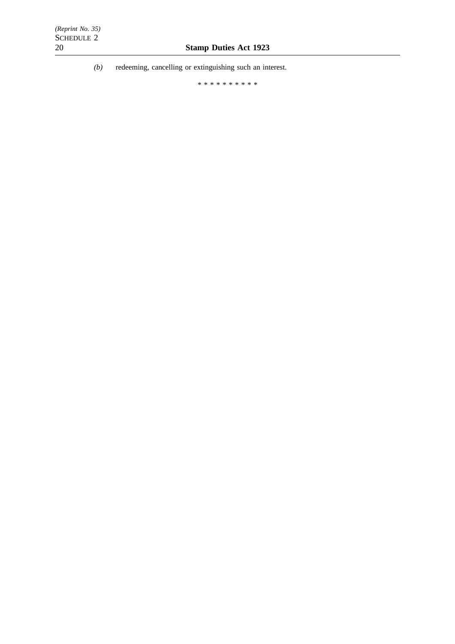*(b)* redeeming, cancelling or extinguishing such an interest.

\*\*\*\*\*\*\*\*\*\*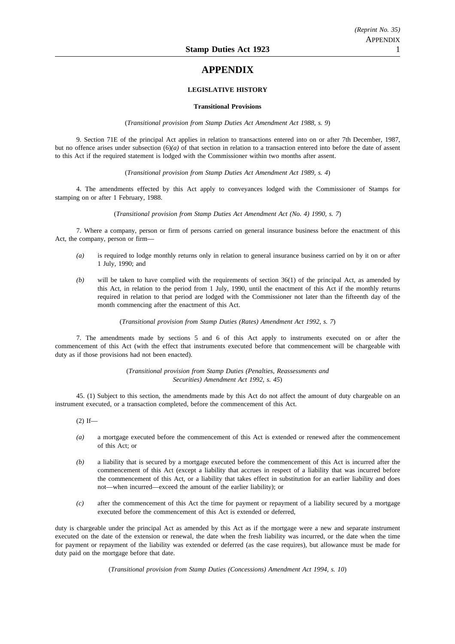## **APPENDIX**

#### **LEGISLATIVE HISTORY**

#### **Transitional Provisions**

(*Transitional provision from Stamp Duties Act Amendment Act 1988, s. 9*)

9. Section 71E of the principal Act applies in relation to transactions entered into on or after 7th December, 1987, but no offence arises under subsection (6)*(a)* of that section in relation to a transaction entered into before the date of assent to this Act if the required statement is lodged with the Commissioner within two months after assent.

(*Transitional provision from Stamp Duties Act Amendment Act 1989, s. 4*)

4. The amendments effected by this Act apply to conveyances lodged with the Commissioner of Stamps for stamping on or after 1 February, 1988.

(*Transitional provision from Stamp Duties Act Amendment Act (No. 4) 1990, s. 7*)

7. Where a company, person or firm of persons carried on general insurance business before the enactment of this Act, the company, person or firm—

- *(a)* is required to lodge monthly returns only in relation to general insurance business carried on by it on or after 1 July, 1990; and
- *(b)* will be taken to have complied with the requirements of section 36(1) of the principal Act, as amended by this Act, in relation to the period from 1 July, 1990, until the enactment of this Act if the monthly returns required in relation to that period are lodged with the Commissioner not later than the fifteenth day of the month commencing after the enactment of this Act.

(*Transitional provision from Stamp Duties (Rates) Amendment Act 1992, s. 7*)

7. The amendments made by sections 5 and 6 of this Act apply to instruments executed on or after the commencement of this Act (with the effect that instruments executed before that commencement will be chargeable with duty as if those provisions had not been enacted).

> (*Transitional provision from Stamp Duties (Penalties, Reassessments and Securities) Amendment Act 1992, s. 45*)

45. (1) Subject to this section, the amendments made by this Act do not affect the amount of duty chargeable on an instrument executed, or a transaction completed, before the commencement of this Act.

 $(2)$  If—

- *(a)* a mortgage executed before the commencement of this Act is extended or renewed after the commencement of this Act; or
- *(b)* a liability that is secured by a mortgage executed before the commencement of this Act is incurred after the commencement of this Act (except a liability that accrues in respect of a liability that was incurred before the commencement of this Act, or a liability that takes effect in substitution for an earlier liability and does not—when incurred—exceed the amount of the earlier liability); or
- *(c)* after the commencement of this Act the time for payment or repayment of a liability secured by a mortgage executed before the commencement of this Act is extended or deferred,

duty is chargeable under the principal Act as amended by this Act as if the mortgage were a new and separate instrument executed on the date of the extension or renewal, the date when the fresh liability was incurred, or the date when the time for payment or repayment of the liability was extended or deferred (as the case requires), but allowance must be made for duty paid on the mortgage before that date.

(*Transitional provision from Stamp Duties (Concessions) Amendment Act 1994, s. 10*)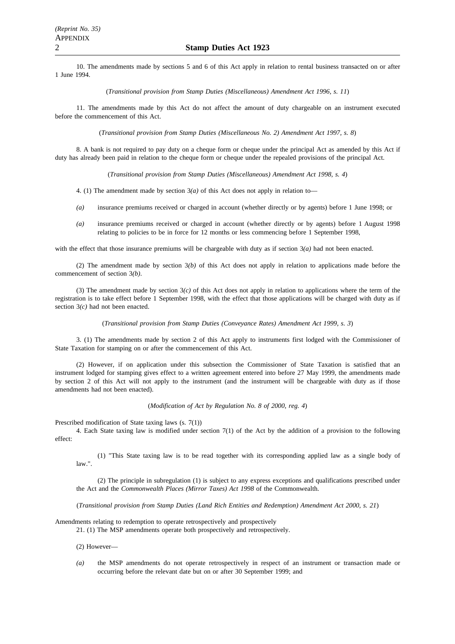10. The amendments made by sections 5 and 6 of this Act apply in relation to rental business transacted on or after 1 June 1994.

#### (*Transitional provision from Stamp Duties (Miscellaneous) Amendment Act 1996, s. 11*)

11. The amendments made by this Act do not affect the amount of duty chargeable on an instrument executed before the commencement of this Act.

(*Transitional provision from Stamp Duties (Miscellaneous No. 2) Amendment Act 1997, s. 8*)

8. A bank is not required to pay duty on a cheque form or cheque under the principal Act as amended by this Act if duty has already been paid in relation to the cheque form or cheque under the repealed provisions of the principal Act.

(*Transitional provision from Stamp Duties (Miscellaneous) Amendment Act 1998, s. 4*)

4. (1) The amendment made by section  $3(a)$  of this Act does not apply in relation to—

- *(a)* insurance premiums received or charged in account (whether directly or by agents) before 1 June 1998; or
- *(a)* insurance premiums received or charged in account (whether directly or by agents) before 1 August 1998 relating to policies to be in force for 12 months or less commencing before 1 September 1998,

with the effect that those insurance premiums will be chargeable with duty as if section 3*(a)* had not been enacted.

(2) The amendment made by section 3*(b)* of this Act does not apply in relation to applications made before the commencement of section 3*(b)*.

(3) The amendment made by section 3*(c)* of this Act does not apply in relation to applications where the term of the registration is to take effect before 1 September 1998, with the effect that those applications will be charged with duty as if section 3*(c)* had not been enacted.

(*Transitional provision from Stamp Duties (Conveyance Rates) Amendment Act 1999, s. 3*)

3. (1) The amendments made by section 2 of this Act apply to instruments first lodged with the Commissioner of State Taxation for stamping on or after the commencement of this Act.

(2) However, if on application under this subsection the Commissioner of State Taxation is satisfied that an instrument lodged for stamping gives effect to a written agreement entered into before 27 May 1999, the amendments made by section 2 of this Act will not apply to the instrument (and the instrument will be chargeable with duty as if those amendments had not been enacted).

(*Modification of Act by Regulation No. 8 of 2000, reg. 4*)

Prescribed modification of State taxing laws (s. 7(1))

4. Each State taxing law is modified under section 7(1) of the Act by the addition of a provision to the following effect:

(1) "This State taxing law is to be read together with its corresponding applied law as a single body of law.".

(2) The principle in subregulation (1) is subject to any express exceptions and qualifications prescribed under the Act and the *Commonwealth Places (Mirror Taxes) Act 1998* of the Commonwealth.

(*Transitional provision from Stamp Duties (Land Rich Entities and Redemption) Amendment Act 2000, s. 21*)

Amendments relating to redemption to operate retrospectively and prospectively

- 21. (1) The MSP amendments operate both prospectively and retrospectively.
	- (2) However—
	- *(a)* the MSP amendments do not operate retrospectively in respect of an instrument or transaction made or occurring before the relevant date but on or after 30 September 1999; and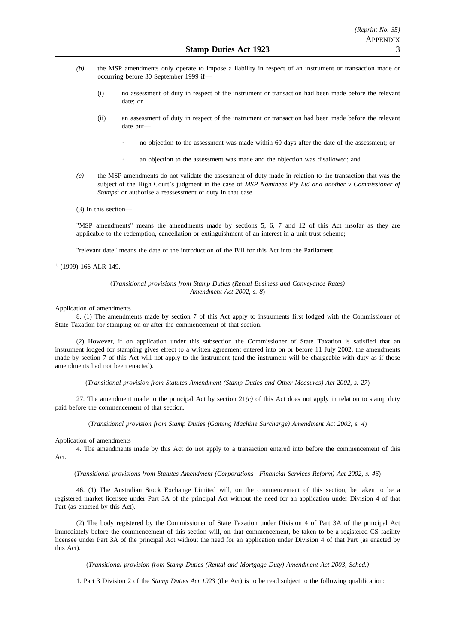- *(b)* the MSP amendments only operate to impose a liability in respect of an instrument or transaction made or occurring before 30 September 1999 if—
	- (i) no assessment of duty in respect of the instrument or transaction had been made before the relevant date; or
	- (ii) an assessment of duty in respect of the instrument or transaction had been made before the relevant date but
		- no objection to the assessment was made within 60 days after the date of the assessment; or
		- an objection to the assessment was made and the objection was disallowed; and
- *(c)* the MSP amendments do not validate the assessment of duty made in relation to the transaction that was the subject of the High Court's judgment in the case of *MSP Nominees Pty Ltd and another v Commissioner of Stamps*<sup>1</sup> or authorise a reassessment of duty in that case.
- (3) In this section—

"MSP amendments" means the amendments made by sections 5, 6, 7 and 12 of this Act insofar as they are applicable to the redemption, cancellation or extinguishment of an interest in a unit trust scheme;

"relevant date" means the date of the introduction of the Bill for this Act into the Parliament.

1. (1999) 166 ALR 149.

#### (*Transitional provisions from Stamp Duties (Rental Business and Conveyance Rates) Amendment Act 2002, s. 8*)

Application of amendments

8. (1) The amendments made by section 7 of this Act apply to instruments first lodged with the Commissioner of State Taxation for stamping on or after the commencement of that section.

(2) However, if on application under this subsection the Commissioner of State Taxation is satisfied that an instrument lodged for stamping gives effect to a written agreement entered into on or before 11 July 2002, the amendments made by section 7 of this Act will not apply to the instrument (and the instrument will be chargeable with duty as if those amendments had not been enacted).

(*Transitional provision from Statutes Amendment (Stamp Duties and Other Measures) Act 2002, s. 27*)

27. The amendment made to the principal Act by section 21*(c)* of this Act does not apply in relation to stamp duty paid before the commencement of that section.

(*Transitional provision from Stamp Duties (Gaming Machine Surcharge) Amendment Act 2002, s. 4*)

Application of amendments

4. The amendments made by this Act do not apply to a transaction entered into before the commencement of this Act.

(*Transitional provisions from Statutes Amendment (Corporations—Financial Services Reform) Act 2002, s. 46*)

46. (1) The Australian Stock Exchange Limited will, on the commencement of this section, be taken to be a registered market licensee under Part 3A of the principal Act without the need for an application under Division 4 of that Part (as enacted by this Act).

(2) The body registered by the Commissioner of State Taxation under Division 4 of Part 3A of the principal Act immediately before the commencement of this section will, on that commencement, be taken to be a registered CS facility licensee under Part 3A of the principal Act without the need for an application under Division 4 of that Part (as enacted by this Act).

(*Transitional provision from Stamp Duties (Rental and Mortgage Duty) Amendment Act 2003, Sched.)*

1. Part 3 Division 2 of the *Stamp Duties Act 1923* (the Act) is to be read subject to the following qualification: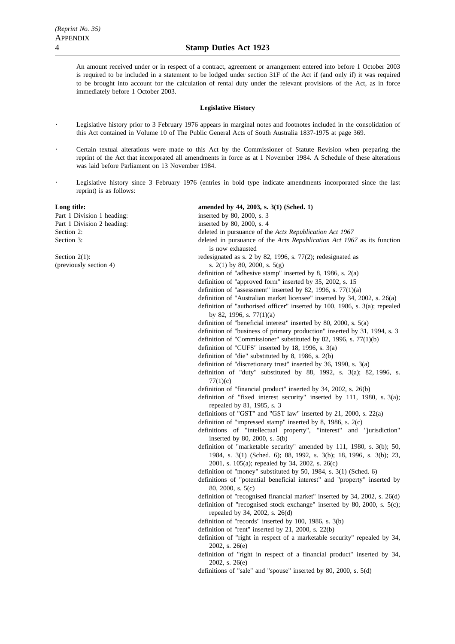An amount received under or in respect of a contract, agreement or arrangement entered into before 1 October 2003 is required to be included in a statement to be lodged under section 31F of the Act if (and only if) it was required to be brought into account for the calculation of rental duty under the relevant provisions of the Act, as in force immediately before 1 October 2003.

#### **Legislative History**

- Legislative history prior to 3 February 1976 appears in marginal notes and footnotes included in the consolidation of this Act contained in Volume 10 of The Public General Acts of South Australia 1837-1975 at page 369.
- Certain textual alterations were made to this Act by the Commissioner of Statute Revision when preparing the reprint of the Act that incorporated all amendments in force as at 1 November 1984. A Schedule of these alterations was laid before Parliament on 13 November 1984.
- Legislative history since 3 February 1976 (entries in bold type indicate amendments incorporated since the last reprint) is as follows:

Part 1 Division 1 heading: inserted by 80, 2000, s. 3 Part 1 Division 2 heading: inserted by 80, 2000, s. 4

(previously section 4) s. 2(1) by 80, 2000, s.  $5(g)$ 

# **Long title:** amended by 44, 2003, s. 3(1) (Sched. 1)

- Section 2: deleted in pursuance of the *Acts Republication Act 1967*
- Section 3: deleted in pursuance of the *Acts Republication Act 1967* as its function is now exhausted
- Section 2(1): redesignated as s. 2 by 82, 1996, s. 77(2); redesignated as
	- definition of "adhesive stamp" inserted by 8, 1986, s. 2(a)
	- definition of "approved form" inserted by 35, 2002, s. 15
	- definition of "assessment" inserted by 82, 1996, s. 77(1)(a)
	- definition of "Australian market licensee" inserted by 34, 2002, s. 26(a)
	- definition of "authorised officer" inserted by 100, 1986, s. 3(a); repealed
		- by 82, 1996, s. 77(1)(a)
	- definition of "beneficial interest" inserted by 80, 2000, s. 5(a)
	- definition of "business of primary production" inserted by 31, 1994, s. 3
	- definition of "Commissioner" substituted by 82, 1996, s. 77(1)(b)
	- definition of "CUFS" inserted by 18, 1996, s. 3(a)

definition of "die" substituted by 8, 1986, s. 2(b)

- definition of "discretionary trust" inserted by 36, 1990, s. 3(a)
- definition of "duty" substituted by 88, 1992, s. 3(a); 82, 1996, s. 77(1)(c)
- definition of "financial product" inserted by 34, 2002, s. 26(b)
- definition of "fixed interest security" inserted by 111, 1980, s. 3(a); repealed by 81, 1985, s. 3
- definitions of "GST" and "GST law" inserted by 21, 2000, s. 22(a)
- definition of "impressed stamp" inserted by 8, 1986, s. 2(c)
- definitions of "intellectual property", "interest" and "jurisdiction" inserted by 80, 2000, s. 5(b)
- definition of "marketable security" amended by 111, 1980, s. 3(b); 50, 1984, s. 3(1) (Sched. 6); 88, 1992, s. 3(b); 18, 1996, s. 3(b); 23, 2001, s. 105(a); repealed by 34, 2002, s. 26(c)
- definition of "money" substituted by 50, 1984, s. 3(1) (Sched. 6)
- definitions of "potential beneficial interest" and "property" inserted by
- 80, 2000, s. 5(c)
- definition of "recognised financial market" inserted by 34, 2002, s. 26(d) definition of "recognised stock exchange" inserted by 80, 2000, s. 5(c);
	- repealed by 34, 2002, s. 26(d)
- definition of "records" inserted by 100, 1986, s. 3(b)
- definition of "rent" inserted by 21, 2000, s. 22(b)
- definition of "right in respect of a marketable security" repealed by 34, 2002, s. 26(e)
- definition of "right in respect of a financial product" inserted by 34, 2002, s. 26(e)
- definitions of "sale" and "spouse" inserted by 80, 2000, s. 5(d)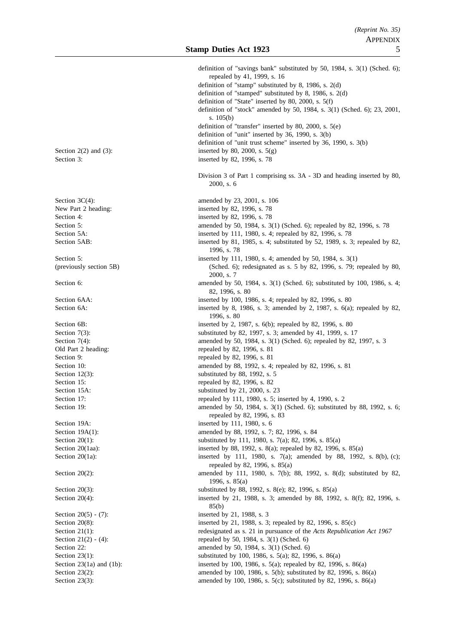definition of "savings bank" substituted by 50, 1984, s. 3(1) (Sched. 6); repealed by 41, 1999, s. 16 definition of "stamp" substituted by 8, 1986, s. 2(d) definition of "stamped" substituted by 8, 1986, s. 2(d) definition of "State" inserted by 80, 2000, s. 5(f) definition of "stock" amended by 50, 1984, s. 3(1) (Sched. 6); 23, 2001, s. 105(b) definition of "transfer" inserted by 80, 2000, s. 5(e) definition of "unit" inserted by 36, 1990, s. 3(b) definition of "unit trust scheme" inserted by 36, 1990, s. 3(b) Section  $2(2)$  and  $(3)$ : inserted by 80, 2000, s.  $5(g)$ Section 3: inserted by 82, 1996, s. 78 Division 3 of Part 1 comprising ss. 3A - 3D and heading inserted by 80, 2000, s. 6 Section 3C(4): amended by 23, 2001, s. 106 New Part 2 heading: inserted by 82, 1996, s. 78 Section 4: inserted by 82, 1996, s. 78 Section 5: **amended** by 50, 1984, s. 3(1) (Sched. 6); repealed by 82, 1996, s. 78 Section 5A: inserted by 111, 1980, s. 4; repealed by 82, 1996, s. 78 Section 5AB: inserted by 81, 1985, s. 4; substituted by 52, 1989, s. 3; repealed by 82, 1996, s. 78 Section 5: inserted by 111, 1980, s. 4; amended by 50, 1984, s. 3(1) (previously section 5B) (Sched. 6); redesignated as s. 5 by 82, 1996, s. 79; repealed by 80, 2000, s. 7 Section 6: amended by 50, 1984, s. 3(1) (Sched. 6); substituted by 100, 1986, s. 4; 82, 1996, s. 80 Section 6AA: inserted by 100, 1986, s. 4; repealed by 82, 1996, s. 80 Section 6A: inserted by 8, 1986, s. 3; amended by 2, 1987, s. 6(a); repealed by 82, 1996, s. 80 Section 6B: inserted by 2, 1987, s. 6(b); repealed by 82, 1996, s. 80 Section 7(3): substituted by 82, 1997, s. 3; amended by 41, 1999, s. 17 Section 7(4): amended by 50, 1984, s. 3(1) (Sched. 6); repealed by 82, 1997, s. 3 Old Part 2 heading: repealed by 82, 1996, s. 81 Section 9: repealed by 82, 1996, s. 81 Section 10: **amended** by 88, 1992, s. 4; repealed by 82, 1996, s. 81 Section 12(3): substituted by 88, 1992, s. 5 Section 15: repealed by 82, 1996, s. 82 Section 15A: substituted by 21, 2000, s. 23 Section 17: repealed by 111, 1980, s. 5; inserted by 4, 1990, s. 2 Section 19: **amended by 50, 1984, s. 3(1) (Sched. 6); substituted by 88, 1992, s. 6;** Section 19: repealed by 82, 1996, s. 83 Section 19A: inserted by 111, 1980, s. 6 Section 19A(1): amended by 88, 1992, s. 7; 82, 1996, s. 84 Section 20(1): substituted by 111, 1980, s. 7(a); 82, 1996, s. 85(a) Section 20(1aa): inserted by 88, 1992, s. 8(a); repealed by 82, 1996, s. 85(a) Section 20(1a): inserted by 111, 1980, s. 7(a); amended by 88, 1992, s. 8(b), (c); repealed by 82, 1996, s. 85(a) Section 20(2): amended by 111, 1980, s. 7(b); 88, 1992, s. 8(d); substituted by 82, 1996, s. 85(a) Section 20(3): substituted by 88, 1992, s. 8(e); 82, 1996, s. 85(a) Section 20(4): inserted by 21, 1988, s. 3; amended by 88, 1992, s. 8(f); 82, 1996, s. 85(b) Section 20(5) - (7): inserted by 21, 1988, s. 3 Section 20(8): inserted by 21, 1988, s. 3; repealed by 82, 1996, s. 85(c) Section 21(1): redesignated as s. 21 in pursuance of the *Acts Republication Act 1967* Section 21(2) - (4): repealed by 50, 1984, s. 3(1) (Sched. 6) Section 22: amended by 50, 1984, s. 3(1) (Sched. 6) Section 23(1): substituted by 100, 1986, s. 5(a); 82, 1996, s. 86(a) Section 23(1a) and (1b): inserted by 100, 1986, s. 5(a); repealed by 82, 1996, s. 86(a) Section 23(2): amended by 100, 1986, s. 5(b); substituted by 82, 1996, s. 86(a) Section 23(3): amended by 100, 1986, s. 5(c); substituted by 82, 1996, s. 86(a)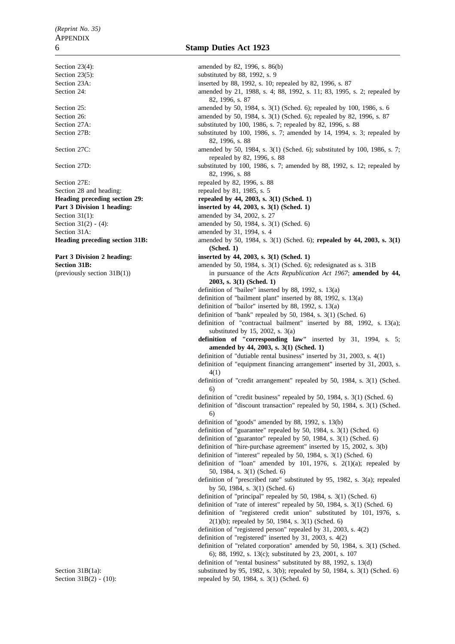Section 23(5): substituted by 88, 1992, s. 9 Section 27E: repealed by 82, 1996, s. 88 Section 28 and heading: repealed by 81, 1985, s. 5 Section 31(1): amended by 34, 2002, s. 27 Section 31A: amended by 31, 1994, s. 4

#### 6 **Stamp Duties Act 1923**

Section 23(4): amended by 82, 1996, s. 86(b) Section 23A: inserted by 88, 1992, s. 10; repealed by 82, 1996, s. 87 Section 24: **amended** by 21, 1988, s. 4; 88, 1992, s. 11; 83, 1995, s. 2; repealed by 82, 1996, s. 87 Section 25: **amended by 50, 1984, s. 3(1) (Sched. 6)**; repealed by 100, 1986, s. 6 Section 26: **amended** by 50, 1984, s. 3(1) (Sched. 6); repealed by 82, 1996, s. 87 Section 27A: substituted by 100, 1986, s. 7; repealed by 82, 1996, s. 88 Section 27B: substituted by 100, 1986, s. 7; amended by 14, 1994, s. 3; repealed by 82, 1996, s. 88 Section 27C: amended by 50, 1984, s. 3(1) (Sched. 6); substituted by 100, 1986, s. 7; repealed by 82, 1996, s. 88 Section 27D: substituted by 100, 1986, s. 7; amended by 88, 1992, s. 12; repealed by 98, 1992, s. 12; repealed by 82, 1996, s. 88 **Heading preceding section 29:** repealed by 44, 2003, s. 3(1) (Sched. 1) **Part 3 Division 1 heading: inserted by 44, 2003, s. 3(1) (Sched. 1)** Section 31(2) - (4): amended by 50, 1984, s. 3(1) (Sched. 6) **Heading preceding section 31B:** amended by 50, 1984, s. 3(1) (Sched. 6); **repealed by 44, 2003, s. 3(1) (Sched. 1) Part 3 Division 2 heading:** inserted by 44, 2003, s. 3(1) (Sched. 1) **Section 31B:** amended by 50, 1984, s. 3(1) (Sched. 6); redesignated as s. 31B (previously section 31B(1)) in pursuance of the *Acts Republication Act 1967*; **amended by 44, 2003, s. 3(1) (Sched. 1)** definition of "bailee" inserted by 88, 1992, s. 13(a) definition of "bailment plant" inserted by 88, 1992, s. 13(a) definition of "bailor" inserted by 88, 1992, s. 13(a) definition of "bank" repealed by 50, 1984, s. 3(1) (Sched. 6) definition of "contractual bailment" inserted by 88, 1992, s. 13(a); substituted by 15, 2002, s. 3(a) **definition of "corresponding law"** inserted by 31, 1994, s. 5; **amended by 44, 2003, s. 3(1) (Sched. 1)** definition of "dutiable rental business" inserted by 31, 2003, s. 4(1) definition of "equipment financing arrangement" inserted by 31, 2003, s. 4(1) definition of "credit arrangement" repealed by 50, 1984, s. 3(1) (Sched. 6) definition of "credit business" repealed by 50, 1984, s. 3(1) (Sched. 6) definition of "discount transaction" repealed by 50, 1984, s. 3(1) (Sched. 6) definition of "goods" amended by 88, 1992, s. 13(b) definition of "guarantee" repealed by 50, 1984, s. 3(1) (Sched. 6) definition of "guarantor" repealed by 50, 1984, s. 3(1) (Sched. 6) definition of "hire-purchase agreement" inserted by 15, 2002, s. 3(b) definition of "interest" repealed by 50, 1984, s. 3(1) (Sched. 6) definition of "loan" amended by 101, 1976, s.  $2(1)(a)$ ; repealed by 50, 1984, s. 3(1) (Sched. 6) definition of "prescribed rate" substituted by 95, 1982, s. 3(a); repealed by 50, 1984, s. 3(1) (Sched. 6) definition of "principal" repealed by 50, 1984, s. 3(1) (Sched. 6) definition of "rate of interest" repealed by 50, 1984, s. 3(1) (Sched. 6) definition of "registered credit union" substituted by 101, 1976, s. 2(1)(b); repealed by 50, 1984, s. 3(1) (Sched. 6) definition of "registered person" repealed by 31, 2003, s. 4(2) definition of "registered" inserted by 31, 2003, s. 4(2) definition of "related corporation" amended by 50, 1984, s. 3(1) (Sched. 6); 88, 1992, s. 13(c); substituted by 23, 2001, s. 107 definition of "rental business" substituted by 88, 1992, s. 13(d) Section 31B(1a): substituted by 95, 1982, s. 3(b); repealed by 50, 1984, s. 3(1) (Sched. 6) Section 31B(2) - (10): repealed by 50, 1984, s. 3(1) (Sched. 6)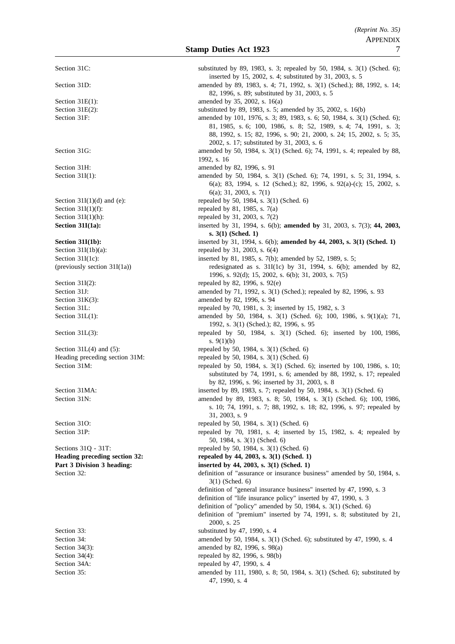Section 31C: substituted by 89, 1983, s. 3; repealed by 50, 1984, s. 3(1) (Sched. 6); inserted by 15, 2002, s. 4; substituted by 31, 2003, s. 5 Section 31D: amended by 89, 1983, s. 4; 71, 1992, s. 3(1) (Sched.); 88, 1992, s. 14; 82, 1996, s. 89; substituted by 31, 2003, s. 5 Section 31E(1): amended by 35, 2002, s. 16(a) Section 31E(2): substituted by 89, 1983, s. 5; amended by 35, 2002, s. 16(b) Section 31F: amended by 101, 1976, s. 3; 89, 1983, s. 6; 50, 1984, s. 3(1) (Sched. 6); 81, 1985, s. 6; 100, 1986, s. 8; 52, 1989, s. 4; 74, 1991, s. 3; 88, 1992, s. 15; 82, 1996, s. 90; 21, 2000, s. 24; 15, 2002, s. 5; 35, 2002, s. 17; substituted by 31, 2003, s. 6 Section 31G: amended by 50, 1984, s. 3(1) (Sched. 6); 74, 1991, s. 4; repealed by 88, 1992, s. 16 Section 31H: amended by 82, 1996, s. 91 Section 31I(1): amended by 50, 1984, s. 3(1) (Sched. 6); 74, 1991, s. 5; 31, 1994, s. 6(a); 83, 1994, s. 12 (Sched.); 82, 1996, s. 92(a)-(c); 15, 2002, s. 6(a); 31, 2003, s. 7(1) Section  $31I(1)(d)$  and (e): repealed by 50, 1984, s.  $3(1)$  (Sched. 6) Section  $31I(1)(f)$ : repealed by 81, 1985, s. 7(a) Section  $31I(1)(h)$ : repealed by  $31, 2003, s, 7(2)$ **Section 31I(1a):** inserted by 31, 1994, s. 6(b); **amended by** 31, 2003, s. 7(3); 44, 2003, **s. 3(1) (Sched. 1) Section 31I(1b):** inserted by 31, 1994, s. 6(b); **amended by 44, 2003, s. 3(1) (Sched. 1)** Section  $31I(1b)(a)$ : repealed by 31, 2003, s. 6(4) Section 31I(1c): inserted by 81, 1985, s. 7(b); amended by 52, 1989, s. 5; (previously section 31I(1a)) redesignated as s. 31I(1c) by 31, 1994, s. 6(b); amended by 82, 1996, s. 92(d); 15, 2002, s. 6(b); 31, 2003, s. 7(5) Section  $31I(2)$ : repealed by 82, 1996, s. 92(e) Section 31J: amended by 71, 1992, s. 3(1) (Sched.); repealed by 82, 1996, s. 93 Section 31K(3): amended by 82, 1996, s. 94 Section 31L: repealed by 70, 1981, s. 3; inserted by 15, 1982, s. 3 Section 31L(1): amended by 50, 1984, s. 3(1) (Sched. 6); 100, 1986, s. 9(1)(a); 71, 1992, s. 3(1) (Sched.); 82, 1996, s. 95 Section 31L(3): repealed by 50, 1984, s. 3(1) (Sched. 6); inserted by 100, 1986, s. 9(1)(b) Section 31L(4) and (5): repealed by 50, 1984, s. 3(1) (Sched. 6) Heading preceding section 31M: repealed by 50, 1984, s. 3(1) (Sched. 6) Section 31M: repealed by 50, 1984, s. 3(1) (Sched. 6); inserted by 100, 1986, s. 10; substituted by 74, 1991, s. 6; amended by 88, 1992, s. 17; repealed by 82, 1996, s. 96; inserted by 31, 2003, s. 8 Section 31MA: inserted by 89, 1983, s. 7; repealed by 50, 1984, s. 3(1) (Sched. 6) Section 31N: amended by 89, 1983, s. 8; 50, 1984, s. 3(1) (Sched. 6); 100, 1986, s. 10; 74, 1991, s. 7; 88, 1992, s. 18; 82, 1996, s. 97; repealed by 31, 2003, s. 9 Section 31O: repealed by 50, 1984, s. 3(1) (Sched. 6) Section 31P: repealed by 70, 1981, s. 4; inserted by 15, 1982, s. 4; repealed by 15, 1982, s. 4; repealed by 50, 1984, s. 3(1) (Sched. 6) Sections 31Q - 31T: repealed by 50, 1984, s. 3(1) (Sched. 6) **Heading preceding section 32:** repealed by 44, 2003, s. 3(1) (Sched. 1) **Part 3 Division 3 heading:** inserted by 44, 2003, s. 3(1) (Sched. 1) Section 32: definition of "assurance or insurance business" amended by 50, 1984, s. 3(1) (Sched. 6) definition of "general insurance business" inserted by 47, 1990, s. 3 definition of "life insurance policy" inserted by 47, 1990, s. 3 definition of "policy" amended by 50, 1984, s. 3(1) (Sched. 6) definition of "premium" inserted by 74, 1991, s. 8; substituted by 21, 2000, s. 25 Section 33: substituted by 47, 1990, s. 4 Section 34: **amended by 50**, 1984, s. 3(1) (Sched. 6); substituted by 47, 1990, s. 4 Section 34(3): amended by 82, 1996, s. 98(a) Section 34(4): repealed by 82, 1996, s. 98(b) Section 34A: repealed by 47, 1990, s. 4 Section 35: **amended by 111, 1980, s. 8**; 50, 1984, s. 3(1) (Sched. 6); substituted by 47, 1990, s. 4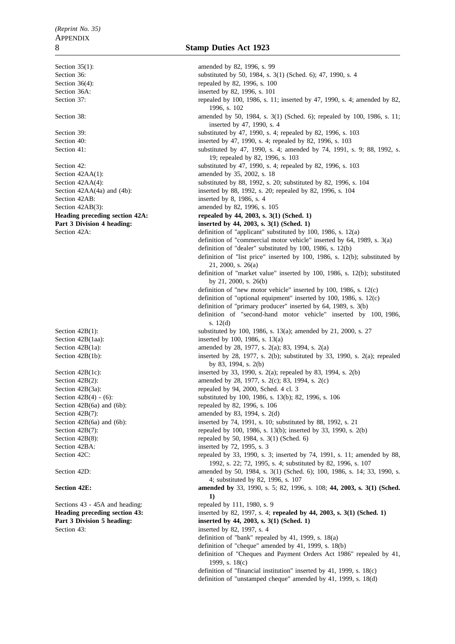Section 35(1): amended by 82, 1996, s. 99 Section 36A: inserted by 82, 1996, s. 101 Section 42AB: inserted by 8, 1986, s. 4 Section 42BA: inserted by 72, 1995, s. 3

Sections 43 - 45A and heading: repealed by 111, 1980, s. 9 Section 43: inserted by 82, 1997, s. 4

Section 36: substituted by 50, 1984, s. 3(1) (Sched. 6); 47, 1990, s. 4 Section 36(4): repealed by 82, 1996, s. 100 Section 37: repealed by 100, 1986, s. 11; inserted by 47, 1990, s. 4; amended by 82, 1996, s. 102 Section 38: **amended** by 50, 1984, s. 3(1) (Sched. 6); repealed by 100, 1986, s. 11; inserted by 47, 1990, s. 4 Section 39: substituted by 47, 1990, s. 4; repealed by 82, 1996, s. 103 Section 40: inserted by 47, 1990, s. 4; repealed by 82, 1996, s. 103 Section 41: substituted by 47, 1990, s. 4; amended by 74, 1991, s. 9; 88, 1992, s. 19; repealed by 82, 1996, s. 103 Section 42: substituted by 47, 1990, s. 4; repealed by 82, 1996, s. 103 Section 42AA(1): amended by 35, 2002, s. 18 Section 42AA(4): substituted by 88, 1992, s. 20; substituted by 82, 1996, s. 104 Section 42AA(4a) and (4b): inserted by 88, 1992, s. 20; repealed by 82, 1996, s. 104 Section 42AB(3): amended by 82, 1996, s. 105 Heading preceding section 42A: repealed by 44, 2003, s. 3(1) (Sched. 1) **Part 3 Division 4 heading:** inserted by 44, 2003, s. 3(1) (Sched. 1) Section 42A: definition of "applicant" substituted by 100, 1986, s. 12(a) definition of "commercial motor vehicle" inserted by 64, 1989, s. 3(a) definition of "dealer" substituted by 100, 1986, s. 12(b) definition of "list price" inserted by 100, 1986, s. 12(b); substituted by 21, 2000, s. 26(a) definition of "market value" inserted by 100, 1986, s. 12(b); substituted by 21, 2000, s. 26(b) definition of "new motor vehicle" inserted by 100, 1986, s. 12(c) definition of "optional equipment" inserted by 100, 1986, s. 12(c) definition of "primary producer" inserted by 64, 1989, s. 3(b) definition of "second-hand motor vehicle" inserted by 100, 1986, s. 12(d) Section 42B(1): substituted by 100, 1986, s. 13(a); amended by 21, 2000, s. 27 Section 42B(1aa): inserted by 100, 1986, s. 13(a) Section 42B(1a): amended by 28, 1977, s. 2(a); 83, 1994, s. 2(a) Section 42B(1b): inserted by 28, 1977, s. 2(b); substituted by 33, 1990, s. 2(a); repealed by 83, 1994, s. 2(b) Section 42B(1c): inserted by 33, 1990, s. 2(a); repealed by 83, 1994, s. 2(b) Section 42B(2): amended by 28, 1977, s. 2(c); 83, 1994, s. 2(c) Section 42B(3a): repealed by 94, 2000, Sched. 4 cl. 3 Section 42B(4) - (6): substituted by 100, 1986, s. 13(b); 82, 1996, s. 106 Section 42B(6a) and (6b): repealed by 82, 1996, s. 106 Section 42B(7): amended by 83, 1994, s. 2(d) Section 42B(6a) and (6b): inserted by 74, 1991, s. 10; substituted by 88, 1992, s. 21 Section 42B(7): repealed by 100, 1986, s. 13(b); inserted by 33, 1990, s. 2(b) Section 42B(8): repealed by 50, 1984, s. 3(1) (Sched. 6) Section 42C: repealed by 33, 1990, s. 3; inserted by 74, 1991, s. 11; amended by 88, 1992, s. 22; 72, 1995, s. 4; substituted by 82, 1996, s. 107 Section 42D: amended by 50, 1984, s. 3(1) (Sched. 6); 100, 1986, s. 14; 33, 1990, s. 4; substituted by 82, 1996, s. 107 **Section 42E: amended by** 33, 1990, s. 5; 82, 1996, s. 108; **44, 2003, s. 3(1) (Sched. 1) Heading preceding section 43:** inserted by 82, 1997, s. 4; **repealed by 44, 2003, s. 3(1) (Sched. 1) Part 3 Division 5 heading:** inserted by 44, 2003, s. 3(1) (Sched. 1) definition of "bank" repealed by 41, 1999, s. 18(a) definition of "cheque" amended by 41, 1999, s. 18(b) definition of "Cheques and Payment Orders Act 1986" repealed by 41, 1999, s. 18(c)

definition of "financial institution" inserted by 41, 1999, s. 18(c) definition of "unstamped cheque" amended by 41, 1999, s. 18(d)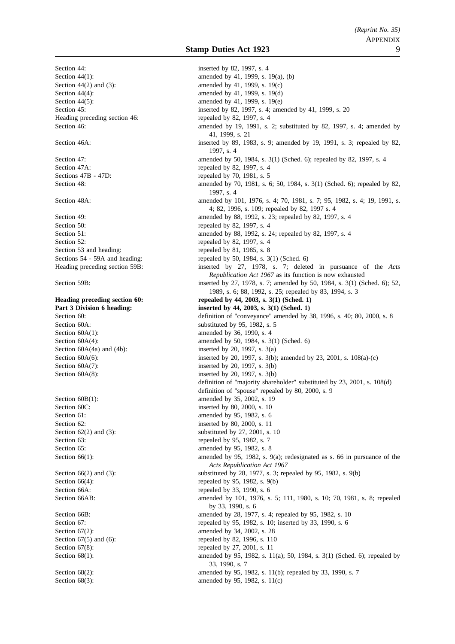Section 44: inserted by 82, 1997, s. 4 Section 44(2) and (3): amended by 41, 1999, s. 19(c) Section 44(4): <br>
Section 44(5): <br>
amended by 41, 1999, s. 19(e)<br>
amended by 41, 1999, s. 19(e) Heading preceding section 46: repealed by 82, 1997, s. 4 Section 47A: repealed by 82, 1997, s. 4 Sections 47B - 47D: repealed by 70, 1981, s. 5 Section 50: repealed by 82, 1997, s. 4 Section 52: repealed by 82, 1997, s. 4 Section 53 and heading: repealed by 81, 1985, s. 8 Section 60A: substituted by 95, 1982, s. 5 Section 60A(1): amended by 36, 1990, s. 4 Section  $60A(4a)$  and  $(4b)$ : inserted by 20, 1997, s.  $3(a)$ Section  $60A(7)$ : inserted by 20, 1997, s. 3(b) Section  $60A(8)$ : inserted by 20, 1997, s. 3(b) Section 60B(1): amended by 35, 2002, s. 19 Section 60C: inserted by 80, 2000, s. 10 Section 61: **amended** by 95, 1982, s. 6 Section 62: inserted by 80, 2000, s. 11 Section  $62(2)$  and  $(3)$ : substituted by  $27, 2001, s. 10$ Section 63: repealed by 95, 1982, s. 7 Section 65: **amended** by 95, 1982, s. 8 Section  $66(4)$ : repealed by 95, 1982, s. 9(b) Section 66A: repealed by 33, 1990, s. 6 Section 67(2): amended by 34, 2002, s. 28 Section 67(5) and (6): repealed by 82, 1996, s. 110 Section 67(8): repealed by 27, 2001, s. 11 Section 68(3): amended by 95, 1982, s. 11(c)

Section 44(1): amended by 41, 1999, s. 19(a), (b) amended by 41, 1999, s. 19(e) Section 45: inserted by 82, 1997, s. 4; amended by 41, 1999, s. 20 Section 46: amended by 19, 1991, s. 2; substituted by 82, 1997, s. 4; amended by 82, 1997, s. 4; amended by 41, 1999, s. 21 Section 46A: inserted by 89, 1983, s. 9; amended by 19, 1991, s. 3; repealed by 82, 1997, s. 4 Section 47: **amended by 50**, 1984, s. 3(1) (Sched. 6); repealed by 82, 1997, s. 4 Section 48: **amended** by 70, 1981, s. 6; 50, 1984, s. 3(1) (Sched. 6); repealed by 82, 1997, s. 4 Section 48A: amended by 101, 1976, s. 4; 70, 1981, s. 7; 95, 1982, s. 4; 19, 1991, s. 4; 82, 1996, s. 109; repealed by 82, 1997 s. 4 Section 49: **amended** by 88, 1992, s. 23; repealed by 82, 1997, s. 4 Section 51: **amended** by 88, 1992, s. 24; repealed by 82, 1997, s. 4 Sections 54 - 59A and heading: repealed by 50, 1984, s. 3(1) (Sched. 6) Heading preceding section 59B: inserted by 27, 1978, s. 7; deleted in pursuance of the *Acts Republication Act 1967* as its function is now exhausted Section 59B: inserted by 27, 1978, s. 7; amended by 50, 1984, s. 3(1) (Sched. 6); 52, 1989, s. 6; 88, 1992, s. 25; repealed by 83, 1994, s. 3 **Heading preceding section 60: repealed by 44, 2003, s. 3(1) (Sched. 1)**<br>Part 3 Division 6 heading: **repealed by 44, 2003, s. 3(1) (Sched. 1) inserted by 44, 2003, s. 3(1) (Sched. 1)** Section 60: definition of "conveyance" amended by 38, 1996, s. 40; 80, 2000, s. 8 Section 60A(4): amended by 50, 1984, s. 3(1) (Sched. 6) Section 60A(6): inserted by 20, 1997, s. 3(b); amended by 23, 2001, s. 108(a)-(c) definition of "majority shareholder" substituted by 23, 2001, s. 108(d) definition of "spouse" repealed by 80, 2000, s. 9 Section 66(1): amended by 95, 1982, s. 9(a); redesignated as s. 66 in pursuance of the *Acts Republication Act 1967* Section 66(2) and (3): substituted by 28, 1977, s. 3; repealed by 95, 1982, s. 9(b) Section 66AB: amended by 101, 1976, s. 5; 111, 1980, s. 10; 70, 1981, s. 8; repealed by 33, 1990, s. 6 Section 66B: amended by 28, 1977, s. 4; repealed by 95, 1982, s. 10 Section 67: repealed by 95, 1982, s. 10; inserted by 33, 1990, s. 6 Section 68(1): amended by 95, 1982, s. 11(a); 50, 1984, s. 3(1) (Sched. 6); repealed by 33, 1990, s. 7 Section 68(2): amended by 95, 1982, s. 11(b); repealed by 33, 1990, s. 7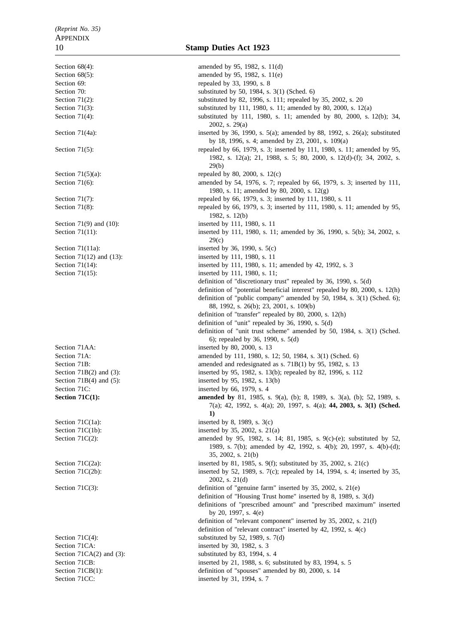Section 68(4): amended by 95, 1982, s. 11(d) Section 68(5): amended by 95, 1982, s. 11(e) Section 69: repealed by 33, 1990, s. 8 Section 70: substituted by 50, 1984, s. 3(1) (Sched. 6) Section 71(2): substituted by 82, 1996, s. 111; repealed by 35, 2002, s. 20 Section 71(3): substituted by 111, 1980, s. 11; amended by 80, 2000, s. 12(a) Section 71(4): substituted by 111, 1980, s. 11; amended by 80, 2000, s. 12(b); 34, 2002, s. 29(a) Section 71(4a): inserted by 36, 1990, s. 5(a); amended by 88, 1992, s. 26(a); substituted by 18, 1996, s. 4; amended by 23, 2001, s. 109(a) Section 71(5): repealed by 66, 1979, s. 3; inserted by 111, 1980, s. 11; amended by 95, 1982, s. 12(a); 21, 1988, s. 5; 80, 2000, s. 12(d)-(f); 34, 2002, s. 29(b) Section  $71(5)(a)$ : repealed by 80, 2000, s. 12(c) Section 71(6): amended by 54, 1976, s. 7; repealed by 66, 1979, s. 3; inserted by 111, 1980, s. 11; amended by 80, 2000, s. 12(g) Section 71(7): repealed by 66, 1979, s. 3; inserted by 111, 1980, s. 11 Section 71(8): repealed by 66, 1979, s. 3; inserted by 111, 1980, s. 11; amended by 95, 1982, s. 12(b) Section 71(9) and (10): inserted by 111, 1980, s. 11 Section 71(11): inserted by 111, 1980, s. 11; amended by 36, 1990, s. 5(b); 34, 2002, s. 29(c) Section 71(11a): inserted by 36, 1990, s. 5(c) Section 71(12) and (13): inserted by 111, 1980, s. 11 Section 71(14): inserted by 111, 1980, s. 11; amended by 42, 1992, s. 3 Section 71(15): inserted by 111, 1980, s. 11; definition of "discretionary trust" repealed by 36, 1990, s. 5(d) definition of "potential beneficial interest" repealed by 80, 2000, s. 12(h) definition of "public company" amended by 50, 1984, s. 3(1) (Sched. 6); 88, 1992, s. 26(b); 23, 2001, s. 109(b) definition of "transfer" repealed by 80, 2000, s. 12(h) definition of "unit" repealed by 36, 1990, s. 5(d) definition of "unit trust scheme" amended by 50, 1984, s. 3(1) (Sched. 6); repealed by 36, 1990, s. 5(d) Section 71AA: inserted by 80, 2000, s. 13 Section 71A: amended by 111, 1980, s. 12; 50, 1984, s. 3(1) (Sched. 6) Section 71B: amended and redesignated as s. 71B(1) by 95, 1982, s. 13 Section 71B(2) and (3): inserted by 95, 1982, s. 13(b); repealed by 82, 1996, s. 112 Section 71B(4) and (5): inserted by 95, 1982, s. 13(b) Section 71C: inserted by 66, 1979, s. 4 **Section 71C(1): amended by** 81, 1985, s. 9(a), (b); 8, 1989, s. 3(a), (b); 52, 1989, s. 7(a); 42, 1992, s. 4(a); 20, 1997, s. 4(a); **44, 2003, s. 3(1) (Sched. 1)** Section 71 $C(1a)$ : inserted by 8, 1989, s. 3(c) Section 71 $C(1b)$ : inserted by 35, 2002, s. 21(a) Section 71C(2): amended by 95, 1982, s. 14; 81, 1985, s. 9(c)-(e); substituted by 52, 1989, s. 7(b); amended by 42, 1992, s. 4(b); 20, 1997, s. 4(b)-(d); 35, 2002, s. 21(b) Section 71C(2a): inserted by 81, 1985, s. 9(f); substituted by 35, 2002, s. 21(c) Section 71C(2b): inserted by 52, 1989, s. 7(c); repealed by 14, 1994, s. 4; inserted by 35, 2002, s. 21(d) Section 71C(3): definition of "genuine farm" inserted by 35, 2002, s. 21(e) definition of "Housing Trust home" inserted by 8, 1989, s. 3(d) definitions of "prescribed amount" and "prescribed maximum" inserted by 20, 1997, s. 4(e) definition of "relevant component" inserted by 35, 2002, s. 21(f) definition of "relevant contract" inserted by 42, 1992, s. 4(c) Section  $71C(4)$ : substituted by 52, 1989, s.  $7(d)$ Section 71CA: inserted by 30, 1982, s. 3 Section 71CA(2) and (3): substituted by 83, 1994, s. 4 Section 71CB: inserted by 21, 1988, s. 6; substituted by 83, 1994, s. 5 Section 71CB(1): definition of "spouses" amended by 80, 2000, s. 14 Section 71CC: inserted by 31, 1994, s. 7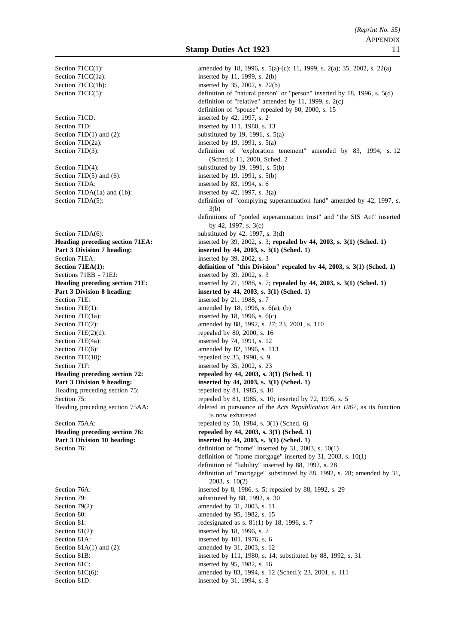Section 71DA: inserted by 83, 1994, s. 6

Section 71DA(6): substituted by 42, 1997, s.  $3(d)$ Section 71EA: inserted by 39, 2002, s. 3 Sections 71EB - 71EJ: inserted by 39, 2002, s. 3 Section 71E: inserted by 21, 1988, s. 7 Section 71E(1): amended by 18, 1996, s. 6(a), (b) Section 71E(1a): inserted by 18, 1996, s.  $6(c)$ Section  $71E(2)(d)$ : repealed by 80, 2000, s. 16 Section 71E(4a): inserted by 74, 1991, s. 12 Section 71E(6): amended by 82, 1996, s. 113 Section 71E(10): repealed by 33, 1990, s. 9 Section 71F: inserted by 35, 2002, s. 23 Heading preceding section 75: repealed by 81, 1985, s. 10

Section 71CC(1): amended by 18, 1996, s. 5(a)-(c); 11, 1999, s. 2(a); 35, 2002, s. 22(a) Section 71 $CC(1a)$ : inserted by 11, 1999, s. 2(b) Section 71CC(1b): inserted by 35, 2002, s. 22(b) Section 71CC(5): definition of "natural person" or "person" inserted by 18, 1996, s. 5(d) definition of "relative" amended by 11, 1999, s. 2(c) definition of "spouse" repealed by 80, 2000, s. 15 Section 71CD: inserted by 42, 1997, s. 2 Section 71D: inserted by 111, 1980, s. 13 Section 71D(1) and (2): substituted by 19, 1991, s.  $5(a)$ Section 71D(2a): inserted by 19, 1991, s. 5(a) Section 71D(3): definition of "exploration tenement" amended by 83, 1994, s. 12 (Sched.); 11, 2000, Sched. 2 Section 71D(4): substituted by 19, 1991, s.  $5(b)$ Section 71D(5) and (6): inserted by 19, 1991, s. 5(b) Section 71DA(1a) and (1b): inserted by 42, 1997, s.  $3(a)$ Section 71DA(5): definition of "complying superannuation fund" amended by 42, 1997, s. 3(b) definitions of "pooled superannuation trust" and "the SIS Act" inserted by 42, 1997, s. 3(c) **Heading preceding section 71EA:** inserted by 39, 2002, s. 3; **repealed by 44, 2003, s. 3(1) (Sched. 1)** Part 3 Division 7 heading: inserted by 44, 2003, s. 3(1) (Sched. 1) Section 71EA(1): definition of "this Division" repealed by 44, 2003, s. 3(1) (Sched. 1) **Heading preceding section 71E:** inserted by 21, 1988, s. 7; **repealed by 44, 2003, s. 3(1) (Sched. 1) Part 3 Division 8 heading:** inserted by 44, 2003, s. 3(1) (Sched. 1) Section 71E(2): amended by 88, 1992, s. 27; 23, 2001, s. 110 **Heading preceding section 72:** repealed by 44, 2003, s. 3(1) (Sched. 1) **Part 3 Division 9 heading: inserted by 44, 2003, s. 3(1) (Sched. 1)** Section 75: repealed by 81, 1985, s. 10; inserted by 72, 1995, s. 5 Heading preceding section 75AA: deleted in pursuance of the *Acts Republication Act 1967*, as its function is now exhausted Section 75AA: repealed by 50, 1984, s. 3(1) (Sched. 6) **Heading preceding section 76:** repealed by 44, 2003, s. 3(1) (Sched. 1) **Part 3 Division 10 heading:** inserted by 44, 2003, s. 3(1) (Sched. 1) Section 76: definition of "home" inserted by 31, 2003, s. 10(1) definition of "home mortgage" inserted by 31, 2003, s. 10(1) definition of "liability" inserted by 88, 1992, s. 28 definition of "mortgage" substituted by 88, 1992, s. 28; amended by 31, 2003, s. 10(2) Section 76A: inserted by 8, 1986, s. 5; repealed by 88, 1992, s. 29 Section 79: substituted by 88, 1992, s. 30 Section 79(2): amended by 31, 2003, s. 11 Section 80: amended by 95, 1982, s. 15 Section 81: redesignated as s. 81(1) by 18, 1996, s. 7 Section 81(2): inserted by 18, 1996, s. 7 Section 81A: inserted by 101, 1976, s. 6 Section 81A(1) and (2):  $\qquad \qquad \text{amended by 31, 2003, s. 12}$ Section 81B: inserted by 111, 1980, s. 14; substituted by 88, 1992, s. 31 Section 81C: inserted by 95, 1982, s. 16 Section 81C(6): amended by 83, 1994, s. 12 (Sched.); 23, 2001, s. 111 Section 81D: inserted by 31, 1994, s. 8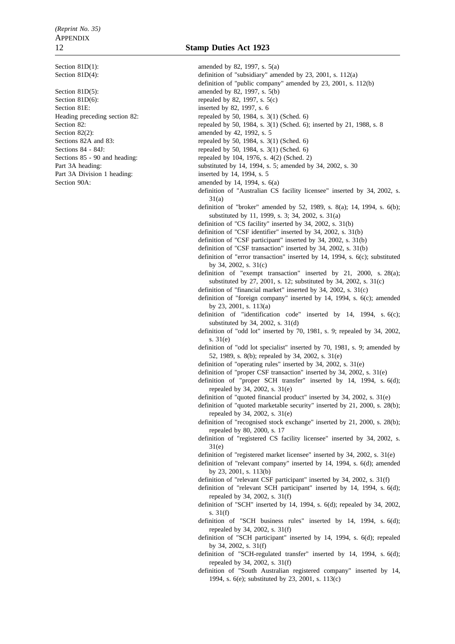Section 81E: inserted by 82, 1997, s. 6 Part 3A Division 1 heading: inserted by 14, 1994, s. 5

Section  $81D(1)$ : amended by 82, 1997, s. 5(a) Section 81D(4): definition of "subsidiary" amended by 23, 2001, s. 112(a) definition of "public company" amended by 23, 2001, s. 112(b) Section 81D(5): amended by 82, 1997, s. 5(b) Section 81D(6): repealed by 82, 1997, s.  $5(c)$ Heading preceding section 82: repealed by 50, 1984, s. 3(1) (Sched. 6) Section 82: repealed by 50, 1984, s. 3(1) (Sched. 6); inserted by 21, 1988, s. 8 Section 82(2): amended by 42, 1992, s. 5 Sections 82A and 83: repealed by 50, 1984, s. 3(1) (Sched. 6) Sections 84 - 84J:<br>
Sections 85 - 90 and heading:<br>
Fermione Sections 85 - 90 and heading:<br>
Fermione Sections 85 - 90 and heading:<br>
Fermione Sections 85 - 90 and heading:<br>
Fermione Sections 85 - 90 and heading: repealed by 104, 1976, s. 4(2) (Sched. 2) Part 3A heading: substituted by 14, 1994, s. 5; amended by 34, 2002, s. 30 Section 90A: amended by 14, 1994, s. 6(a) definition of "Australian CS facility licensee" inserted by 34, 2002, s. 31(a) definition of "broker" amended by 52, 1989, s. 8(a); 14, 1994, s. 6(b); substituted by 11, 1999, s. 3; 34, 2002, s. 31(a) definition of "CS facility" inserted by 34, 2002, s. 31(b) definition of "CSF identifier" inserted by 34, 2002, s. 31(b) definition of "CSF participant" inserted by 34, 2002, s. 31(b) definition of "CSF transaction" inserted by 34, 2002, s. 31(b) definition of "error transaction" inserted by 14, 1994, s. 6(c); substituted by 34, 2002, s. 31(c) definition of "exempt transaction" inserted by 21, 2000, s. 28(a): substituted by 27, 2001, s. 12; substituted by 34, 2002, s.  $31(c)$ definition of "financial market" inserted by 34, 2002, s. 31(c) definition of "foreign company" inserted by 14, 1994, s. 6(c); amended by 23, 2001, s. 113(a) definition of "identification code" inserted by 14, 1994, s. 6(c); substituted by 34, 2002, s. 31(d) definition of "odd lot" inserted by 70, 1981, s. 9; repealed by 34, 2002, s. 31(e) definition of "odd lot specialist" inserted by 70, 1981, s. 9; amended by 52, 1989, s. 8(b); repealed by 34, 2002, s. 31(e) definition of "operating rules" inserted by 34, 2002, s. 31(e) definition of "proper CSF transaction" inserted by 34, 2002, s. 31(e) definition of "proper SCH transfer" inserted by 14, 1994, s. 6(d); repealed by 34, 2002, s. 31(e) definition of "quoted financial product" inserted by 34, 2002, s. 31(e) definition of "quoted marketable security" inserted by 21, 2000, s. 28(b); repealed by 34, 2002, s. 31(e) definition of "recognised stock exchange" inserted by 21, 2000, s. 28(b); repealed by 80, 2000, s. 17 definition of "registered CS facility licensee" inserted by 34, 2002, s. 31(e) definition of "registered market licensee" inserted by 34, 2002, s. 31(e) definition of "relevant company" inserted by 14, 1994, s. 6(d); amended by 23, 2001, s. 113(b) definition of "relevant CSF participant" inserted by 34, 2002, s. 31(f) definition of "relevant SCH participant" inserted by 14, 1994, s. 6(d); repealed by 34, 2002, s. 31(f) definition of "SCH" inserted by 14, 1994, s. 6(d); repealed by 34, 2002, s. 31(f) definition of "SCH business rules" inserted by 14, 1994, s. 6(d); repealed by 34, 2002, s. 31(f) definition of "SCH participant" inserted by 14, 1994, s. 6(d); repealed by 34, 2002, s. 31(f) definition of "SCH-regulated transfer" inserted by 14, 1994, s. 6(d); repealed by 34, 2002, s. 31(f) definition of "South Australian registered company" inserted by 14, 1994, s. 6(e); substituted by 23, 2001, s. 113(c)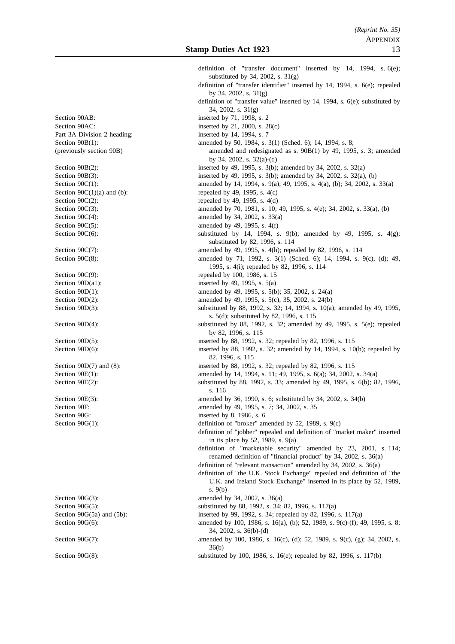Section 90G: inserted by 8, 1986, s. 6

definition of "transfer document" inserted by 14, 1994, s. 6(e); substituted by 34, 2002, s.  $31(g)$ definition of "transfer identifier" inserted by 14, 1994, s. 6(e); repealed by 34, 2002, s. 31(g) definition of "transfer value" inserted by 14, 1994, s. 6(e); substituted by 34, 2002, s. 31(g) Section 90AB: inserted by 71, 1998, s. 2 Section 90AC: inserted by 21, 2000, s. 28(c) Part 3A Division 2 heading: inserted by 14, 1994, s. 7 Section 90B(1): amended by 50, 1984, s. 3(1) (Sched. 6); 14, 1994, s. 8; (previously section 90B) amended and redesignated as s. 90B(1) by 49, 1995, s. 3; amended by 34, 2002, s. 32(a)-(d) Section 90B(2): inserted by 49, 1995, s. 3(b); amended by 34, 2002, s. 32(a) Section 90B(3): inserted by 49, 1995, s. 3(b); amended by 34, 2002, s. 32(a), (b) Section 90C(1): amended by 14, 1994, s. 9(a); 49, 1995, s. 4(a), (b); 34, 2002, s. 33(a) Section  $90C(1)(a)$  and (b): repealed by 49, 1995, s. 4(c) Section  $90C(2)$ : repealed by 49, 1995, s. 4(d) Section 90C(3): amended by 70, 1981, s. 10; 49, 1995, s. 4(e); 34, 2002, s. 33(a), (b) Section 90C(4):  $\qquad \qquad \text{amended by 34, 2002, s. 33(a)}$ Section  $90C(5)$ : amended by 49, 1995, s. 4(f) Section 90C(6): substituted by 14, 1994, s. 9(b); amended by 49, 1995, s. 4(g); substituted by 82, 1996, s. 114 Section 90C(7): amended by 49, 1995, s. 4(h); repealed by 82, 1996, s. 114 Section 90C(8): amended by 71, 1992, s. 3(1) (Sched. 6); 14, 1994, s. 9(c), (d); 49, 1995, s. 4(i); repealed by 82, 1996, s. 114 Section 90C(9): repealed by 100, 1986, s. 15 Section  $90D(a1)$ : inserted by 49, 1995, s. 5(a) Section 90D(1): amended by 49, 1995, s. 5(b); 35, 2002, s. 24(a) Section 90D(2): amended by 49, 1995, s. 5(c); 35, 2002, s. 24(b) Section 90D(3): substituted by 88, 1992, s. 32; 14, 1994, s. 10(a); amended by 49, 1995, s. 5(d); substituted by 82, 1996, s. 115 Section 90D(4): substituted by 88, 1992, s. 32; amended by 49, 1995, s. 5(e); repealed by 82, 1996, s. 115 Section 90D(5): inserted by 88, 1992, s. 32; repealed by 82, 1996, s. 115 Section 90D(6): inserted by 88, 1992, s. 32; amended by 14, 1994, s. 10(b); repealed by 82, 1996, s. 115 Section 90D(7) and (8): inserted by 88, 1992, s. 32; repealed by 82, 1996, s. 115<br>Section 90E(1): amended by 14, 1994, s. 11; 49, 1995, s. 6(a); 34, 2002, amended by 14, 1994, s. 11; 49, 1995, s. 6(a); 34, 2002, s. 34(a) Section 90E(2): substituted by 88, 1992, s. 33; amended by 49, 1995, s. 6(b); 82, 1996, s. 116 Section 90E(3): amended by 36, 1990, s. 6; substituted by 34, 2002, s. 34(b) Section 90F: **amended** by 49, 1995, s. 7; 34, 2002, s. 35 Section 90G(1): definition of "broker" amended by 52, 1989, s. 9(c) definition of "jobber" repealed and definition of "market maker" inserted in its place by 52, 1989, s. 9(a) definition of "marketable security" amended by 23, 2001, s. 114; renamed definition of "financial product" by 34, 2002, s. 36(a) definition of "relevant transaction" amended by 34, 2002, s. 36(a) definition of "the U.K. Stock Exchange" repealed and definition of "the U.K. and Ireland Stock Exchange" inserted in its place by 52, 1989, s. 9(b) Section 90G(3): amended by 34, 2002, s. 36(a) Section 90G(5): substituted by 88, 1992, s. 34; 82, 1996, s. 117(a) Section 90G(5a) and (5b): inserted by 99, 1992, s. 34; repealed by 82, 1996, s. 117(a) Section 90G(6): amended by 100, 1986, s. 16(a), (b); 52, 1989, s. 9(c)-(f); 49, 1995, s. 8; 34, 2002, s. 36(b)-(d) Section 90G(7): amended by 100, 1986, s. 16(c), (d); 52, 1989, s. 9(c), (g); 34, 2002, s. 36(b)

Section 90G(8): substituted by 100, 1986, s. 16(e); repealed by 82, 1996, s. 117(b)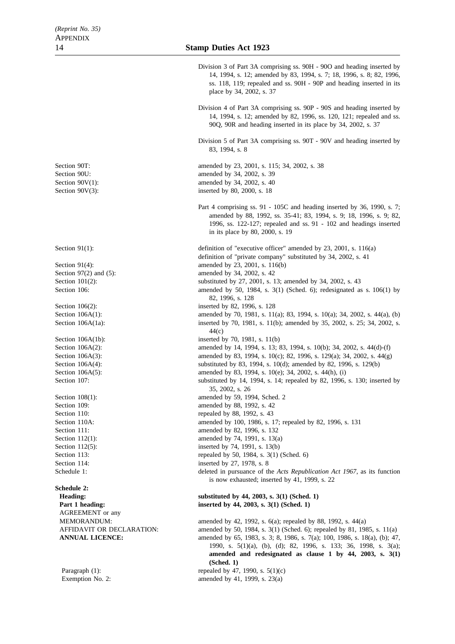**Schedule 2:** AGREEMENT or any MEMORANDUM: amended by 42, 1992, s. 6(a); repealed by 88, 1992, s. 44(a)

- Division 3 of Part 3A comprising ss. 90H 90O and heading inserted by 14, 1994, s. 12; amended by 83, 1994, s. 7; 18, 1996, s. 8; 82, 1996, ss. 118, 119; repealed and ss. 90H - 90P and heading inserted in its place by 34, 2002, s. 37
- Division 4 of Part 3A comprising ss. 90P 90S and heading inserted by 14, 1994, s. 12; amended by 82, 1996, ss. 120, 121; repealed and ss. 90Q, 90R and heading inserted in its place by 34, 2002, s. 37

Division 5 of Part 3A comprising ss. 90T - 90V and heading inserted by 83, 1994, s. 8

Section 90T: **amended** by 23, 2001, s. 115; 34, 2002, s. 38 Section 90U: amended by 34, 2002, s. 39 Section  $90V(1)$ : amended by 34, 2002, s. 40 Section  $90V(3)$ : inserted by 80, 2000, s. 18

> Part 4 comprising ss. 91 - 105C and heading inserted by 36, 1990, s. 7; amended by 88, 1992, ss. 35-41; 83, 1994, s. 9; 18, 1996, s. 9; 82, 1996, ss. 122-127; repealed and ss. 91 - 102 and headings inserted in its place by 80, 2000, s. 19

Section 91(1): definition of "executive officer" amended by 23, 2001, s. 116(a) definition of "private company" substituted by 34, 2002, s. 41 Section 91(4): amended by 23, 2001, s. 116(b)<br>Section 97(2) and (5): amended by 34, 2002, s. 42 amended by 34, 2002, s.  $42$ Section 101(2): substituted by 27, 2001, s. 13; amended by 34, 2002, s. 43 Section 106: amended by 50, 1984, s. 3(1) (Sched. 6); redesignated as s. 106(1) by 82, 1996, s. 128 Section 106(2): inserted by 82, 1996, s. 128 Section 106A(1): amended by 70, 1981, s. 11(a); 83, 1994, s. 10(a); 34, 2002, s. 44(a), (b) Section 106A(1a): inserted by 70, 1981, s. 11(b); amended by 35, 2002, s. 25; 34, 2002, s. 44(c) Section 106A(1b): inserted by 70, 1981, s. 11(b) Section 106A(2): amended by 14, 1994, s. 13; 83, 1994, s. 10(b); 34, 2002, s. 44(d)-(f) Section 106A(3): amended by 83, 1994, s. 10(c); 82, 1996, s. 129(a); 34, 2002, s. 44(g) Section 106A(4): substituted by 83, 1994, s. 10(d); amended by 82, 1996, s. 129(b) Section 106A(5): amended by 83, 1994, s. 10(e); 34, 2002, s. 44(h), (i) Section 107: substituted by 14, 1994, s. 14; repealed by 82, 1996, s. 130; inserted by 82, 1996, s. 130; inserted by 35, 2002, s. 26 Section 108(1): amended by 59, 1994, Sched. 2 Section 109: **amended** by 88, 1992, s. 42 Section 110: repealed by 88, 1992, s. 43 Section 110A: amended by 100, 1986, s. 17; repealed by 82, 1996, s. 131 Section 111: **amended** by 82, 1996, s. 132 Section 112(1): amended by 74, 1991, s. 13(a) Section 112(5): inserted by 74, 1991, s. 13(b) Section 113: repealed by 50, 1984, s. 3(1) (Sched. 6) Section 114: inserted by 27, 1978, s. 8 Schedule 1: deleted in pursuance of the *Acts Republication Act 1967*, as its function is now exhausted; inserted by 41, 1999, s. 22 **Heading: substituted by 44, 2003, s. 3(1) (Sched. 1) Part 1 heading:** inserted by 44, 2003, s. 3(1) (Sched. 1)

AFFIDAVIT OR DECLARATION: amended by 50, 1984, s. 3(1) (Sched. 6); repealed by 81, 1985, s. 11(a) **ANNUAL LICENCE:** amended by 65, 1983, s. 3; 8, 1986, s. 7(a); 100, 1986, s. 18(a), (b); 47, 1990, s. 5(1)(a), (b), (d); 82, 1996, s. 133; 36, 1998, s. 3(a); **amended and redesignated as clause 1 by 44, 2003, s. 3(1) (Sched. 1)** Paragraph (1): repealed by 47, 1990, s.  $5(1)(c)$ 

Exemption No. 2: amended by 41, 1999, s.  $23(a)$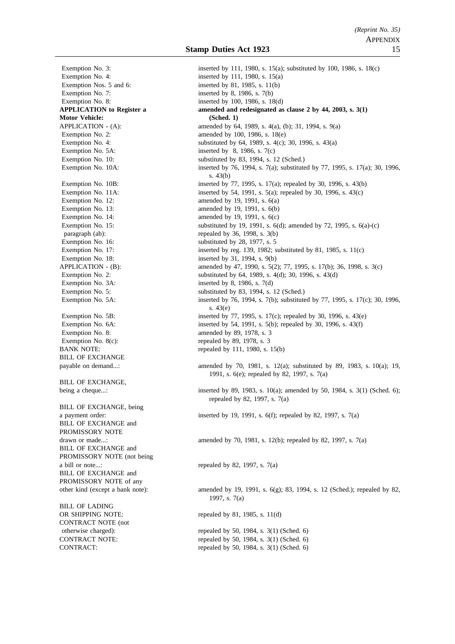Exemption Nos. 5 and 6: inserted by 81, 1985, s. 11(b) Exemption No. 7: inserted by 8, 1986, s. 7(b) Motor Vehicle: (Sched. 1) Exemption No. 5A: inserted by 8, 1986, s. 7(c) Exemption No. 12: amended by 19, 1991, s. 6(a) Exemption No. 13:  $\qquad \qquad \text{amended by 19, 1991, s. 6(b)}$ Exemption No. 14:  $\qquad \qquad \text{amended by 19, 1991, s. } 6(c)$ paragraph (ab): repealed by 36, 1998, s. 3(b) Exemption No. 16: substituted by 28, 1977, s. 5 Exemption No. 18: inserted by 31, 1994, s. 9(b) Exemption No. 3A: inserted by 8, 1986, s. 7(d) Exemption No. 8: amended by 89, 1978, s. 3 Exemption No.  $8(c)$ : repealed by 89, 1978, s. 3 BILL OF EXCHANGE BILL OF EXCHANGE, BILL OF EXCHANGE, being BILL OF EXCHANGE and PROMISSORY NOTE BILL OF EXCHANGE and PROMISSORY NOTE (not being

a bill or note...: repealed by 82, 1997, s.  $7(a)$ BILL OF EXCHANGE and PROMISSORY NOTE of any

BILL OF LADING CONTRACT NOTE (not

Exemption No. 3: inserted by 111, 1980, s. 15(a); substituted by 100, 1986, s. 18(c) Exemption No. 4: inserted by 111, 1980, s. 15(a) Exemption No. 8: inserted by 100, 1986, s. 18(d) **APPLICATION to Register a amended and redesignated as clause 2 by 44, 2003, s. 3(1)** APPLICATION - (A): amended by 64, 1989, s. 4(a), (b); 31, 1994, s. 9(a) Exemption No. 2: amended by 100, 1986, s. 18(e) Exemption No. 4: substituted by 64, 1989, s. 4(c); 30, 1996, s. 43(a) Exemption No. 10: substituted by 83, 1994, s. 12 (Sched.) Exemption No. 10A: inserted by 76, 1994, s. 7(a); substituted by 77, 1995, s. 17(a); 30, 1996, s. 43(b) Exemption No. 10B: inserted by 77, 1995, s. 17(a); repealed by 30, 1996, s. 43(b) Exemption No. 11A: inserted by 54, 1991, s. 5(a); repealed by 30, 1996, s. 43(c) Exemption No. 15: substituted by 19, 1991, s. 6(d); amended by 72, 1995, s. 6(a)-(c) Exemption No. 17: inserted by reg. 139, 1982; substituted by 81, 1985, s. 11(c) APPLICATION - (B): amended by 47, 1990, s. 5(2); 77, 1995, s. 17(b); 36, 1998, s. 3(c) Exemption No. 2: substituted by 64, 1989, s. 4(d); 30, 1996, s. 43(d) Exemption No. 5: substituted by 83, 1994, s. 12 (Sched.) Exemption No. 5A: inserted by 76, 1994, s. 7(b); substituted by 77, 1995, s. 17(c); 30, 1996, s. 43(e) Exemption No. 5B: inserted by 77, 1995, s. 17(c); repealed by 30, 1996, s. 43(e) Exemption No. 6A: inserted by 54, 1991, s. 5(b); repealed by 30, 1996, s. 43(f) BANK NOTE: repealed by 111, 1980, s. 15(b) payable on demand...: amended by 70, 1981, s. 12(a); substituted by 89, 1983, s. 10(a); 19, 1991, s. 6(e); repealed by 82, 1997, s. 7(a) being a cheque...: inserted by 89, 1983, s. 10(a); amended by 50, 1984, s. 3(1) (Sched. 6); repealed by 82, 1997, s. 7(a) a payment order: inserted by 19, 1991, s. 6(f); repealed by 82, 1997, s. 7(a) drawn or made...:  $\qquad \qquad \text{amended by 70, 1981, s. 12(b); repeated by 82, 1997, s. 7(a)$ other kind (except a bank note): amended by 19, 1991, s. 6(g); 83, 1994, s. 12 (Sched.); repealed by 82, 1997, s. 7(a) OR SHIPPING NOTE: repealed by 81, 1985, s. 11(d) otherwise charged): repealed by 50, 1984, s. 3(1) (Sched. 6) CONTRACT NOTE: repealed by 50, 1984, s. 3(1) (Sched. 6) CONTRACT: repealed by 50, 1984, s. 3(1) (Sched. 6)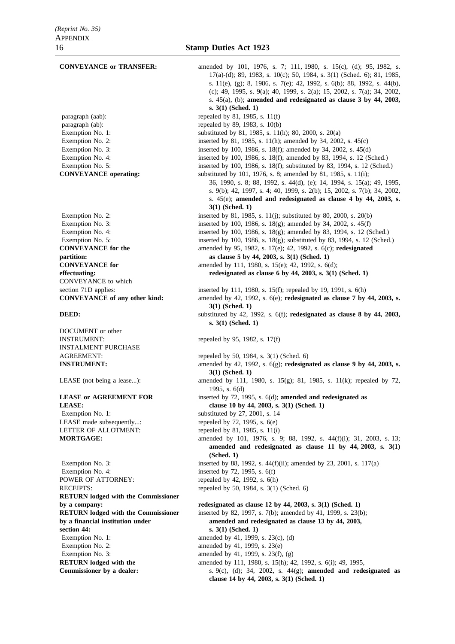## 16 **Stamp Duties Act 1923**

CONVEYANCE to which

DOCUMENT or other INSTALMENT PURCHASE

## Exemption No. 1: substituted by 27, 2001, s. 14

Exemption No. 4: inserted by 72, 1995, s. 6(f) POWER OF ATTORNEY: repealed by 42, 1992, s. 6(h) RECEIPTS: repealed by 50, 1984, s. 3(1) (Sched. 6) **RETURN lodged with the Commissioner section 44: s. 3(1) (Sched. 1)** Exemption No. 1:  $\qquad \qquad \text{amended by 41, 1999, s. 23(c), (d)}$ Exemption No. 2:  $\qquad \qquad \text{amended by 41, 1999, s. 23(e)}$ Exemption No. 3:  $\qquad \qquad \text{amended by 41, 1999, s. 23(f), (g)}$ 

**CONVEYANCE or TRANSFER:** amended by 101, 1976, s. 7; 111, 1980, s. 15(c), (d); 95, 1982, s. 17(a)-(d); 89, 1983, s. 10(c); 50, 1984, s. 3(1) (Sched. 6); 81, 1985, s. 11(e), (g); 8, 1986, s. 7(e); 42, 1992, s. 6(b); 88, 1992, s. 44(b), (c); 49, 1995, s. 9(a); 40, 1999, s. 2(a); 15, 2002, s. 7(a); 34, 2002, s. 45(a), (b); **amended and redesignated as clause 3 by 44, 2003, s. 3(1) (Sched. 1)** paragraph (aab): repealed by 81, 1985, s.  $11(f)$ paragraph (ab): repealed by  $89, 1983, s. 10(b)$ Exemption No. 1: substituted by 81, 1985, s. 11(h); 80, 2000, s. 20(a) Exemption No. 2: inserted by 81, 1985, s. 11(h); amended by 34, 2002, s. 45(c) Exemption No. 3: inserted by 100, 1986, s. 18(f); amended by 34, 2002, s. 45(d) Exemption No. 4: inserted by 100, 1986, s. 18(f); amended by 83, 1994, s. 12 (Sched.) Exemption No. 5: inserted by 100, 1986, s. 18(f); substituted by 83, 1994, s. 12 (Sched.) **CONVEYANCE operating:** substituted by 101, 1976, s. 8; amended by 81, 1985, s. 11(i); 36, 1990, s. 8; 88, 1992, s. 44(d), (e); 14, 1994, s. 15(a); 49, 1995, s. 9(b); 42, 1997, s. 4; 40, 1999, s. 2(b); 15, 2002, s. 7(b); 34, 2002, s. 45(e); **amended and redesignated as clause 4 by 44, 2003, s. 3(1) (Sched. 1)** Exemption No. 2: inserted by 81, 1985, s. 11(j); substituted by 80, 2000, s. 20(b) Exemption No. 3: inserted by 100, 1986, s. 18(g); amended by 34, 2002, s. 45(f) Exemption No. 4: inserted by 100, 1986, s. 18(g); amended by 83, 1994, s. 12 (Sched.) Exemption No. 5: inserted by 100, 1986, s. 18(g); substituted by 83, 1994, s. 12 (Sched.) **CONVEYANCE for the** amended by 95, 1982, s. 17(e); 42, 1992, s. 6(c); **redesignated partition:** as clause 5 by 44, 2003, s. 3(1) (Sched. 1) **CONVEYANCE for** amended by 111, 1980, s. 15(e); 42, 1992, s. 6(d); **effectuating:** redesignated as clause 6 by 44, 2003, s. 3(1) (Sched. 1) section 71D applies: inserted by 111, 1980, s. 15(f); repealed by 19, 1991, s. 6(h) **CONVEYANCE of any other kind:** amended by 42, 1992, s. 6(e); **redesignated as clause 7 by 44, 2003, s. 3(1) (Sched. 1) DEED:** substituted by 42, 1992, s. 6(f); **redesignated as clause 8 by 44, 2003, s. 3(1) (Sched. 1)** INSTRUMENT: repealed by 95, 1982, s.  $17(f)$ AGREEMENT: repealed by 50, 1984, s. 3(1) (Sched. 6) **INSTRUMENT:** amended by 42, 1992, s. 6(g); **redesignated as clause 9 by 44, 2003, s. 3(1) (Sched. 1)** LEASE (not being a lease...): amended by 111, 1980, s. 15(g); 81, 1985, s. 11(k); repealed by 72, 1995, s. 6(d) **LEASE or AGREEMENT FOR** inserted by 72, 1995, s. 6(d); **amended and redesignated as LEASE:** clause 10 by 44, 2003, s. 3(1) (Sched. 1) LEASE made subsequently...: repealed by 72, 1995, s. 6(e)<br>LETTER OF ALLOTMENT: repealed by 81, 1985, s. 11(*l*) repealed by 81, 1985, s. 11(*l*) **MORTGAGE:** amended by 101, 1976, s. 9; 88, 1992, s. 44(f)(i); 31, 2003, s. 13; **amended and redesignated as clause 11 by 44, 2003, s. 3(1) (Sched. 1)** Exemption No. 3: inserted by 88, 1992, s. 44(f)(ii); amended by 23, 2001, s. 117(a) **by a company: by a company: redesignated as clause 12 by 44, 2003, s. 3(1) (Sched. 1) RETURN lodged with the Commissioner** inserted by 82, 1997, s. 7(b); amended by 41, 1999, s. 23(b); **by a financial institution under amended and redesignated as clause 13 by 44, 2003, RETURN lodged with the** amended by 111, 1980, s. 15(h); 42, 1992, s. 6(i); 49, 1995,

**Commissioner by a dealer:** s. 9(c), (d); 34, 2002, s. 44(g); **amended and redesignated as clause 14 by 44, 2003, s. 3(1) (Sched. 1)**